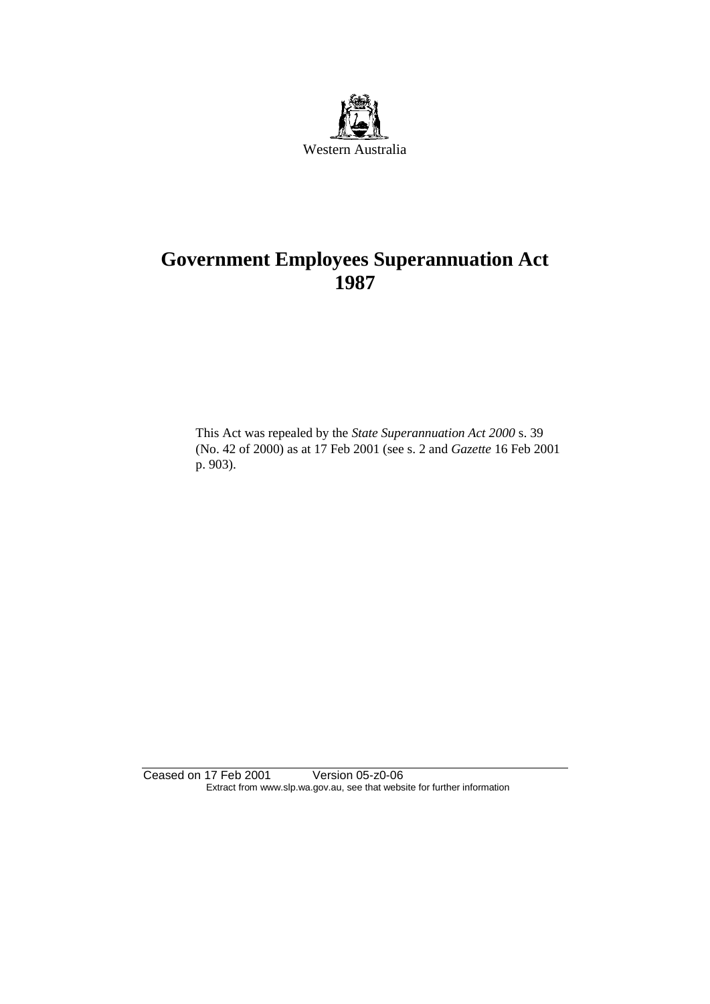

# **Government Employees Superannuation Act 1987**

This Act was repealed by the *State Superannuation Act 2000* s. 39 (No. 42 of 2000) as at 17 Feb 2001 (see s. 2 and *Gazette* 16 Feb 2001 p. 903).

Ceased on 17 Feb 2001 Version 05-z0-06 Extract from www.slp.wa.gov.au, see that website for further information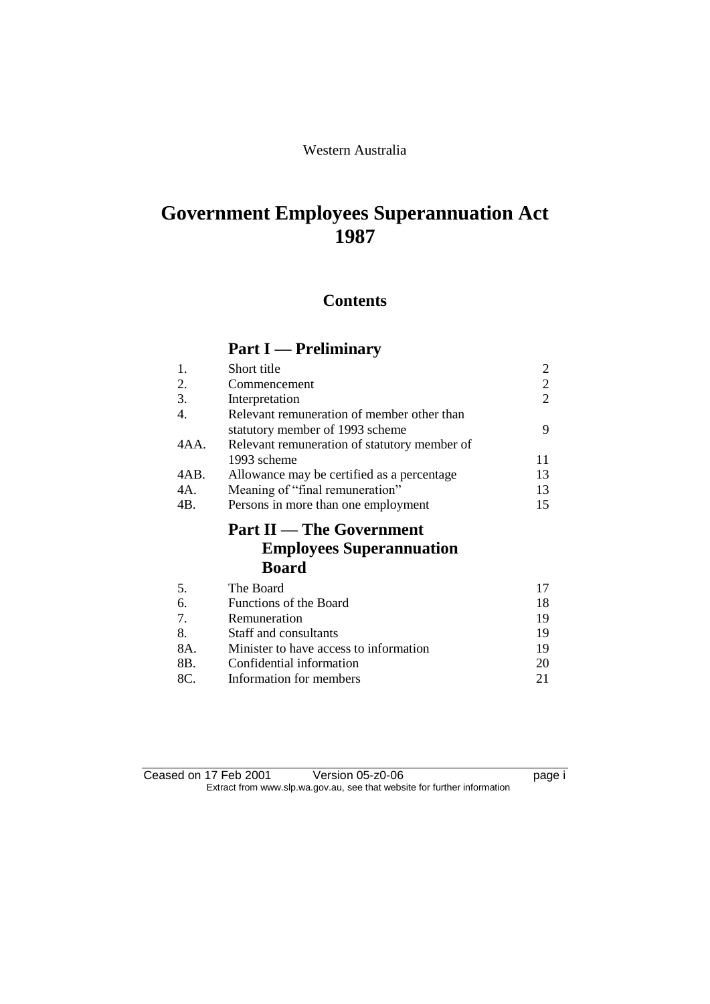### Western Australia

# **Government Employees Superannuation Act 1987**

# **Contents**

# **Part I — Preliminary**

| 1.   | Short title                                     | 2  |
|------|-------------------------------------------------|----|
| 2.   | Commencement                                    | 2  |
| 3.   | Interpretation                                  | 2  |
| 4.   | Relevant remuneration of member other than      |    |
|      | statutory member of 1993 scheme                 | 9  |
| 4AA. | Relevant remuneration of statutory member of    |    |
|      | 1993 scheme                                     | 11 |
| 4AB. | Allowance may be certified as a percentage.     | 13 |
| 4A.  | Meaning of "final remuneration"                 | 13 |
| 4B.  | Persons in more than one employment             | 15 |
|      |                                                 |    |
|      | <b>Part II</b> — The Government                 |    |
|      | <b>Employees Superannuation</b><br><b>Board</b> |    |
| 5.   | The Board                                       | 17 |
| 6.   | Functions of the Board                          | 18 |
| 7.   | Remuneration                                    | 19 |
| 8.   | Staff and consultants                           | 19 |
| 8A.  | Minister to have access to information          | 19 |
| 8B.  | Confidential information                        | 20 |

Ceased on 17 Feb 2001 Version 05-z0-06 Page i Extract from www.slp.wa.gov.au, see that website for further information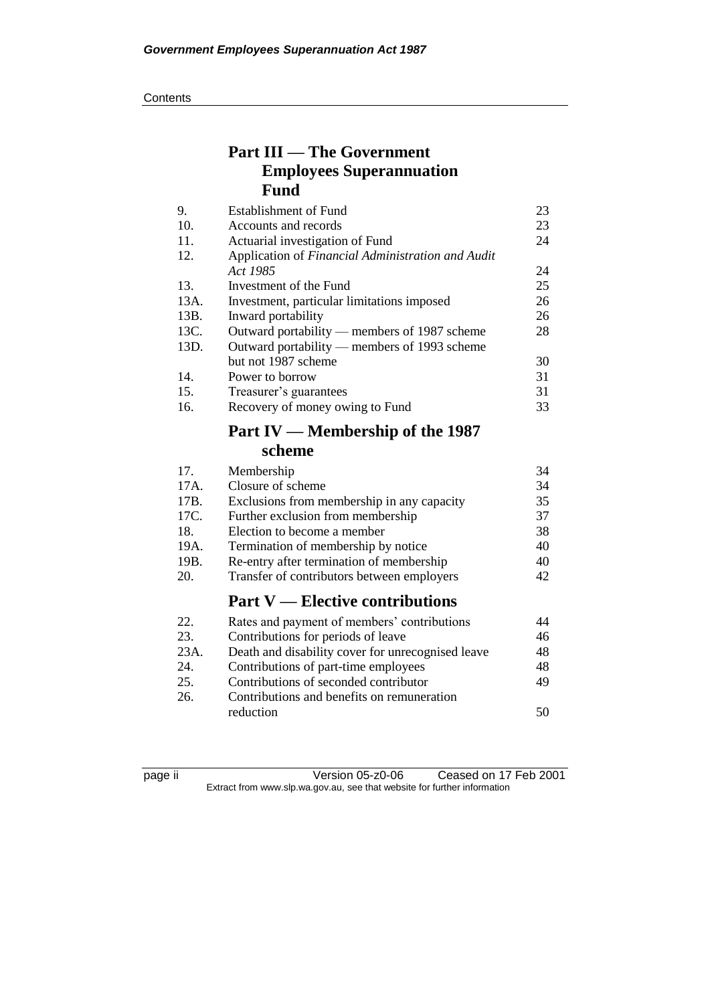# **Part III — The Government Employees Superannuation Fund**

| 9.   | <b>Establishment of Fund</b>                      | 23 |
|------|---------------------------------------------------|----|
| 10.  | Accounts and records                              | 23 |
| 11.  | Actuarial investigation of Fund                   | 24 |
| 12.  | Application of Financial Administration and Audit |    |
|      | Act 1985                                          | 24 |
| 13.  | Investment of the Fund                            | 25 |
| 13A. | Investment, particular limitations imposed        | 26 |
| 13B. | Inward portability                                | 26 |
| 13C. | Outward portability — members of 1987 scheme      | 28 |
| 13D. | Outward portability — members of 1993 scheme      |    |
|      | but not 1987 scheme                               | 30 |
| 14.  | Power to borrow                                   | 31 |
| 15.  | Treasurer's guarantees                            | 31 |
| 16.  | Recovery of money owing to Fund                   | 33 |

# **Part IV — Membership of the 1987 scheme**

|      | Part $V$ — Elective contributions          |    |
|------|--------------------------------------------|----|
| 20.  | Transfer of contributors between employers | 42 |
| 19B. | Re-entry after termination of membership   | 40 |
| 19A. | Termination of membership by notice        | 40 |
| 18.  | Election to become a member                | 38 |
| 17C. | Further exclusion from membership          | 37 |
| 17B. | Exclusions from membership in any capacity | 35 |
| 17A. | Closure of scheme                          | 34 |
| 17.  | Membership                                 | 34 |

| 22.  | Rates and payment of members' contributions       | 44 |
|------|---------------------------------------------------|----|
| 23.  | Contributions for periods of leave                | 46 |
| 23A. | Death and disability cover for unrecognised leave | 48 |
| 24.  | Contributions of part-time employees              | 48 |
| 25.  | Contributions of seconded contributor             | 49 |
| 26.  | Contributions and benefits on remuneration        |    |
|      | reduction                                         | 50 |
|      |                                                   |    |

page ii Version 05-z0-06 Ceased on 17 Feb 2001 Extract from www.slp.wa.gov.au, see that website for further information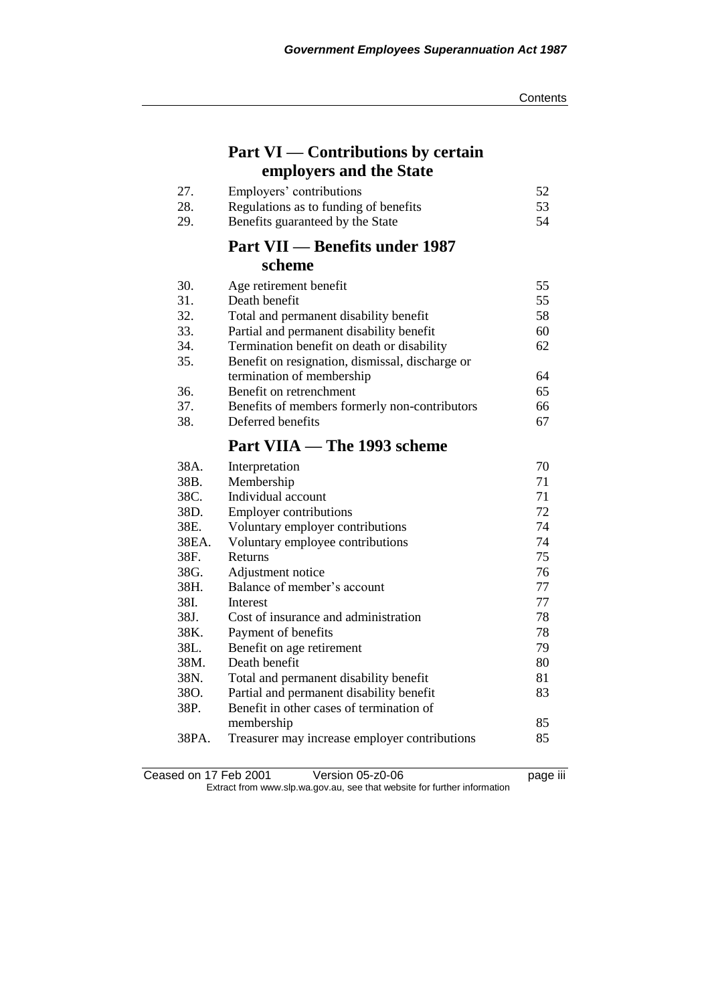# **Part VI — Contributions by certain employers and the State**

| 27. | Employers' contributions              | 52 |
|-----|---------------------------------------|----|
| 28. | Regulations as to funding of benefits | 53 |
| 29. | Benefits guaranteed by the State      | 54 |

## **Part VII — Benefits under 1987 scheme**

| 30. | Age retirement benefit                          | 55 |
|-----|-------------------------------------------------|----|
| 31. | Death benefit                                   | 55 |
| 32. | Total and permanent disability benefit          | 58 |
| 33. | Partial and permanent disability benefit        | 60 |
| 34. | Termination benefit on death or disability      | 62 |
| 35. | Benefit on resignation, dismissal, discharge or |    |
|     | termination of membership                       | 64 |
| 36. | Benefit on retrenchment                         | 65 |
| 37. | Benefits of members formerly non-contributors   | 66 |
| 38. | Deferred benefits                               | 67 |
|     |                                                 |    |

# **Part VIIA — The 1993 scheme**

| 38A.  | Interpretation                                | 70 |
|-------|-----------------------------------------------|----|
| 38B.  | Membership                                    | 71 |
| 38C.  | Individual account                            | 71 |
| 38D.  | <b>Employer contributions</b>                 | 72 |
| 38E.  | Voluntary employer contributions              | 74 |
| 38EA. | Voluntary employee contributions              | 74 |
| 38F.  | Returns                                       | 75 |
| 38G.  | Adjustment notice                             | 76 |
| 38H.  | Balance of member's account                   | 77 |
| 38I.  | Interest                                      | 77 |
| 38J.  | Cost of insurance and administration          | 78 |
| 38K.  | Payment of benefits                           | 78 |
| 38L.  | Benefit on age retirement                     | 79 |
| 38M.  | Death benefit                                 | 80 |
| 38N.  | Total and permanent disability benefit        | 81 |
| 38O.  | Partial and permanent disability benefit      | 83 |
| 38P.  | Benefit in other cases of termination of      |    |
|       | membership                                    | 85 |
| 38PA. | Treasurer may increase employer contributions | 85 |

Ceased on 17 Feb 2001 Version 05-z0-06 Page iii Extract from www.slp.wa.gov.au, see that website for further information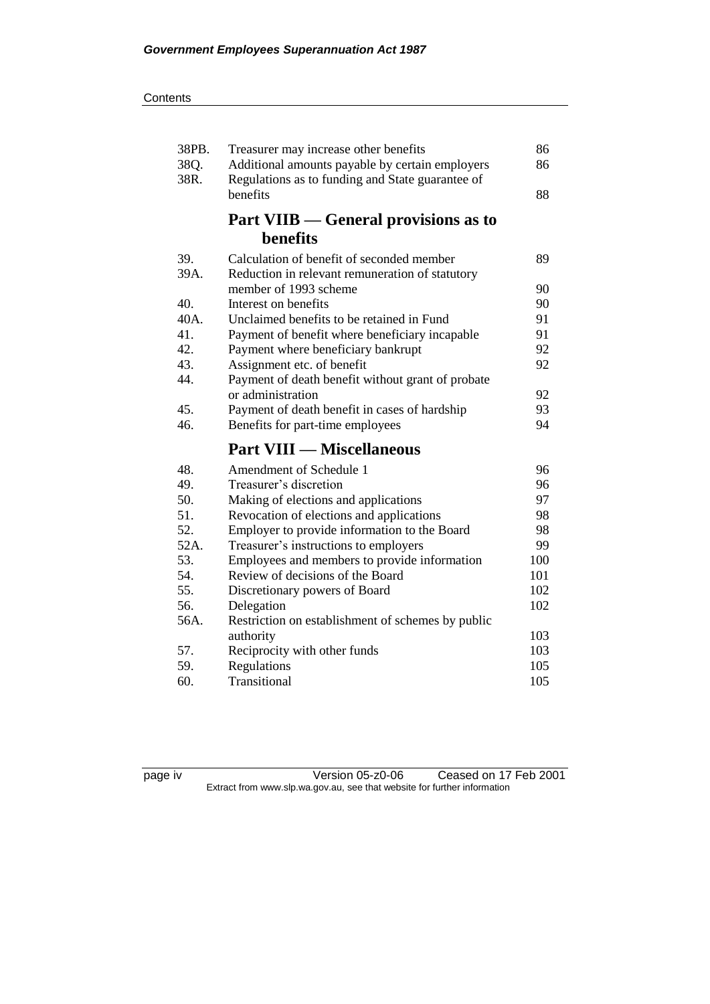| 38PB. | Treasurer may increase other benefits             | 86  |
|-------|---------------------------------------------------|-----|
| 38Q.  | Additional amounts payable by certain employers   | 86  |
| 38R.  | Regulations as to funding and State guarantee of  |     |
|       | benefits                                          | 88  |
|       | Part VIIB — General provisions as to              |     |
|       | benefits                                          |     |
| 39.   | Calculation of benefit of seconded member         | 89  |
| 39A.  | Reduction in relevant remuneration of statutory   |     |
|       | member of 1993 scheme                             | 90  |
| 40.   | Interest on benefits                              | 90  |
| 40A.  | Unclaimed benefits to be retained in Fund         | 91  |
| 41.   | Payment of benefit where beneficiary incapable    | 91  |
| 42.   | Payment where beneficiary bankrupt                | 92  |
| 43.   | Assignment etc. of benefit                        | 92  |
| 44.   | Payment of death benefit without grant of probate |     |
|       | or administration                                 | 92  |
| 45.   | Payment of death benefit in cases of hardship     | 93  |
| 46.   | Benefits for part-time employees                  | 94  |
|       | <b>Part VIII — Miscellaneous</b>                  |     |
| 48.   | Amendment of Schedule 1                           | 96  |
| 49.   | Treasurer's discretion                            | 96  |
| 50.   | Making of elections and applications              | 97  |
| 51.   | Revocation of elections and applications          | 98  |
| 52.   | Employer to provide information to the Board      | 98  |
| 52A.  | Treasurer's instructions to employers             | 99  |
| 53.   | Employees and members to provide information      | 100 |
| 54.   | Review of decisions of the Board                  | 101 |
| 55.   | Discretionary powers of Board                     | 102 |
| 56.   | Delegation                                        | 102 |
| 56A.  | Restriction on establishment of schemes by public |     |
|       | authority                                         | 103 |
| 57.   | Reciprocity with other funds                      | 103 |
| 59.   | Regulations                                       | 105 |
| 60.   | Transitional                                      | 105 |

page iv Version 05-z0-06 Ceased on 17 Feb 2001 Extract from www.slp.wa.gov.au, see that website for further information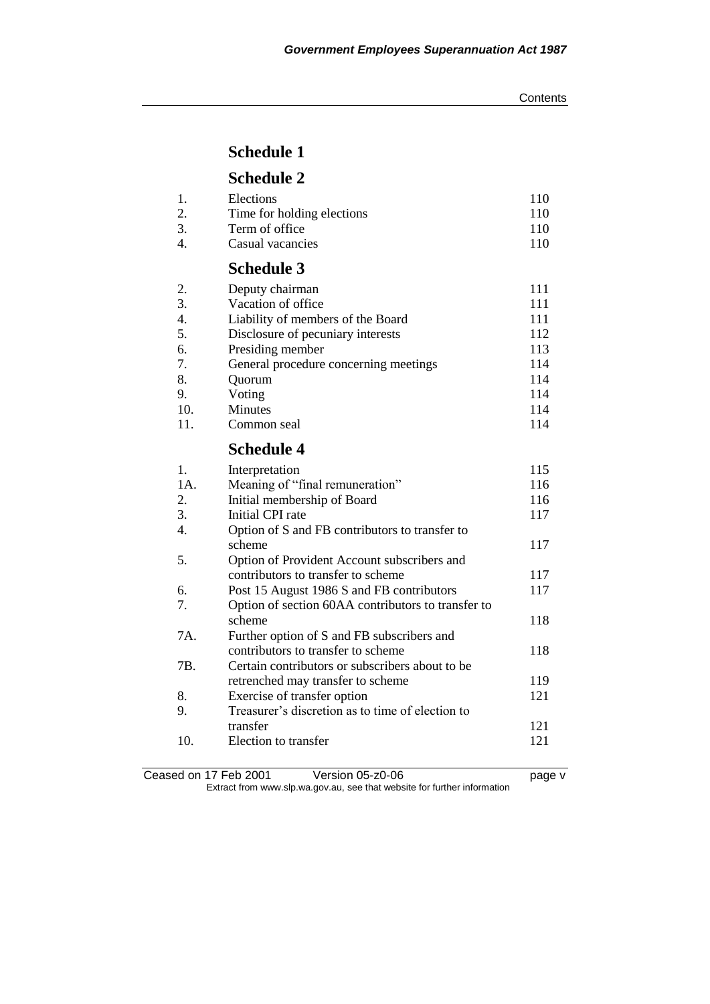## **Schedule 1**

# **Schedule 2**

|                | $C_1$ . $C_2$              |     |
|----------------|----------------------------|-----|
| $\overline{4}$ | Casual vacancies           | 110 |
| 3.             | Term of office             | 110 |
|                | Time for holding elections | 110 |
| -1.            | Elections                  | 110 |

## **Schedule 3**

| 2.  | Deputy chairman                       | 111 |
|-----|---------------------------------------|-----|
| 3.  | Vacation of office                    | 111 |
| 4.  | Liability of members of the Board     | 111 |
| 5.  | Disclosure of pecuniary interests     | 112 |
| 6.  | Presiding member                      | 113 |
| 7.  | General procedure concerning meetings | 114 |
| 8.  | Ouorum                                | 114 |
| 9.  | Voting                                | 114 |
| 10. | <b>Minutes</b>                        | 114 |
| 11. | Common seal                           | 114 |

### **Schedule 4**

| 1.  | Interpretation                                     | 115 |
|-----|----------------------------------------------------|-----|
| 1A. | Meaning of "final remuneration"                    | 116 |
| 2.  | Initial membership of Board                        | 116 |
| 3.  | Initial CPI rate                                   | 117 |
| 4.  | Option of S and FB contributors to transfer to     |     |
|     | scheme                                             | 117 |
| 5.  | Option of Provident Account subscribers and        |     |
|     | contributors to transfer to scheme                 | 117 |
| 6.  | Post 15 August 1986 S and FB contributors          | 117 |
| 7.  | Option of section 60AA contributors to transfer to |     |
|     | scheme                                             | 118 |
| 7A. | Further option of S and FB subscribers and         |     |
|     | contributors to transfer to scheme                 | 118 |
| 7B. | Certain contributors or subscribers about to be.   |     |
|     | retrenched may transfer to scheme                  | 119 |
| 8.  | Exercise of transfer option                        | 121 |
| 9.  | Treasurer's discretion as to time of election to   |     |
|     | transfer                                           | 121 |
| 10. | Election to transfer                               | 121 |
|     |                                                    |     |

Ceased on 17 Feb 2001 Version 05-z0-06 Page v Extract from www.slp.wa.gov.au, see that website for further information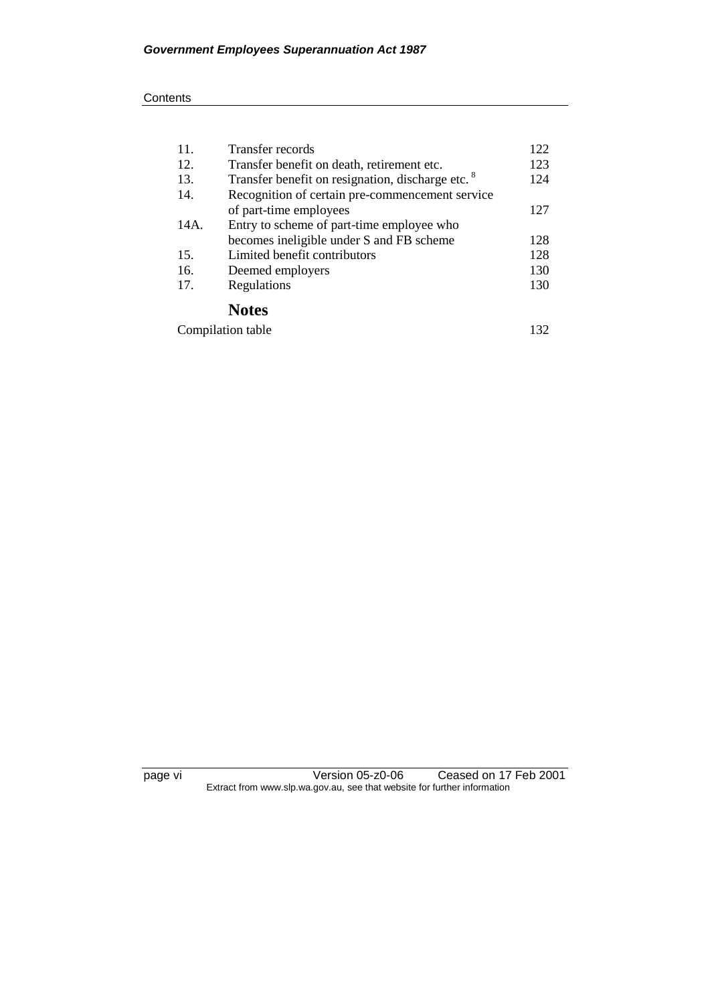#### **Contents**

| 11.               | Transfer records                                             | 122 |
|-------------------|--------------------------------------------------------------|-----|
| 12.               | Transfer benefit on death, retirement etc.                   | 123 |
| 13.               | Transfer benefit on resignation, discharge etc. <sup>8</sup> |     |
| 14.               | Recognition of certain pre-commencement service              |     |
|                   | of part-time employees                                       | 127 |
| 14A.              | Entry to scheme of part-time employee who                    |     |
|                   | becomes ineligible under S and FB scheme                     | 128 |
| 15.               | Limited benefit contributors                                 | 128 |
| 16.               | Deemed employers                                             | 130 |
| 17.               | Regulations                                                  | 130 |
|                   | <b>Notes</b>                                                 |     |
| Compilation table |                                                              | 132 |

page vi Version 05-z0-06 Ceased on 17 Feb 2001 Extract from www.slp.wa.gov.au, see that website for further information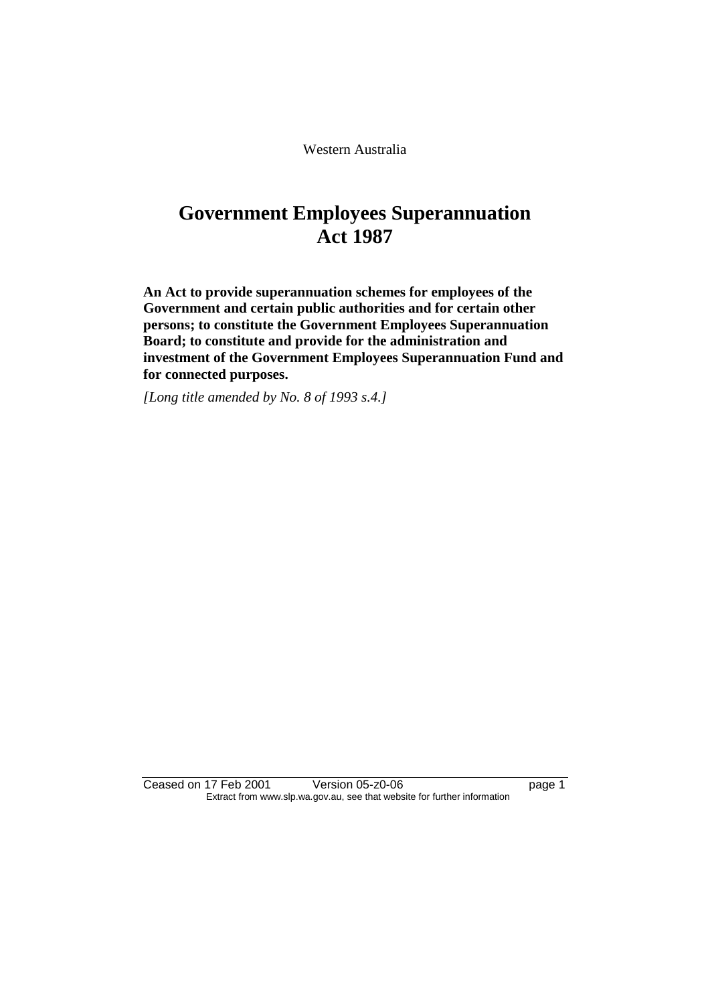Western Australia

# **Government Employees Superannuation Act 1987**

**An Act to provide superannuation schemes for employees of the Government and certain public authorities and for certain other persons; to constitute the Government Employees Superannuation Board; to constitute and provide for the administration and investment of the Government Employees Superannuation Fund and for connected purposes.** 

*[Long title amended by No. 8 of 1993 s.4.]* 

Ceased on 17 Feb 2001 Version 05-z0-06 Page 1 Extract from www.slp.wa.gov.au, see that website for further information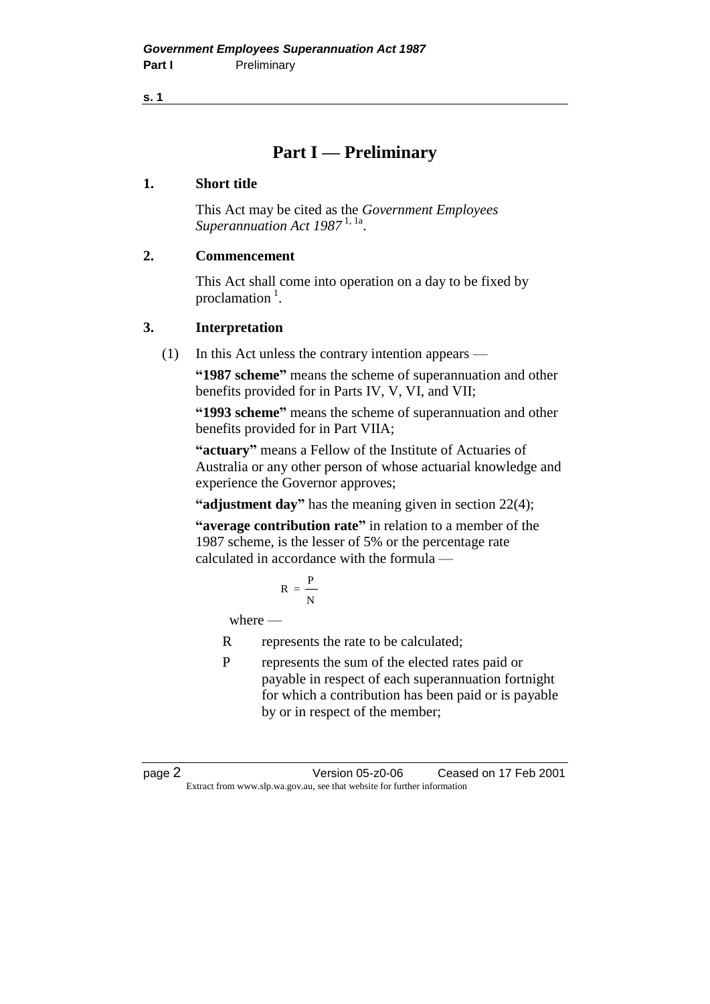**s. 1**

# **Part I — Preliminary**

### **1. Short title**

This Act may be cited as the *Government Employees Superannuation Act 1987* 1, 1a .

### **2. Commencement**

This Act shall come into operation on a day to be fixed by proclamation<sup>1</sup>.

### **3. Interpretation**

(1) In this Act unless the contrary intention appears —

**"1987 scheme"** means the scheme of superannuation and other benefits provided for in Parts IV, V, VI, and VII;

**"1993 scheme"** means the scheme of superannuation and other benefits provided for in Part VIIA;

**"actuary"** means a Fellow of the Institute of Actuaries of Australia or any other person of whose actuarial knowledge and experience the Governor approves;

**"adjustment day"** has the meaning given in section 22(4);

**"average contribution rate"** in relation to a member of the 1987 scheme, is the lesser of 5% or the percentage rate calculated in accordance with the formula —

$$
R = \frac{P}{N}
$$

where —

R represents the rate to be calculated;

P represents the sum of the elected rates paid or payable in respect of each superannuation fortnight for which a contribution has been paid or is payable by or in respect of the member;

page 2 Version 05-z0-06 Ceased on 17 Feb 2001 Extract from www.slp.wa.gov.au, see that website for further information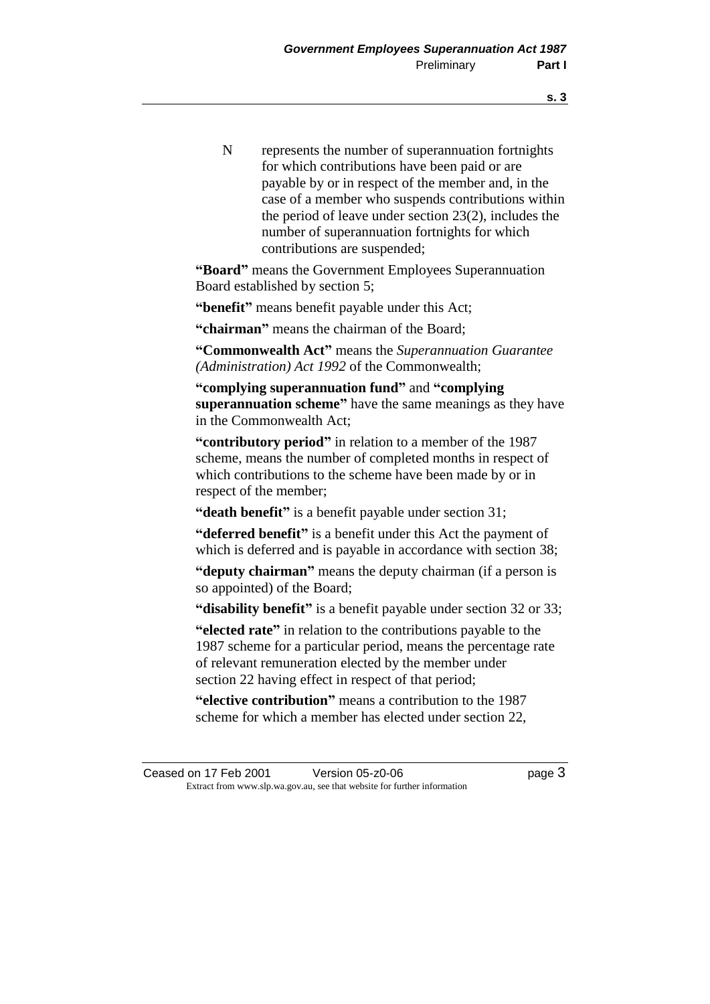N represents the number of superannuation fortnights for which contributions have been paid or are payable by or in respect of the member and, in the case of a member who suspends contributions within the period of leave under section 23(2), includes the number of superannuation fortnights for which contributions are suspended;

**"Board"** means the Government Employees Superannuation Board established by section 5;

**"benefit"** means benefit payable under this Act;

**"chairman"** means the chairman of the Board;

**"Commonwealth Act"** means the *Superannuation Guarantee (Administration) Act 1992* of the Commonwealth;

**"complying superannuation fund"** and **"complying superannuation scheme"** have the same meanings as they have in the Commonwealth Act;

**"contributory period"** in relation to a member of the 1987 scheme, means the number of completed months in respect of which contributions to the scheme have been made by or in respect of the member;

**"death benefit"** is a benefit payable under section 31;

**"deferred benefit"** is a benefit under this Act the payment of which is deferred and is payable in accordance with section 38;

**"deputy chairman"** means the deputy chairman (if a person is so appointed) of the Board;

**"disability benefit"** is a benefit payable under section 32 or 33;

**"elected rate"** in relation to the contributions payable to the 1987 scheme for a particular period, means the percentage rate of relevant remuneration elected by the member under section 22 having effect in respect of that period;

**"elective contribution"** means a contribution to the 1987 scheme for which a member has elected under section 22,

Ceased on 17 Feb 2001 Version 05-z0-06 Page 3 Extract from www.slp.wa.gov.au, see that website for further information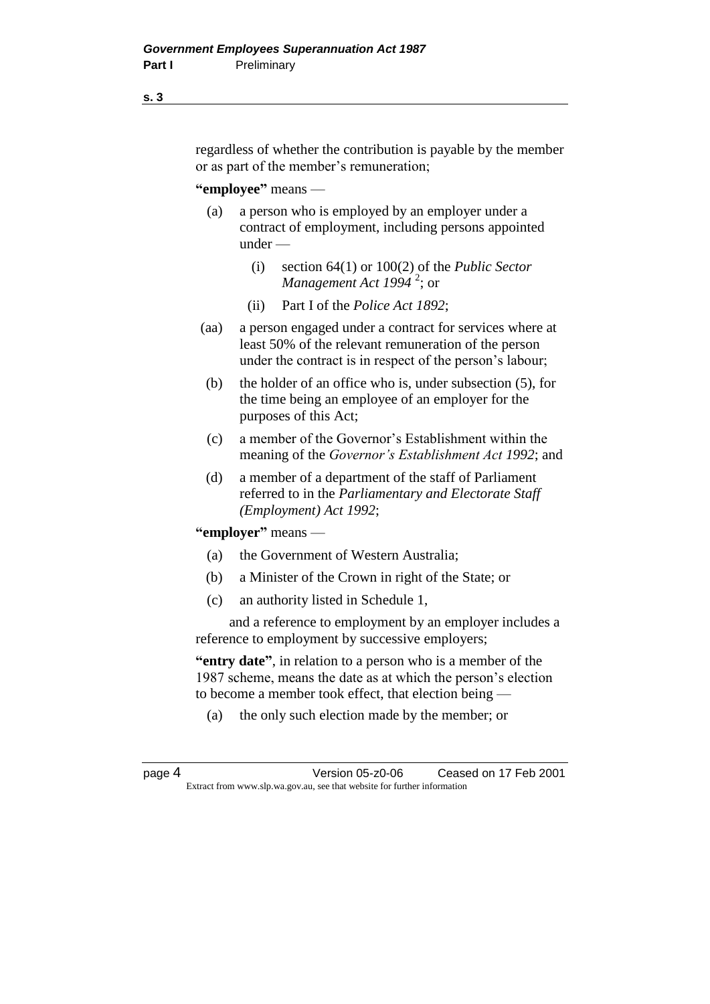#### **s. 3**

regardless of whether the contribution is payable by the member or as part of the member's remuneration;

#### **"employee"** means —

- (a) a person who is employed by an employer under a contract of employment, including persons appointed under —
	- (i) section 64(1) or 100(2) of the *Public Sector Management Act 1994* <sup>2</sup> ; or
	- (ii) Part I of the *Police Act 1892*;
- (aa) a person engaged under a contract for services where at least 50% of the relevant remuneration of the person under the contract is in respect of the person's labour;
	- (b) the holder of an office who is, under subsection (5), for the time being an employee of an employer for the purposes of this Act;
	- (c) a member of the Governor's Establishment within the meaning of the *Governor's Establishment Act 1992*; and
	- (d) a member of a department of the staff of Parliament referred to in the *Parliamentary and Electorate Staff (Employment) Act 1992*;

#### **"employer"** means —

- (a) the Government of Western Australia;
- (b) a Minister of the Crown in right of the State; or
- (c) an authority listed in Schedule 1,

and a reference to employment by an employer includes a reference to employment by successive employers;

**"entry date"**, in relation to a person who is a member of the 1987 scheme, means the date as at which the person's election to become a member took effect, that election being —

(a) the only such election made by the member; or

page 4 Version 05-z0-06 Ceased on 17 Feb 2001 Extract from www.slp.wa.gov.au, see that website for further information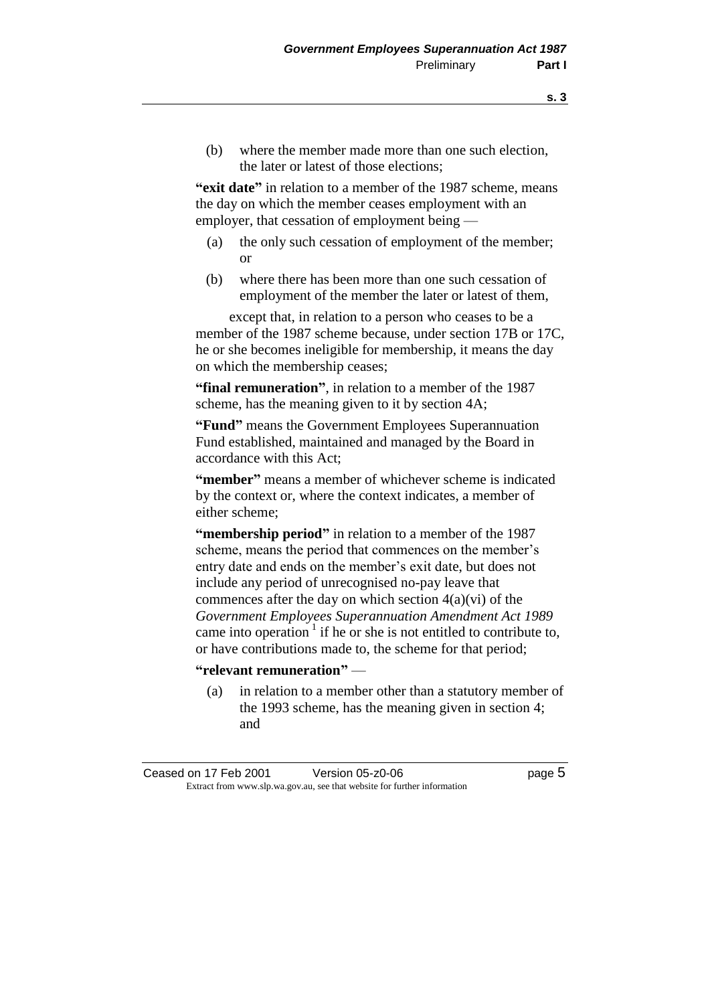(b) where the member made more than one such election, the later or latest of those elections;

**"exit date"** in relation to a member of the 1987 scheme, means the day on which the member ceases employment with an employer, that cessation of employment being —

- (a) the only such cessation of employment of the member; or
- (b) where there has been more than one such cessation of employment of the member the later or latest of them,

except that, in relation to a person who ceases to be a member of the 1987 scheme because, under section 17B or 17C, he or she becomes ineligible for membership, it means the day on which the membership ceases;

**"final remuneration"**, in relation to a member of the 1987 scheme, has the meaning given to it by section 4A;

**"Fund"** means the Government Employees Superannuation Fund established, maintained and managed by the Board in accordance with this Act;

**"member"** means a member of whichever scheme is indicated by the context or, where the context indicates, a member of either scheme;

**"membership period"** in relation to a member of the 1987 scheme, means the period that commences on the member's entry date and ends on the member's exit date, but does not include any period of unrecognised no-pay leave that commences after the day on which section  $4(a)(vi)$  of the *Government Employees Superannuation Amendment Act 1989* came into operation<sup>1</sup> if he or she is not entitled to contribute to, or have contributions made to, the scheme for that period;

#### **"relevant remuneration"** —

(a) in relation to a member other than a statutory member of the 1993 scheme, has the meaning given in section 4; and

Ceased on 17 Feb 2001 Version 05-z0-06 page 5 Extract from www.slp.wa.gov.au, see that website for further information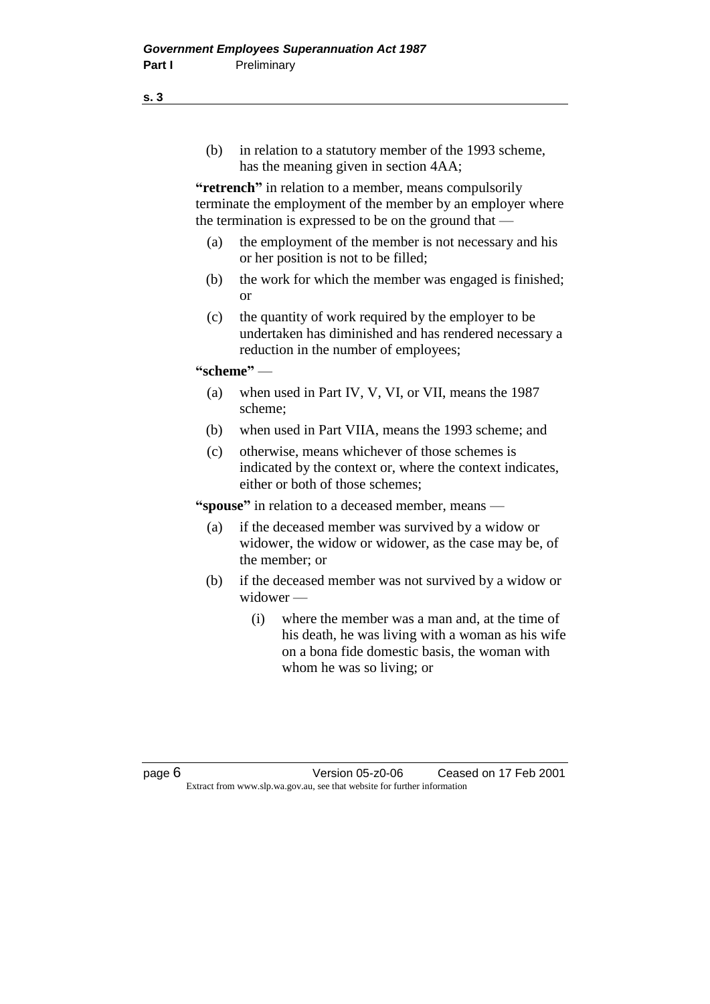(b) in relation to a statutory member of the 1993 scheme, has the meaning given in section 4AA;

**"retrench"** in relation to a member, means compulsorily terminate the employment of the member by an employer where the termination is expressed to be on the ground that —

- (a) the employment of the member is not necessary and his or her position is not to be filled;
- (b) the work for which the member was engaged is finished; or
- (c) the quantity of work required by the employer to be undertaken has diminished and has rendered necessary a reduction in the number of employees;

### **"scheme"** —

- (a) when used in Part IV, V, VI, or VII, means the 1987 scheme;
- (b) when used in Part VIIA, means the 1993 scheme; and
- (c) otherwise, means whichever of those schemes is indicated by the context or, where the context indicates, either or both of those schemes;

**"spouse"** in relation to a deceased member, means —

- (a) if the deceased member was survived by a widow or widower, the widow or widower, as the case may be, of the member; or
- (b) if the deceased member was not survived by a widow or widower —
	- (i) where the member was a man and, at the time of his death, he was living with a woman as his wife on a bona fide domestic basis, the woman with whom he was so living; or

page 6 Version 05-z0-06 Ceased on 17 Feb 2001 Extract from www.slp.wa.gov.au, see that website for further information

**s. 3**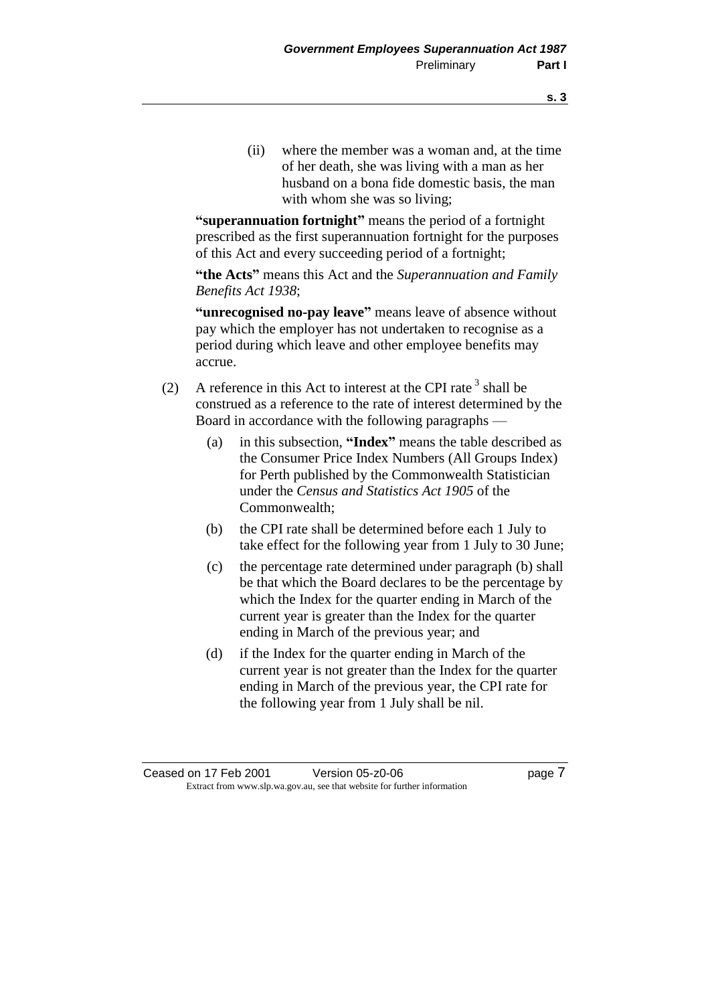(ii) where the member was a woman and, at the time of her death, she was living with a man as her husband on a bona fide domestic basis, the man with whom she was so living;

**"superannuation fortnight"** means the period of a fortnight prescribed as the first superannuation fortnight for the purposes of this Act and every succeeding period of a fortnight;

**"the Acts"** means this Act and the *Superannuation and Family Benefits Act 1938*;

**"unrecognised no-pay leave"** means leave of absence without pay which the employer has not undertaken to recognise as a period during which leave and other employee benefits may accrue.

- (2) A reference in this Act to interest at the CPI rate  $3$  shall be construed as a reference to the rate of interest determined by the Board in accordance with the following paragraphs —
	- (a) in this subsection, **"Index"** means the table described as the Consumer Price Index Numbers (All Groups Index) for Perth published by the Commonwealth Statistician under the *Census and Statistics Act 1905* of the Commonwealth;
	- (b) the CPI rate shall be determined before each 1 July to take effect for the following year from 1 July to 30 June;
	- (c) the percentage rate determined under paragraph (b) shall be that which the Board declares to be the percentage by which the Index for the quarter ending in March of the current year is greater than the Index for the quarter ending in March of the previous year; and
	- (d) if the Index for the quarter ending in March of the current year is not greater than the Index for the quarter ending in March of the previous year, the CPI rate for the following year from 1 July shall be nil.

Ceased on 17 Feb 2001 Version 05-z0-06 page 7 Extract from www.slp.wa.gov.au, see that website for further information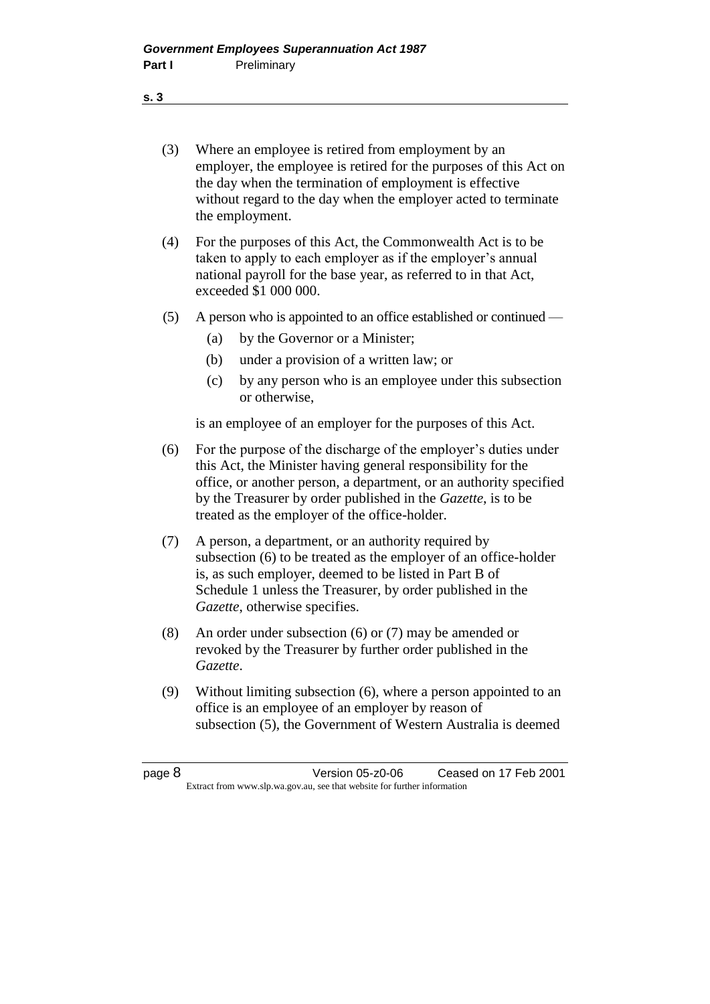- (3) Where an employee is retired from employment by an employer, the employee is retired for the purposes of this Act on the day when the termination of employment is effective without regard to the day when the employer acted to terminate the employment.
- (4) For the purposes of this Act, the Commonwealth Act is to be taken to apply to each employer as if the employer's annual national payroll for the base year, as referred to in that Act, exceeded \$1 000 000.
- (5) A person who is appointed to an office established or continued
	- (a) by the Governor or a Minister;
	- (b) under a provision of a written law; or
	- (c) by any person who is an employee under this subsection or otherwise,

is an employee of an employer for the purposes of this Act.

- (6) For the purpose of the discharge of the employer's duties under this Act, the Minister having general responsibility for the office, or another person, a department, or an authority specified by the Treasurer by order published in the *Gazette*, is to be treated as the employer of the office-holder.
- (7) A person, a department, or an authority required by subsection (6) to be treated as the employer of an office-holder is, as such employer, deemed to be listed in Part B of Schedule 1 unless the Treasurer, by order published in the *Gazette*, otherwise specifies.
- (8) An order under subsection (6) or (7) may be amended or revoked by the Treasurer by further order published in the *Gazette*.
- (9) Without limiting subsection (6), where a person appointed to an office is an employee of an employer by reason of subsection (5), the Government of Western Australia is deemed

| page 8 | Version 05-z0-06                                                         | Ceased on 17 Feb 2001 |  |
|--------|--------------------------------------------------------------------------|-----------------------|--|
|        | Extract from www.slp.wa.gov.au, see that website for further information |                       |  |

**s. 3**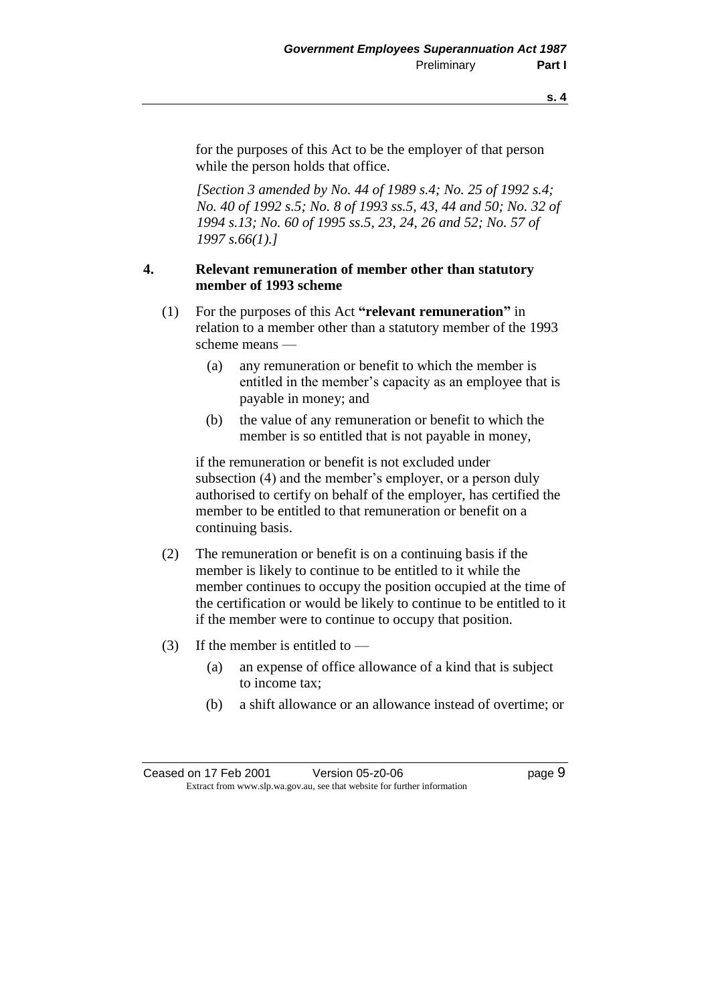for the purposes of this Act to be the employer of that person while the person holds that office.

*[Section 3 amended by No. 44 of 1989 s.4; No. 25 of 1992 s.4; No. 40 of 1992 s.5; No. 8 of 1993 ss.5, 43, 44 and 50; No. 32 of 1994 s.13; No. 60 of 1995 ss.5, 23, 24, 26 and 52; No. 57 of 1997 s.66(1).]* 

### **4. Relevant remuneration of member other than statutory member of 1993 scheme**

- (1) For the purposes of this Act **"relevant remuneration"** in relation to a member other than a statutory member of the 1993 scheme means —
	- (a) any remuneration or benefit to which the member is entitled in the member's capacity as an employee that is payable in money; and
	- (b) the value of any remuneration or benefit to which the member is so entitled that is not payable in money,

if the remuneration or benefit is not excluded under subsection (4) and the member's employer, or a person duly authorised to certify on behalf of the employer, has certified the member to be entitled to that remuneration or benefit on a continuing basis.

- (2) The remuneration or benefit is on a continuing basis if the member is likely to continue to be entitled to it while the member continues to occupy the position occupied at the time of the certification or would be likely to continue to be entitled to it if the member were to continue to occupy that position.
- (3) If the member is entitled to
	- (a) an expense of office allowance of a kind that is subject to income tax;
	- (b) a shift allowance or an allowance instead of overtime; or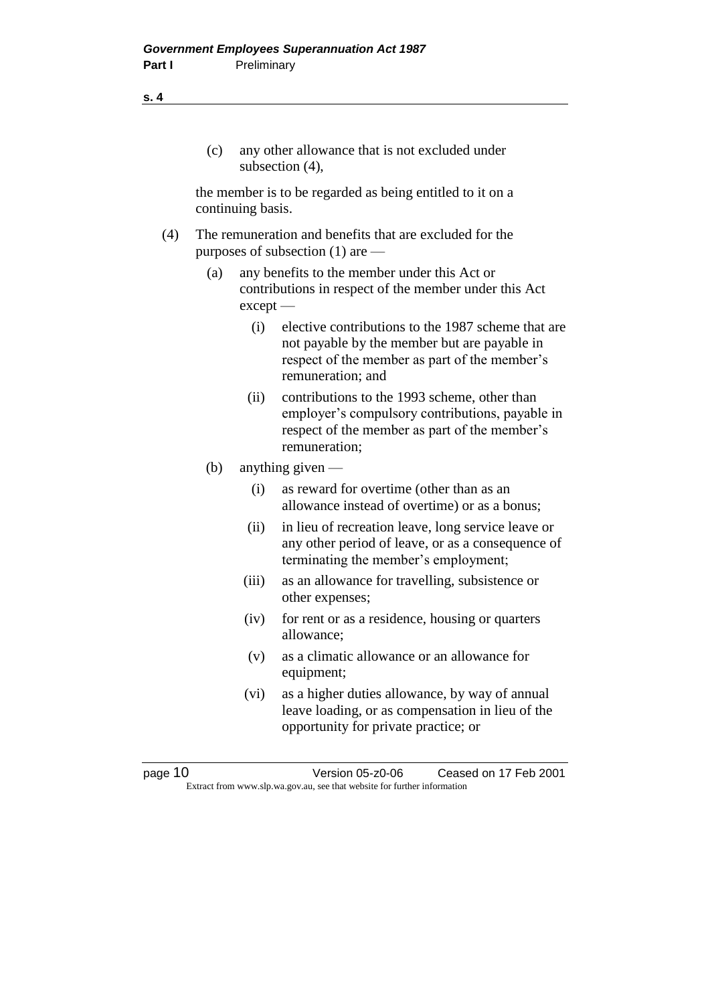### (c) any other allowance that is not excluded under subsection (4),

the member is to be regarded as being entitled to it on a continuing basis.

- (4) The remuneration and benefits that are excluded for the purposes of subsection (1) are —
	- (a) any benefits to the member under this Act or contributions in respect of the member under this Act except —
		- (i) elective contributions to the 1987 scheme that are not payable by the member but are payable in respect of the member as part of the member's remuneration; and
		- (ii) contributions to the 1993 scheme, other than employer's compulsory contributions, payable in respect of the member as part of the member's remuneration;
	- (b) anything given
		- (i) as reward for overtime (other than as an allowance instead of overtime) or as a bonus;
		- (ii) in lieu of recreation leave, long service leave or any other period of leave, or as a consequence of terminating the member's employment;
		- (iii) as an allowance for travelling, subsistence or other expenses;
		- (iv) for rent or as a residence, housing or quarters allowance;
		- (v) as a climatic allowance or an allowance for equipment;
		- (vi) as a higher duties allowance, by way of annual leave loading, or as compensation in lieu of the opportunity for private practice; or

**s. 4**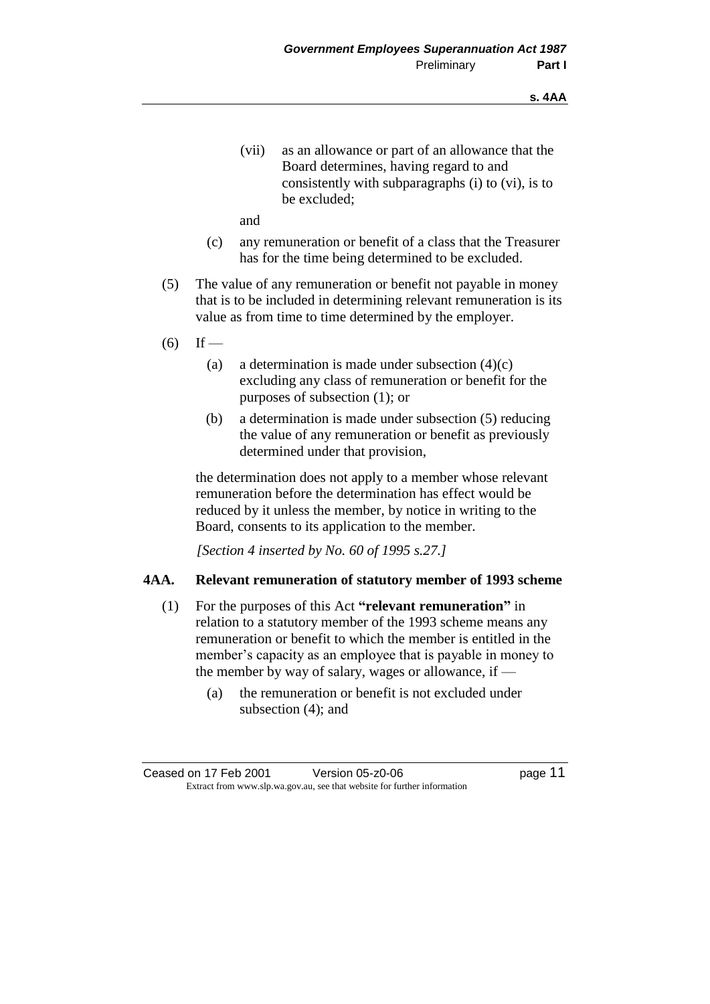(vii) as an allowance or part of an allowance that the Board determines, having regard to and consistently with subparagraphs (i) to (vi), is to be excluded;

and

- (c) any remuneration or benefit of a class that the Treasurer has for the time being determined to be excluded.
- (5) The value of any remuneration or benefit not payable in money that is to be included in determining relevant remuneration is its value as from time to time determined by the employer.
- $(6)$  If
	- (a) a determination is made under subsection  $(4)(c)$ excluding any class of remuneration or benefit for the purposes of subsection (1); or
	- (b) a determination is made under subsection (5) reducing the value of any remuneration or benefit as previously determined under that provision,

the determination does not apply to a member whose relevant remuneration before the determination has effect would be reduced by it unless the member, by notice in writing to the Board, consents to its application to the member.

*[Section 4 inserted by No. 60 of 1995 s.27.]* 

#### **4AA. Relevant remuneration of statutory member of 1993 scheme**

- (1) For the purposes of this Act **"relevant remuneration"** in relation to a statutory member of the 1993 scheme means any remuneration or benefit to which the member is entitled in the member's capacity as an employee that is payable in money to the member by way of salary, wages or allowance, if —
	- (a) the remuneration or benefit is not excluded under subsection (4); and

Ceased on 17 Feb 2001 Version 05-z0-06 page 11 Extract from www.slp.wa.gov.au, see that website for further information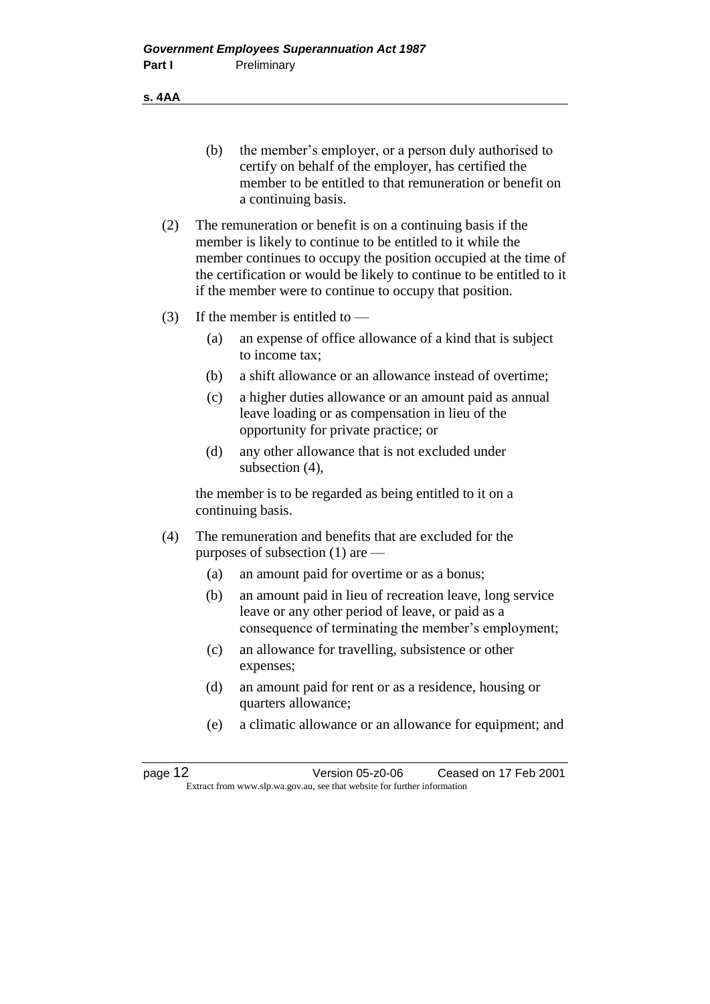**s. 4AA**

- (b) the member's employer, or a person duly authorised to certify on behalf of the employer, has certified the member to be entitled to that remuneration or benefit on a continuing basis.
- (2) The remuneration or benefit is on a continuing basis if the member is likely to continue to be entitled to it while the member continues to occupy the position occupied at the time of the certification or would be likely to continue to be entitled to it if the member were to continue to occupy that position.
- (3) If the member is entitled to
	- (a) an expense of office allowance of a kind that is subject to income tax;
	- (b) a shift allowance or an allowance instead of overtime;
	- (c) a higher duties allowance or an amount paid as annual leave loading or as compensation in lieu of the opportunity for private practice; or
	- (d) any other allowance that is not excluded under subsection (4),

the member is to be regarded as being entitled to it on a continuing basis.

- (4) The remuneration and benefits that are excluded for the purposes of subsection (1) are —
	- (a) an amount paid for overtime or as a bonus;
	- (b) an amount paid in lieu of recreation leave, long service leave or any other period of leave, or paid as a consequence of terminating the member's employment;
	- (c) an allowance for travelling, subsistence or other expenses;
	- (d) an amount paid for rent or as a residence, housing or quarters allowance;
	- (e) a climatic allowance or an allowance for equipment; and

page 12 Version 05-z0-06 Ceased on 17 Feb 2001 Extract from www.slp.wa.gov.au, see that website for further information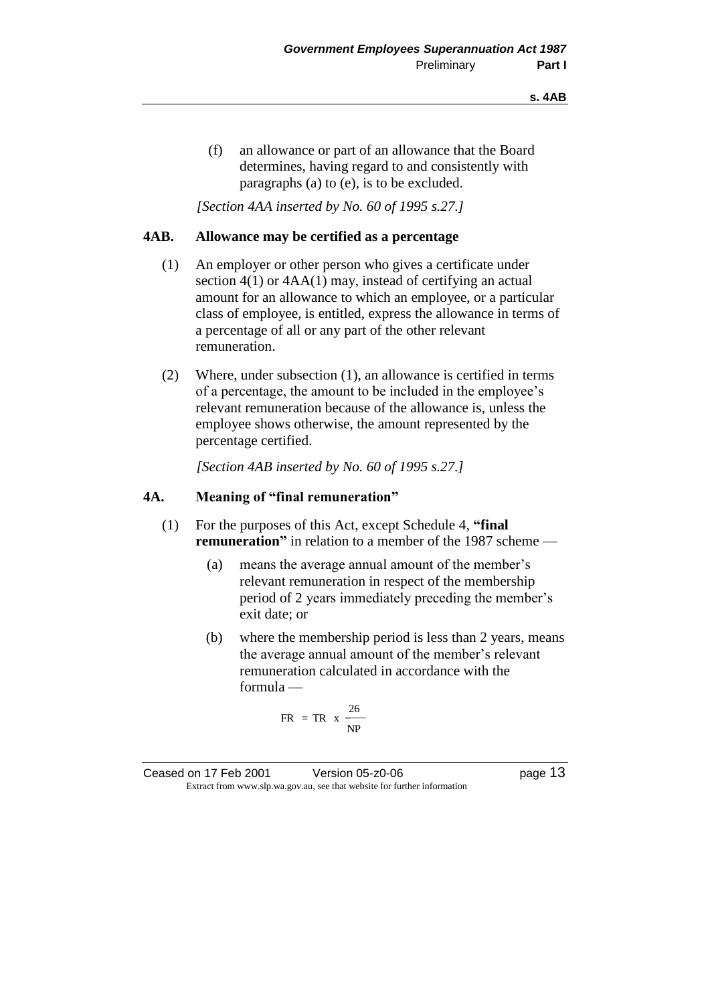(f) an allowance or part of an allowance that the Board determines, having regard to and consistently with paragraphs (a) to (e), is to be excluded.

*[Section 4AA inserted by No. 60 of 1995 s.27.]* 

#### **4AB. Allowance may be certified as a percentage**

- (1) An employer or other person who gives a certificate under section 4(1) or 4AA(1) may, instead of certifying an actual amount for an allowance to which an employee, or a particular class of employee, is entitled, express the allowance in terms of a percentage of all or any part of the other relevant remuneration.
- (2) Where, under subsection (1), an allowance is certified in terms of a percentage, the amount to be included in the employee's relevant remuneration because of the allowance is, unless the employee shows otherwise, the amount represented by the percentage certified.

*[Section 4AB inserted by No. 60 of 1995 s.27.]* 

#### **4A. Meaning of "final remuneration"**

- (1) For the purposes of this Act, except Schedule 4, **"final remuneration**" in relation to a member of the 1987 scheme —
	- (a) means the average annual amount of the member's relevant remuneration in respect of the membership period of 2 years immediately preceding the member's exit date; or
	- (b) where the membership period is less than 2 years, means the average annual amount of the member's relevant remuneration calculated in accordance with the formula —

$$
FR = TR \times \frac{26}{NP}
$$

Ceased on 17 Feb 2001 Version 05-z0-06 page 13 Extract from www.slp.wa.gov.au, see that website for further information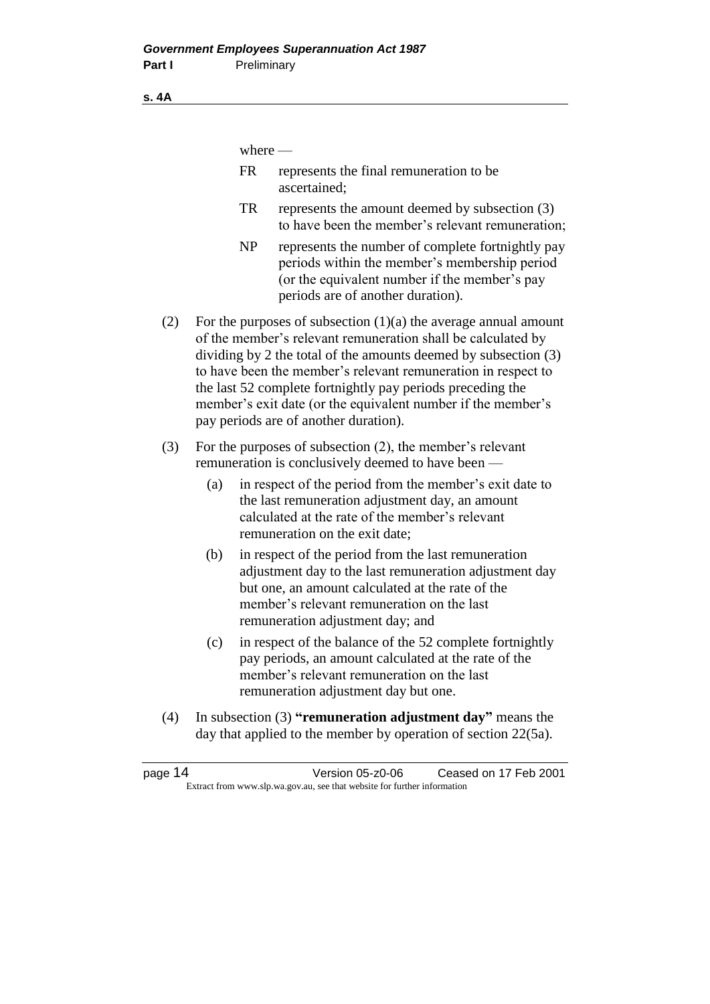where  $-$ 

- FR represents the final remuneration to be ascertained;
- TR represents the amount deemed by subsection (3) to have been the member's relevant remuneration;
- NP represents the number of complete fortnightly pay periods within the member's membership period (or the equivalent number if the member's pay periods are of another duration).
- (2) For the purposes of subsection  $(1)(a)$  the average annual amount of the member's relevant remuneration shall be calculated by dividing by 2 the total of the amounts deemed by subsection (3) to have been the member's relevant remuneration in respect to the last 52 complete fortnightly pay periods preceding the member's exit date (or the equivalent number if the member's pay periods are of another duration).
- (3) For the purposes of subsection (2), the member's relevant remuneration is conclusively deemed to have been —
	- (a) in respect of the period from the member's exit date to the last remuneration adjustment day, an amount calculated at the rate of the member's relevant remuneration on the exit date;
	- (b) in respect of the period from the last remuneration adjustment day to the last remuneration adjustment day but one, an amount calculated at the rate of the member's relevant remuneration on the last remuneration adjustment day; and
	- (c) in respect of the balance of the 52 complete fortnightly pay periods, an amount calculated at the rate of the member's relevant remuneration on the last remuneration adjustment day but one.
- (4) In subsection (3) **"remuneration adjustment day"** means the day that applied to the member by operation of section 22(5a).

**s. 4A**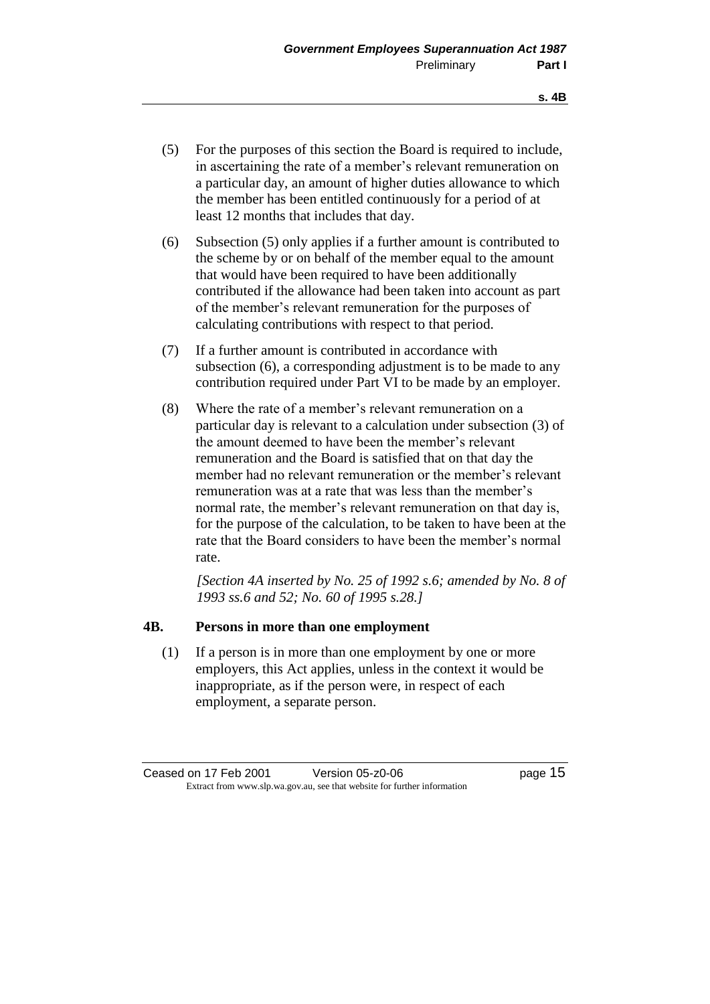- (5) For the purposes of this section the Board is required to include, in ascertaining the rate of a member's relevant remuneration on a particular day, an amount of higher duties allowance to which the member has been entitled continuously for a period of at least 12 months that includes that day.
- (6) Subsection (5) only applies if a further amount is contributed to the scheme by or on behalf of the member equal to the amount that would have been required to have been additionally contributed if the allowance had been taken into account as part of the member's relevant remuneration for the purposes of calculating contributions with respect to that period.
- (7) If a further amount is contributed in accordance with subsection (6), a corresponding adjustment is to be made to any contribution required under Part VI to be made by an employer.
- (8) Where the rate of a member's relevant remuneration on a particular day is relevant to a calculation under subsection (3) of the amount deemed to have been the member's relevant remuneration and the Board is satisfied that on that day the member had no relevant remuneration or the member's relevant remuneration was at a rate that was less than the member's normal rate, the member's relevant remuneration on that day is, for the purpose of the calculation, to be taken to have been at the rate that the Board considers to have been the member's normal rate.

*[Section 4A inserted by No. 25 of 1992 s.6; amended by No. 8 of 1993 ss.6 and 52; No. 60 of 1995 s.28.]* 

#### **4B. Persons in more than one employment**

(1) If a person is in more than one employment by one or more employers, this Act applies, unless in the context it would be inappropriate, as if the person were, in respect of each employment, a separate person.

Ceased on 17 Feb 2001 Version 05-z0-06 Page 15 Extract from www.slp.wa.gov.au, see that website for further information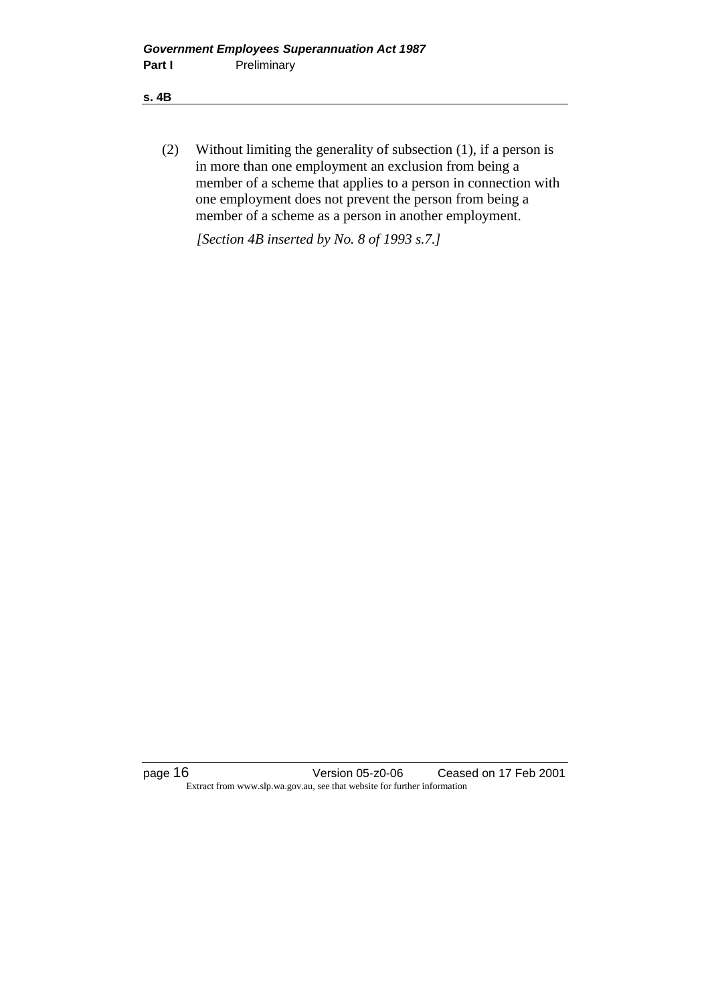**s. 4B**

(2) Without limiting the generality of subsection (1), if a person is in more than one employment an exclusion from being a member of a scheme that applies to a person in connection with one employment does not prevent the person from being a member of a scheme as a person in another employment.

*[Section 4B inserted by No. 8 of 1993 s.7.]* 

page 16 Version 05-z0-06 Ceased on 17 Feb 2001 Extract from www.slp.wa.gov.au, see that website for further information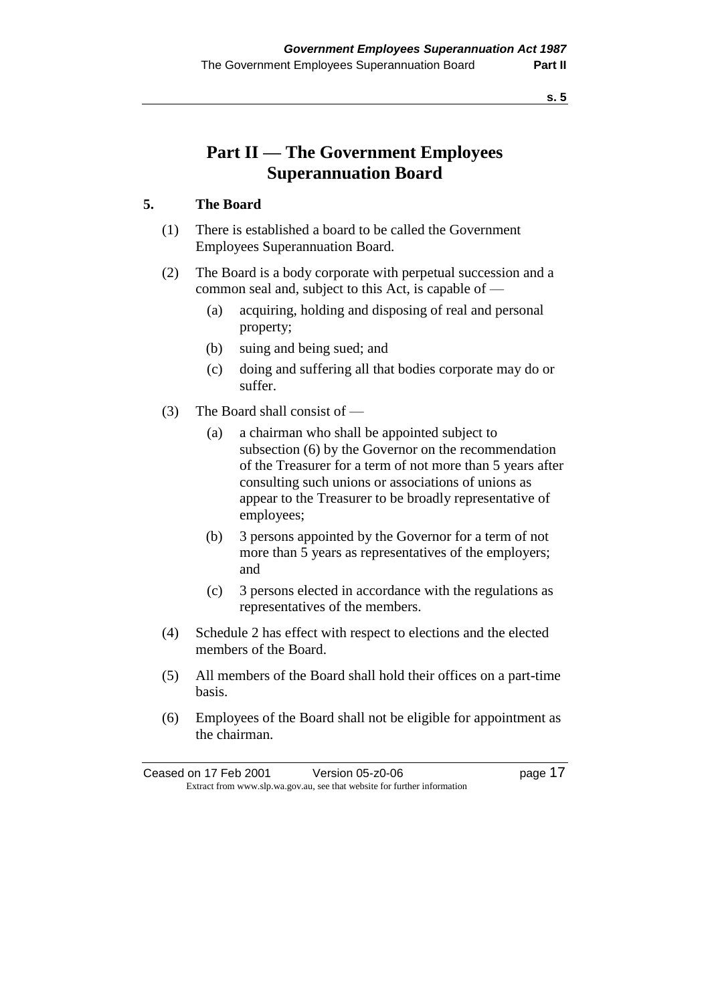**s. 5**

# **Part II — The Government Employees Superannuation Board**

### **5. The Board**

- (1) There is established a board to be called the Government Employees Superannuation Board.
- (2) The Board is a body corporate with perpetual succession and a common seal and, subject to this Act, is capable of —
	- (a) acquiring, holding and disposing of real and personal property;
	- (b) suing and being sued; and
	- (c) doing and suffering all that bodies corporate may do or suffer.
- (3) The Board shall consist of
	- (a) a chairman who shall be appointed subject to subsection (6) by the Governor on the recommendation of the Treasurer for a term of not more than 5 years after consulting such unions or associations of unions as appear to the Treasurer to be broadly representative of employees;
	- (b) 3 persons appointed by the Governor for a term of not more than 5 years as representatives of the employers; and
	- (c) 3 persons elected in accordance with the regulations as representatives of the members.
- (4) Schedule 2 has effect with respect to elections and the elected members of the Board.
- (5) All members of the Board shall hold their offices on a part-time basis.
- (6) Employees of the Board shall not be eligible for appointment as the chairman.

Ceased on 17 Feb 2001 Version 05-z0-06 Page 17 Extract from www.slp.wa.gov.au, see that website for further information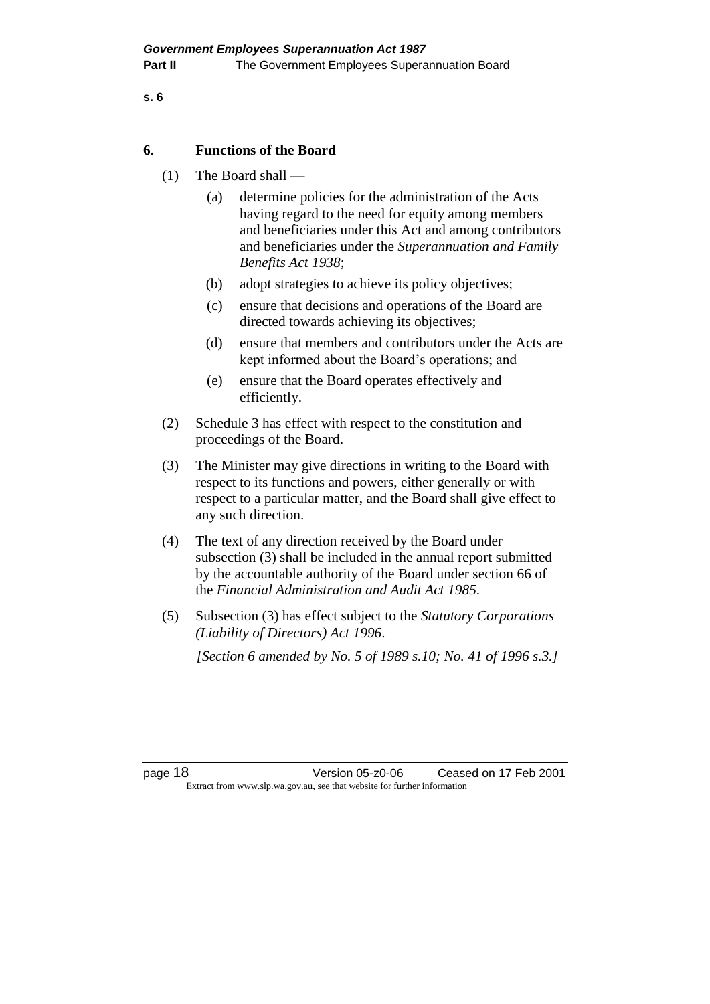```
s. 6
```
#### **6. Functions of the Board**

- (1) The Board shall
	- (a) determine policies for the administration of the Acts having regard to the need for equity among members and beneficiaries under this Act and among contributors and beneficiaries under the *Superannuation and Family Benefits Act 1938*;
	- (b) adopt strategies to achieve its policy objectives;
	- (c) ensure that decisions and operations of the Board are directed towards achieving its objectives;
	- (d) ensure that members and contributors under the Acts are kept informed about the Board's operations; and
	- (e) ensure that the Board operates effectively and efficiently.
- (2) Schedule 3 has effect with respect to the constitution and proceedings of the Board.
- (3) The Minister may give directions in writing to the Board with respect to its functions and powers, either generally or with respect to a particular matter, and the Board shall give effect to any such direction.
- (4) The text of any direction received by the Board under subsection (3) shall be included in the annual report submitted by the accountable authority of the Board under section 66 of the *Financial Administration and Audit Act 1985*.
- (5) Subsection (3) has effect subject to the *Statutory Corporations (Liability of Directors) Act 1996*.

*[Section 6 amended by No. 5 of 1989 s.10; No. 41 of 1996 s.3.]* 

page 18 Version 05-z0-06 Ceased on 17 Feb 2001 Extract from www.slp.wa.gov.au, see that website for further information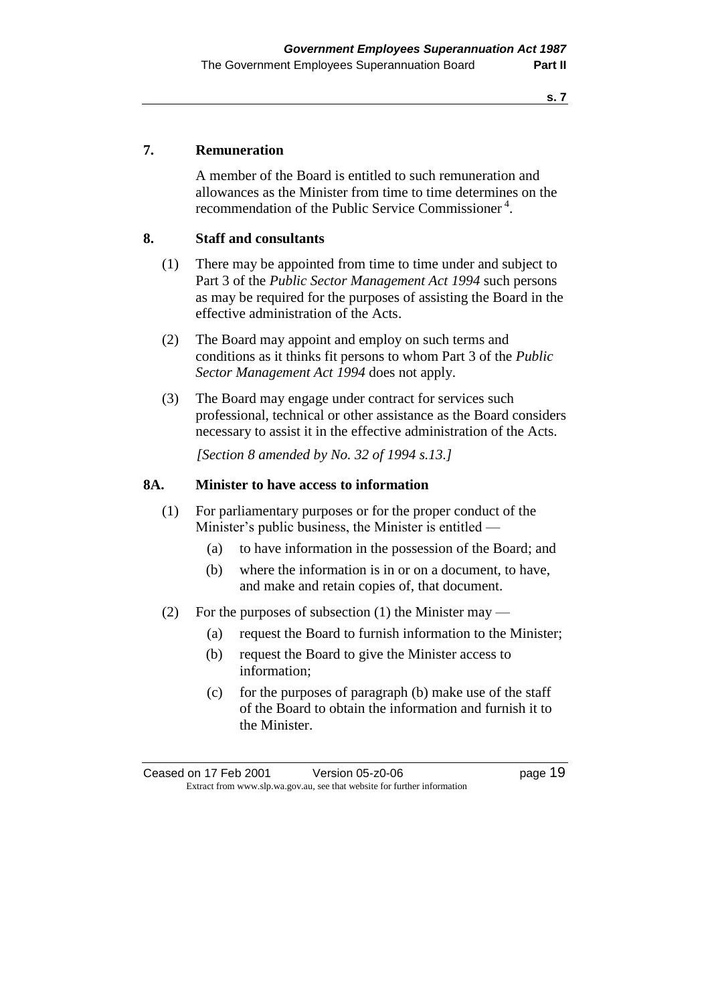#### **s. 7**

#### **7. Remuneration**

A member of the Board is entitled to such remuneration and allowances as the Minister from time to time determines on the recommendation of the Public Service Commissioner<sup>4</sup>.

#### **8. Staff and consultants**

- (1) There may be appointed from time to time under and subject to Part 3 of the *Public Sector Management Act 1994* such persons as may be required for the purposes of assisting the Board in the effective administration of the Acts.
- (2) The Board may appoint and employ on such terms and conditions as it thinks fit persons to whom Part 3 of the *Public Sector Management Act 1994* does not apply.
- (3) The Board may engage under contract for services such professional, technical or other assistance as the Board considers necessary to assist it in the effective administration of the Acts.

*[Section 8 amended by No. 32 of 1994 s.13.]* 

#### **8A. Minister to have access to information**

- (1) For parliamentary purposes or for the proper conduct of the Minister's public business, the Minister is entitled —
	- (a) to have information in the possession of the Board; and
	- (b) where the information is in or on a document, to have, and make and retain copies of, that document.
- (2) For the purposes of subsection (1) the Minister may
	- (a) request the Board to furnish information to the Minister;
	- (b) request the Board to give the Minister access to information;
	- (c) for the purposes of paragraph (b) make use of the staff of the Board to obtain the information and furnish it to the Minister.

Ceased on 17 Feb 2001 Version 05-z0-06 Page 19 Extract from www.slp.wa.gov.au, see that website for further information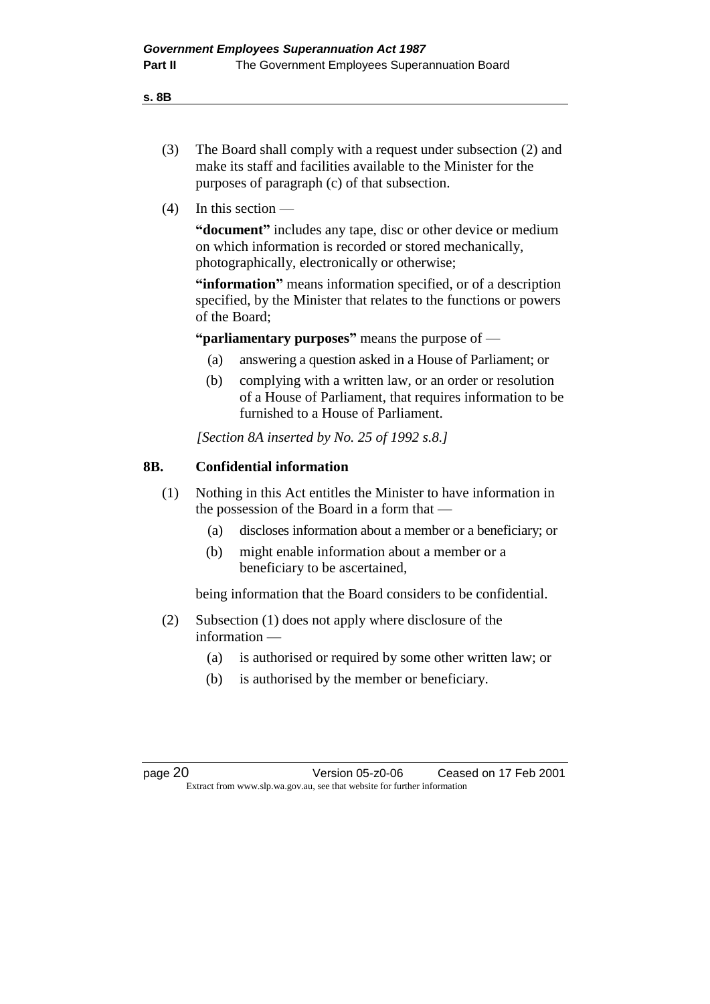**s. 8B**

- (3) The Board shall comply with a request under subsection (2) and make its staff and facilities available to the Minister for the purposes of paragraph (c) of that subsection.
- $(4)$  In this section —

**"document"** includes any tape, disc or other device or medium on which information is recorded or stored mechanically, photographically, electronically or otherwise;

**"information"** means information specified, or of a description specified, by the Minister that relates to the functions or powers of the Board;

**"parliamentary purposes"** means the purpose of —

- (a) answering a question asked in a House of Parliament; or
- (b) complying with a written law, or an order or resolution of a House of Parliament, that requires information to be furnished to a House of Parliament.

*[Section 8A inserted by No. 25 of 1992 s.8.]* 

#### **8B. Confidential information**

- (1) Nothing in this Act entitles the Minister to have information in the possession of the Board in a form that —
	- (a) discloses information about a member or a beneficiary; or
	- (b) might enable information about a member or a beneficiary to be ascertained,

being information that the Board considers to be confidential.

- (2) Subsection (1) does not apply where disclosure of the information —
	- (a) is authorised or required by some other written law; or
	- (b) is authorised by the member or beneficiary.

page 20 Version 05-z0-06 Ceased on 17 Feb 2001 Extract from www.slp.wa.gov.au, see that website for further information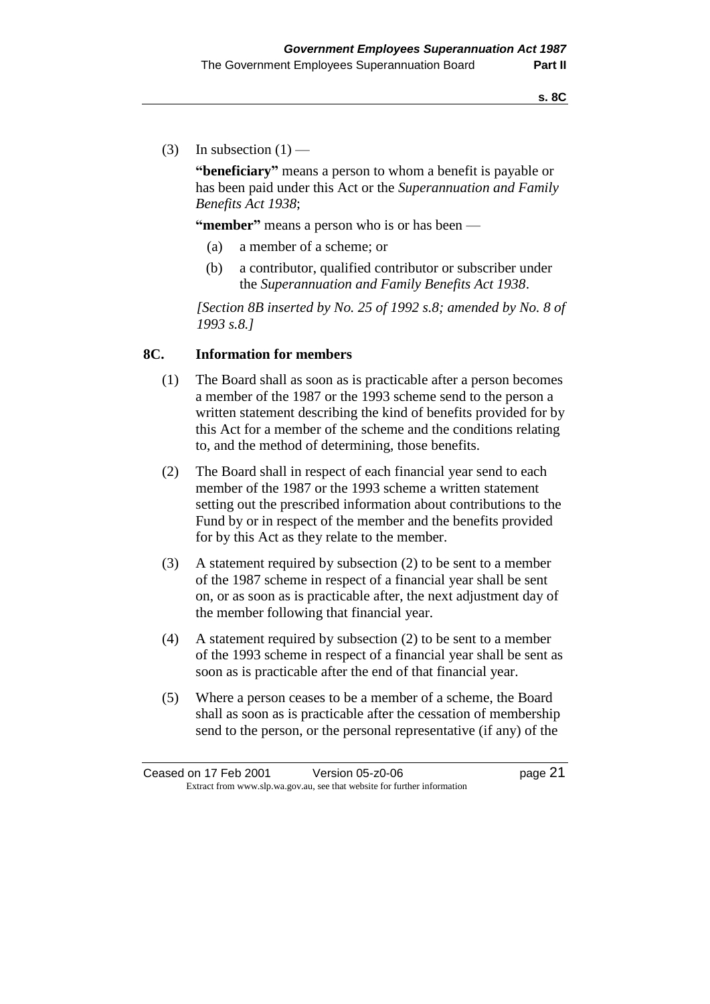(3) In subsection  $(1)$  —

**"beneficiary"** means a person to whom a benefit is payable or has been paid under this Act or the *Superannuation and Family Benefits Act 1938*;

**"member"** means a person who is or has been —

- (a) a member of a scheme; or
- (b) a contributor, qualified contributor or subscriber under the *Superannuation and Family Benefits Act 1938*.

*[Section 8B inserted by No. 25 of 1992 s.8; amended by No. 8 of 1993 s.8.]* 

#### **8C. Information for members**

- (1) The Board shall as soon as is practicable after a person becomes a member of the 1987 or the 1993 scheme send to the person a written statement describing the kind of benefits provided for by this Act for a member of the scheme and the conditions relating to, and the method of determining, those benefits.
- (2) The Board shall in respect of each financial year send to each member of the 1987 or the 1993 scheme a written statement setting out the prescribed information about contributions to the Fund by or in respect of the member and the benefits provided for by this Act as they relate to the member.
- (3) A statement required by subsection (2) to be sent to a member of the 1987 scheme in respect of a financial year shall be sent on, or as soon as is practicable after, the next adjustment day of the member following that financial year.
- (4) A statement required by subsection (2) to be sent to a member of the 1993 scheme in respect of a financial year shall be sent as soon as is practicable after the end of that financial year.
- (5) Where a person ceases to be a member of a scheme, the Board shall as soon as is practicable after the cessation of membership send to the person, or the personal representative (if any) of the

Ceased on 17 Feb 2001 Version 05-z0-06 page 21 Extract from www.slp.wa.gov.au, see that website for further information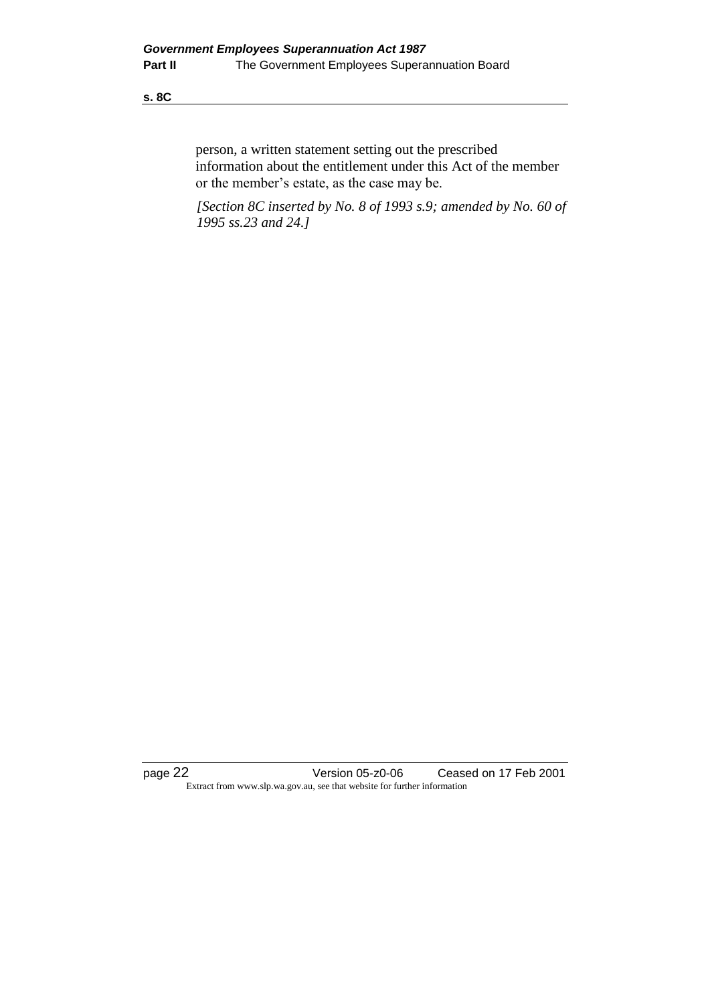#### **s. 8C**

person, a written statement setting out the prescribed information about the entitlement under this Act of the member or the member's estate, as the case may be.

*[Section 8C inserted by No. 8 of 1993 s.9; amended by No. 60 of 1995 ss.23 and 24.]* 

page 22 Version 05-z0-06 Ceased on 17 Feb 2001 Extract from www.slp.wa.gov.au, see that website for further information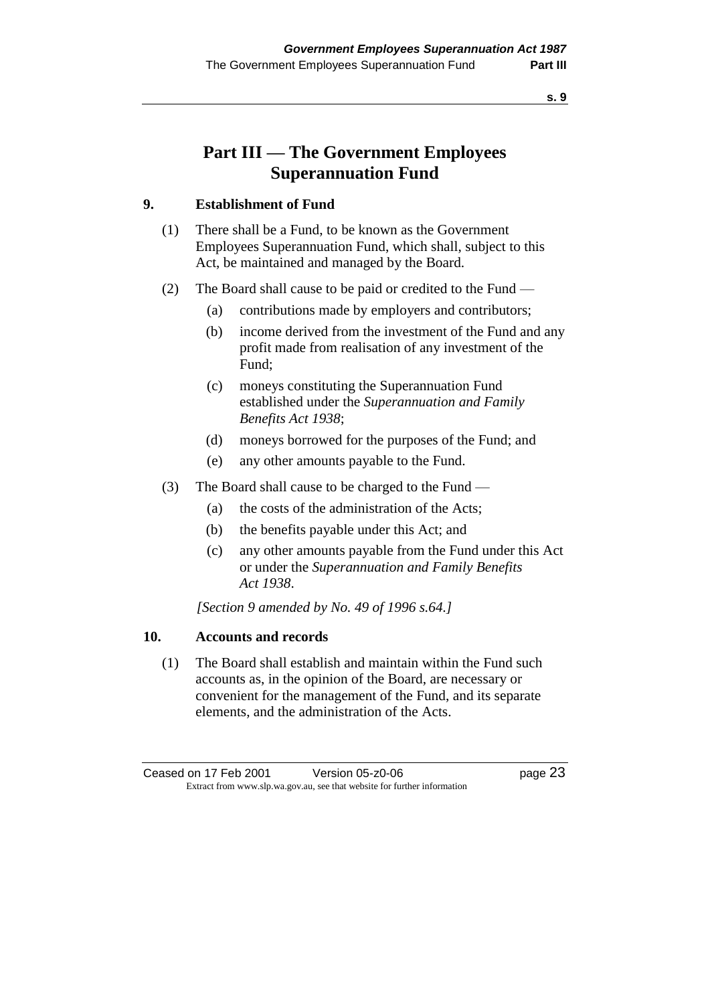**s. 9**

# **Part III — The Government Employees Superannuation Fund**

### **9. Establishment of Fund**

- (1) There shall be a Fund, to be known as the Government Employees Superannuation Fund, which shall, subject to this Act, be maintained and managed by the Board.
- (2) The Board shall cause to be paid or credited to the Fund
	- (a) contributions made by employers and contributors;
	- (b) income derived from the investment of the Fund and any profit made from realisation of any investment of the Fund;
	- (c) moneys constituting the Superannuation Fund established under the *Superannuation and Family Benefits Act 1938*;
	- (d) moneys borrowed for the purposes of the Fund; and
	- (e) any other amounts payable to the Fund.
- (3) The Board shall cause to be charged to the Fund
	- (a) the costs of the administration of the Acts;
	- (b) the benefits payable under this Act; and
	- (c) any other amounts payable from the Fund under this Act or under the *Superannuation and Family Benefits Act 1938*.

*[Section 9 amended by No. 49 of 1996 s.64.]* 

#### **10. Accounts and records**

(1) The Board shall establish and maintain within the Fund such accounts as, in the opinion of the Board, are necessary or convenient for the management of the Fund, and its separate elements, and the administration of the Acts.

Ceased on 17 Feb 2001 Version 05-z0-06 Page 23 Extract from www.slp.wa.gov.au, see that website for further information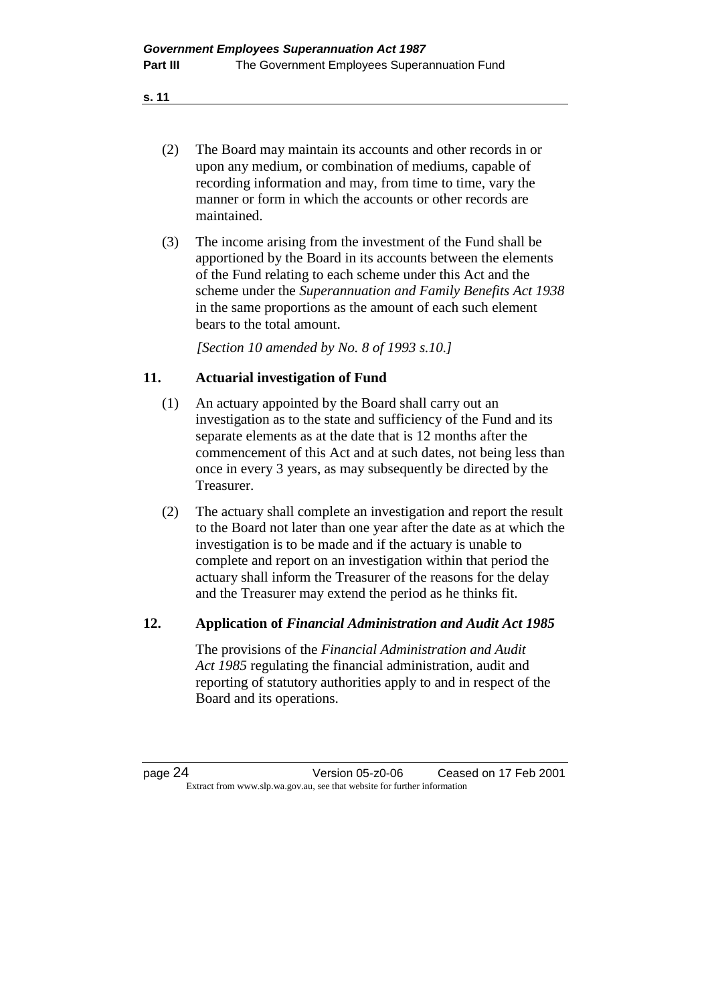- **s. 11**
	- (2) The Board may maintain its accounts and other records in or upon any medium, or combination of mediums, capable of recording information and may, from time to time, vary the manner or form in which the accounts or other records are maintained.
	- (3) The income arising from the investment of the Fund shall be apportioned by the Board in its accounts between the elements of the Fund relating to each scheme under this Act and the scheme under the *Superannuation and Family Benefits Act 1938* in the same proportions as the amount of each such element bears to the total amount.

*[Section 10 amended by No. 8 of 1993 s.10.]* 

### **11. Actuarial investigation of Fund**

- (1) An actuary appointed by the Board shall carry out an investigation as to the state and sufficiency of the Fund and its separate elements as at the date that is 12 months after the commencement of this Act and at such dates, not being less than once in every 3 years, as may subsequently be directed by the Treasurer.
- (2) The actuary shall complete an investigation and report the result to the Board not later than one year after the date as at which the investigation is to be made and if the actuary is unable to complete and report on an investigation within that period the actuary shall inform the Treasurer of the reasons for the delay and the Treasurer may extend the period as he thinks fit.

#### **12. Application of** *Financial Administration and Audit Act 1985*

The provisions of the *Financial Administration and Audit Act 1985* regulating the financial administration, audit and reporting of statutory authorities apply to and in respect of the Board and its operations.

page 24 Version 05-z0-06 Ceased on 17 Feb 2001 Extract from www.slp.wa.gov.au, see that website for further information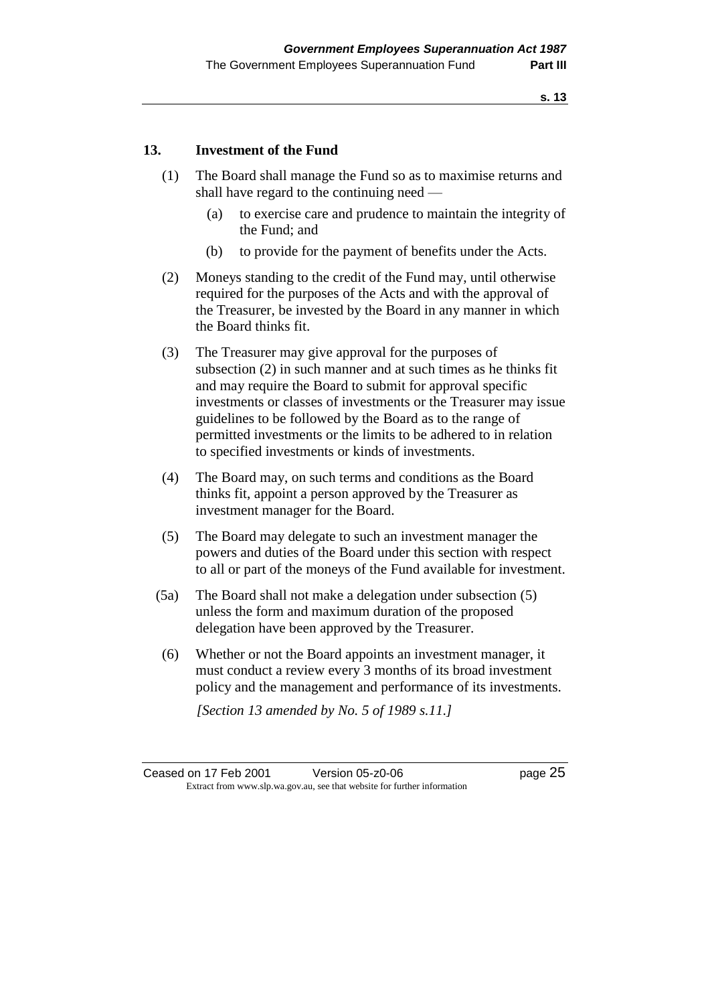#### **13. Investment of the Fund**

- (1) The Board shall manage the Fund so as to maximise returns and shall have regard to the continuing need —
	- (a) to exercise care and prudence to maintain the integrity of the Fund; and
	- (b) to provide for the payment of benefits under the Acts.
- (2) Moneys standing to the credit of the Fund may, until otherwise required for the purposes of the Acts and with the approval of the Treasurer, be invested by the Board in any manner in which the Board thinks fit.
- (3) The Treasurer may give approval for the purposes of subsection (2) in such manner and at such times as he thinks fit and may require the Board to submit for approval specific investments or classes of investments or the Treasurer may issue guidelines to be followed by the Board as to the range of permitted investments or the limits to be adhered to in relation to specified investments or kinds of investments.
- (4) The Board may, on such terms and conditions as the Board thinks fit, appoint a person approved by the Treasurer as investment manager for the Board.
- (5) The Board may delegate to such an investment manager the powers and duties of the Board under this section with respect to all or part of the moneys of the Fund available for investment.
- (5a) The Board shall not make a delegation under subsection (5) unless the form and maximum duration of the proposed delegation have been approved by the Treasurer.
- (6) Whether or not the Board appoints an investment manager, it must conduct a review every 3 months of its broad investment policy and the management and performance of its investments.

*[Section 13 amended by No. 5 of 1989 s.11.]*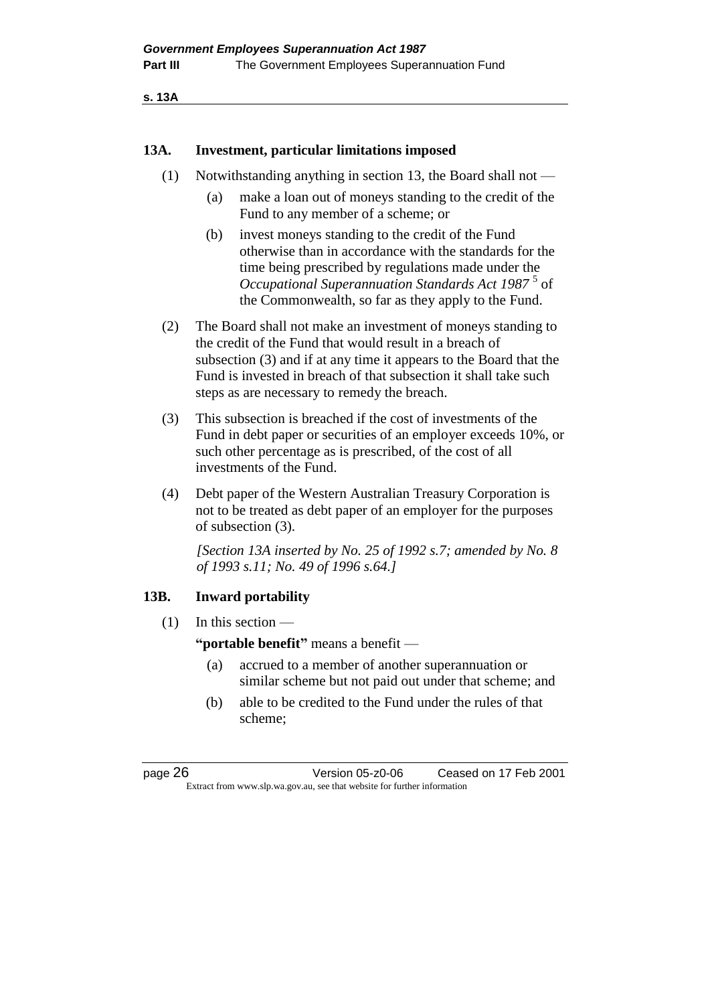```
s. 13A
```
#### **13A. Investment, particular limitations imposed**

- (1) Notwithstanding anything in section 13, the Board shall not
	- (a) make a loan out of moneys standing to the credit of the Fund to any member of a scheme; or
	- (b) invest moneys standing to the credit of the Fund otherwise than in accordance with the standards for the time being prescribed by regulations made under the Occupational Superannuation Standards Act 1987<sup>5</sup> of the Commonwealth, so far as they apply to the Fund.
- (2) The Board shall not make an investment of moneys standing to the credit of the Fund that would result in a breach of subsection (3) and if at any time it appears to the Board that the Fund is invested in breach of that subsection it shall take such steps as are necessary to remedy the breach.
- (3) This subsection is breached if the cost of investments of the Fund in debt paper or securities of an employer exceeds 10%, or such other percentage as is prescribed, of the cost of all investments of the Fund.
- (4) Debt paper of the Western Australian Treasury Corporation is not to be treated as debt paper of an employer for the purposes of subsection (3).

*[Section 13A inserted by No. 25 of 1992 s.7; amended by No. 8 of 1993 s.11; No. 49 of 1996 s.64.]* 

#### **13B. Inward portability**

(1) In this section —

**"portable benefit"** means a benefit —

- (a) accrued to a member of another superannuation or similar scheme but not paid out under that scheme; and
- (b) able to be credited to the Fund under the rules of that scheme;

page 26 Version 05-z0-06 Ceased on 17 Feb 2001 Extract from www.slp.wa.gov.au, see that website for further information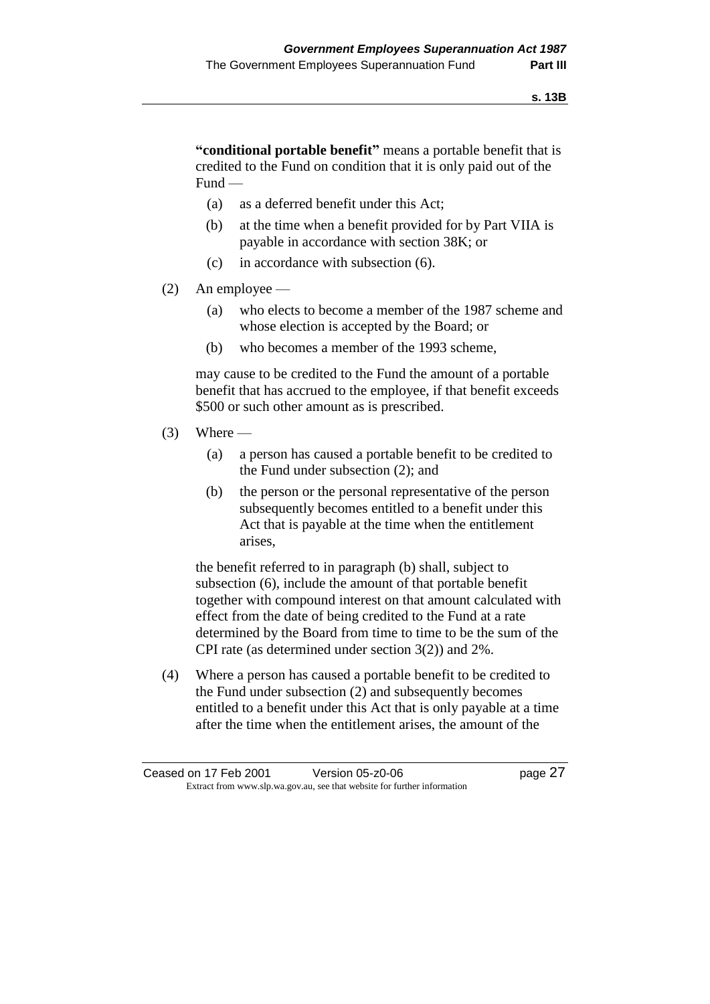**"conditional portable benefit"** means a portable benefit that is credited to the Fund on condition that it is only paid out of the Fund —

- (a) as a deferred benefit under this Act;
- (b) at the time when a benefit provided for by Part VIIA is payable in accordance with section 38K; or
- (c) in accordance with subsection (6).
- (2) An employee
	- (a) who elects to become a member of the 1987 scheme and whose election is accepted by the Board; or
	- (b) who becomes a member of the 1993 scheme,

may cause to be credited to the Fund the amount of a portable benefit that has accrued to the employee, if that benefit exceeds \$500 or such other amount as is prescribed.

- $(3)$  Where
	- (a) a person has caused a portable benefit to be credited to the Fund under subsection (2); and
	- (b) the person or the personal representative of the person subsequently becomes entitled to a benefit under this Act that is payable at the time when the entitlement arises,

the benefit referred to in paragraph (b) shall, subject to subsection (6), include the amount of that portable benefit together with compound interest on that amount calculated with effect from the date of being credited to the Fund at a rate determined by the Board from time to time to be the sum of the CPI rate (as determined under section 3(2)) and 2%.

(4) Where a person has caused a portable benefit to be credited to the Fund under subsection (2) and subsequently becomes entitled to a benefit under this Act that is only payable at a time after the time when the entitlement arises, the amount of the

Ceased on 17 Feb 2001 Version 05-z0-06 Page 27 Extract from www.slp.wa.gov.au, see that website for further information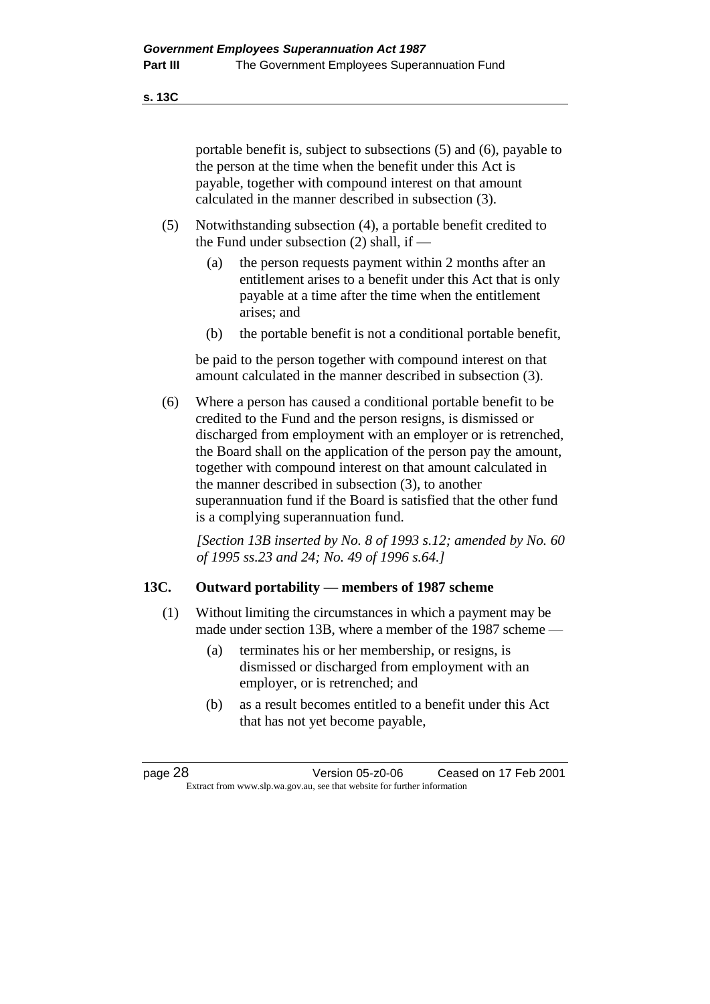**s. 13C**

portable benefit is, subject to subsections (5) and (6), payable to the person at the time when the benefit under this Act is payable, together with compound interest on that amount calculated in the manner described in subsection (3).

- (5) Notwithstanding subsection (4), a portable benefit credited to the Fund under subsection (2) shall, if —
	- (a) the person requests payment within 2 months after an entitlement arises to a benefit under this Act that is only payable at a time after the time when the entitlement arises; and
	- (b) the portable benefit is not a conditional portable benefit,

be paid to the person together with compound interest on that amount calculated in the manner described in subsection (3).

(6) Where a person has caused a conditional portable benefit to be credited to the Fund and the person resigns, is dismissed or discharged from employment with an employer or is retrenched, the Board shall on the application of the person pay the amount, together with compound interest on that amount calculated in the manner described in subsection (3), to another superannuation fund if the Board is satisfied that the other fund is a complying superannuation fund.

*[Section 13B inserted by No. 8 of 1993 s.12; amended by No. 60 of 1995 ss.23 and 24; No. 49 of 1996 s.64.]* 

### **13C. Outward portability — members of 1987 scheme**

- (1) Without limiting the circumstances in which a payment may be made under section 13B, where a member of the 1987 scheme —
	- (a) terminates his or her membership, or resigns, is dismissed or discharged from employment with an employer, or is retrenched; and
	- (b) as a result becomes entitled to a benefit under this Act that has not yet become payable,

page 28 Version 05-z0-06 Ceased on 17 Feb 2001 Extract from www.slp.wa.gov.au, see that website for further information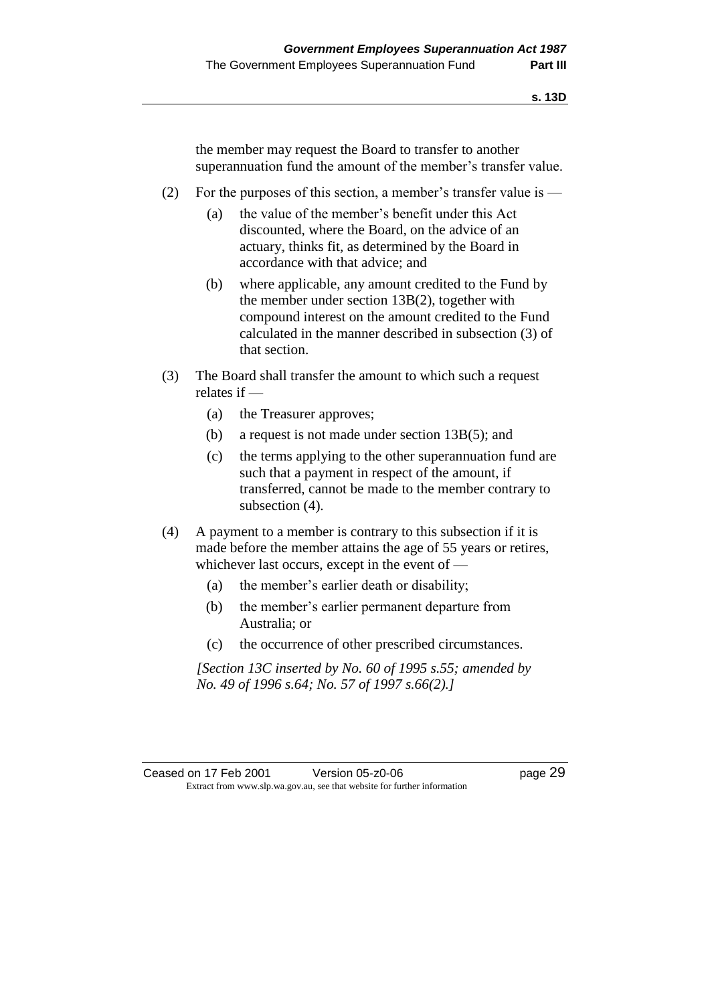the member may request the Board to transfer to another superannuation fund the amount of the member's transfer value.

- (2) For the purposes of this section, a member's transfer value is
	- (a) the value of the member's benefit under this Act discounted, where the Board, on the advice of an actuary, thinks fit, as determined by the Board in accordance with that advice; and
	- (b) where applicable, any amount credited to the Fund by the member under section 13B(2), together with compound interest on the amount credited to the Fund calculated in the manner described in subsection (3) of that section.
- (3) The Board shall transfer the amount to which such a request relates if —
	- (a) the Treasurer approves;
	- (b) a request is not made under section 13B(5); and
	- (c) the terms applying to the other superannuation fund are such that a payment in respect of the amount, if transferred, cannot be made to the member contrary to subsection (4).
- (4) A payment to a member is contrary to this subsection if it is made before the member attains the age of 55 years or retires, whichever last occurs, except in the event of —
	- (a) the member's earlier death or disability;
	- (b) the member's earlier permanent departure from Australia; or
	- (c) the occurrence of other prescribed circumstances.

*[Section 13C inserted by No. 60 of 1995 s.55; amended by No. 49 of 1996 s.64; No. 57 of 1997 s.66(2).]*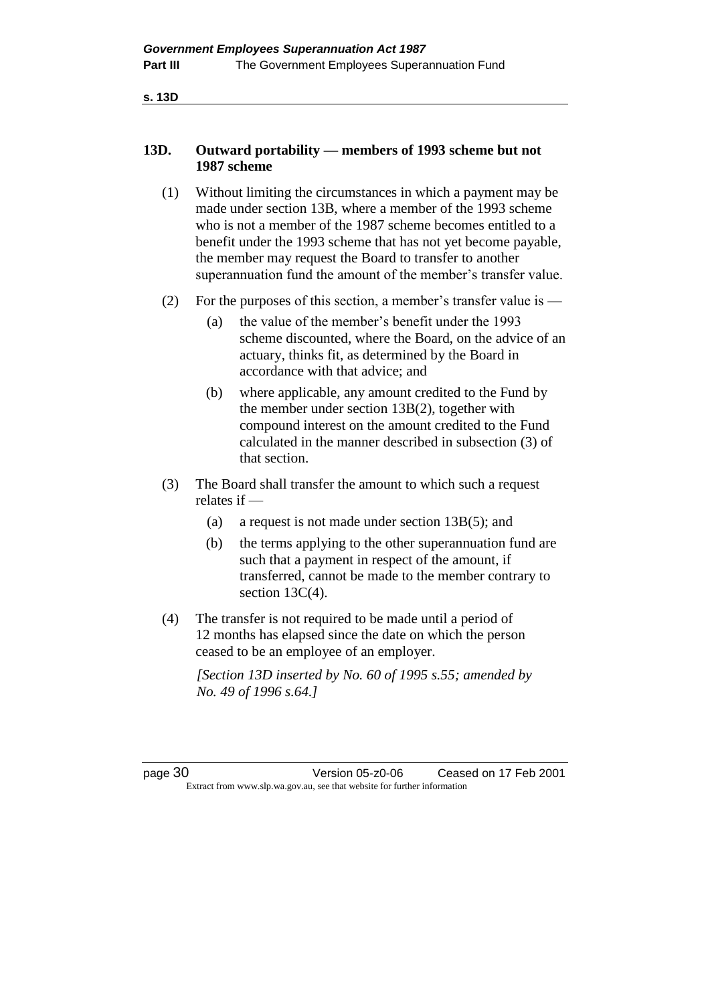**s. 13D**

## **13D. Outward portability — members of 1993 scheme but not 1987 scheme**

- (1) Without limiting the circumstances in which a payment may be made under section 13B, where a member of the 1993 scheme who is not a member of the 1987 scheme becomes entitled to a benefit under the 1993 scheme that has not yet become payable, the member may request the Board to transfer to another superannuation fund the amount of the member's transfer value.
- (2) For the purposes of this section, a member's transfer value is  $-$ 
	- (a) the value of the member's benefit under the 1993 scheme discounted, where the Board, on the advice of an actuary, thinks fit, as determined by the Board in accordance with that advice; and
	- (b) where applicable, any amount credited to the Fund by the member under section 13B(2), together with compound interest on the amount credited to the Fund calculated in the manner described in subsection (3) of that section.
- (3) The Board shall transfer the amount to which such a request relates if —
	- (a) a request is not made under section 13B(5); and
	- (b) the terms applying to the other superannuation fund are such that a payment in respect of the amount, if transferred, cannot be made to the member contrary to section 13C(4).
- (4) The transfer is not required to be made until a period of 12 months has elapsed since the date on which the person ceased to be an employee of an employer.

*[Section 13D inserted by No. 60 of 1995 s.55; amended by No. 49 of 1996 s.64.]* 

page 30 Version 05-z0-06 Ceased on 17 Feb 2001 Extract from www.slp.wa.gov.au, see that website for further information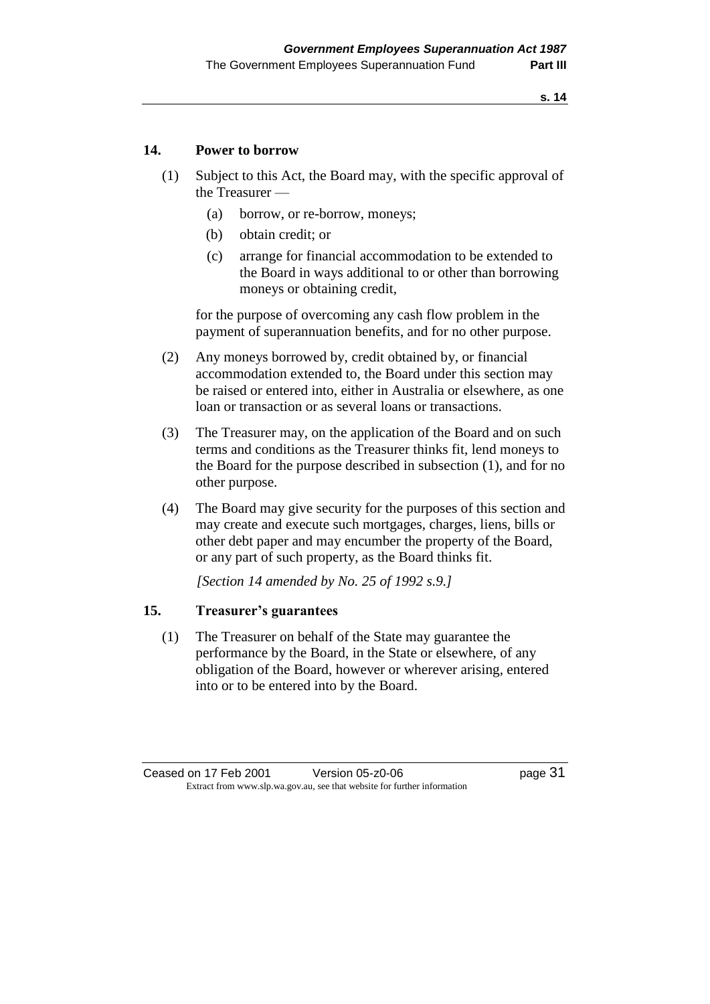#### **14. Power to borrow**

- (1) Subject to this Act, the Board may, with the specific approval of the Treasurer —
	- (a) borrow, or re-borrow, moneys;
	- (b) obtain credit; or
	- (c) arrange for financial accommodation to be extended to the Board in ways additional to or other than borrowing moneys or obtaining credit,

for the purpose of overcoming any cash flow problem in the payment of superannuation benefits, and for no other purpose.

- (2) Any moneys borrowed by, credit obtained by, or financial accommodation extended to, the Board under this section may be raised or entered into, either in Australia or elsewhere, as one loan or transaction or as several loans or transactions.
- (3) The Treasurer may, on the application of the Board and on such terms and conditions as the Treasurer thinks fit, lend moneys to the Board for the purpose described in subsection (1), and for no other purpose.
- (4) The Board may give security for the purposes of this section and may create and execute such mortgages, charges, liens, bills or other debt paper and may encumber the property of the Board, or any part of such property, as the Board thinks fit.

*[Section 14 amended by No. 25 of 1992 s.9.]* 

## **15. Treasurer's guarantees**

(1) The Treasurer on behalf of the State may guarantee the performance by the Board, in the State or elsewhere, of any obligation of the Board, however or wherever arising, entered into or to be entered into by the Board.

Ceased on 17 Feb 2001 Version 05-z0-06 Page 31 Extract from www.slp.wa.gov.au, see that website for further information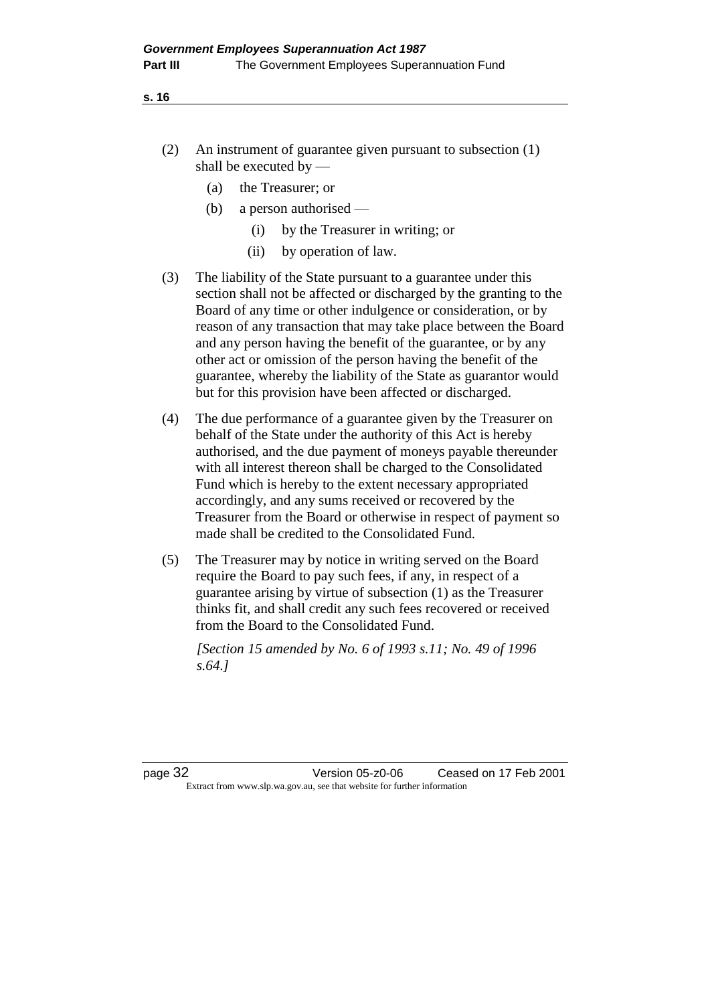- (2) An instrument of guarantee given pursuant to subsection (1) shall be executed by —
	- (a) the Treasurer; or
	- (b) a person authorised
		- (i) by the Treasurer in writing; or
		- (ii) by operation of law.
- (3) The liability of the State pursuant to a guarantee under this section shall not be affected or discharged by the granting to the Board of any time or other indulgence or consideration, or by reason of any transaction that may take place between the Board and any person having the benefit of the guarantee, or by any other act or omission of the person having the benefit of the guarantee, whereby the liability of the State as guarantor would but for this provision have been affected or discharged.
- (4) The due performance of a guarantee given by the Treasurer on behalf of the State under the authority of this Act is hereby authorised, and the due payment of moneys payable thereunder with all interest thereon shall be charged to the Consolidated Fund which is hereby to the extent necessary appropriated accordingly, and any sums received or recovered by the Treasurer from the Board or otherwise in respect of payment so made shall be credited to the Consolidated Fund.
- (5) The Treasurer may by notice in writing served on the Board require the Board to pay such fees, if any, in respect of a guarantee arising by virtue of subsection (1) as the Treasurer thinks fit, and shall credit any such fees recovered or received from the Board to the Consolidated Fund.

*[Section 15 amended by No. 6 of 1993 s.11; No. 49 of 1996 s.64.]*

page 32 Version 05-z0-06 Ceased on 17 Feb 2001 Extract from www.slp.wa.gov.au, see that website for further information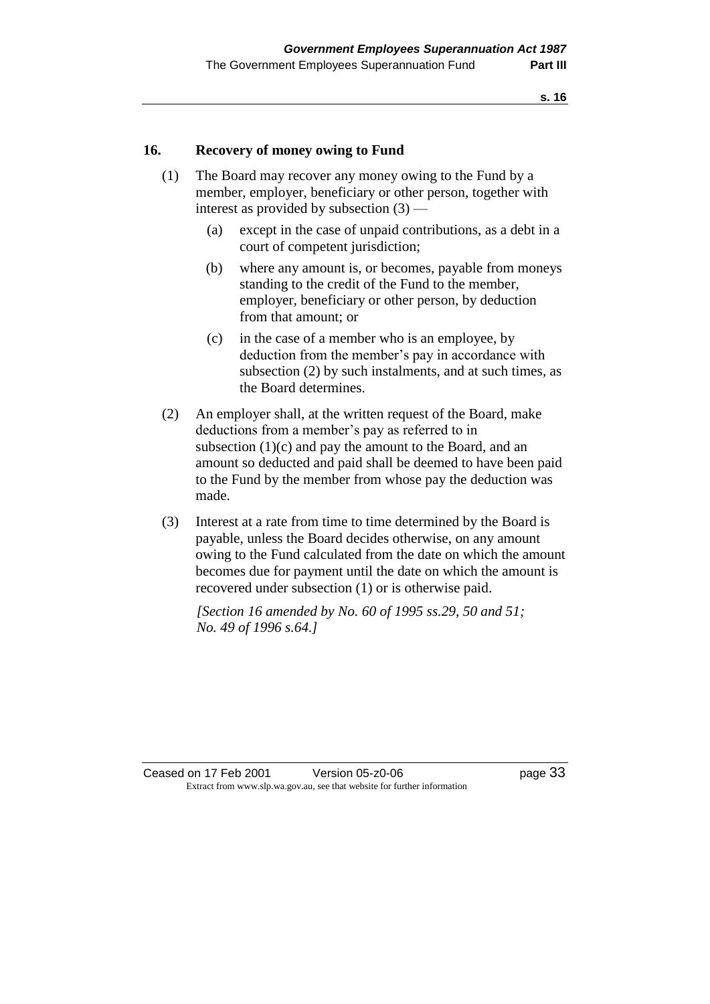## **16. Recovery of money owing to Fund**

- (1) The Board may recover any money owing to the Fund by a member, employer, beneficiary or other person, together with interest as provided by subsection (3) —
	- (a) except in the case of unpaid contributions, as a debt in a court of competent jurisdiction;
	- (b) where any amount is, or becomes, payable from moneys standing to the credit of the Fund to the member, employer, beneficiary or other person, by deduction from that amount; or
	- (c) in the case of a member who is an employee, by deduction from the member's pay in accordance with subsection (2) by such instalments, and at such times, as the Board determines.
- (2) An employer shall, at the written request of the Board, make deductions from a member's pay as referred to in subsection  $(1)(c)$  and pay the amount to the Board, and an amount so deducted and paid shall be deemed to have been paid to the Fund by the member from whose pay the deduction was made.
- (3) Interest at a rate from time to time determined by the Board is payable, unless the Board decides otherwise, on any amount owing to the Fund calculated from the date on which the amount becomes due for payment until the date on which the amount is recovered under subsection (1) or is otherwise paid.

*[Section 16 amended by No. 60 of 1995 ss.29, 50 and 51; No. 49 of 1996 s.64.]*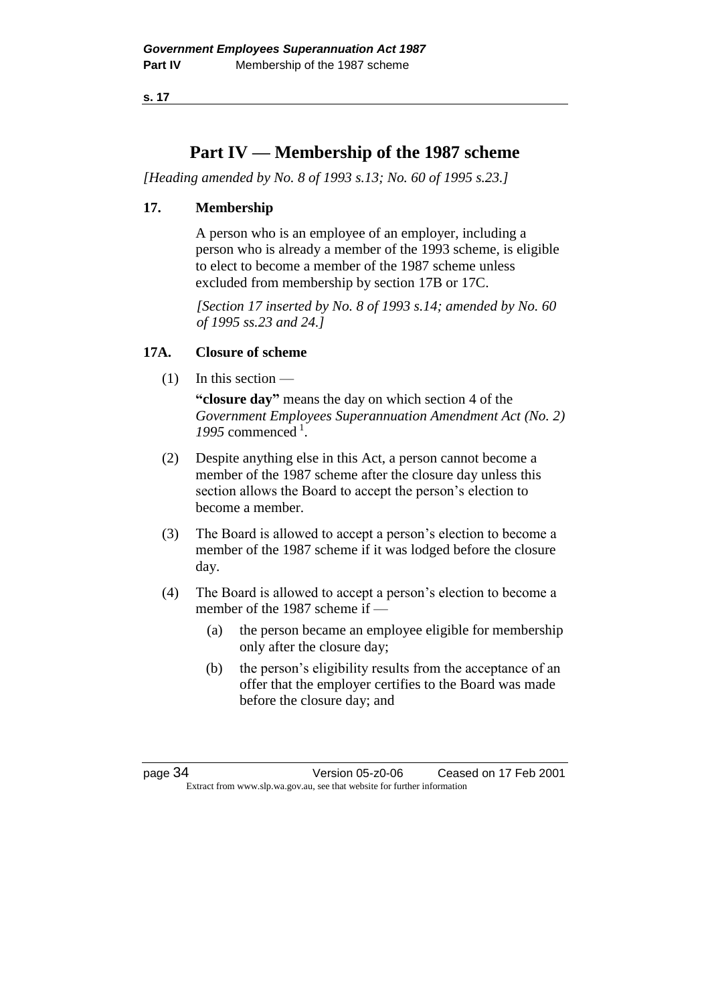## **Part IV — Membership of the 1987 scheme**

*[Heading amended by No. 8 of 1993 s.13; No. 60 of 1995 s.23.]* 

## **17. Membership**

A person who is an employee of an employer, including a person who is already a member of the 1993 scheme, is eligible to elect to become a member of the 1987 scheme unless excluded from membership by section 17B or 17C.

*[Section 17 inserted by No. 8 of 1993 s.14; amended by No. 60 of 1995 ss.23 and 24.]* 

## **17A. Closure of scheme**

 $(1)$  In this section —

**"closure day"** means the day on which section 4 of the *Government Employees Superannuation Amendment Act (No. 2)*  1995 commenced<sup>1</sup>.

- (2) Despite anything else in this Act, a person cannot become a member of the 1987 scheme after the closure day unless this section allows the Board to accept the person's election to become a member.
- (3) The Board is allowed to accept a person's election to become a member of the 1987 scheme if it was lodged before the closure day.
- (4) The Board is allowed to accept a person's election to become a member of the 1987 scheme if —
	- (a) the person became an employee eligible for membership only after the closure day;
	- (b) the person's eligibility results from the acceptance of an offer that the employer certifies to the Board was made before the closure day; and

page 34 Version 05-z0-06 Ceased on 17 Feb 2001 Extract from www.slp.wa.gov.au, see that website for further information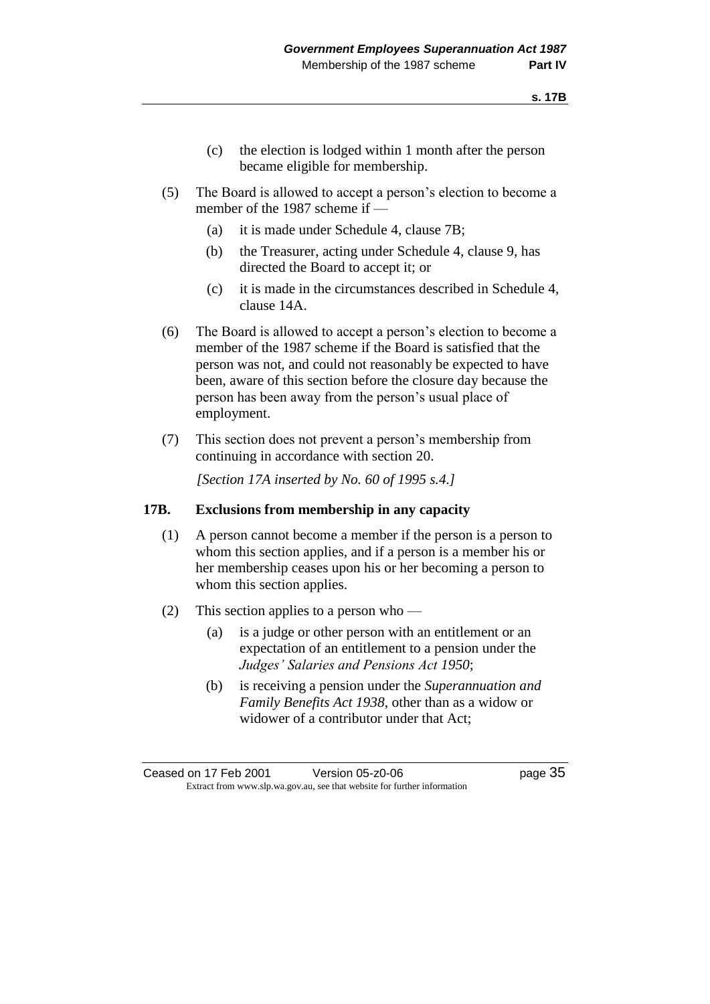- (c) the election is lodged within 1 month after the person became eligible for membership.
- (5) The Board is allowed to accept a person's election to become a member of the 1987 scheme if —
	- (a) it is made under Schedule 4, clause 7B;
	- (b) the Treasurer, acting under Schedule 4, clause 9, has directed the Board to accept it; or
	- (c) it is made in the circumstances described in Schedule 4, clause 14A.
- (6) The Board is allowed to accept a person's election to become a member of the 1987 scheme if the Board is satisfied that the person was not, and could not reasonably be expected to have been, aware of this section before the closure day because the person has been away from the person's usual place of employment.
- (7) This section does not prevent a person's membership from continuing in accordance with section 20.

*[Section 17A inserted by No. 60 of 1995 s.4.]* 

#### **17B. Exclusions from membership in any capacity**

- (1) A person cannot become a member if the person is a person to whom this section applies, and if a person is a member his or her membership ceases upon his or her becoming a person to whom this section applies.
- (2) This section applies to a person who
	- (a) is a judge or other person with an entitlement or an expectation of an entitlement to a pension under the *Judges' Salaries and Pensions Act 1950*;
	- (b) is receiving a pension under the *Superannuation and Family Benefits Act 1938*, other than as a widow or widower of a contributor under that Act;

Ceased on 17 Feb 2001 Version 05-z0-06 Page 35 Extract from www.slp.wa.gov.au, see that website for further information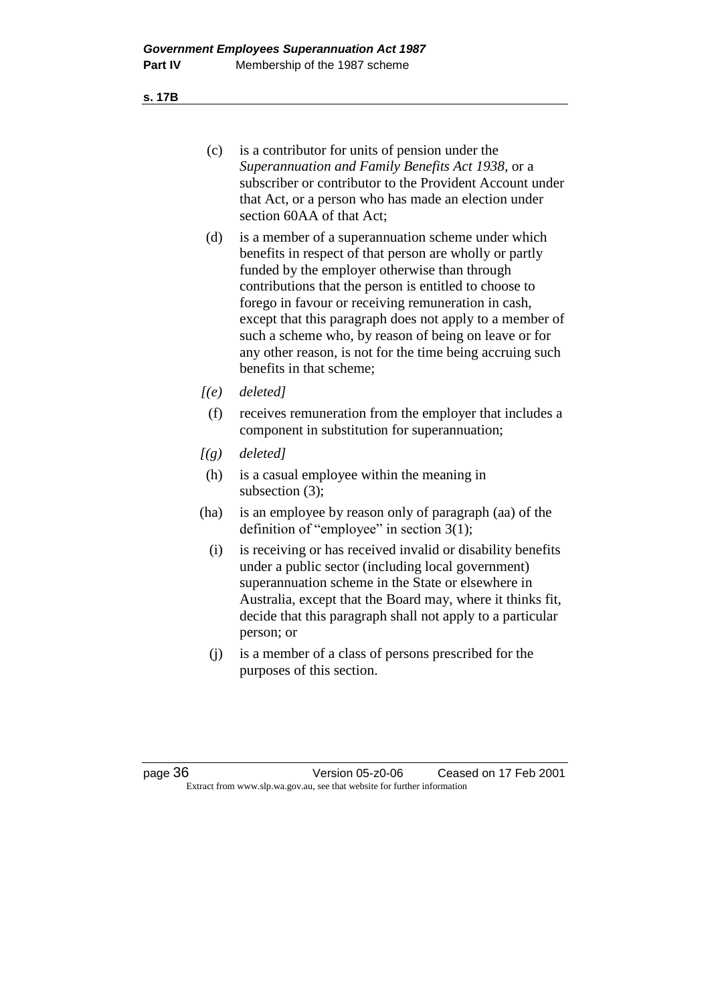**s. 17B**

- (c) is a contributor for units of pension under the *Superannuation and Family Benefits Act 1938*, or a subscriber or contributor to the Provident Account under that Act, or a person who has made an election under section 60AA of that Act;
- (d) is a member of a superannuation scheme under which benefits in respect of that person are wholly or partly funded by the employer otherwise than through contributions that the person is entitled to choose to forego in favour or receiving remuneration in cash, except that this paragraph does not apply to a member of such a scheme who, by reason of being on leave or for any other reason, is not for the time being accruing such benefits in that scheme;
- *[(e) deleted]*
	- (f) receives remuneration from the employer that includes a component in substitution for superannuation;
- *[(g) deleted]*
- (h) is a casual employee within the meaning in subsection (3);
- (ha) is an employee by reason only of paragraph (aa) of the definition of "employee" in section 3(1);
	- (i) is receiving or has received invalid or disability benefits under a public sector (including local government) superannuation scheme in the State or elsewhere in Australia, except that the Board may, where it thinks fit, decide that this paragraph shall not apply to a particular person; or
	- (j) is a member of a class of persons prescribed for the purposes of this section.

page 36 Version 05-z0-06 Ceased on 17 Feb 2001 Extract from www.slp.wa.gov.au, see that website for further information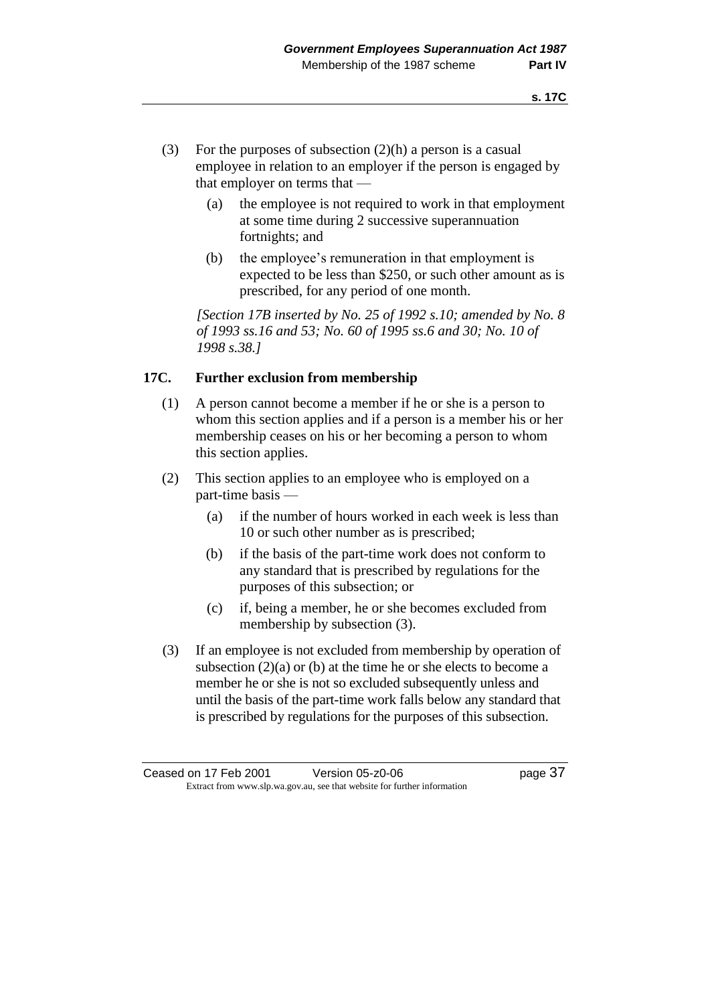- (3) For the purposes of subsection  $(2)(h)$  a person is a casual employee in relation to an employer if the person is engaged by that employer on terms that —
	- (a) the employee is not required to work in that employment at some time during 2 successive superannuation fortnights; and
	- (b) the employee's remuneration in that employment is expected to be less than \$250, or such other amount as is prescribed, for any period of one month.

*[Section 17B inserted by No. 25 of 1992 s.10; amended by No. 8 of 1993 ss.16 and 53; No. 60 of 1995 ss.6 and 30; No. 10 of 1998 s.38.]* 

## **17C. Further exclusion from membership**

- (1) A person cannot become a member if he or she is a person to whom this section applies and if a person is a member his or her membership ceases on his or her becoming a person to whom this section applies.
- (2) This section applies to an employee who is employed on a part-time basis —
	- (a) if the number of hours worked in each week is less than 10 or such other number as is prescribed;
	- (b) if the basis of the part-time work does not conform to any standard that is prescribed by regulations for the purposes of this subsection; or
	- (c) if, being a member, he or she becomes excluded from membership by subsection (3).
- (3) If an employee is not excluded from membership by operation of subsection (2)(a) or (b) at the time he or she elects to become a member he or she is not so excluded subsequently unless and until the basis of the part-time work falls below any standard that is prescribed by regulations for the purposes of this subsection.

Ceased on 17 Feb 2001 Version 05-z0-06 Page 37 Extract from www.slp.wa.gov.au, see that website for further information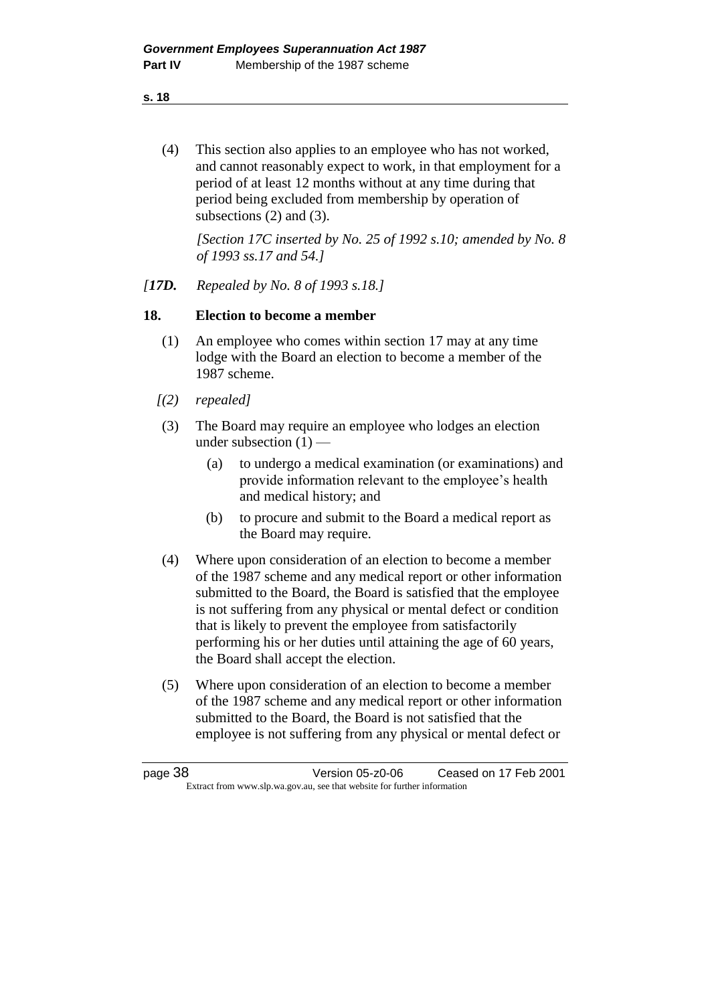(4) This section also applies to an employee who has not worked, and cannot reasonably expect to work, in that employment for a period of at least 12 months without at any time during that period being excluded from membership by operation of subsections (2) and (3).

*[Section 17C inserted by No. 25 of 1992 s.10; amended by No. 8 of 1993 ss.17 and 54.]* 

*[17D. Repealed by No. 8 of 1993 s.18.]* 

#### **18. Election to become a member**

- (1) An employee who comes within section 17 may at any time lodge with the Board an election to become a member of the 1987 scheme.
- *[(2) repealed]*
- (3) The Board may require an employee who lodges an election under subsection  $(1)$  —
	- (a) to undergo a medical examination (or examinations) and provide information relevant to the employee's health and medical history; and
	- (b) to procure and submit to the Board a medical report as the Board may require.
- (4) Where upon consideration of an election to become a member of the 1987 scheme and any medical report or other information submitted to the Board, the Board is satisfied that the employee is not suffering from any physical or mental defect or condition that is likely to prevent the employee from satisfactorily performing his or her duties until attaining the age of 60 years, the Board shall accept the election.
- (5) Where upon consideration of an election to become a member of the 1987 scheme and any medical report or other information submitted to the Board, the Board is not satisfied that the employee is not suffering from any physical or mental defect or

| page 38 | Version 05-z0-06                                                         | Ceased on 17 Feb 2001 |
|---------|--------------------------------------------------------------------------|-----------------------|
|         | Extract from www.slp.wa.gov.au, see that website for further information |                       |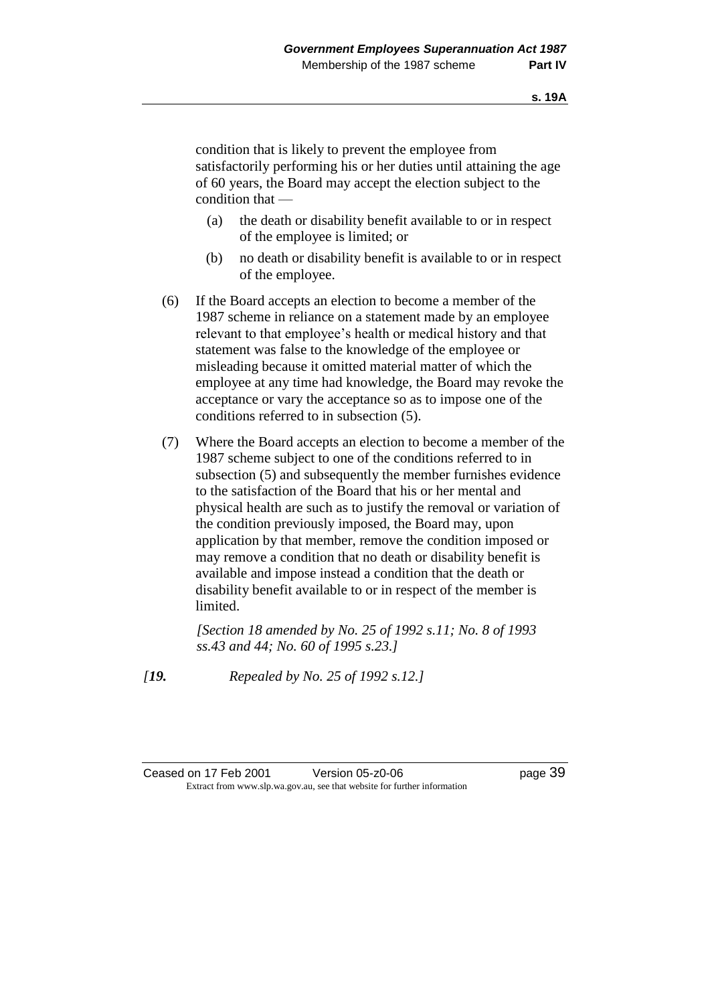condition that is likely to prevent the employee from satisfactorily performing his or her duties until attaining the age of 60 years, the Board may accept the election subject to the condition that —

- (a) the death or disability benefit available to or in respect of the employee is limited; or
- (b) no death or disability benefit is available to or in respect of the employee.
- (6) If the Board accepts an election to become a member of the 1987 scheme in reliance on a statement made by an employee relevant to that employee's health or medical history and that statement was false to the knowledge of the employee or misleading because it omitted material matter of which the employee at any time had knowledge, the Board may revoke the acceptance or vary the acceptance so as to impose one of the conditions referred to in subsection (5).
- (7) Where the Board accepts an election to become a member of the 1987 scheme subject to one of the conditions referred to in subsection (5) and subsequently the member furnishes evidence to the satisfaction of the Board that his or her mental and physical health are such as to justify the removal or variation of the condition previously imposed, the Board may, upon application by that member, remove the condition imposed or may remove a condition that no death or disability benefit is available and impose instead a condition that the death or disability benefit available to or in respect of the member is limited.

*[Section 18 amended by No. 25 of 1992 s.11; No. 8 of 1993 ss.43 and 44; No. 60 of 1995 s.23.]* 

*[19. Repealed by No. 25 of 1992 s.12.]*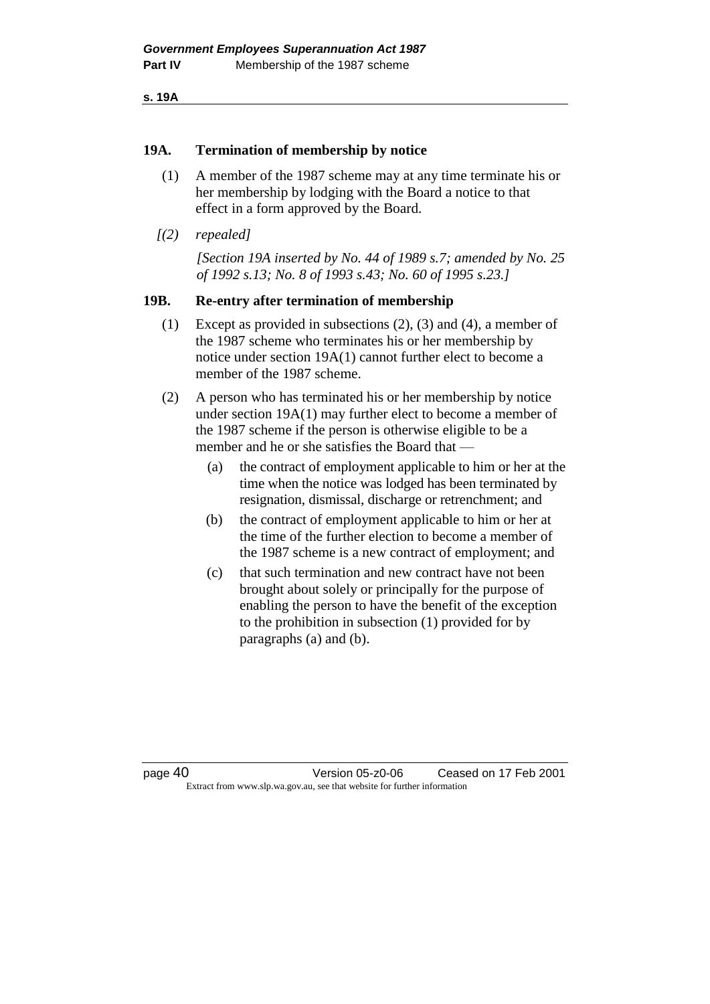**s. 19A**

#### **19A. Termination of membership by notice**

- (1) A member of the 1987 scheme may at any time terminate his or her membership by lodging with the Board a notice to that effect in a form approved by the Board.
- *[(2) repealed]*

*[Section 19A inserted by No. 44 of 1989 s.7; amended by No. 25 of 1992 s.13; No. 8 of 1993 s.43; No. 60 of 1995 s.23.]* 

#### **19B. Re-entry after termination of membership**

(1) Except as provided in subsections (2), (3) and (4), a member of the 1987 scheme who terminates his or her membership by notice under section 19A(1) cannot further elect to become a member of the 1987 scheme.

(2) A person who has terminated his or her membership by notice under section 19A(1) may further elect to become a member of the 1987 scheme if the person is otherwise eligible to be a member and he or she satisfies the Board that —

- (a) the contract of employment applicable to him or her at the time when the notice was lodged has been terminated by resignation, dismissal, discharge or retrenchment; and
- (b) the contract of employment applicable to him or her at the time of the further election to become a member of the 1987 scheme is a new contract of employment; and
- (c) that such termination and new contract have not been brought about solely or principally for the purpose of enabling the person to have the benefit of the exception to the prohibition in subsection (1) provided for by paragraphs (a) and (b).

page 40 Version 05-z0-06 Ceased on 17 Feb 2001 Extract from www.slp.wa.gov.au, see that website for further information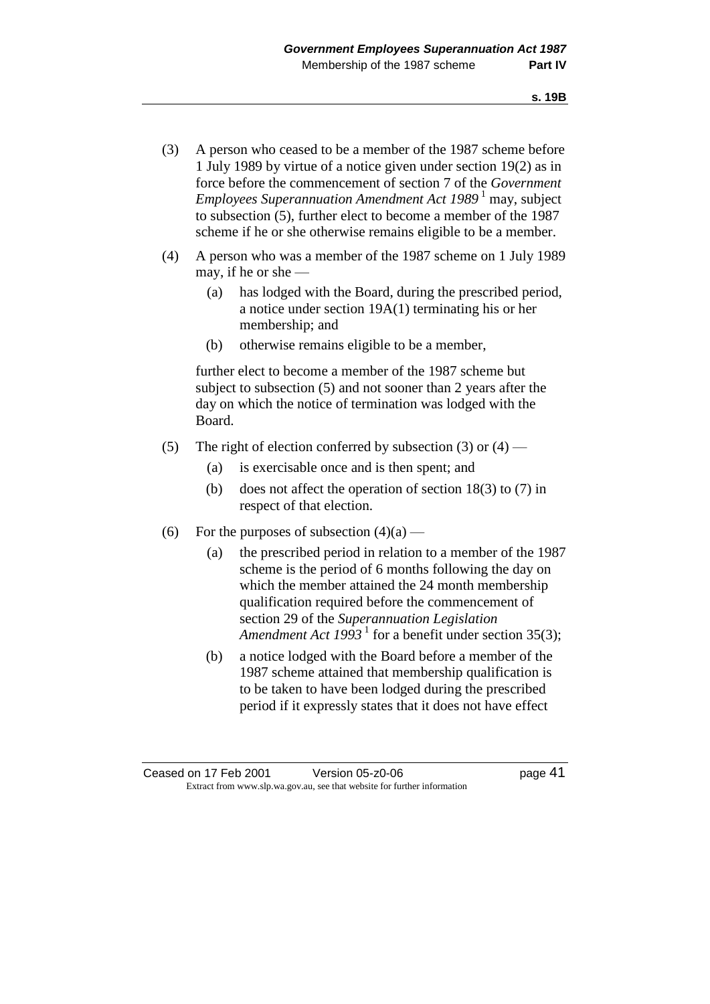- (3) A person who ceased to be a member of the 1987 scheme before 1 July 1989 by virtue of a notice given under section 19(2) as in force before the commencement of section 7 of the *Government Employees Superannuation Amendment Act 1989*<sup>1</sup> may, subject to subsection (5), further elect to become a member of the 1987 scheme if he or she otherwise remains eligible to be a member.
- (4) A person who was a member of the 1987 scheme on 1 July 1989 may, if he or she —
	- (a) has lodged with the Board, during the prescribed period, a notice under section 19A(1) terminating his or her membership; and
	- (b) otherwise remains eligible to be a member,

further elect to become a member of the 1987 scheme but subject to subsection (5) and not sooner than 2 years after the day on which the notice of termination was lodged with the Board.

- (5) The right of election conferred by subsection (3) or  $(4)$ 
	- (a) is exercisable once and is then spent; and
	- (b) does not affect the operation of section 18(3) to (7) in respect of that election.
- (6) For the purposes of subsection  $(4)(a)$ 
	- (a) the prescribed period in relation to a member of the 1987 scheme is the period of 6 months following the day on which the member attained the 24 month membership qualification required before the commencement of section 29 of the *Superannuation Legislation*  Amendment Act 1993<sup>1</sup> for a benefit under section 35(3);
	- (b) a notice lodged with the Board before a member of the 1987 scheme attained that membership qualification is to be taken to have been lodged during the prescribed period if it expressly states that it does not have effect

Ceased on 17 Feb 2001 Version 05-z0-06 **business** page 41 Extract from www.slp.wa.gov.au, see that website for further information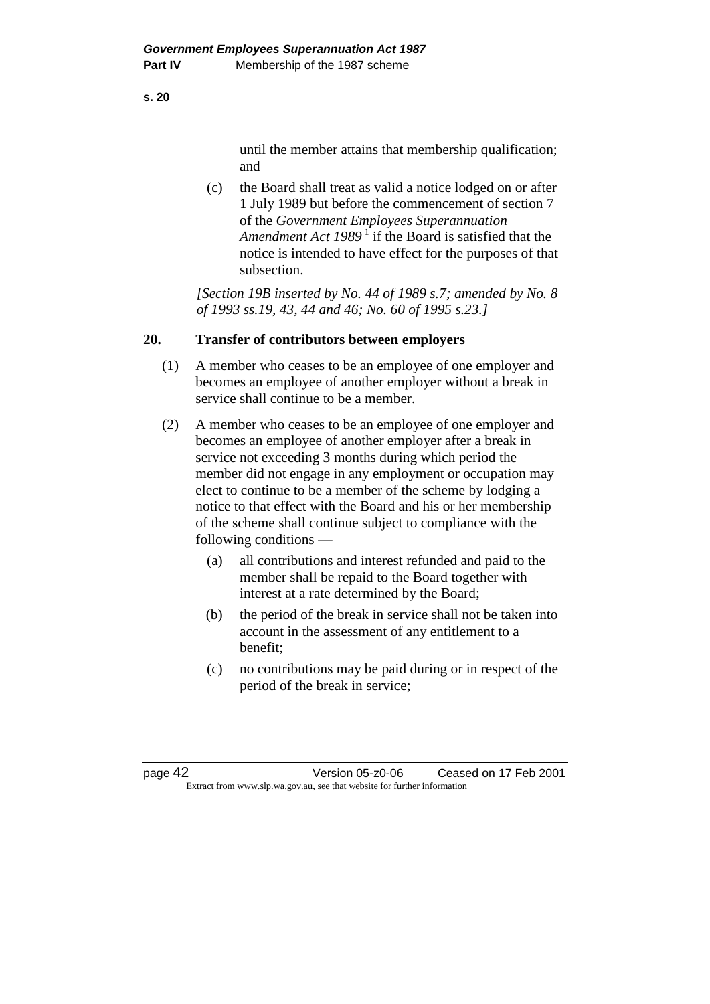until the member attains that membership qualification; and

(c) the Board shall treat as valid a notice lodged on or after 1 July 1989 but before the commencement of section 7 of the *Government Employees Superannuation*  Amendment Act 1989<sup>1</sup> if the Board is satisfied that the notice is intended to have effect for the purposes of that subsection.

*[Section 19B inserted by No. 44 of 1989 s.7; amended by No. 8 of 1993 ss.19, 43, 44 and 46; No. 60 of 1995 s.23.]* 

#### **20. Transfer of contributors between employers**

- (1) A member who ceases to be an employee of one employer and becomes an employee of another employer without a break in service shall continue to be a member.
- (2) A member who ceases to be an employee of one employer and becomes an employee of another employer after a break in service not exceeding 3 months during which period the member did not engage in any employment or occupation may elect to continue to be a member of the scheme by lodging a notice to that effect with the Board and his or her membership of the scheme shall continue subject to compliance with the following conditions —
	- (a) all contributions and interest refunded and paid to the member shall be repaid to the Board together with interest at a rate determined by the Board;
	- (b) the period of the break in service shall not be taken into account in the assessment of any entitlement to a benefit;
	- (c) no contributions may be paid during or in respect of the period of the break in service;

| page 42 | Version 05-z0-06                                                         | Ceased on 17 Feb 2001 |
|---------|--------------------------------------------------------------------------|-----------------------|
|         | Extract from www.slp.wa.gov.au, see that website for further information |                       |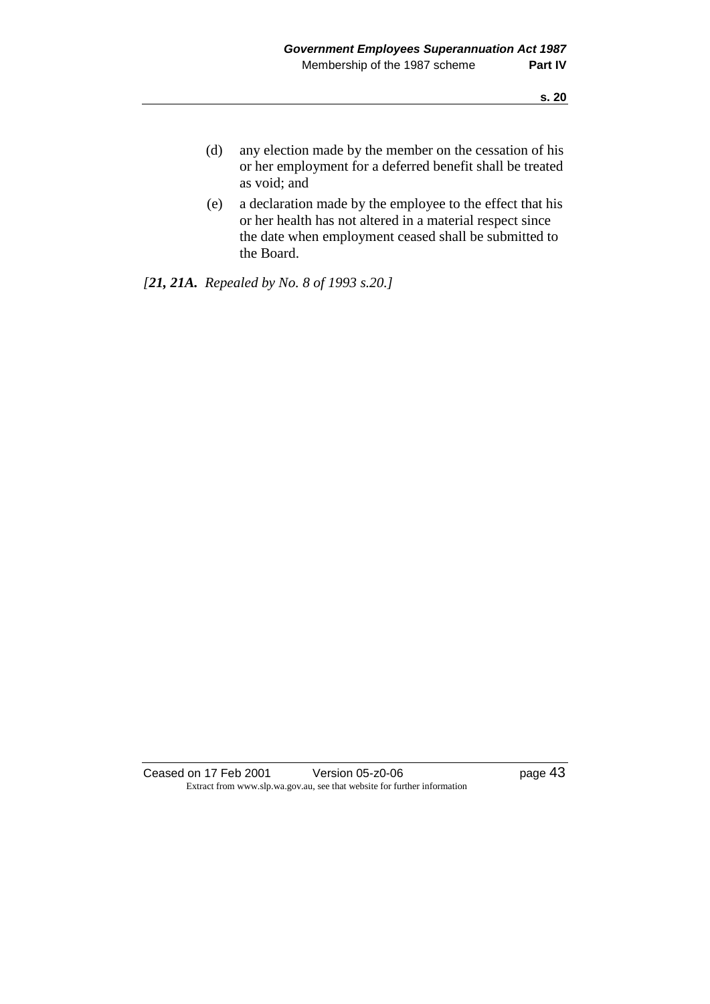- (d) any election made by the member on the cessation of his or her employment for a deferred benefit shall be treated as void; and
- (e) a declaration made by the employee to the effect that his or her health has not altered in a material respect since the date when employment ceased shall be submitted to the Board.

*[21, 21A. Repealed by No. 8 of 1993 s.20.]* 

Ceased on 17 Feb 2001 Version 05-z0-06 Page 43 Extract from www.slp.wa.gov.au, see that website for further information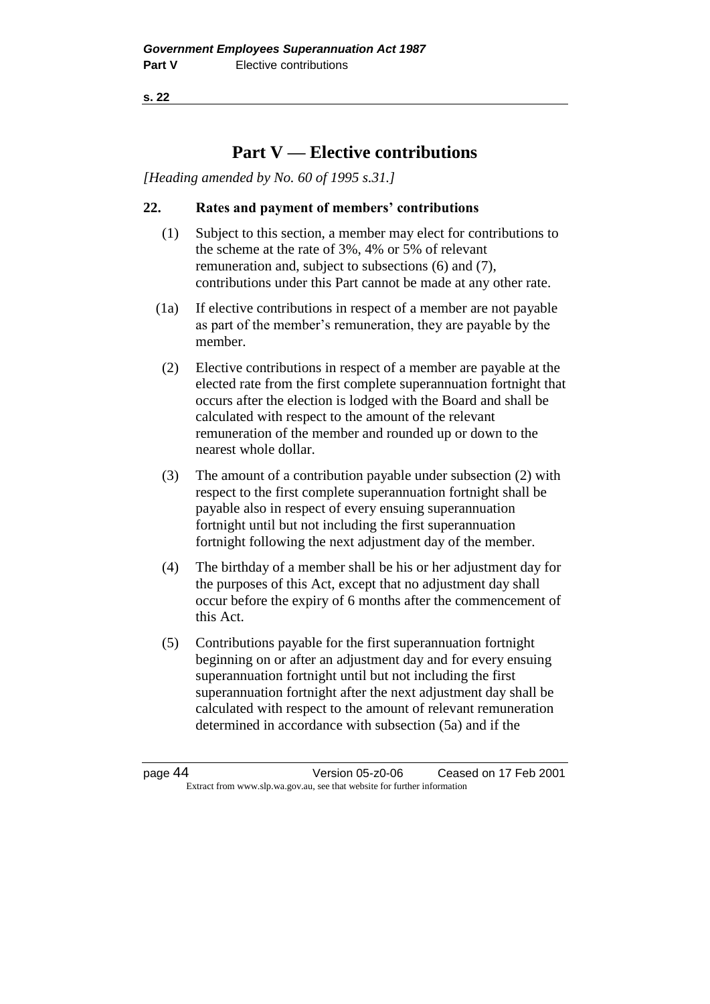# **Part V — Elective contributions**

*[Heading amended by No. 60 of 1995 s.31.]*

## **22. Rates and payment of members' contributions**

- (1) Subject to this section, a member may elect for contributions to the scheme at the rate of 3%, 4% or 5% of relevant remuneration and, subject to subsections (6) and (7), contributions under this Part cannot be made at any other rate.
- (1a) If elective contributions in respect of a member are not payable as part of the member's remuneration, they are payable by the member.
- (2) Elective contributions in respect of a member are payable at the elected rate from the first complete superannuation fortnight that occurs after the election is lodged with the Board and shall be calculated with respect to the amount of the relevant remuneration of the member and rounded up or down to the nearest whole dollar.
- (3) The amount of a contribution payable under subsection (2) with respect to the first complete superannuation fortnight shall be payable also in respect of every ensuing superannuation fortnight until but not including the first superannuation fortnight following the next adjustment day of the member.
- (4) The birthday of a member shall be his or her adjustment day for the purposes of this Act, except that no adjustment day shall occur before the expiry of 6 months after the commencement of this Act.
- (5) Contributions payable for the first superannuation fortnight beginning on or after an adjustment day and for every ensuing superannuation fortnight until but not including the first superannuation fortnight after the next adjustment day shall be calculated with respect to the amount of relevant remuneration determined in accordance with subsection (5a) and if the

page 44 Version 05-z0-06 Ceased on 17 Feb 2001 Extract from www.slp.wa.gov.au, see that website for further information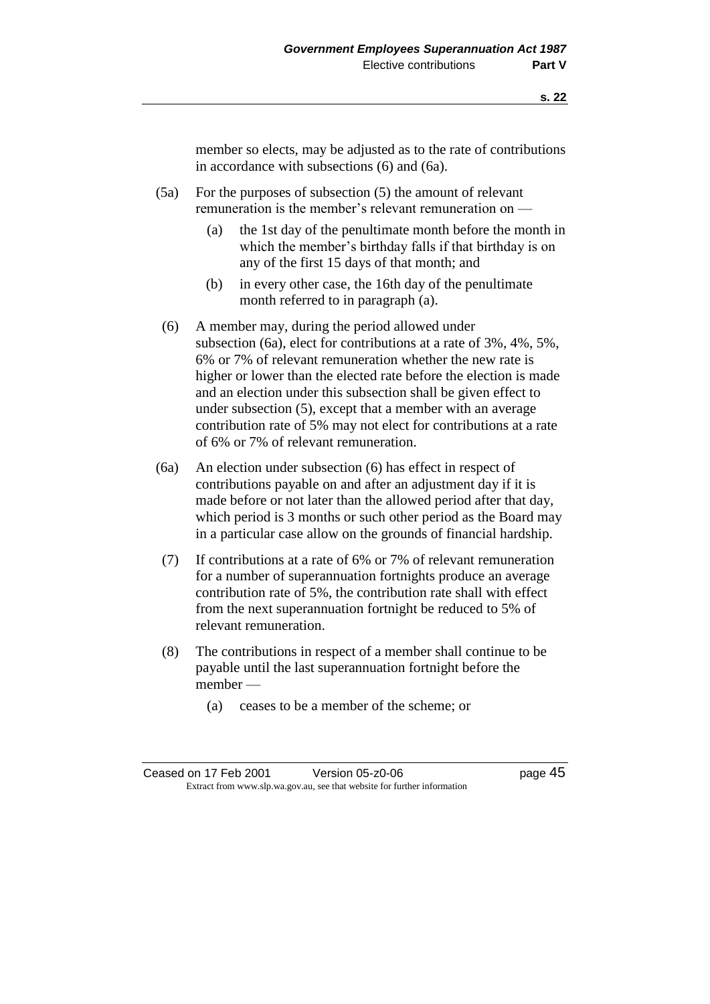member so elects, may be adjusted as to the rate of contributions in accordance with subsections (6) and (6a).

- (5a) For the purposes of subsection (5) the amount of relevant remuneration is the member's relevant remuneration on —
	- (a) the 1st day of the penultimate month before the month in which the member's birthday falls if that birthday is on any of the first 15 days of that month; and
	- (b) in every other case, the 16th day of the penultimate month referred to in paragraph (a).
- (6) A member may, during the period allowed under subsection (6a), elect for contributions at a rate of 3%, 4%, 5%, 6% or 7% of relevant remuneration whether the new rate is higher or lower than the elected rate before the election is made and an election under this subsection shall be given effect to under subsection (5), except that a member with an average contribution rate of 5% may not elect for contributions at a rate of 6% or 7% of relevant remuneration.
- (6a) An election under subsection (6) has effect in respect of contributions payable on and after an adjustment day if it is made before or not later than the allowed period after that day, which period is 3 months or such other period as the Board may in a particular case allow on the grounds of financial hardship.
- (7) If contributions at a rate of 6% or 7% of relevant remuneration for a number of superannuation fortnights produce an average contribution rate of 5%, the contribution rate shall with effect from the next superannuation fortnight be reduced to 5% of relevant remuneration.
- (8) The contributions in respect of a member shall continue to be payable until the last superannuation fortnight before the member —
	- (a) ceases to be a member of the scheme; or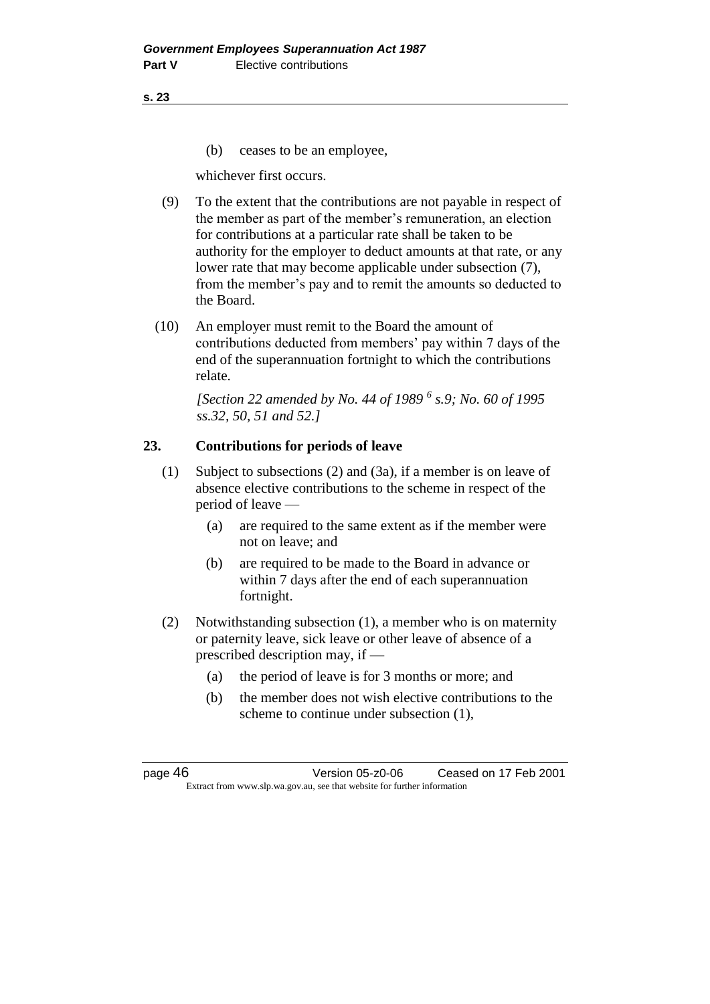(b) ceases to be an employee,

whichever first occurs.

- (9) To the extent that the contributions are not payable in respect of the member as part of the member's remuneration, an election for contributions at a particular rate shall be taken to be authority for the employer to deduct amounts at that rate, or any lower rate that may become applicable under subsection (7), from the member's pay and to remit the amounts so deducted to the Board.
- (10) An employer must remit to the Board the amount of contributions deducted from members' pay within 7 days of the end of the superannuation fortnight to which the contributions relate.

*[Section 22 amended by No. 44 of 1989 <sup>6</sup> s.9; No. 60 of 1995 ss.32, 50, 51 and 52.]* 

## **23. Contributions for periods of leave**

- (1) Subject to subsections (2) and (3a), if a member is on leave of absence elective contributions to the scheme in respect of the period of leave —
	- (a) are required to the same extent as if the member were not on leave; and
	- (b) are required to be made to the Board in advance or within 7 days after the end of each superannuation fortnight.
- (2) Notwithstanding subsection (1), a member who is on maternity or paternity leave, sick leave or other leave of absence of a prescribed description may, if —
	- (a) the period of leave is for 3 months or more; and
	- (b) the member does not wish elective contributions to the scheme to continue under subsection (1),

page 46 Version 05-z0-06 Ceased on 17 Feb 2001 Extract from www.slp.wa.gov.au, see that website for further information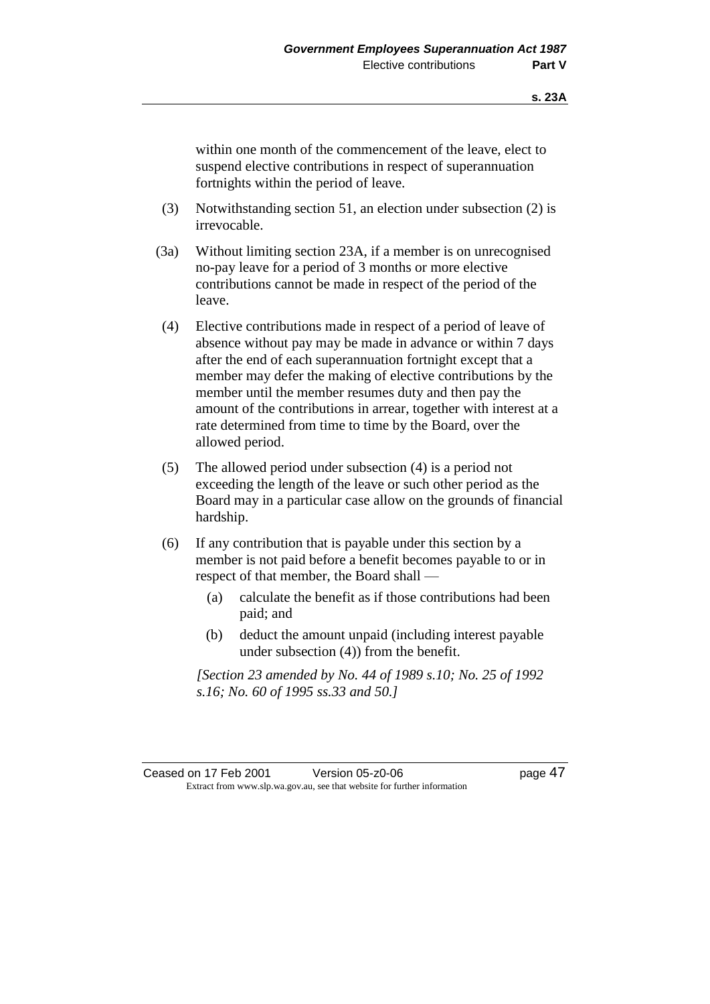within one month of the commencement of the leave, elect to suspend elective contributions in respect of superannuation fortnights within the period of leave.

- (3) Notwithstanding section 51, an election under subsection (2) is irrevocable.
- (3a) Without limiting section 23A, if a member is on unrecognised no-pay leave for a period of 3 months or more elective contributions cannot be made in respect of the period of the leave.
- (4) Elective contributions made in respect of a period of leave of absence without pay may be made in advance or within 7 days after the end of each superannuation fortnight except that a member may defer the making of elective contributions by the member until the member resumes duty and then pay the amount of the contributions in arrear, together with interest at a rate determined from time to time by the Board, over the allowed period.
- (5) The allowed period under subsection (4) is a period not exceeding the length of the leave or such other period as the Board may in a particular case allow on the grounds of financial hardship.
- (6) If any contribution that is payable under this section by a member is not paid before a benefit becomes payable to or in respect of that member, the Board shall —
	- (a) calculate the benefit as if those contributions had been paid; and
	- (b) deduct the amount unpaid (including interest payable under subsection (4)) from the benefit.

*[Section 23 amended by No. 44 of 1989 s.10; No. 25 of 1992 s.16; No. 60 of 1995 ss.33 and 50.]*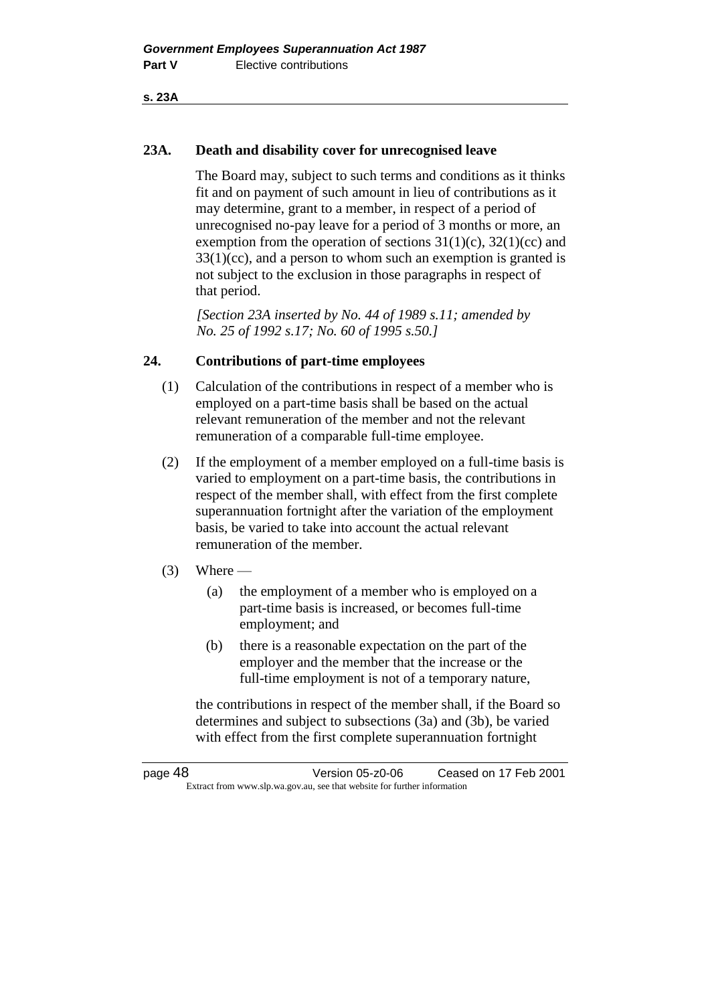**s. 23A**

## **23A. Death and disability cover for unrecognised leave**

The Board may, subject to such terms and conditions as it thinks fit and on payment of such amount in lieu of contributions as it may determine, grant to a member, in respect of a period of unrecognised no-pay leave for a period of 3 months or more, an exemption from the operation of sections  $31(1)(c)$ ,  $32(1)(cc)$  and  $33(1)(cc)$ , and a person to whom such an exemption is granted is not subject to the exclusion in those paragraphs in respect of that period.

*[Section 23A inserted by No. 44 of 1989 s.11; amended by No. 25 of 1992 s.17; No. 60 of 1995 s.50.]* 

## **24. Contributions of part-time employees**

- (1) Calculation of the contributions in respect of a member who is employed on a part-time basis shall be based on the actual relevant remuneration of the member and not the relevant remuneration of a comparable full-time employee.
- (2) If the employment of a member employed on a full-time basis is varied to employment on a part-time basis, the contributions in respect of the member shall, with effect from the first complete superannuation fortnight after the variation of the employment basis, be varied to take into account the actual relevant remuneration of the member.

## $(3)$  Where —

- (a) the employment of a member who is employed on a part-time basis is increased, or becomes full-time employment; and
- (b) there is a reasonable expectation on the part of the employer and the member that the increase or the full-time employment is not of a temporary nature,

the contributions in respect of the member shall, if the Board so determines and subject to subsections (3a) and (3b), be varied with effect from the first complete superannuation fortnight

page 48 Version 05-z0-06 Ceased on 17 Feb 2001 Extract from www.slp.wa.gov.au, see that website for further information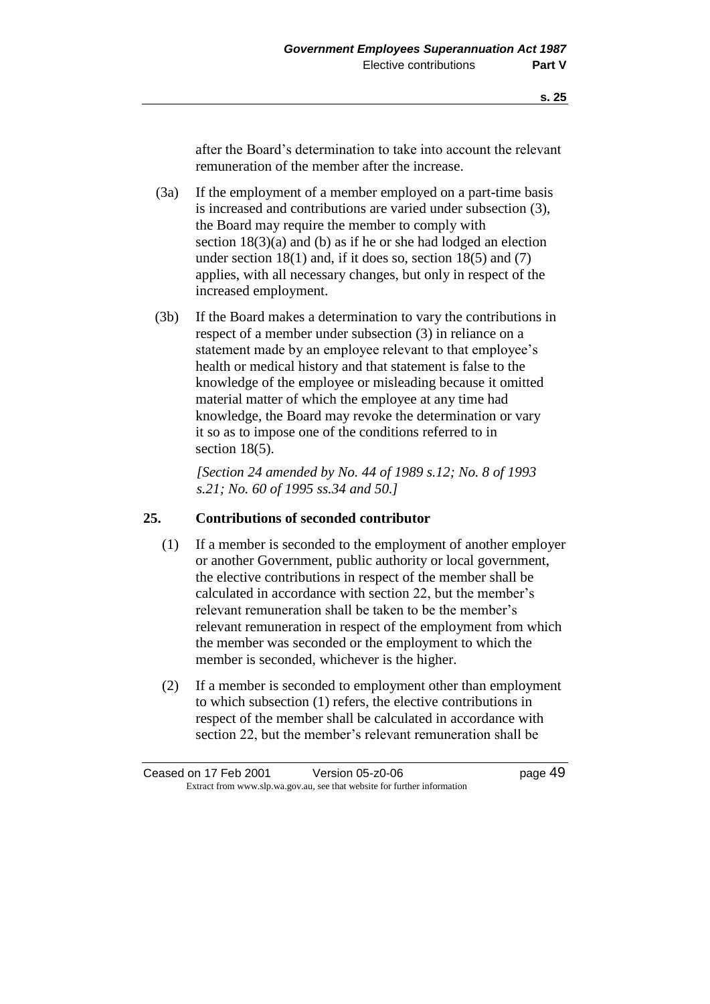after the Board's determination to take into account the relevant remuneration of the member after the increase.

- (3a) If the employment of a member employed on a part-time basis is increased and contributions are varied under subsection (3), the Board may require the member to comply with section 18(3)(a) and (b) as if he or she had lodged an election under section  $18(1)$  and, if it does so, section  $18(5)$  and  $(7)$ applies, with all necessary changes, but only in respect of the increased employment.
- (3b) If the Board makes a determination to vary the contributions in respect of a member under subsection (3) in reliance on a statement made by an employee relevant to that employee's health or medical history and that statement is false to the knowledge of the employee or misleading because it omitted material matter of which the employee at any time had knowledge, the Board may revoke the determination or vary it so as to impose one of the conditions referred to in section 18(5).

*[Section 24 amended by No. 44 of 1989 s.12; No. 8 of 1993 s.21; No. 60 of 1995 ss.34 and 50.]* 

#### **25. Contributions of seconded contributor**

- (1) If a member is seconded to the employment of another employer or another Government, public authority or local government, the elective contributions in respect of the member shall be calculated in accordance with section 22, but the member's relevant remuneration shall be taken to be the member's relevant remuneration in respect of the employment from which the member was seconded or the employment to which the member is seconded, whichever is the higher.
- (2) If a member is seconded to employment other than employment to which subsection (1) refers, the elective contributions in respect of the member shall be calculated in accordance with section 22, but the member's relevant remuneration shall be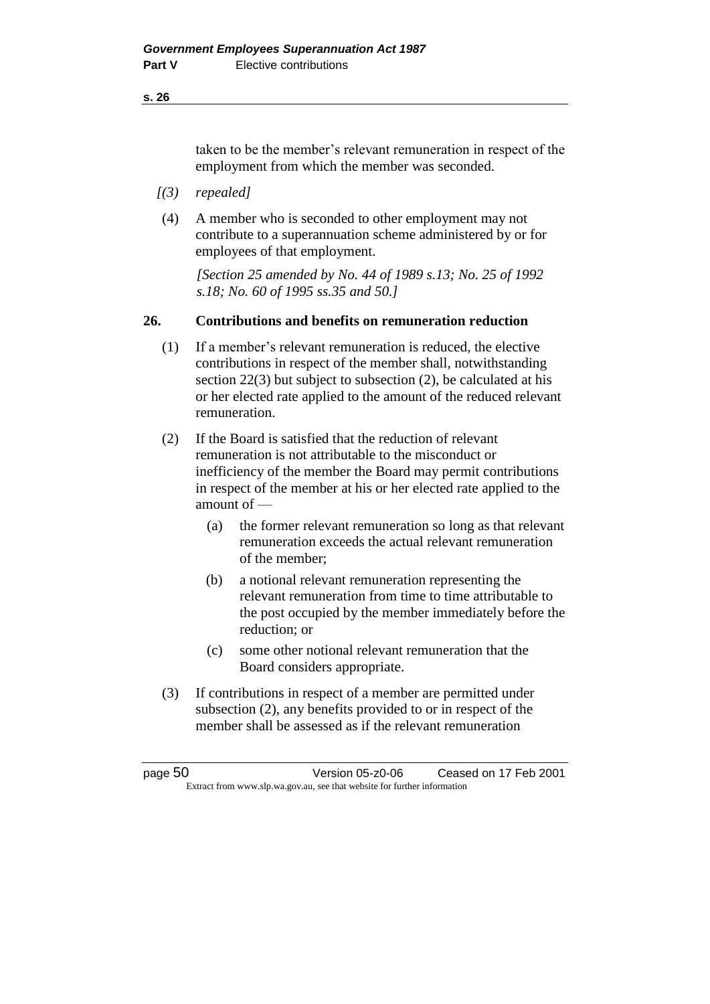taken to be the member's relevant remuneration in respect of the employment from which the member was seconded.

- *[(3) repealed]*
- (4) A member who is seconded to other employment may not contribute to a superannuation scheme administered by or for employees of that employment.

*[Section 25 amended by No. 44 of 1989 s.13; No. 25 of 1992 s.18; No. 60 of 1995 ss.35 and 50.]* 

## **26. Contributions and benefits on remuneration reduction**

- (1) If a member's relevant remuneration is reduced, the elective contributions in respect of the member shall, notwithstanding section 22(3) but subject to subsection (2), be calculated at his or her elected rate applied to the amount of the reduced relevant remuneration.
- (2) If the Board is satisfied that the reduction of relevant remuneration is not attributable to the misconduct or inefficiency of the member the Board may permit contributions in respect of the member at his or her elected rate applied to the amount of —
	- (a) the former relevant remuneration so long as that relevant remuneration exceeds the actual relevant remuneration of the member;
	- (b) a notional relevant remuneration representing the relevant remuneration from time to time attributable to the post occupied by the member immediately before the reduction; or
	- (c) some other notional relevant remuneration that the Board considers appropriate.
- (3) If contributions in respect of a member are permitted under subsection (2), any benefits provided to or in respect of the member shall be assessed as if the relevant remuneration

| page 50 | Version 05-z0-06                                                         | Ceased on 17 Feb 2001 |
|---------|--------------------------------------------------------------------------|-----------------------|
|         | Extract from www.slp.wa.gov.au, see that website for further information |                       |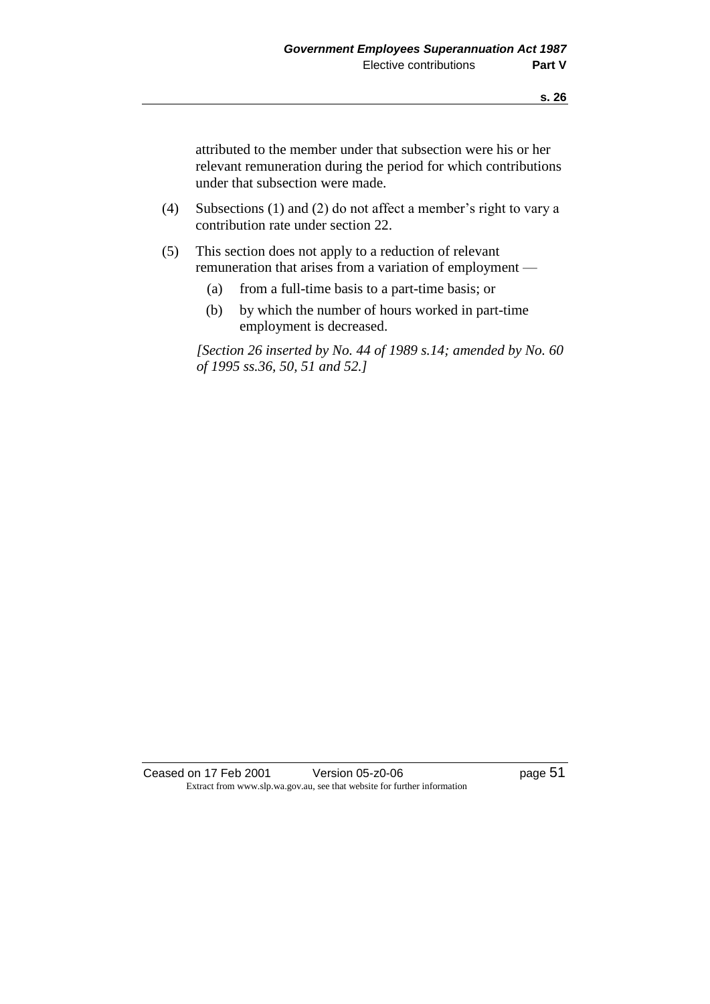attributed to the member under that subsection were his or her relevant remuneration during the period for which contributions under that subsection were made.

- (4) Subsections (1) and (2) do not affect a member's right to vary a contribution rate under section 22.
- (5) This section does not apply to a reduction of relevant remuneration that arises from a variation of employment —
	- (a) from a full-time basis to a part-time basis; or
	- (b) by which the number of hours worked in part-time employment is decreased.

*[Section 26 inserted by No. 44 of 1989 s.14; amended by No. 60 of 1995 ss.36, 50, 51 and 52.]* 

Ceased on 17 Feb 2001 Version 05-z0-06 Page 51 Extract from www.slp.wa.gov.au, see that website for further information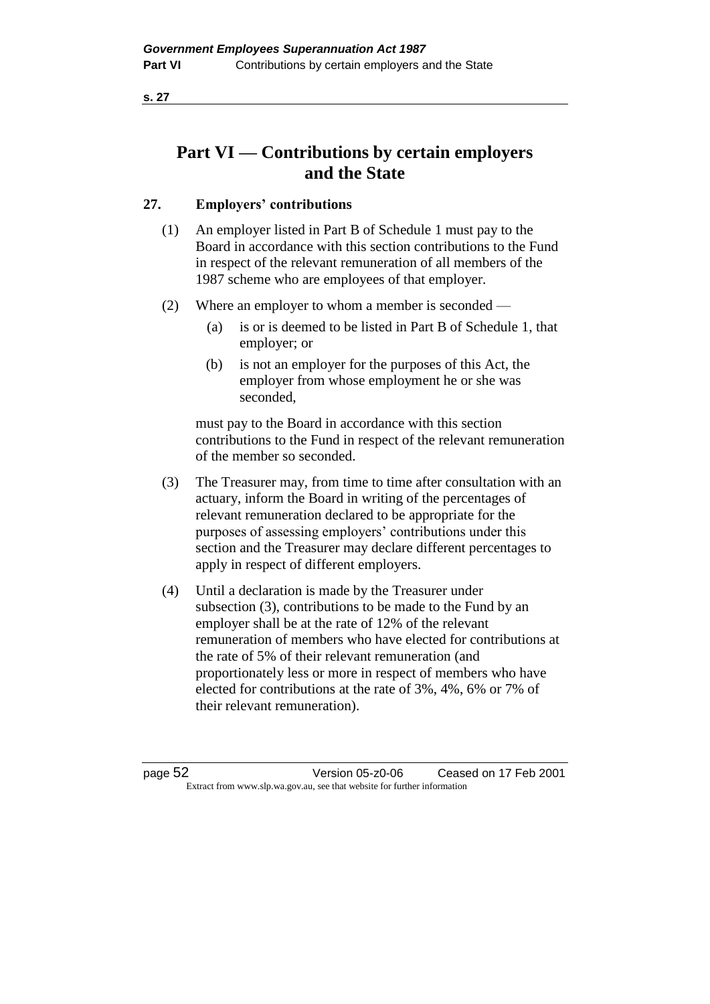# **Part VI — Contributions by certain employers and the State**

## **27. Employers' contributions**

- (1) An employer listed in Part B of Schedule 1 must pay to the Board in accordance with this section contributions to the Fund in respect of the relevant remuneration of all members of the 1987 scheme who are employees of that employer.
- (2) Where an employer to whom a member is seconded
	- (a) is or is deemed to be listed in Part B of Schedule 1, that employer; or
	- (b) is not an employer for the purposes of this Act, the employer from whose employment he or she was seconded,

must pay to the Board in accordance with this section contributions to the Fund in respect of the relevant remuneration of the member so seconded.

- (3) The Treasurer may, from time to time after consultation with an actuary, inform the Board in writing of the percentages of relevant remuneration declared to be appropriate for the purposes of assessing employers' contributions under this section and the Treasurer may declare different percentages to apply in respect of different employers.
- (4) Until a declaration is made by the Treasurer under subsection (3), contributions to be made to the Fund by an employer shall be at the rate of 12% of the relevant remuneration of members who have elected for contributions at the rate of 5% of their relevant remuneration (and proportionately less or more in respect of members who have elected for contributions at the rate of 3%, 4%, 6% or 7% of their relevant remuneration).

page 52 Version 05-z0-06 Ceased on 17 Feb 2001 Extract from www.slp.wa.gov.au, see that website for further information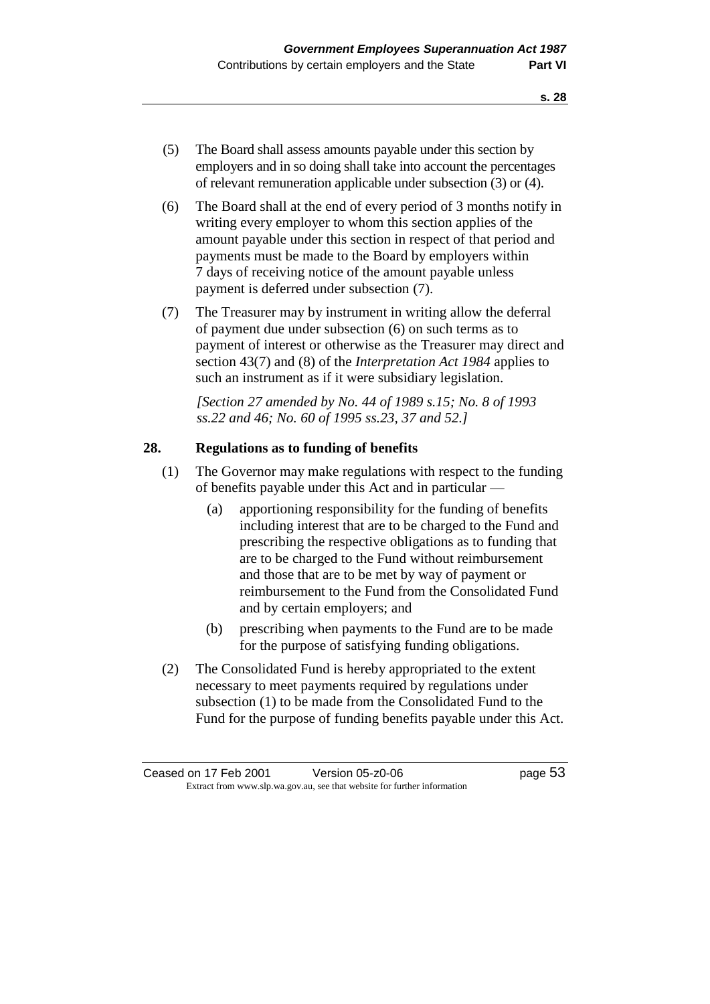- (5) The Board shall assess amounts payable under this section by employers and in so doing shall take into account the percentages of relevant remuneration applicable under subsection (3) or (4).
- (6) The Board shall at the end of every period of 3 months notify in writing every employer to whom this section applies of the amount payable under this section in respect of that period and payments must be made to the Board by employers within 7 days of receiving notice of the amount payable unless payment is deferred under subsection (7).
- (7) The Treasurer may by instrument in writing allow the deferral of payment due under subsection (6) on such terms as to payment of interest or otherwise as the Treasurer may direct and section 43(7) and (8) of the *Interpretation Act 1984* applies to such an instrument as if it were subsidiary legislation.

*[Section 27 amended by No. 44 of 1989 s.15; No. 8 of 1993 ss.22 and 46; No. 60 of 1995 ss.23, 37 and 52.]* 

#### **28. Regulations as to funding of benefits**

- (1) The Governor may make regulations with respect to the funding of benefits payable under this Act and in particular —
	- (a) apportioning responsibility for the funding of benefits including interest that are to be charged to the Fund and prescribing the respective obligations as to funding that are to be charged to the Fund without reimbursement and those that are to be met by way of payment or reimbursement to the Fund from the Consolidated Fund and by certain employers; and
	- (b) prescribing when payments to the Fund are to be made for the purpose of satisfying funding obligations.
- (2) The Consolidated Fund is hereby appropriated to the extent necessary to meet payments required by regulations under subsection (1) to be made from the Consolidated Fund to the Fund for the purpose of funding benefits payable under this Act.

Ceased on 17 Feb 2001 Version 05-z0-06 Page 53 Extract from www.slp.wa.gov.au, see that website for further information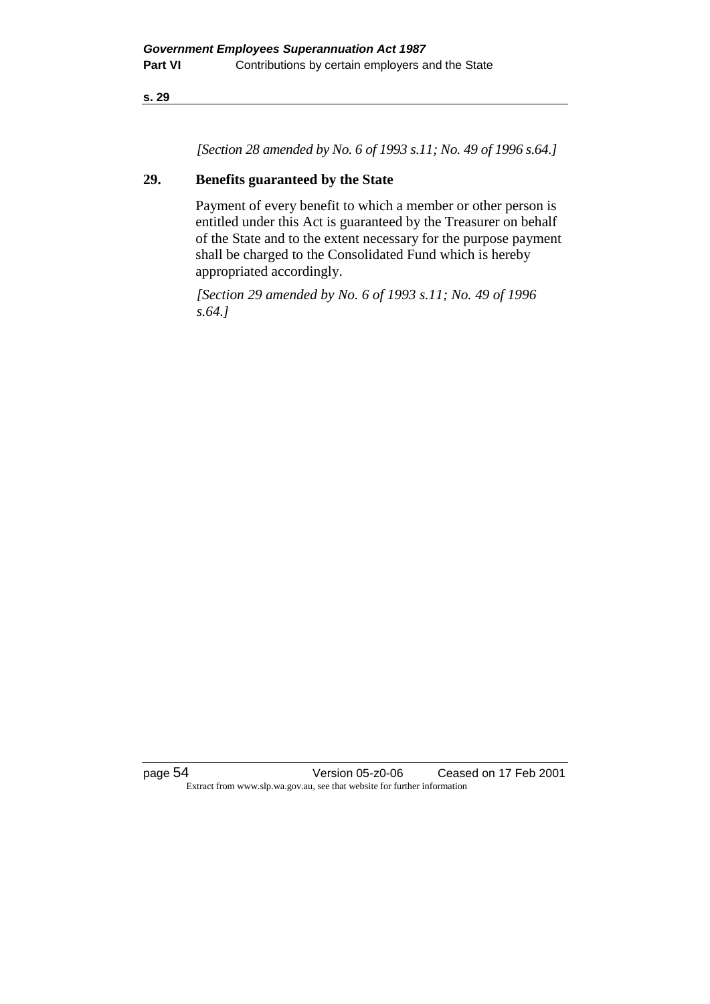*[Section 28 amended by No. 6 of 1993 s.11; No. 49 of 1996 s.64.]*

## **29. Benefits guaranteed by the State**

Payment of every benefit to which a member or other person is entitled under this Act is guaranteed by the Treasurer on behalf of the State and to the extent necessary for the purpose payment shall be charged to the Consolidated Fund which is hereby appropriated accordingly.

*[Section 29 amended by No. 6 of 1993 s.11; No. 49 of 1996 s.64.]*

page 54 Version 05-z0-06 Ceased on 17 Feb 2001 Extract from www.slp.wa.gov.au, see that website for further information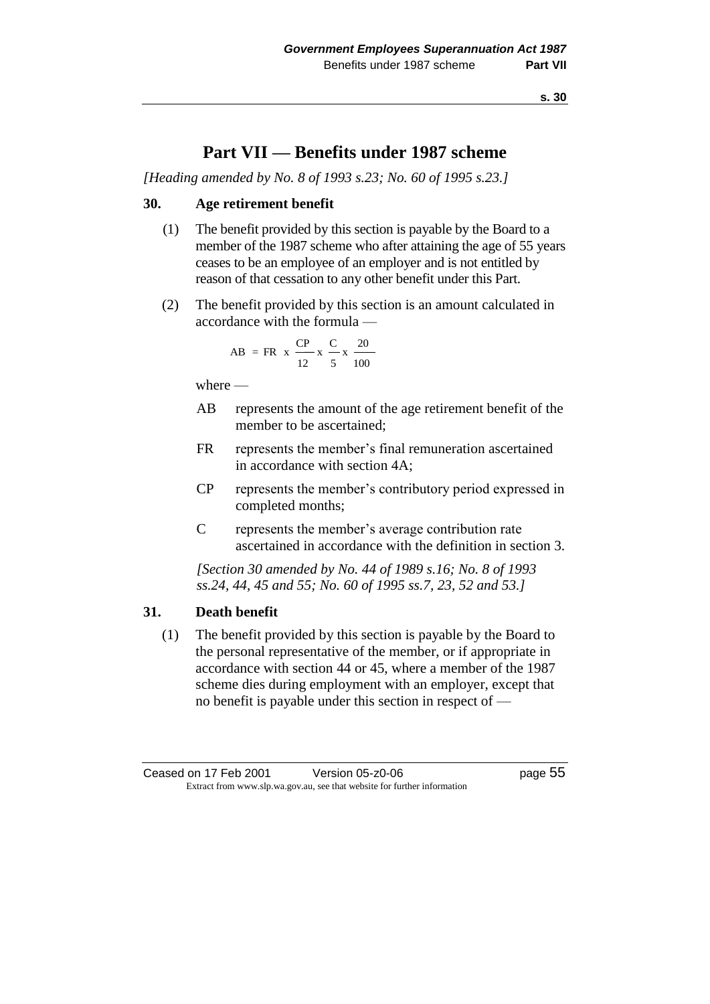## **Part VII — Benefits under 1987 scheme**

*[Heading amended by No. 8 of 1993 s.23; No. 60 of 1995 s.23.]*

## **30. Age retirement benefit**

- (1) The benefit provided by this section is payable by the Board to a member of the 1987 scheme who after attaining the age of 55 years ceases to be an employee of an employer and is not entitled by reason of that cessation to any other benefit under this Part.
- (2) The benefit provided by this section is an amount calculated in accordance with the formula —

AB = FR x 
$$
\frac{CP}{12}
$$
 x  $\frac{C}{5}$  x  $\frac{20}{100}$ 

where —

- AB represents the amount of the age retirement benefit of the member to be ascertained;
- FR represents the member's final remuneration ascertained in accordance with section 4A;
- CP represents the member's contributory period expressed in completed months;
- C represents the member's average contribution rate ascertained in accordance with the definition in section 3.

*[Section 30 amended by No. 44 of 1989 s.16; No. 8 of 1993 ss.24, 44, 45 and 55; No. 60 of 1995 ss.7, 23, 52 and 53.]* 

## **31. Death benefit**

(1) The benefit provided by this section is payable by the Board to the personal representative of the member, or if appropriate in accordance with section 44 or 45, where a member of the 1987 scheme dies during employment with an employer, except that no benefit is payable under this section in respect of —

Ceased on 17 Feb 2001 Version 05-z0-06 Page 55 Extract from www.slp.wa.gov.au, see that website for further information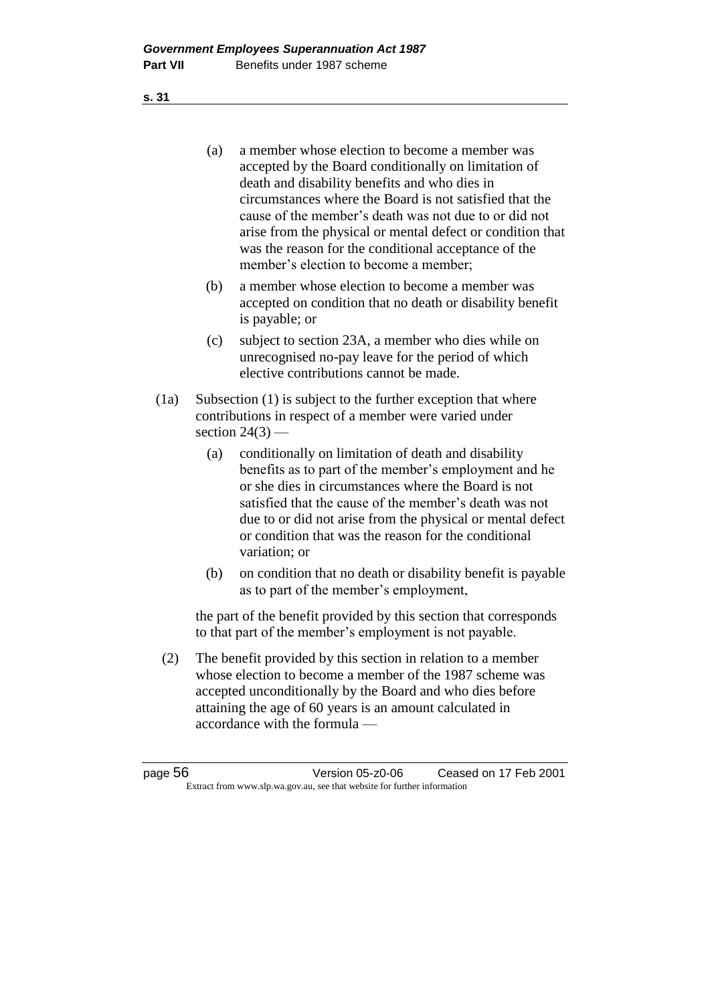- (a) a member whose election to become a member was accepted by the Board conditionally on limitation of death and disability benefits and who dies in circumstances where the Board is not satisfied that the cause of the member's death was not due to or did not arise from the physical or mental defect or condition that was the reason for the conditional acceptance of the member's election to become a member;
- (b) a member whose election to become a member was accepted on condition that no death or disability benefit is payable; or
- (c) subject to section 23A, a member who dies while on unrecognised no-pay leave for the period of which elective contributions cannot be made.
- (1a) Subsection (1) is subject to the further exception that where contributions in respect of a member were varied under section  $24(3)$  —
	- (a) conditionally on limitation of death and disability benefits as to part of the member's employment and he or she dies in circumstances where the Board is not satisfied that the cause of the member's death was not due to or did not arise from the physical or mental defect or condition that was the reason for the conditional variation; or
	- (b) on condition that no death or disability benefit is payable as to part of the member's employment,

the part of the benefit provided by this section that corresponds to that part of the member's employment is not payable.

(2) The benefit provided by this section in relation to a member whose election to become a member of the 1987 scheme was accepted unconditionally by the Board and who dies before attaining the age of 60 years is an amount calculated in accordance with the formula —

| page 56 | Version 05-z0-06                                                         | Ceased on 17 Feb 2001 |
|---------|--------------------------------------------------------------------------|-----------------------|
|         | Extract from www.slp.wa.gov.au, see that website for further information |                       |

**s. 31**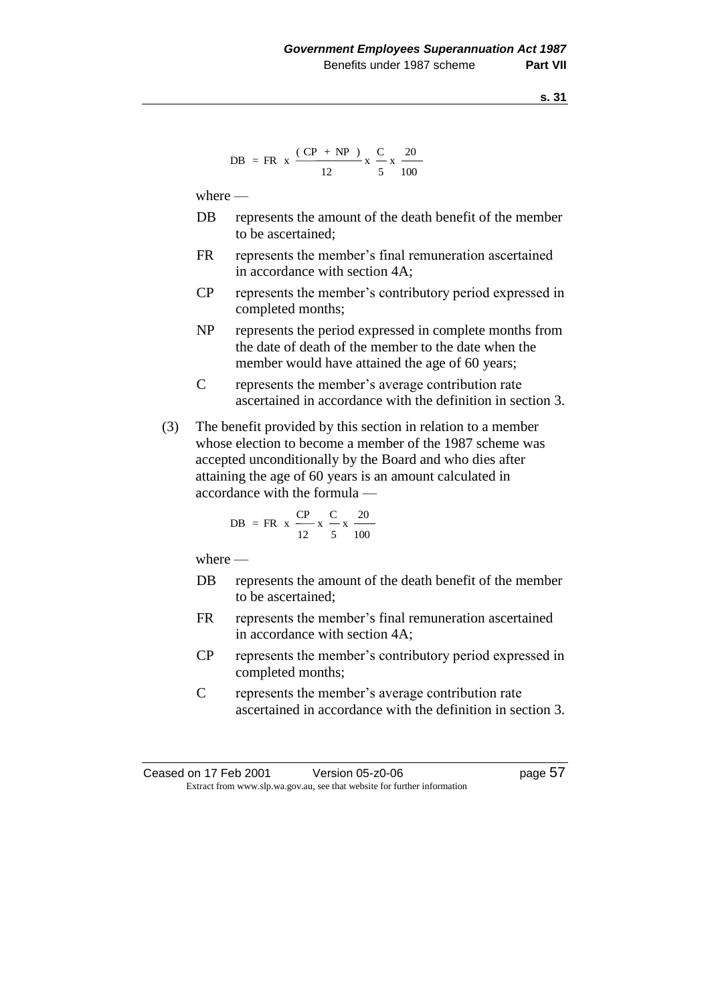DB = FR x 
$$
\frac{(CP + NP)}{12}
$$
 x  $\frac{C}{5}$  x  $\frac{20}{100}$ 

where —

- DB represents the amount of the death benefit of the member to be ascertained;
- FR represents the member's final remuneration ascertained in accordance with section 4A;
- CP represents the member's contributory period expressed in completed months;
- NP represents the period expressed in complete months from the date of death of the member to the date when the member would have attained the age of 60 years;
- C represents the member's average contribution rate ascertained in accordance with the definition in section 3.
- (3) The benefit provided by this section in relation to a member whose election to become a member of the 1987 scheme was accepted unconditionally by the Board and who dies after attaining the age of 60 years is an amount calculated in accordance with the formula —

DB = FR x 
$$
\frac{CP}{12}
$$
 x  $\frac{C}{5}$  x  $\frac{20}{100}$ 

where  $-$ 

- DB represents the amount of the death benefit of the member to be ascertained;
- FR represents the member's final remuneration ascertained in accordance with section 4A;
- CP represents the member's contributory period expressed in completed months;
- C represents the member's average contribution rate ascertained in accordance with the definition in section 3.

Ceased on 17 Feb 2001 Version 05-z0-06 Page 57 Extract from www.slp.wa.gov.au, see that website for further information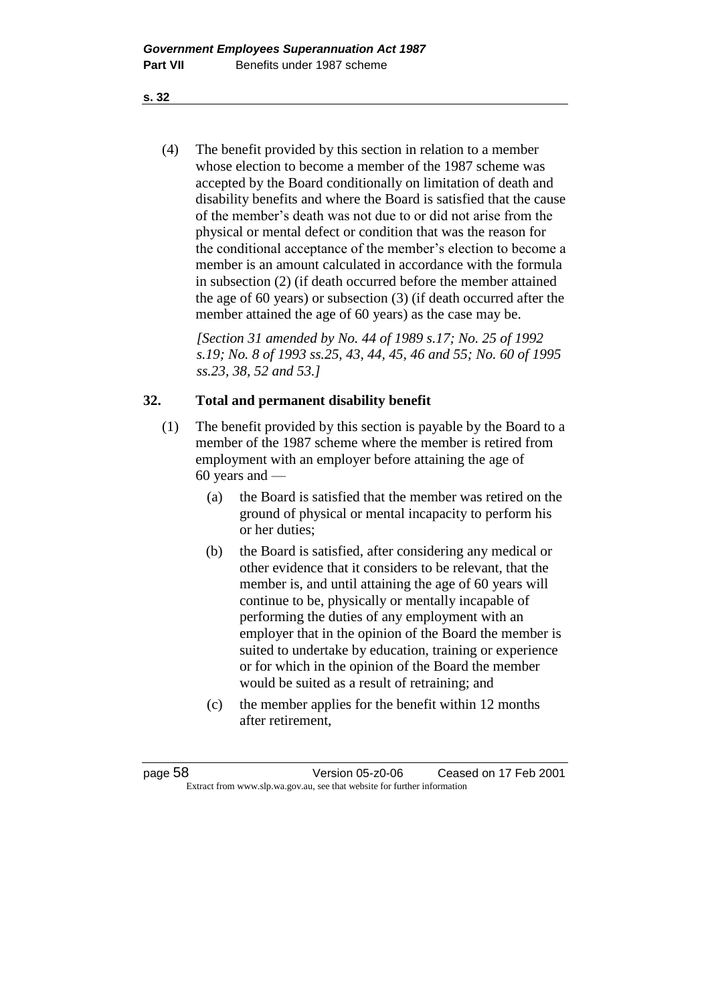(4) The benefit provided by this section in relation to a member whose election to become a member of the 1987 scheme was accepted by the Board conditionally on limitation of death and disability benefits and where the Board is satisfied that the cause of the member's death was not due to or did not arise from the physical or mental defect or condition that was the reason for the conditional acceptance of the member's election to become a member is an amount calculated in accordance with the formula in subsection (2) (if death occurred before the member attained the age of 60 years) or subsection (3) (if death occurred after the member attained the age of 60 years) as the case may be.

*[Section 31 amended by No. 44 of 1989 s.17; No. 25 of 1992 s.19; No. 8 of 1993 ss.25, 43, 44, 45, 46 and 55; No. 60 of 1995 ss.23, 38, 52 and 53.]* 

## **32. Total and permanent disability benefit**

- (1) The benefit provided by this section is payable by the Board to a member of the 1987 scheme where the member is retired from employment with an employer before attaining the age of 60 years and —
	- (a) the Board is satisfied that the member was retired on the ground of physical or mental incapacity to perform his or her duties;
	- (b) the Board is satisfied, after considering any medical or other evidence that it considers to be relevant, that the member is, and until attaining the age of 60 years will continue to be, physically or mentally incapable of performing the duties of any employment with an employer that in the opinion of the Board the member is suited to undertake by education, training or experience or for which in the opinion of the Board the member would be suited as a result of retraining; and
	- (c) the member applies for the benefit within 12 months after retirement,

page 58 Version 05-z0-06 Ceased on 17 Feb 2001 Extract from www.slp.wa.gov.au, see that website for further information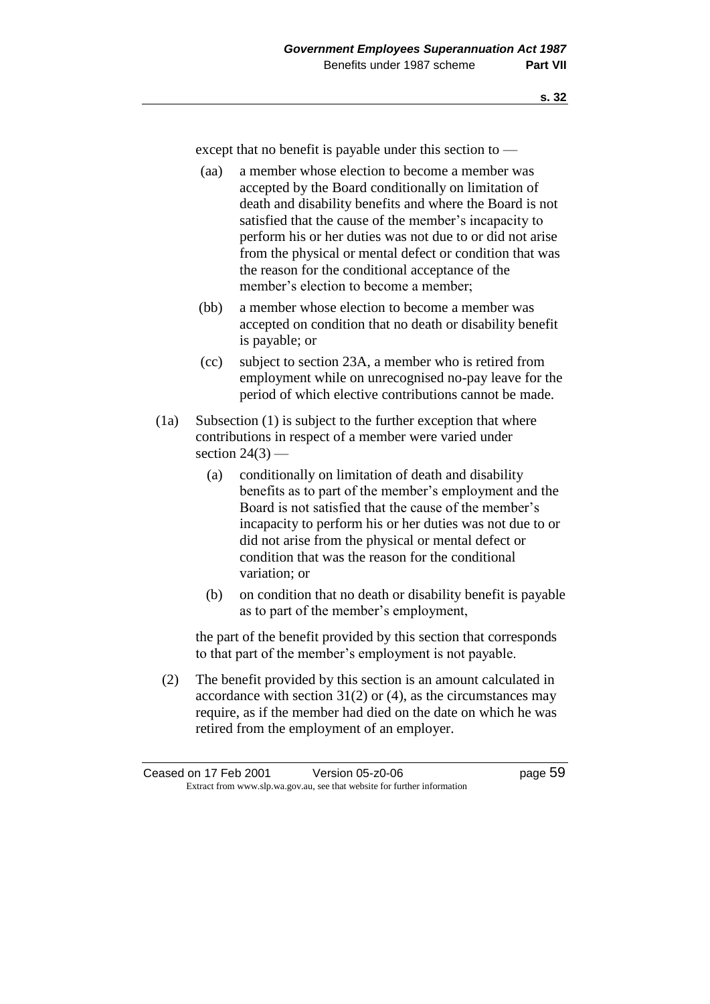except that no benefit is payable under this section to —

- (aa) a member whose election to become a member was accepted by the Board conditionally on limitation of death and disability benefits and where the Board is not satisfied that the cause of the member's incapacity to perform his or her duties was not due to or did not arise from the physical or mental defect or condition that was the reason for the conditional acceptance of the member's election to become a member;
- (bb) a member whose election to become a member was accepted on condition that no death or disability benefit is payable; or
- (cc) subject to section 23A, a member who is retired from employment while on unrecognised no-pay leave for the period of which elective contributions cannot be made.
- (1a) Subsection (1) is subject to the further exception that where contributions in respect of a member were varied under section  $24(3)$  —
	- (a) conditionally on limitation of death and disability benefits as to part of the member's employment and the Board is not satisfied that the cause of the member's incapacity to perform his or her duties was not due to or did not arise from the physical or mental defect or condition that was the reason for the conditional variation; or
	- (b) on condition that no death or disability benefit is payable as to part of the member's employment,

the part of the benefit provided by this section that corresponds to that part of the member's employment is not payable.

(2) The benefit provided by this section is an amount calculated in accordance with section  $31(2)$  or  $(4)$ , as the circumstances may require, as if the member had died on the date on which he was retired from the employment of an employer.

Ceased on 17 Feb 2001 Version 05-z0-06 Page 59 Extract from www.slp.wa.gov.au, see that website for further information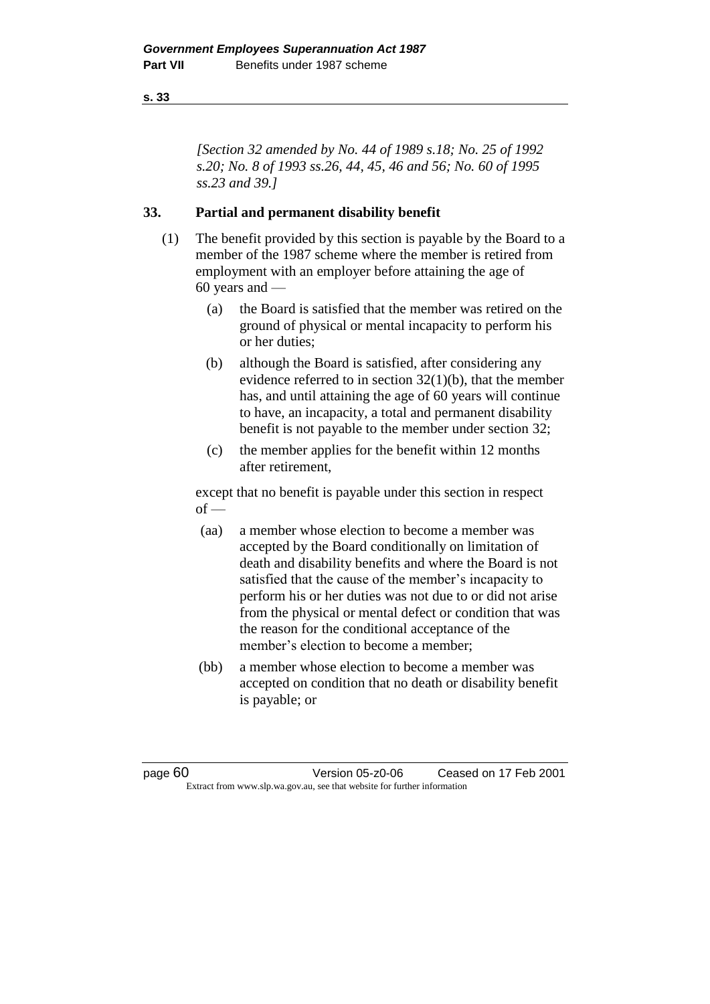*[Section 32 amended by No. 44 of 1989 s.18; No. 25 of 1992 s.20; No. 8 of 1993 ss.26, 44, 45, 46 and 56; No. 60 of 1995 ss.23 and 39.]* 

## **33. Partial and permanent disability benefit**

- (1) The benefit provided by this section is payable by the Board to a member of the 1987 scheme where the member is retired from employment with an employer before attaining the age of 60 years and —
	- (a) the Board is satisfied that the member was retired on the ground of physical or mental incapacity to perform his or her duties;
	- (b) although the Board is satisfied, after considering any evidence referred to in section  $32(1)(b)$ , that the member has, and until attaining the age of 60 years will continue to have, an incapacity, a total and permanent disability benefit is not payable to the member under section 32;
	- (c) the member applies for the benefit within 12 months after retirement,

except that no benefit is payable under this section in respect  $of -$ 

- (aa) a member whose election to become a member was accepted by the Board conditionally on limitation of death and disability benefits and where the Board is not satisfied that the cause of the member's incapacity to perform his or her duties was not due to or did not arise from the physical or mental defect or condition that was the reason for the conditional acceptance of the member's election to become a member;
- (bb) a member whose election to become a member was accepted on condition that no death or disability benefit is payable; or

page 60 Version 05-z0-06 Ceased on 17 Feb 2001 Extract from www.slp.wa.gov.au, see that website for further information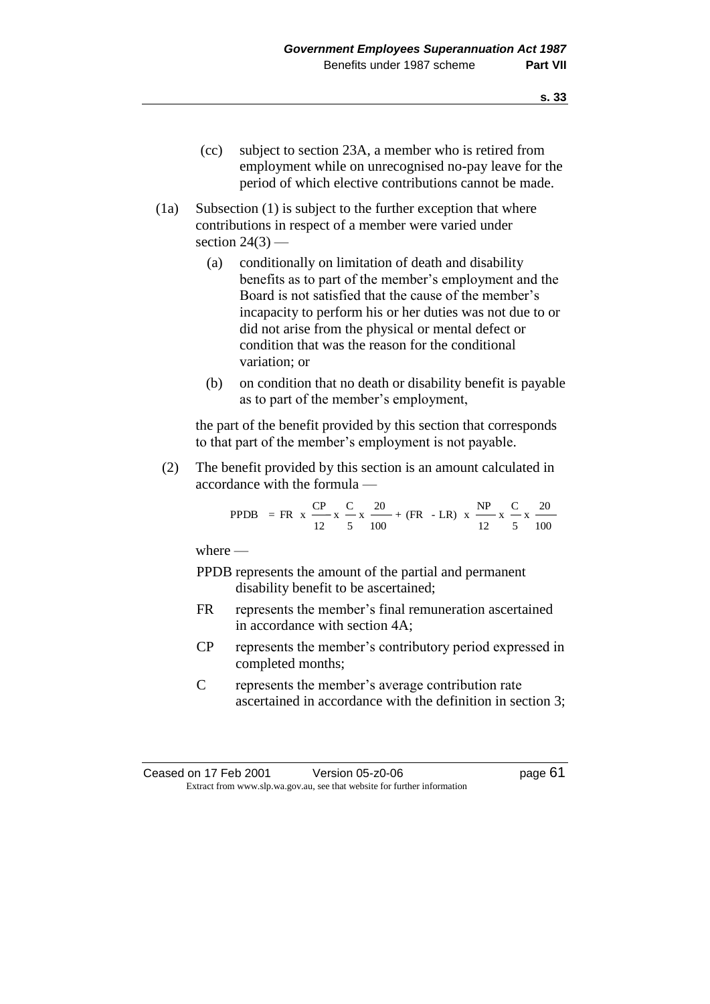- (cc) subject to section 23A, a member who is retired from employment while on unrecognised no-pay leave for the period of which elective contributions cannot be made.
- (1a) Subsection (1) is subject to the further exception that where contributions in respect of a member were varied under section  $24(3)$  —
	- (a) conditionally on limitation of death and disability benefits as to part of the member's employment and the Board is not satisfied that the cause of the member's incapacity to perform his or her duties was not due to or did not arise from the physical or mental defect or condition that was the reason for the conditional variation; or
	- (b) on condition that no death or disability benefit is payable as to part of the member's employment,

the part of the benefit provided by this section that corresponds to that part of the member's employment is not payable.

(2) The benefit provided by this section is an amount calculated in accordance with the formula —

PPDB = FR x 
$$
\frac{CP}{12}
$$
 x  $\frac{C}{5}$  x  $\frac{20}{100}$  + (FR - LR) x  $\frac{NP}{12}$  x  $\frac{C}{5}$  x  $\frac{20}{100}$ 

where —

- PPDB represents the amount of the partial and permanent disability benefit to be ascertained;
- FR represents the member's final remuneration ascertained in accordance with section 4A;
- CP represents the member's contributory period expressed in completed months;
- C represents the member's average contribution rate ascertained in accordance with the definition in section 3;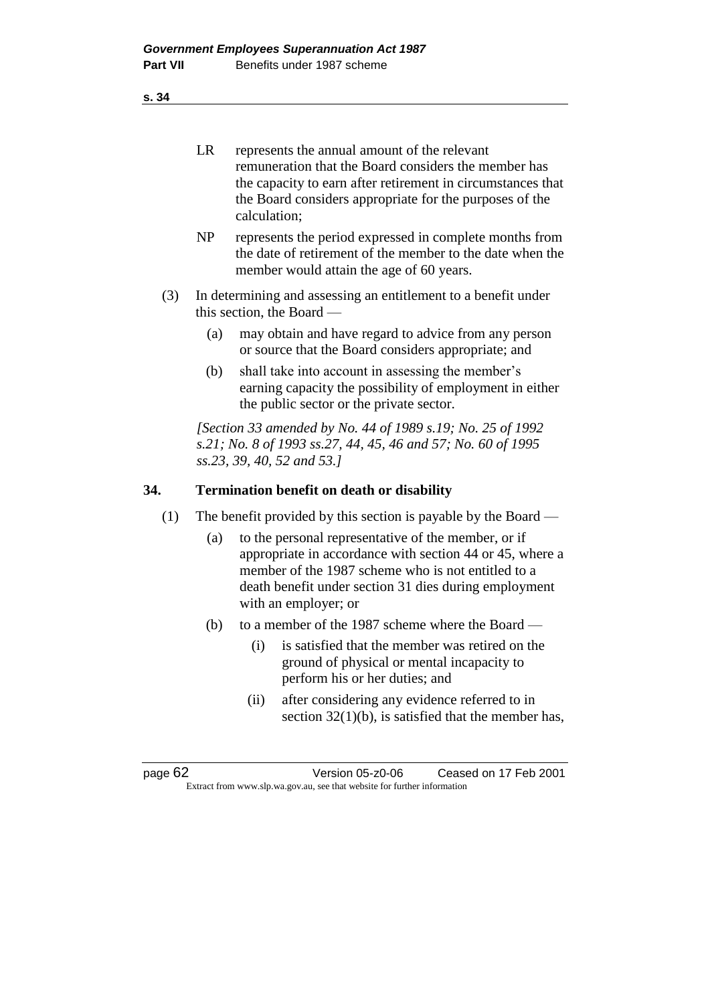|         | <b>LR</b> | represents the annual amount of the relevant<br>remuneration that the Board considers the member has<br>the capacity to earn after retirement in circumstances that<br>the Board considers appropriate for the purposes of the<br>calculation;         |
|---------|-----------|--------------------------------------------------------------------------------------------------------------------------------------------------------------------------------------------------------------------------------------------------------|
|         | NP        | represents the period expressed in complete months from<br>the date of retirement of the member to the date when the<br>member would attain the age of 60 years.                                                                                       |
| (3)     |           | In determining and assessing an entitlement to a benefit under<br>this section, the Board -                                                                                                                                                            |
|         | (a)       | may obtain and have regard to advice from any person<br>or source that the Board considers appropriate; and                                                                                                                                            |
|         | (b)       | shall take into account in assessing the member's<br>earning capacity the possibility of employment in either<br>the public sector or the private sector.                                                                                              |
|         |           | [Section 33 amended by No. 44 of 1989 s.19; No. 25 of 1992<br>s.21; No. 8 of 1993 ss.27, 44, 45, 46 and 57; No. 60 of 1995<br>ss.23, 39, 40, 52 and 53.1                                                                                               |
| 34.     |           | <b>Termination benefit on death or disability</b>                                                                                                                                                                                                      |
| (1)     |           | The benefit provided by this section is payable by the Board $-$                                                                                                                                                                                       |
|         | (a)       | to the personal representative of the member, or if<br>appropriate in accordance with section 44 or 45, where a<br>member of the 1987 scheme who is not entitled to a<br>death benefit under section 31 dies during employment<br>with an employer; or |
|         | (b)       | to a member of the 1987 scheme where the Board —                                                                                                                                                                                                       |
|         |           | is satisfied that the member was retired on the<br>(i)<br>ground of physical or mental incapacity to<br>perform his or her duties; and                                                                                                                 |
|         |           | after considering any evidence referred to in<br>(ii)<br>section $32(1)(b)$ , is satisfied that the member has,                                                                                                                                        |
|         |           |                                                                                                                                                                                                                                                        |
| page 62 |           | Ceased on 17 Feb 2001<br>Version 05-z0-06<br>Extract from www.slp.wa.gov.au, see that website for further information                                                                                                                                  |
|         |           |                                                                                                                                                                                                                                                        |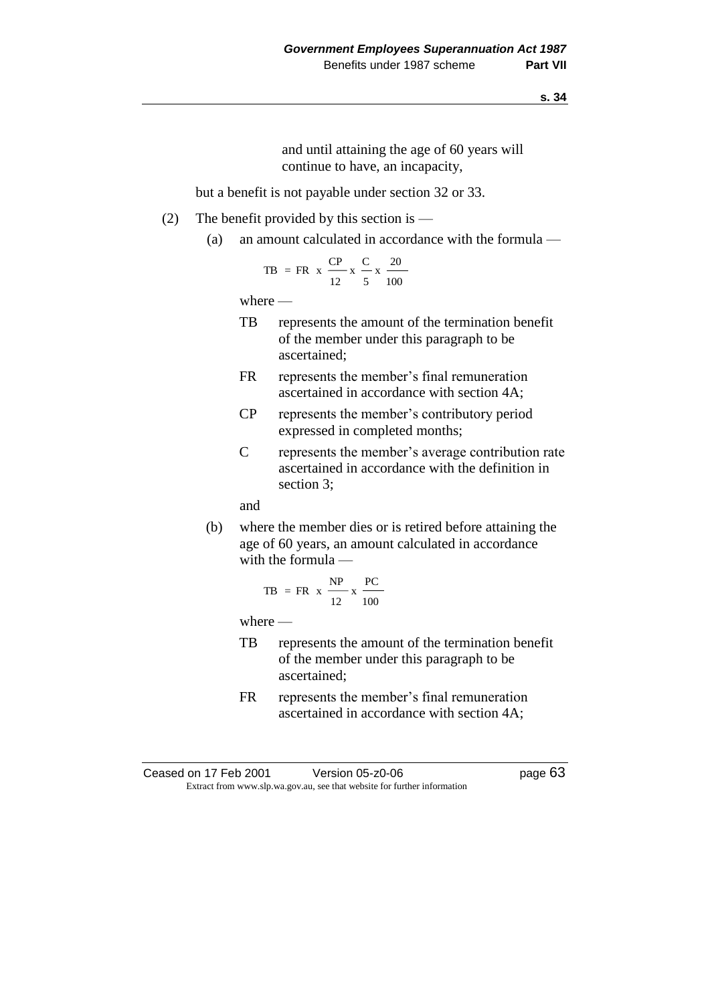and until attaining the age of 60 years will continue to have, an incapacity,

but a benefit is not payable under section 32 or 33.

- (2) The benefit provided by this section is
	- (a) an amount calculated in accordance with the formula —

TB = FR x 
$$
\frac{CP}{12}
$$
 x  $\frac{C}{5}$  x  $\frac{20}{100}$ 

where —

- TB represents the amount of the termination benefit of the member under this paragraph to be ascertained;
- FR represents the member's final remuneration ascertained in accordance with section 4A;
- CP represents the member's contributory period expressed in completed months;
- C represents the member's average contribution rate ascertained in accordance with the definition in section 3;

and

(b) where the member dies or is retired before attaining the age of 60 years, an amount calculated in accordance with the formula —

$$
TB = FR \times \frac{NP}{12} \times \frac{PC}{100}
$$

where —

- TB represents the amount of the termination benefit of the member under this paragraph to be ascertained;
- FR represents the member's final remuneration ascertained in accordance with section 4A;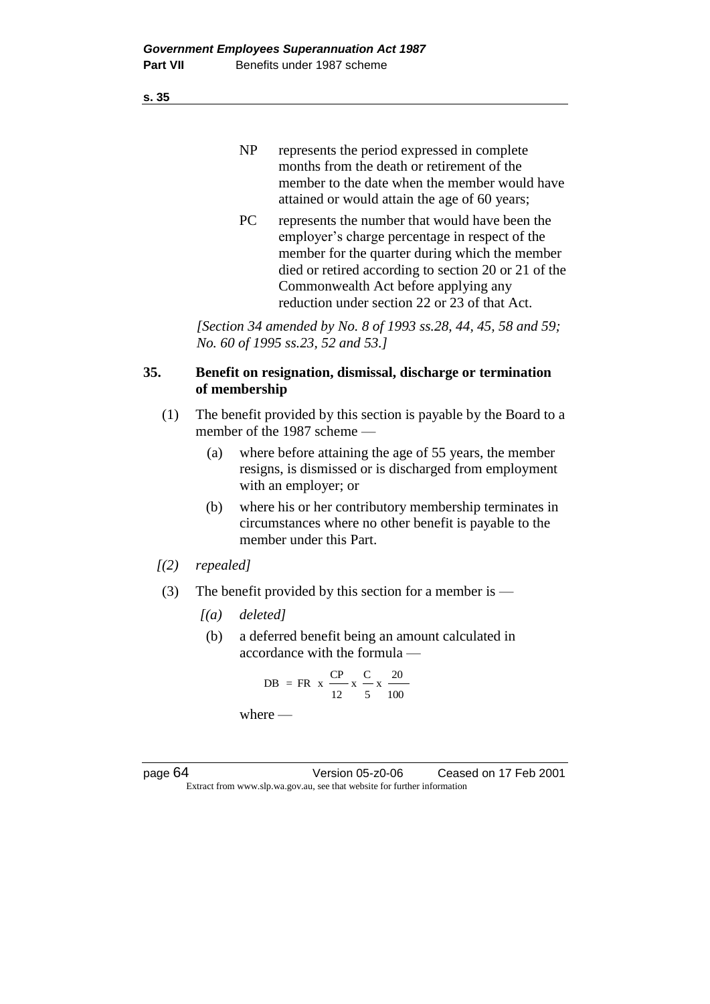| N <sub>P</sub> | represents the period expressed in complete   |
|----------------|-----------------------------------------------|
|                | months from the death or retirement of the    |
|                | member to the date when the member would have |
|                | attained or would attain the age of 60 years; |

PC represents the number that would have been the employer's charge percentage in respect of the member for the quarter during which the member died or retired according to section 20 or 21 of the Commonwealth Act before applying any reduction under section 22 or 23 of that Act.

*[Section 34 amended by No. 8 of 1993 ss.28, 44, 45, 58 and 59; No. 60 of 1995 ss.23, 52 and 53.]* 

## **35. Benefit on resignation, dismissal, discharge or termination of membership**

- (1) The benefit provided by this section is payable by the Board to a member of the 1987 scheme —
	- (a) where before attaining the age of 55 years, the member resigns, is dismissed or is discharged from employment with an employer; or
	- (b) where his or her contributory membership terminates in circumstances where no other benefit is payable to the member under this Part.
- *[(2) repealed]*
- (3) The benefit provided by this section for a member is
	- *[(a) deleted]*
	- (b) a deferred benefit being an amount calculated in accordance with the formula —

$$
DB = FR \times \frac{CP}{12} \times \frac{C}{5} \times \frac{20}{100}
$$
  
where —

page 64 Version 05-z0-06 Ceased on 17 Feb 2001 Extract from www.slp.wa.gov.au, see that website for further information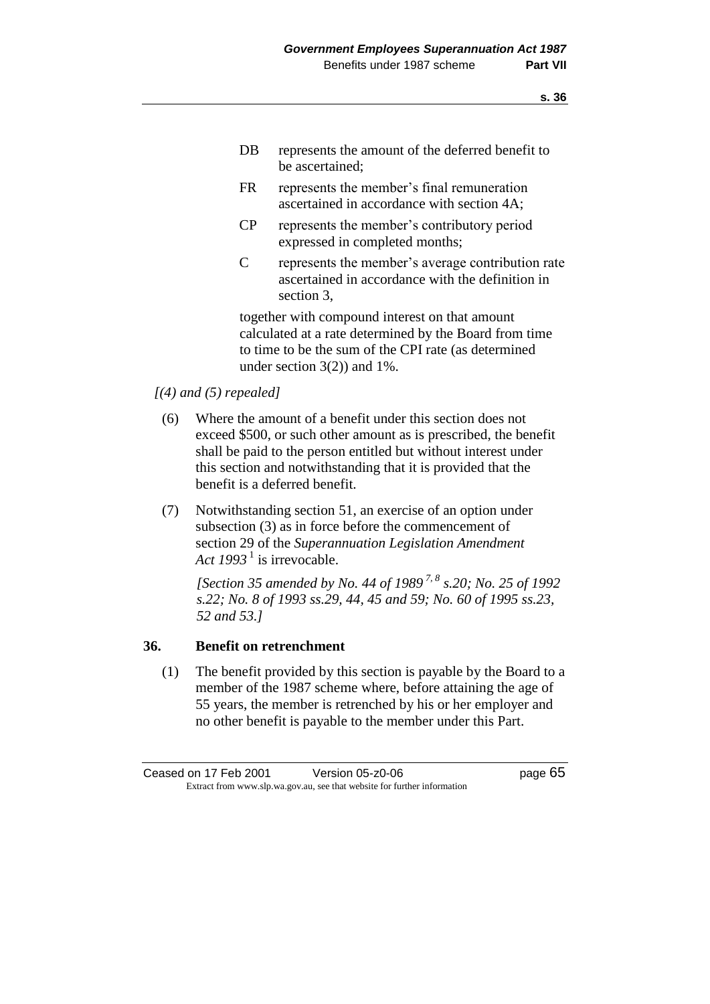- DB represents the amount of the deferred benefit to be ascertained;
- FR represents the member's final remuneration ascertained in accordance with section 4A;
- CP represents the member's contributory period expressed in completed months;
- C represents the member's average contribution rate ascertained in accordance with the definition in section 3,

together with compound interest on that amount calculated at a rate determined by the Board from time to time to be the sum of the CPI rate (as determined under section 3(2)) and 1%.

- *[(4) and (5) repealed]*
	- (6) Where the amount of a benefit under this section does not exceed \$500, or such other amount as is prescribed, the benefit shall be paid to the person entitled but without interest under this section and notwithstanding that it is provided that the benefit is a deferred benefit.
	- (7) Notwithstanding section 51, an exercise of an option under subsection (3) as in force before the commencement of section 29 of the *Superannuation Legislation Amendment*  Act 1993<sup>1</sup> is irrevocable.

*[Section 35 amended by No. 44 of 1989 7, 8 s.20; No. 25 of 1992 s.22; No. 8 of 1993 ss.29, 44, 45 and 59; No. 60 of 1995 ss.23, 52 and 53.]* 

### **36. Benefit on retrenchment**

(1) The benefit provided by this section is payable by the Board to a member of the 1987 scheme where, before attaining the age of 55 years, the member is retrenched by his or her employer and no other benefit is payable to the member under this Part.

Ceased on 17 Feb 2001 Version 05-z0-06 Page 65 Extract from www.slp.wa.gov.au, see that website for further information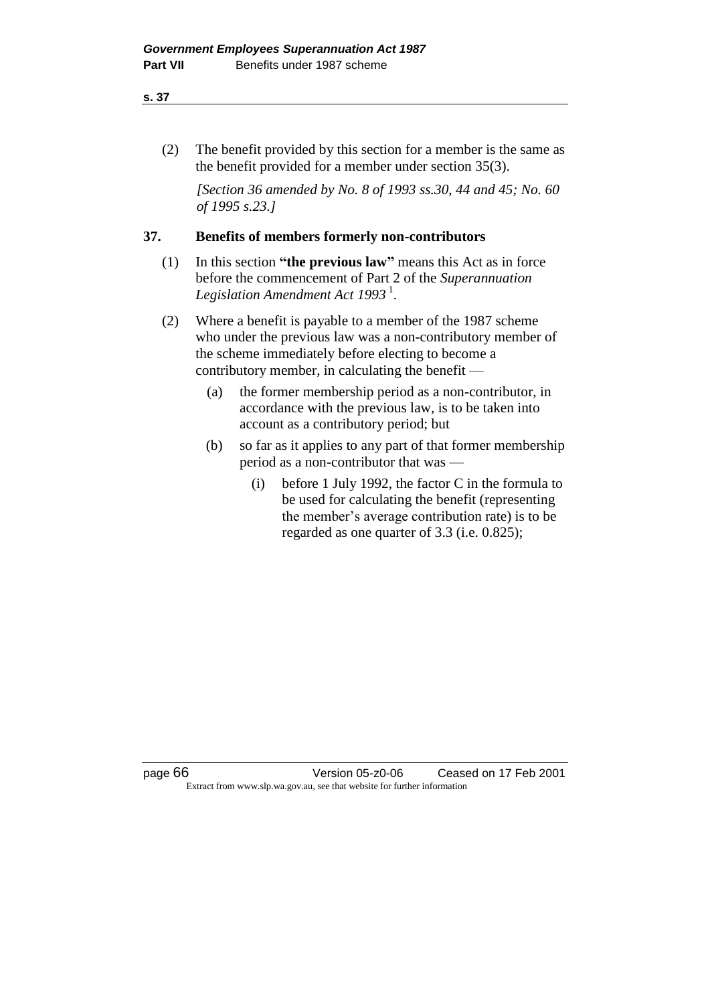### **s. 37**

(2) The benefit provided by this section for a member is the same as the benefit provided for a member under section 35(3).

*[Section 36 amended by No. 8 of 1993 ss.30, 44 and 45; No. 60 of 1995 s.23.]* 

# **37. Benefits of members formerly non-contributors**

- (1) In this section **"the previous law"** means this Act as in force before the commencement of Part 2 of the *Superannuation Legislation Amendment Act 1993* <sup>1</sup> .
- (2) Where a benefit is payable to a member of the 1987 scheme who under the previous law was a non-contributory member of the scheme immediately before electing to become a contributory member, in calculating the benefit —
	- (a) the former membership period as a non-contributor, in accordance with the previous law, is to be taken into account as a contributory period; but
	- (b) so far as it applies to any part of that former membership period as a non-contributor that was —
		- (i) before 1 July 1992, the factor C in the formula to be used for calculating the benefit (representing the member's average contribution rate) is to be regarded as one quarter of 3.3 (i.e. 0.825);

page 66 Version 05-z0-06 Ceased on 17 Feb 2001 Extract from www.slp.wa.gov.au, see that website for further information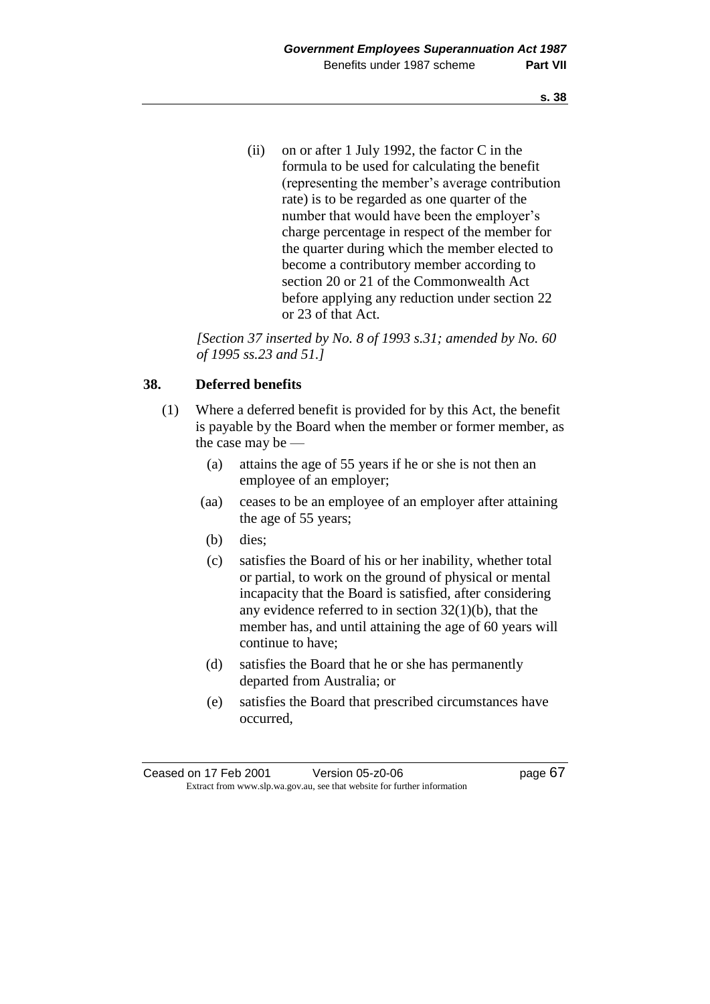(ii) on or after 1 July 1992, the factor C in the formula to be used for calculating the benefit (representing the member's average contribution rate) is to be regarded as one quarter of the number that would have been the employer's charge percentage in respect of the member for the quarter during which the member elected to become a contributory member according to section 20 or 21 of the Commonwealth Act before applying any reduction under section 22 or 23 of that Act.

*[Section 37 inserted by No. 8 of 1993 s.31; amended by No. 60 of 1995 ss.23 and 51.]* 

# **38. Deferred benefits**

- (1) Where a deferred benefit is provided for by this Act, the benefit is payable by the Board when the member or former member, as the case may be —
	- (a) attains the age of 55 years if he or she is not then an employee of an employer;
	- (aa) ceases to be an employee of an employer after attaining the age of 55 years;
	- (b) dies;
	- (c) satisfies the Board of his or her inability, whether total or partial, to work on the ground of physical or mental incapacity that the Board is satisfied, after considering any evidence referred to in section  $32(1)(b)$ , that the member has, and until attaining the age of 60 years will continue to have;
	- (d) satisfies the Board that he or she has permanently departed from Australia; or
	- (e) satisfies the Board that prescribed circumstances have occurred,

Ceased on 17 Feb 2001 Version 05-z0-06 Page 67 Extract from www.slp.wa.gov.au, see that website for further information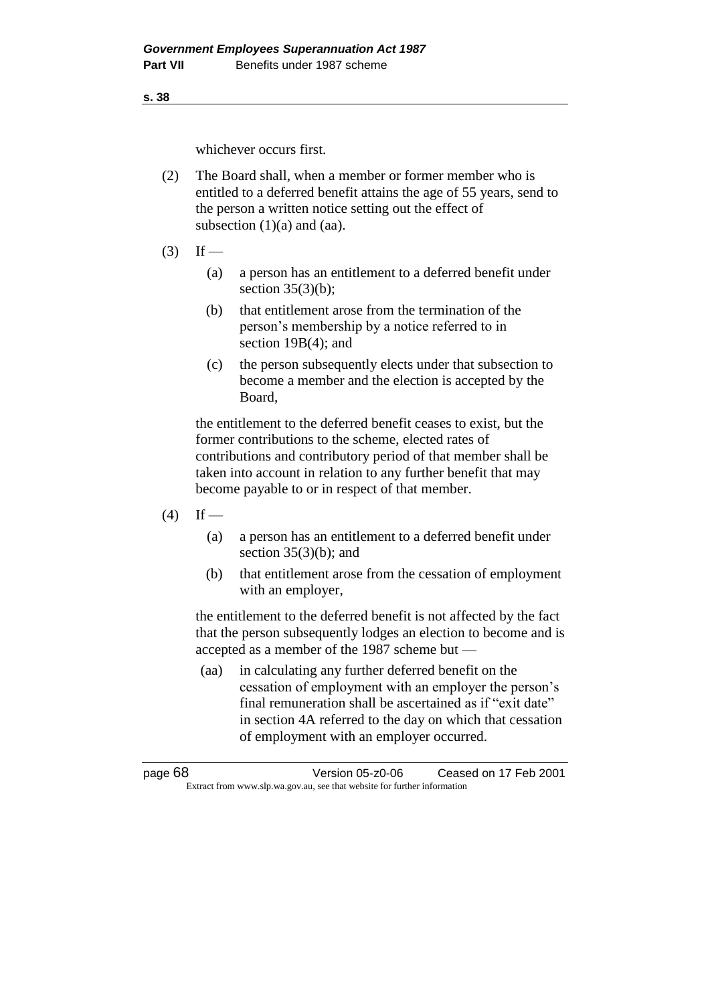**s. 38**

whichever occurs first.

- (2) The Board shall, when a member or former member who is entitled to a deferred benefit attains the age of 55 years, send to the person a written notice setting out the effect of subsection  $(1)(a)$  and  $(aa)$ .
- $(3)$  If
	- (a) a person has an entitlement to a deferred benefit under section  $35(3)(b)$ ;
	- (b) that entitlement arose from the termination of the person's membership by a notice referred to in section 19B(4); and
	- (c) the person subsequently elects under that subsection to become a member and the election is accepted by the Board,

the entitlement to the deferred benefit ceases to exist, but the former contributions to the scheme, elected rates of contributions and contributory period of that member shall be taken into account in relation to any further benefit that may become payable to or in respect of that member.

- $(4)$  If
	- (a) a person has an entitlement to a deferred benefit under section  $35(3)(b)$ ; and
	- (b) that entitlement arose from the cessation of employment with an employer,

the entitlement to the deferred benefit is not affected by the fact that the person subsequently lodges an election to become and is accepted as a member of the 1987 scheme but —

(aa) in calculating any further deferred benefit on the cessation of employment with an employer the person's final remuneration shall be ascertained as if "exit date" in section 4A referred to the day on which that cessation of employment with an employer occurred.

page 68 Version 05-z0-06 Ceased on 17 Feb 2001 Extract from www.slp.wa.gov.au, see that website for further information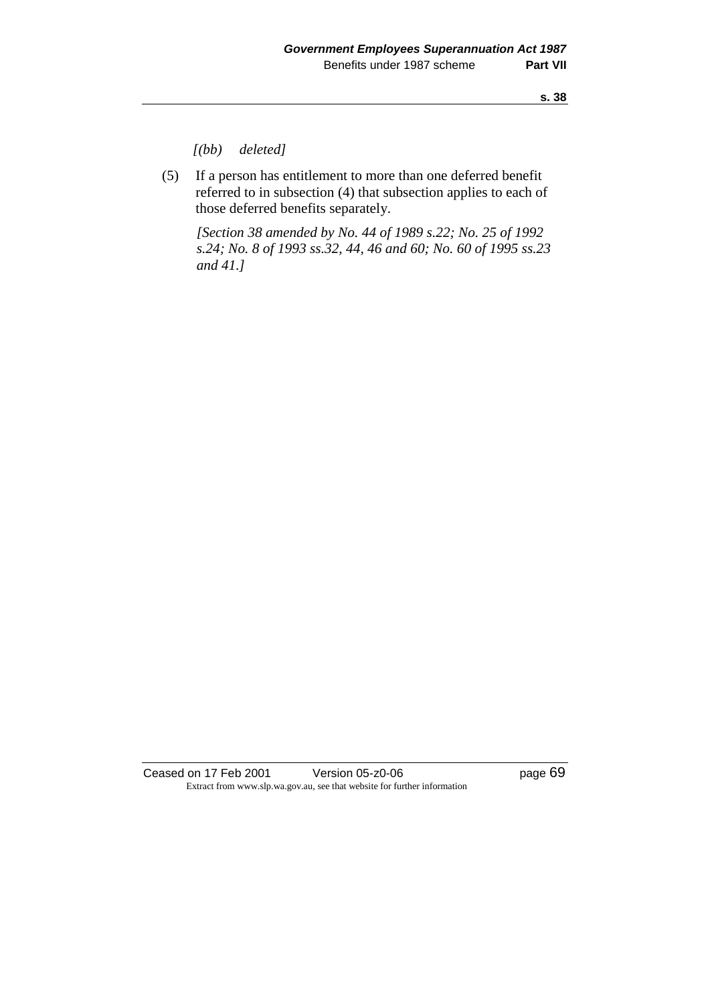*[(bb) deleted]*

(5) If a person has entitlement to more than one deferred benefit referred to in subsection (4) that subsection applies to each of those deferred benefits separately.

*[Section 38 amended by No. 44 of 1989 s.22; No. 25 of 1992 s.24; No. 8 of 1993 ss.32, 44, 46 and 60; No. 60 of 1995 ss.23 and 41.]* 

Ceased on 17 Feb 2001 Version 05-z0-06 Page 69 Extract from www.slp.wa.gov.au, see that website for further information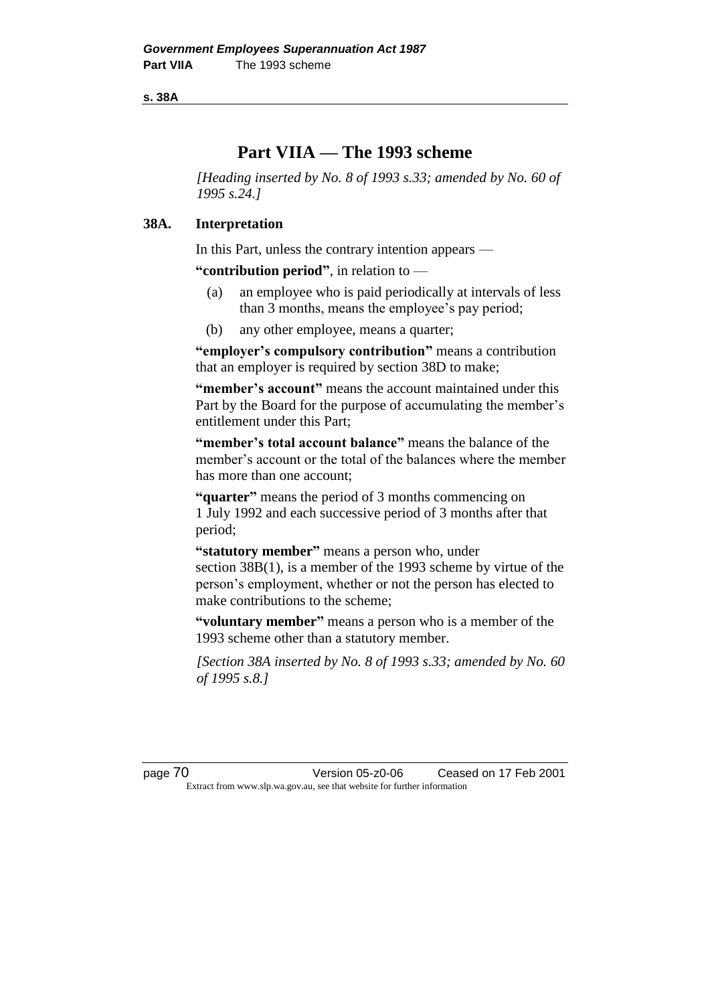**s. 38A**

# **Part VIIA — The 1993 scheme**

*[Heading inserted by No. 8 of 1993 s.33; amended by No. 60 of 1995 s.24.]* 

### **38A. Interpretation**

In this Part, unless the contrary intention appears —

**"contribution period"**, in relation to —

- (a) an employee who is paid periodically at intervals of less than 3 months, means the employee's pay period;
- (b) any other employee, means a quarter;

**"employer's compulsory contribution"** means a contribution that an employer is required by section 38D to make;

**"member's account"** means the account maintained under this Part by the Board for the purpose of accumulating the member's entitlement under this Part;

**"member's total account balance"** means the balance of the member's account or the total of the balances where the member has more than one account;

**"quarter"** means the period of 3 months commencing on 1 July 1992 and each successive period of 3 months after that period;

**"statutory member"** means a person who, under section 38B(1), is a member of the 1993 scheme by virtue of the person's employment, whether or not the person has elected to make contributions to the scheme;

**"voluntary member"** means a person who is a member of the 1993 scheme other than a statutory member.

*[Section 38A inserted by No. 8 of 1993 s.33; amended by No. 60 of 1995 s.8.]* 

page 70 Version 05-z0-06 Ceased on 17 Feb 2001 Extract from www.slp.wa.gov.au, see that website for further information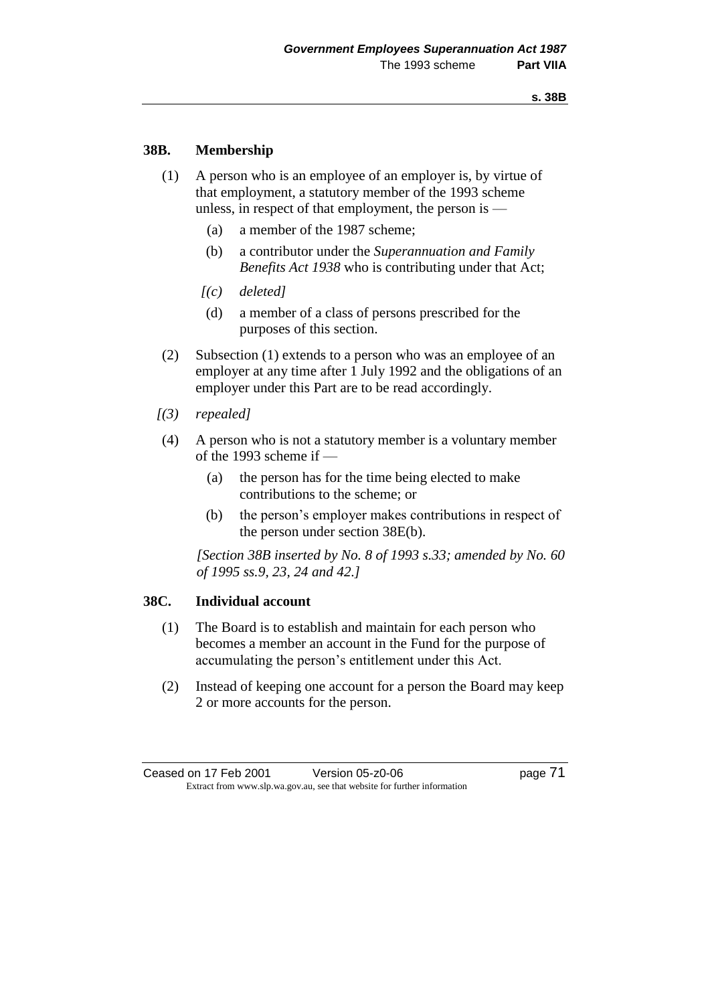# **38B. Membership**

- (1) A person who is an employee of an employer is, by virtue of that employment, a statutory member of the 1993 scheme unless, in respect of that employment, the person is —
	- (a) a member of the 1987 scheme;
	- (b) a contributor under the *Superannuation and Family Benefits Act 1938* who is contributing under that Act;
	- *[(c) deleted]*
	- (d) a member of a class of persons prescribed for the purposes of this section.
- (2) Subsection (1) extends to a person who was an employee of an employer at any time after 1 July 1992 and the obligations of an employer under this Part are to be read accordingly.
- *[(3) repealed]*
- (4) A person who is not a statutory member is a voluntary member of the 1993 scheme if —
	- (a) the person has for the time being elected to make contributions to the scheme; or
	- (b) the person's employer makes contributions in respect of the person under section 38E(b).

*[Section 38B inserted by No. 8 of 1993 s.33; amended by No. 60 of 1995 ss.9, 23, 24 and 42.]* 

### **38C. Individual account**

- (1) The Board is to establish and maintain for each person who becomes a member an account in the Fund for the purpose of accumulating the person's entitlement under this Act.
- (2) Instead of keeping one account for a person the Board may keep 2 or more accounts for the person.

Ceased on 17 Feb 2001 Version 05-z0-06 Page 71 Extract from www.slp.wa.gov.au, see that website for further information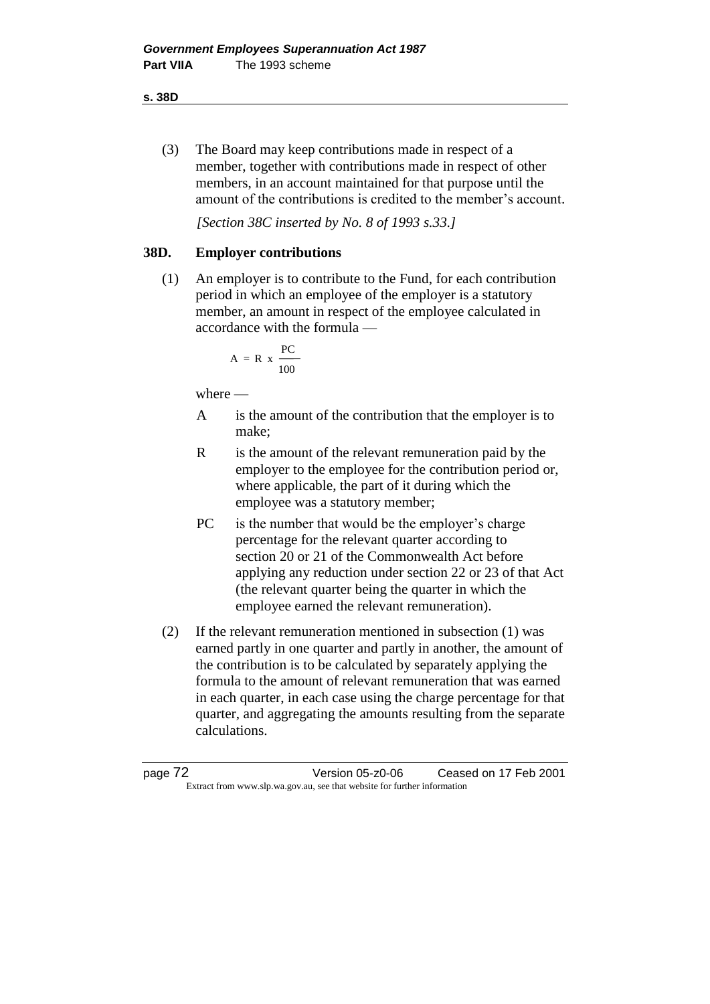**s. 38D**

(3) The Board may keep contributions made in respect of a member, together with contributions made in respect of other members, in an account maintained for that purpose until the amount of the contributions is credited to the member's account.

*[Section 38C inserted by No. 8 of 1993 s.33.]*

# **38D. Employer contributions**

(1) An employer is to contribute to the Fund, for each contribution period in which an employee of the employer is a statutory member, an amount in respect of the employee calculated in accordance with the formula —

$$
A = R \times \frac{PC}{100}
$$

where  $-$ 

- A is the amount of the contribution that the employer is to make;
- R is the amount of the relevant remuneration paid by the employer to the employee for the contribution period or, where applicable, the part of it during which the employee was a statutory member;
- PC is the number that would be the employer's charge percentage for the relevant quarter according to section 20 or 21 of the Commonwealth Act before applying any reduction under section 22 or 23 of that Act (the relevant quarter being the quarter in which the employee earned the relevant remuneration).
- (2) If the relevant remuneration mentioned in subsection (1) was earned partly in one quarter and partly in another, the amount of the contribution is to be calculated by separately applying the formula to the amount of relevant remuneration that was earned in each quarter, in each case using the charge percentage for that quarter, and aggregating the amounts resulting from the separate calculations.

page 72 Version 05-z0-06 Ceased on 17 Feb 2001 Extract from www.slp.wa.gov.au, see that website for further information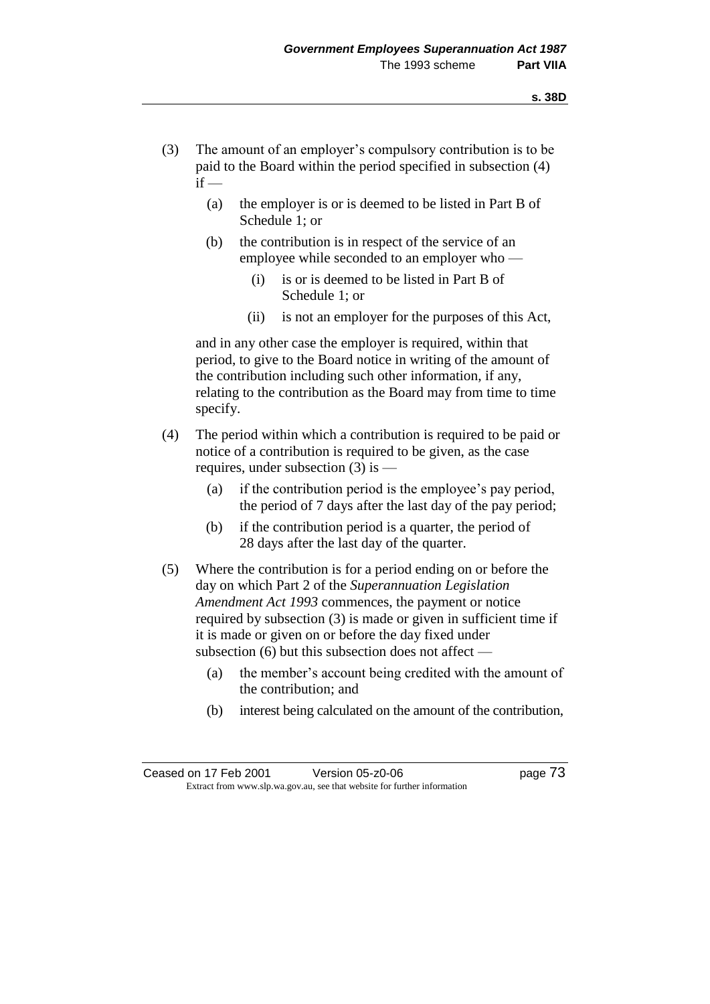- (3) The amount of an employer's compulsory contribution is to be paid to the Board within the period specified in subsection (4)  $if -$ 
	- (a) the employer is or is deemed to be listed in Part B of Schedule 1; or
	- (b) the contribution is in respect of the service of an employee while seconded to an employer who —
		- (i) is or is deemed to be listed in Part B of Schedule 1; or
		- (ii) is not an employer for the purposes of this Act,

and in any other case the employer is required, within that period, to give to the Board notice in writing of the amount of the contribution including such other information, if any, relating to the contribution as the Board may from time to time specify.

- (4) The period within which a contribution is required to be paid or notice of a contribution is required to be given, as the case requires, under subsection  $(3)$  is  $-$ 
	- (a) if the contribution period is the employee's pay period, the period of 7 days after the last day of the pay period;
	- (b) if the contribution period is a quarter, the period of 28 days after the last day of the quarter.
- (5) Where the contribution is for a period ending on or before the day on which Part 2 of the *Superannuation Legislation Amendment Act 1993* commences, the payment or notice required by subsection (3) is made or given in sufficient time if it is made or given on or before the day fixed under subsection (6) but this subsection does not affect —
	- (a) the member's account being credited with the amount of the contribution; and
	- (b) interest being calculated on the amount of the contribution,

Ceased on 17 Feb 2001 Version 05-z0-06 Page 73 Extract from www.slp.wa.gov.au, see that website for further information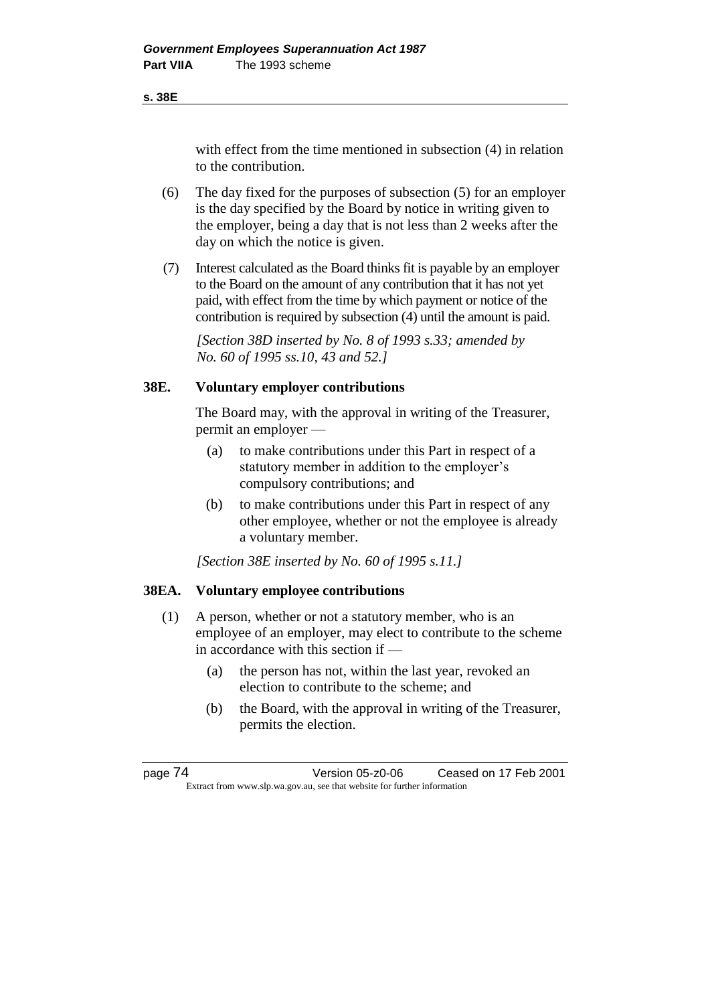#### **s. 38E**

with effect from the time mentioned in subsection (4) in relation to the contribution.

- (6) The day fixed for the purposes of subsection (5) for an employer is the day specified by the Board by notice in writing given to the employer, being a day that is not less than 2 weeks after the day on which the notice is given.
- (7) Interest calculated as the Board thinks fit is payable by an employer to the Board on the amount of any contribution that it has not yet paid, with effect from the time by which payment or notice of the contribution is required by subsection (4) until the amount is paid.

*[Section 38D inserted by No. 8 of 1993 s.33; amended by No. 60 of 1995 ss.10, 43 and 52.]*

# **38E. Voluntary employer contributions**

The Board may, with the approval in writing of the Treasurer, permit an employer —

- (a) to make contributions under this Part in respect of a statutory member in addition to the employer's compulsory contributions; and
- (b) to make contributions under this Part in respect of any other employee, whether or not the employee is already a voluntary member.

*[Section 38E inserted by No. 60 of 1995 s.11.]* 

### **38EA. Voluntary employee contributions**

- (1) A person, whether or not a statutory member, who is an employee of an employer, may elect to contribute to the scheme in accordance with this section if —
	- (a) the person has not, within the last year, revoked an election to contribute to the scheme; and
	- (b) the Board, with the approval in writing of the Treasurer, permits the election.

page 74 Version 05-z0-06 Ceased on 17 Feb 2001 Extract from www.slp.wa.gov.au, see that website for further information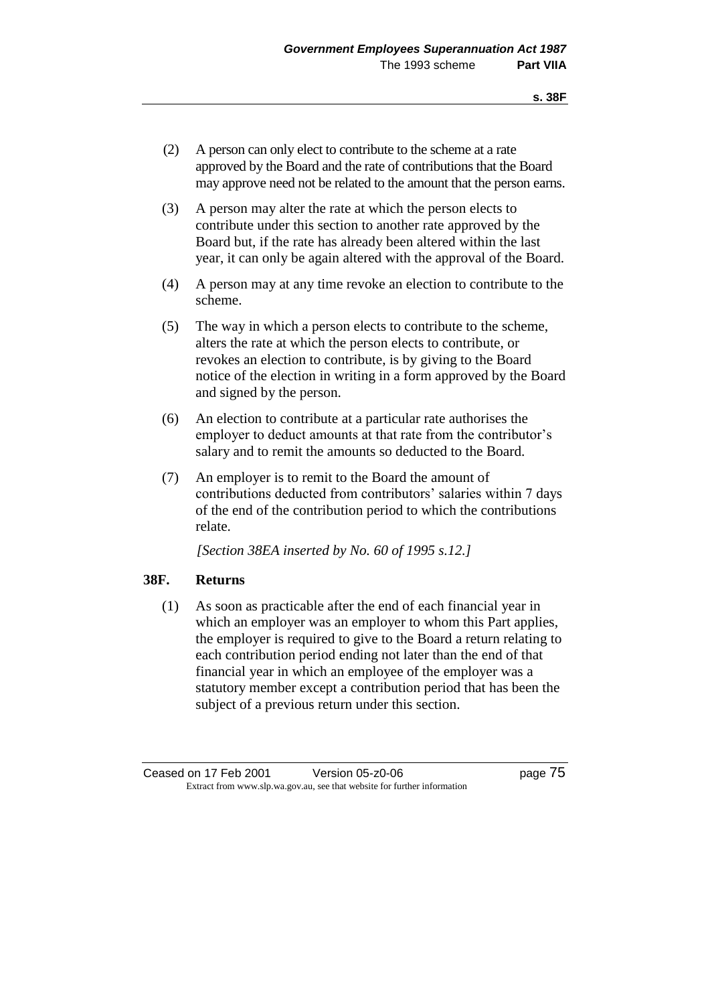- (2) A person can only elect to contribute to the scheme at a rate approved by the Board and the rate of contributions that the Board may approve need not be related to the amount that the person earns.
- (3) A person may alter the rate at which the person elects to contribute under this section to another rate approved by the Board but, if the rate has already been altered within the last year, it can only be again altered with the approval of the Board.
- (4) A person may at any time revoke an election to contribute to the scheme.
- (5) The way in which a person elects to contribute to the scheme, alters the rate at which the person elects to contribute, or revokes an election to contribute, is by giving to the Board notice of the election in writing in a form approved by the Board and signed by the person.
- (6) An election to contribute at a particular rate authorises the employer to deduct amounts at that rate from the contributor's salary and to remit the amounts so deducted to the Board.
- (7) An employer is to remit to the Board the amount of contributions deducted from contributors' salaries within 7 days of the end of the contribution period to which the contributions relate.

*[Section 38EA inserted by No. 60 of 1995 s.12.]* 

# **38F. Returns**

(1) As soon as practicable after the end of each financial year in which an employer was an employer to whom this Part applies, the employer is required to give to the Board a return relating to each contribution period ending not later than the end of that financial year in which an employee of the employer was a statutory member except a contribution period that has been the subject of a previous return under this section.

Ceased on 17 Feb 2001 Version 05-z0-06 Page 75 Extract from www.slp.wa.gov.au, see that website for further information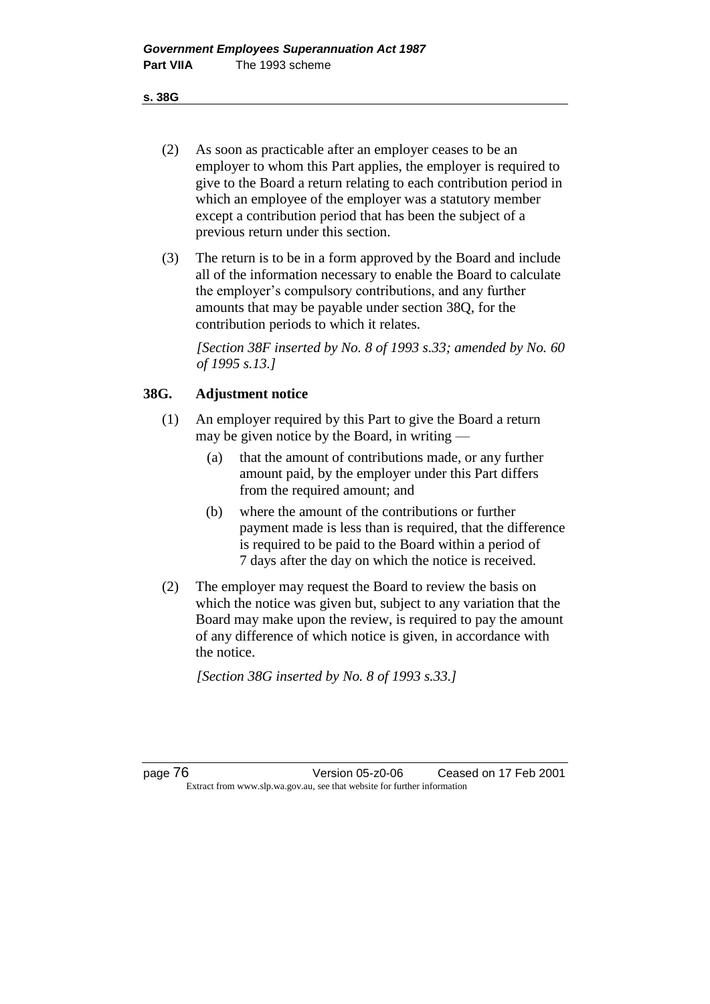**s. 38G**

- (2) As soon as practicable after an employer ceases to be an employer to whom this Part applies, the employer is required to give to the Board a return relating to each contribution period in which an employee of the employer was a statutory member except a contribution period that has been the subject of a previous return under this section.
- (3) The return is to be in a form approved by the Board and include all of the information necessary to enable the Board to calculate the employer's compulsory contributions, and any further amounts that may be payable under section 38Q, for the contribution periods to which it relates.

*[Section 38F inserted by No. 8 of 1993 s.33; amended by No. 60 of 1995 s.13.]*

# **38G. Adjustment notice**

- (1) An employer required by this Part to give the Board a return may be given notice by the Board, in writing —
	- (a) that the amount of contributions made, or any further amount paid, by the employer under this Part differs from the required amount; and
	- (b) where the amount of the contributions or further payment made is less than is required, that the difference is required to be paid to the Board within a period of 7 days after the day on which the notice is received.
- (2) The employer may request the Board to review the basis on which the notice was given but, subject to any variation that the Board may make upon the review, is required to pay the amount of any difference of which notice is given, in accordance with the notice.

*[Section 38G inserted by No. 8 of 1993 s.33.]*

page 76 Version 05-z0-06 Ceased on 17 Feb 2001 Extract from www.slp.wa.gov.au, see that website for further information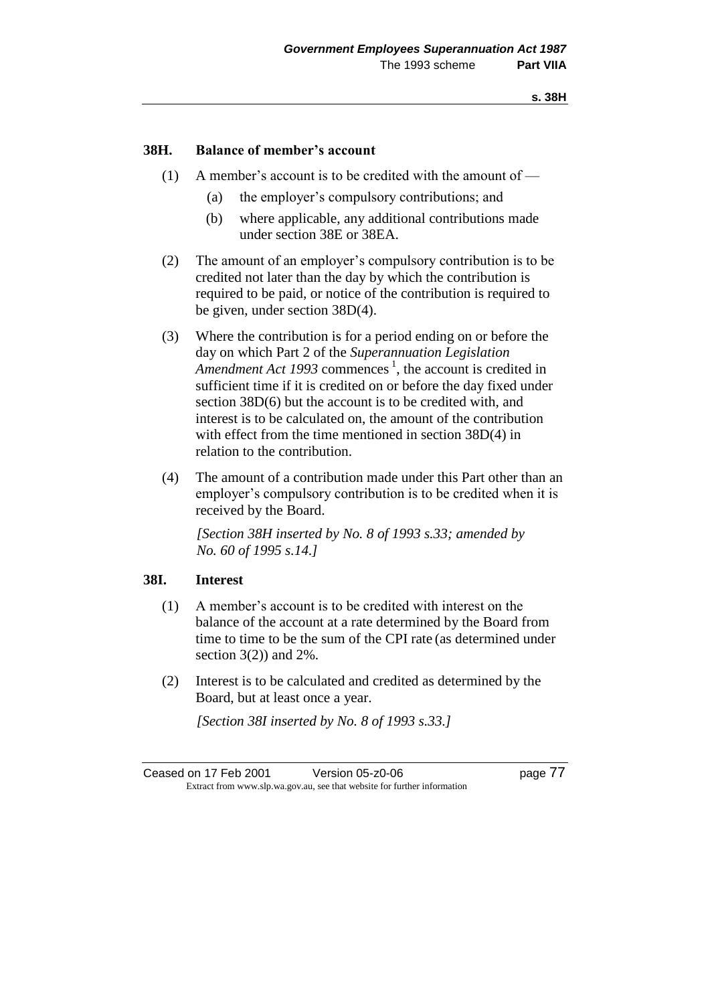# **38H. Balance of member's account**

- (1) A member's account is to be credited with the amount of
	- (a) the employer's compulsory contributions; and
	- (b) where applicable, any additional contributions made under section 38E or 38EA.
- (2) The amount of an employer's compulsory contribution is to be credited not later than the day by which the contribution is required to be paid, or notice of the contribution is required to be given, under section 38D(4).
- (3) Where the contribution is for a period ending on or before the day on which Part 2 of the *Superannuation Legislation*  Amendment Act 1993 commences<sup>1</sup>, the account is credited in sufficient time if it is credited on or before the day fixed under section 38D(6) but the account is to be credited with, and interest is to be calculated on, the amount of the contribution with effect from the time mentioned in section 38D(4) in relation to the contribution.
- (4) The amount of a contribution made under this Part other than an employer's compulsory contribution is to be credited when it is received by the Board.

*[Section 38H inserted by No. 8 of 1993 s.33; amended by No. 60 of 1995 s.14.]*

# **38I. Interest**

- (1) A member's account is to be credited with interest on the balance of the account at a rate determined by the Board from time to time to be the sum of the CPI rate (as determined under section  $3(2)$  and  $2\%$ .
- (2) Interest is to be calculated and credited as determined by the Board, but at least once a year.

*[Section 38I inserted by No. 8 of 1993 s.33.]*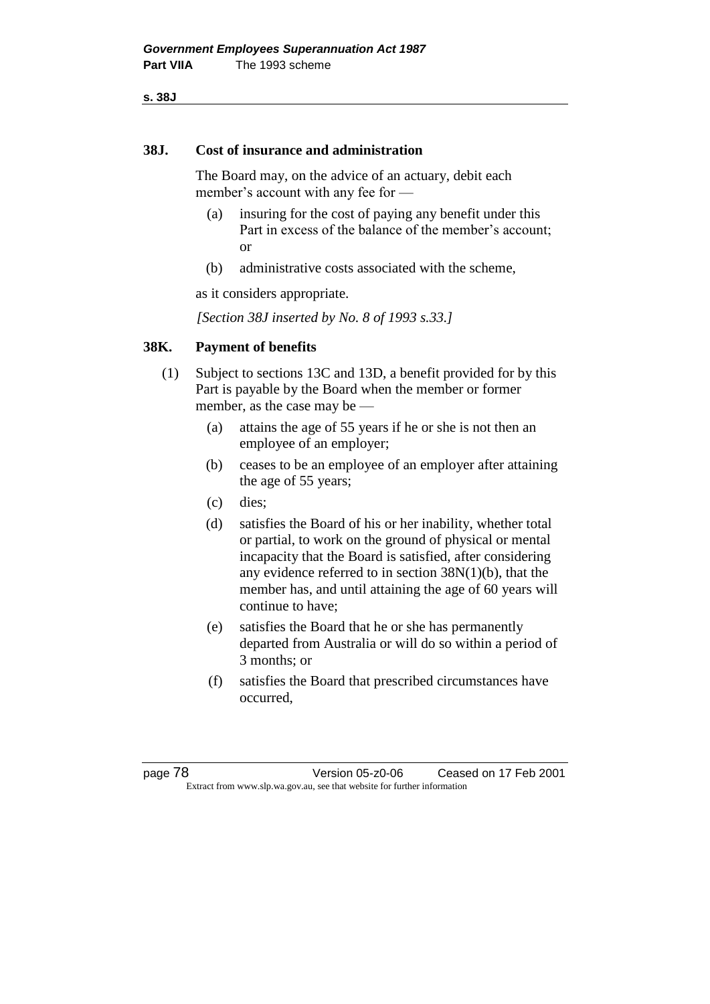**s. 38J**

### **38J. Cost of insurance and administration**

The Board may, on the advice of an actuary, debit each member's account with any fee for —

- (a) insuring for the cost of paying any benefit under this Part in excess of the balance of the member's account; or
- (b) administrative costs associated with the scheme,

as it considers appropriate.

*[Section 38J inserted by No. 8 of 1993 s.33.]*

# **38K. Payment of benefits**

- (1) Subject to sections 13C and 13D, a benefit provided for by this Part is payable by the Board when the member or former member, as the case may be —
	- (a) attains the age of 55 years if he or she is not then an employee of an employer;
	- (b) ceases to be an employee of an employer after attaining the age of 55 years;
	- (c) dies;
	- (d) satisfies the Board of his or her inability, whether total or partial, to work on the ground of physical or mental incapacity that the Board is satisfied, after considering any evidence referred to in section 38N(1)(b), that the member has, and until attaining the age of 60 years will continue to have;
	- (e) satisfies the Board that he or she has permanently departed from Australia or will do so within a period of 3 months; or
	- (f) satisfies the Board that prescribed circumstances have occurred,

page 78 Version 05-z0-06 Ceased on 17 Feb 2001 Extract from www.slp.wa.gov.au, see that website for further information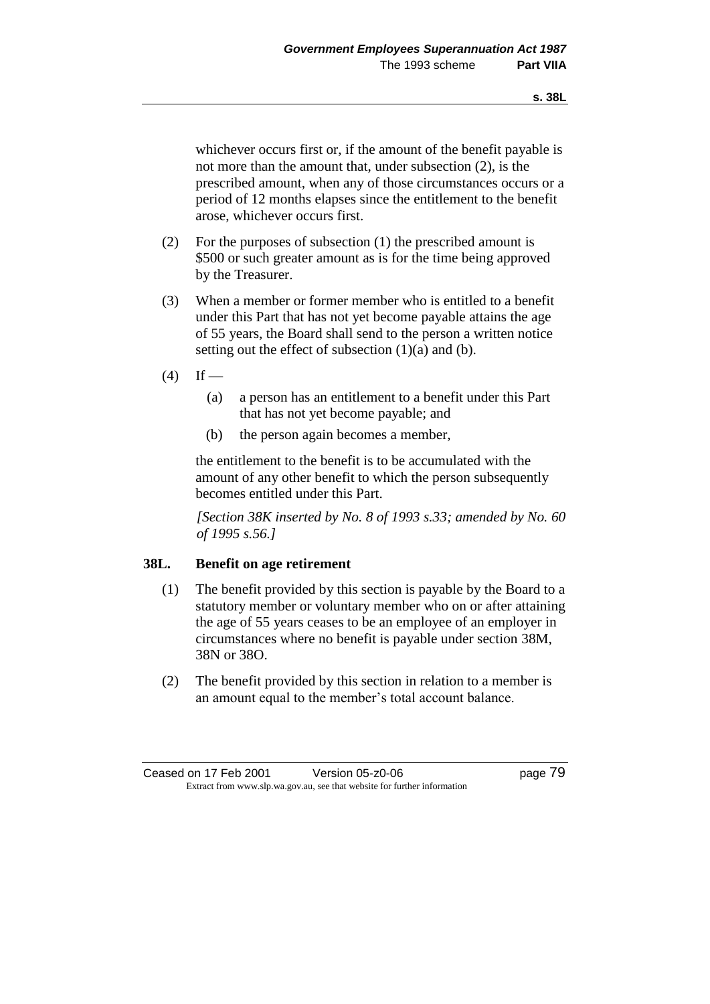whichever occurs first or, if the amount of the benefit payable is not more than the amount that, under subsection (2), is the prescribed amount, when any of those circumstances occurs or a period of 12 months elapses since the entitlement to the benefit arose, whichever occurs first.

- (2) For the purposes of subsection (1) the prescribed amount is \$500 or such greater amount as is for the time being approved by the Treasurer.
- (3) When a member or former member who is entitled to a benefit under this Part that has not yet become payable attains the age of 55 years, the Board shall send to the person a written notice setting out the effect of subsection  $(1)(a)$  and  $(b)$ .
- $(4)$  If
	- (a) a person has an entitlement to a benefit under this Part that has not yet become payable; and
	- (b) the person again becomes a member,

the entitlement to the benefit is to be accumulated with the amount of any other benefit to which the person subsequently becomes entitled under this Part.

*[Section 38K inserted by No. 8 of 1993 s.33; amended by No. 60 of 1995 s.56.]*

# **38L. Benefit on age retirement**

- (1) The benefit provided by this section is payable by the Board to a statutory member or voluntary member who on or after attaining the age of 55 years ceases to be an employee of an employer in circumstances where no benefit is payable under section 38M, 38N or 38O.
- (2) The benefit provided by this section in relation to a member is an amount equal to the member's total account balance.

Ceased on 17 Feb 2001 Version 05-z0-06 Page 79 Extract from www.slp.wa.gov.au, see that website for further information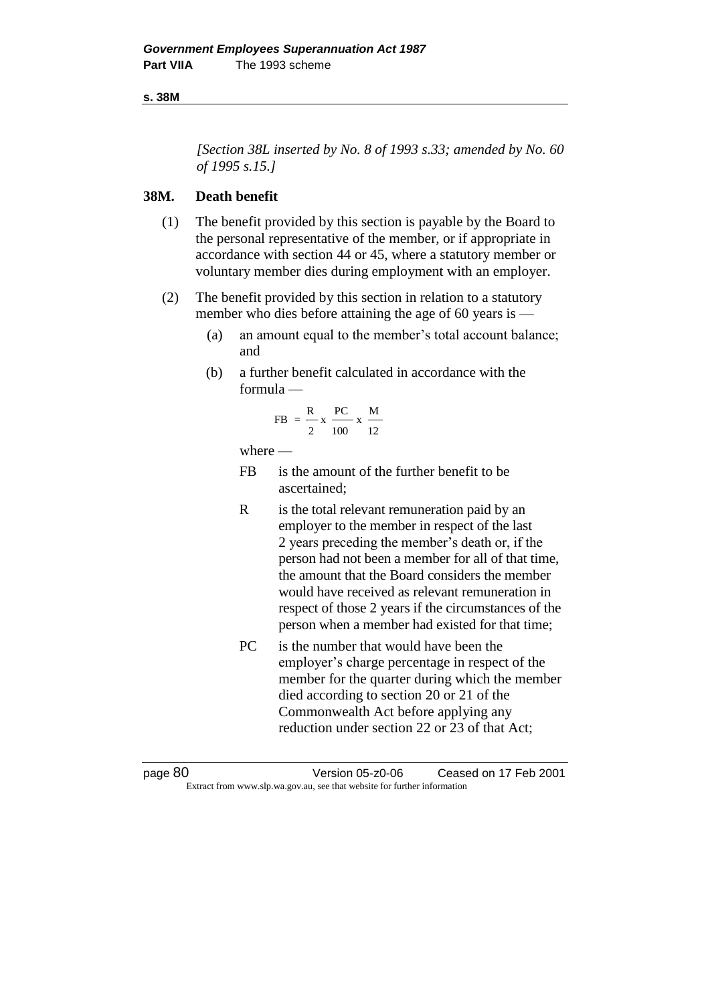### **s. 38M**

*[Section 38L inserted by No. 8 of 1993 s.33; amended by No. 60 of 1995 s.15.]*

# **38M. Death benefit**

- (1) The benefit provided by this section is payable by the Board to the personal representative of the member, or if appropriate in accordance with section 44 or 45, where a statutory member or voluntary member dies during employment with an employer.
- (2) The benefit provided by this section in relation to a statutory member who dies before attaining the age of 60 years is —
	- (a) an amount equal to the member's total account balance; and
	- (b) a further benefit calculated in accordance with the formula —

$$
FB = \frac{R}{2} x \frac{PC}{100} x \frac{M}{12}
$$

where —

- FB is the amount of the further benefit to be ascertained;
- R is the total relevant remuneration paid by an employer to the member in respect of the last 2 years preceding the member's death or, if the person had not been a member for all of that time, the amount that the Board considers the member would have received as relevant remuneration in respect of those 2 years if the circumstances of the person when a member had existed for that time;
- PC is the number that would have been the employer's charge percentage in respect of the member for the quarter during which the member died according to section 20 or 21 of the Commonwealth Act before applying any reduction under section 22 or 23 of that Act;

page 80 Version 05-z0-06 Ceased on 17 Feb 2001 Extract from www.slp.wa.gov.au, see that website for further information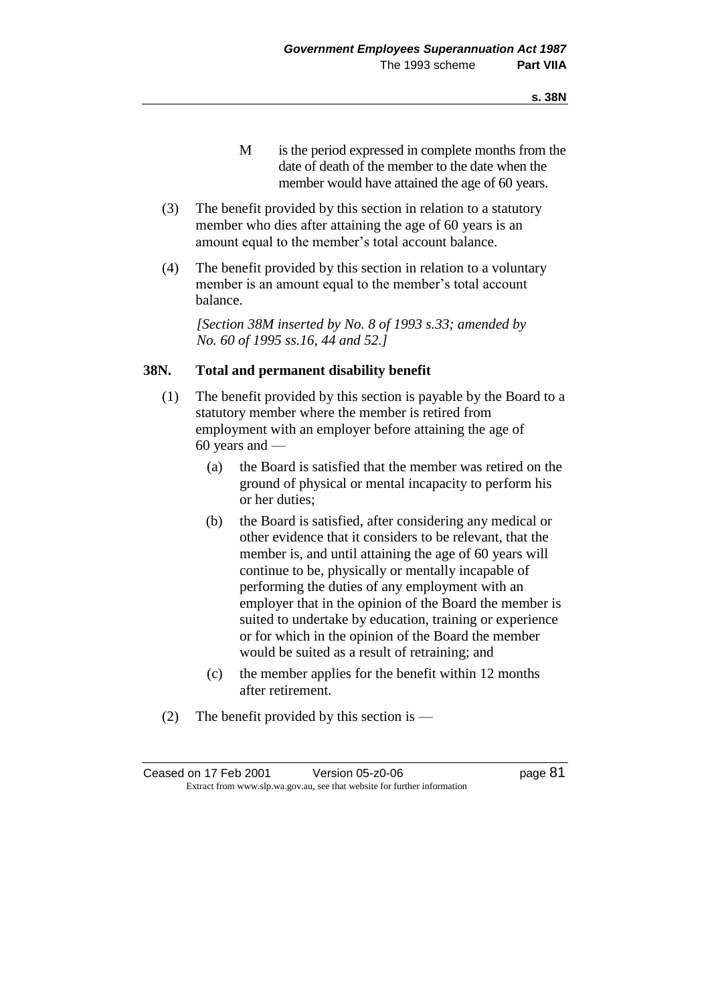- M is the period expressed in complete months from the date of death of the member to the date when the member would have attained the age of 60 years.
- (3) The benefit provided by this section in relation to a statutory member who dies after attaining the age of 60 years is an amount equal to the member's total account balance.
- (4) The benefit provided by this section in relation to a voluntary member is an amount equal to the member's total account balance.

*[Section 38M inserted by No. 8 of 1993 s.33; amended by No. 60 of 1995 ss.16, 44 and 52.]*

### **38N. Total and permanent disability benefit**

- (1) The benefit provided by this section is payable by the Board to a statutory member where the member is retired from employment with an employer before attaining the age of 60 years and —
	- (a) the Board is satisfied that the member was retired on the ground of physical or mental incapacity to perform his or her duties;
	- (b) the Board is satisfied, after considering any medical or other evidence that it considers to be relevant, that the member is, and until attaining the age of 60 years will continue to be, physically or mentally incapable of performing the duties of any employment with an employer that in the opinion of the Board the member is suited to undertake by education, training or experience or for which in the opinion of the Board the member would be suited as a result of retraining; and
	- (c) the member applies for the benefit within 12 months after retirement.
- (2) The benefit provided by this section is —

| Ceased on 17 Feb 2001 | Version 05-z0-06                                                         | page 81 |
|-----------------------|--------------------------------------------------------------------------|---------|
|                       | Extract from www.slp.wa.gov.au, see that website for further information |         |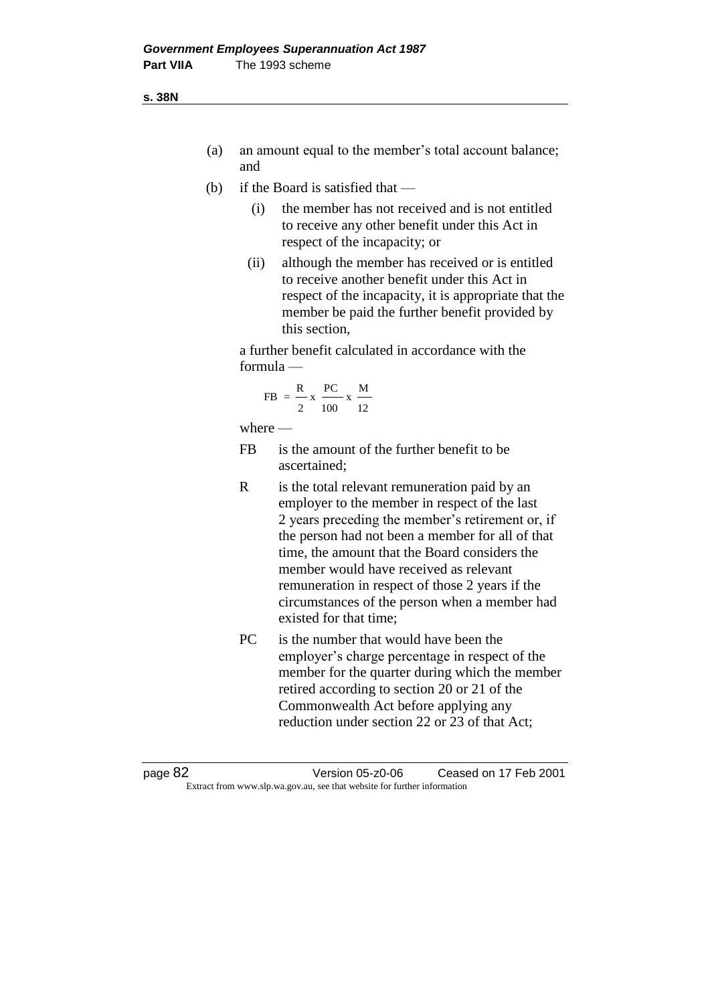**s. 38N**

- (a) an amount equal to the member's total account balance; and
- (b) if the Board is satisfied that
	- (i) the member has not received and is not entitled to receive any other benefit under this Act in respect of the incapacity; or
	- (ii) although the member has received or is entitled to receive another benefit under this Act in respect of the incapacity, it is appropriate that the member be paid the further benefit provided by this section,

a further benefit calculated in accordance with the formula —

$$
FB = \frac{R}{2} \times \frac{PC}{100} \times \frac{M}{12}
$$

where  $-$ 

- FB is the amount of the further benefit to be ascertained;
- R is the total relevant remuneration paid by an employer to the member in respect of the last 2 years preceding the member's retirement or, if the person had not been a member for all of that time, the amount that the Board considers the member would have received as relevant remuneration in respect of those 2 years if the circumstances of the person when a member had existed for that time;
- PC is the number that would have been the employer's charge percentage in respect of the member for the quarter during which the member retired according to section 20 or 21 of the Commonwealth Act before applying any reduction under section 22 or 23 of that Act;

page 82 Version 05-z0-06 Ceased on 17 Feb 2001 Extract from www.slp.wa.gov.au, see that website for further information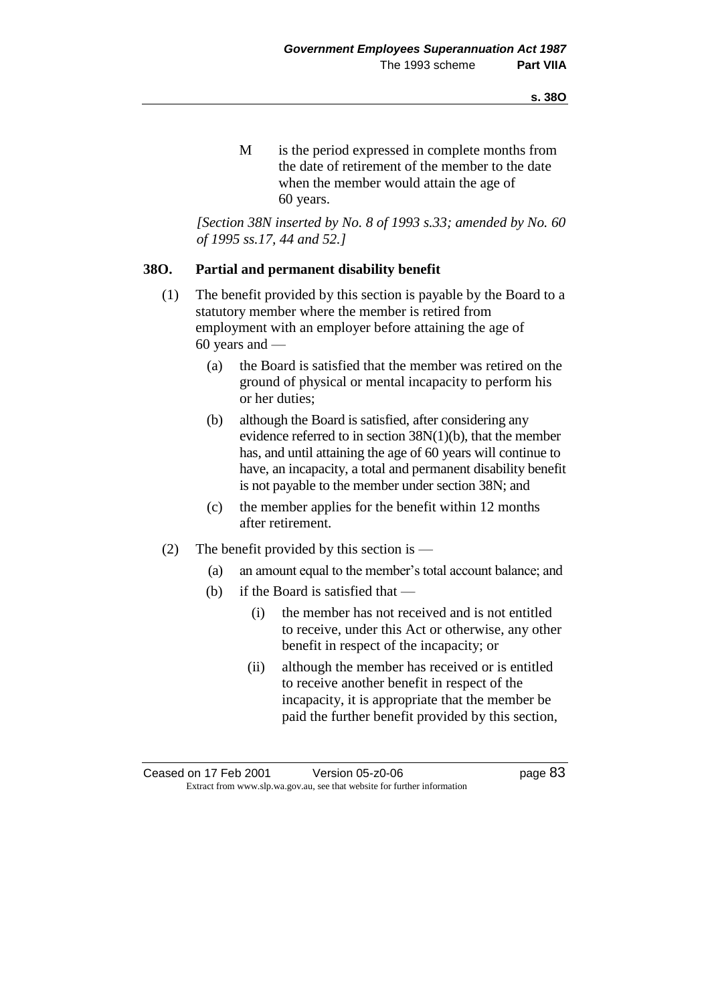M is the period expressed in complete months from the date of retirement of the member to the date when the member would attain the age of 60 years.

*[Section 38N inserted by No. 8 of 1993 s.33; amended by No. 60 of 1995 ss.17, 44 and 52.]*

# **38O. Partial and permanent disability benefit**

- (1) The benefit provided by this section is payable by the Board to a statutory member where the member is retired from employment with an employer before attaining the age of 60 years and —
	- (a) the Board is satisfied that the member was retired on the ground of physical or mental incapacity to perform his or her duties;
	- (b) although the Board is satisfied, after considering any evidence referred to in section 38N(1)(b), that the member has, and until attaining the age of 60 years will continue to have, an incapacity, a total and permanent disability benefit is not payable to the member under section 38N; and
	- (c) the member applies for the benefit within 12 months after retirement.
- (2) The benefit provided by this section is  $-$ 
	- (a) an amount equal to the member's total account balance; and
	- (b) if the Board is satisfied that
		- (i) the member has not received and is not entitled to receive, under this Act or otherwise, any other benefit in respect of the incapacity; or
		- (ii) although the member has received or is entitled to receive another benefit in respect of the incapacity, it is appropriate that the member be paid the further benefit provided by this section,

Ceased on 17 Feb 2001 Version 05-z0-06 Page 83 Extract from www.slp.wa.gov.au, see that website for further information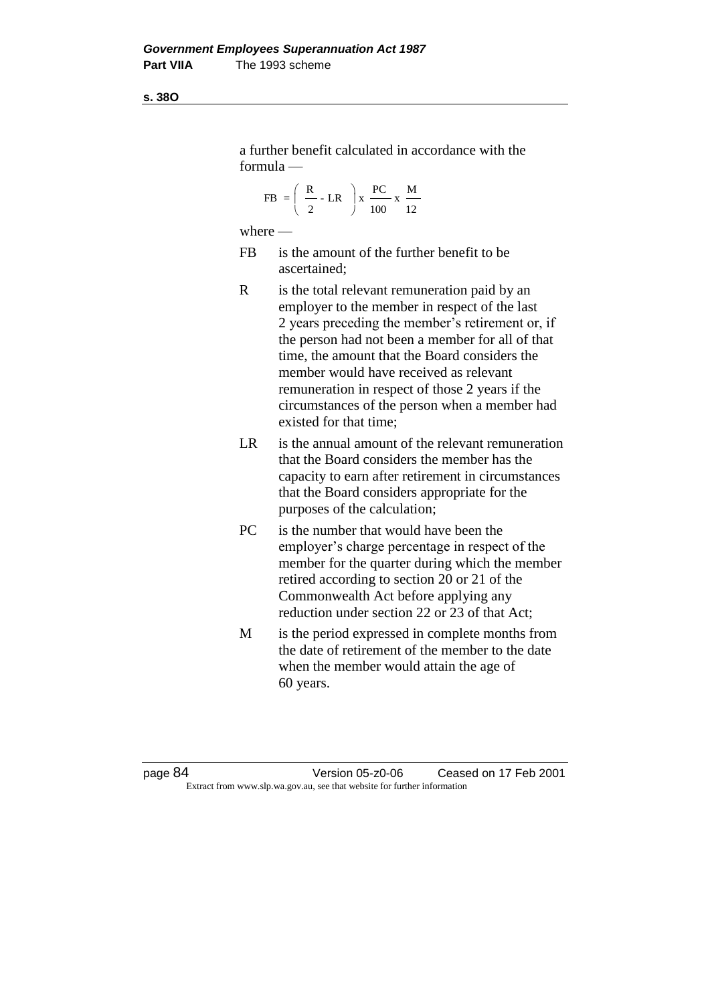**s. 38O**

a further benefit calculated in accordance with the formula —

$$
FB = \left(\begin{array}{c} R \\ \frac{1}{2} \end{array} \right) \cdot LR \right) \times \frac{PC}{100} \times \frac{M}{12}
$$

where —

- FB is the amount of the further benefit to be ascertained;
- R is the total relevant remuneration paid by an employer to the member in respect of the last 2 years preceding the member's retirement or, if the person had not been a member for all of that time, the amount that the Board considers the member would have received as relevant remuneration in respect of those 2 years if the circumstances of the person when a member had existed for that time;
- LR is the annual amount of the relevant remuneration that the Board considers the member has the capacity to earn after retirement in circumstances that the Board considers appropriate for the purposes of the calculation;
- PC is the number that would have been the employer's charge percentage in respect of the member for the quarter during which the member retired according to section 20 or 21 of the Commonwealth Act before applying any reduction under section 22 or 23 of that Act;
- M is the period expressed in complete months from the date of retirement of the member to the date when the member would attain the age of 60 years.

page 84 Version 05-z0-06 Ceased on 17 Feb 2001 Extract from www.slp.wa.gov.au, see that website for further information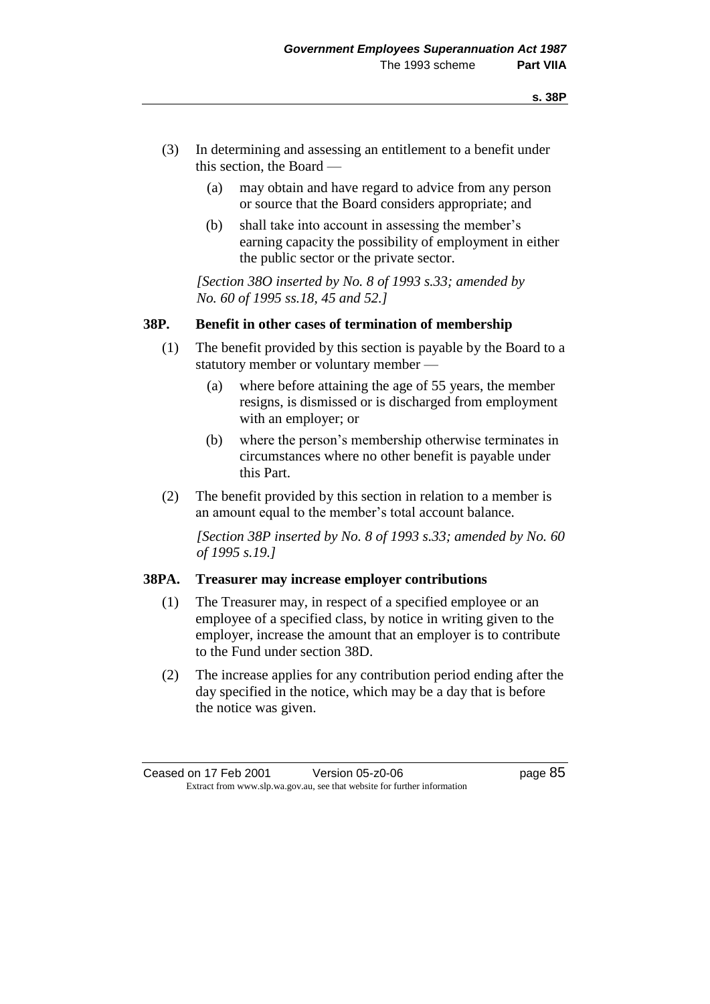- (3) In determining and assessing an entitlement to a benefit under this section, the Board —
	- (a) may obtain and have regard to advice from any person or source that the Board considers appropriate; and
	- (b) shall take into account in assessing the member's earning capacity the possibility of employment in either the public sector or the private sector.

*[Section 38O inserted by No. 8 of 1993 s.33; amended by No. 60 of 1995 ss.18, 45 and 52.]*

# **38P. Benefit in other cases of termination of membership**

- (1) The benefit provided by this section is payable by the Board to a statutory member or voluntary member —
	- (a) where before attaining the age of 55 years, the member resigns, is dismissed or is discharged from employment with an employer; or
	- (b) where the person's membership otherwise terminates in circumstances where no other benefit is payable under this Part.
- (2) The benefit provided by this section in relation to a member is an amount equal to the member's total account balance.

*[Section 38P inserted by No. 8 of 1993 s.33; amended by No. 60 of 1995 s.19.]*

### **38PA. Treasurer may increase employer contributions**

- (1) The Treasurer may, in respect of a specified employee or an employee of a specified class, by notice in writing given to the employer, increase the amount that an employer is to contribute to the Fund under section 38D.
- (2) The increase applies for any contribution period ending after the day specified in the notice, which may be a day that is before the notice was given.

Ceased on 17 Feb 2001 Version 05-z0-06 Page 85 Extract from www.slp.wa.gov.au, see that website for further information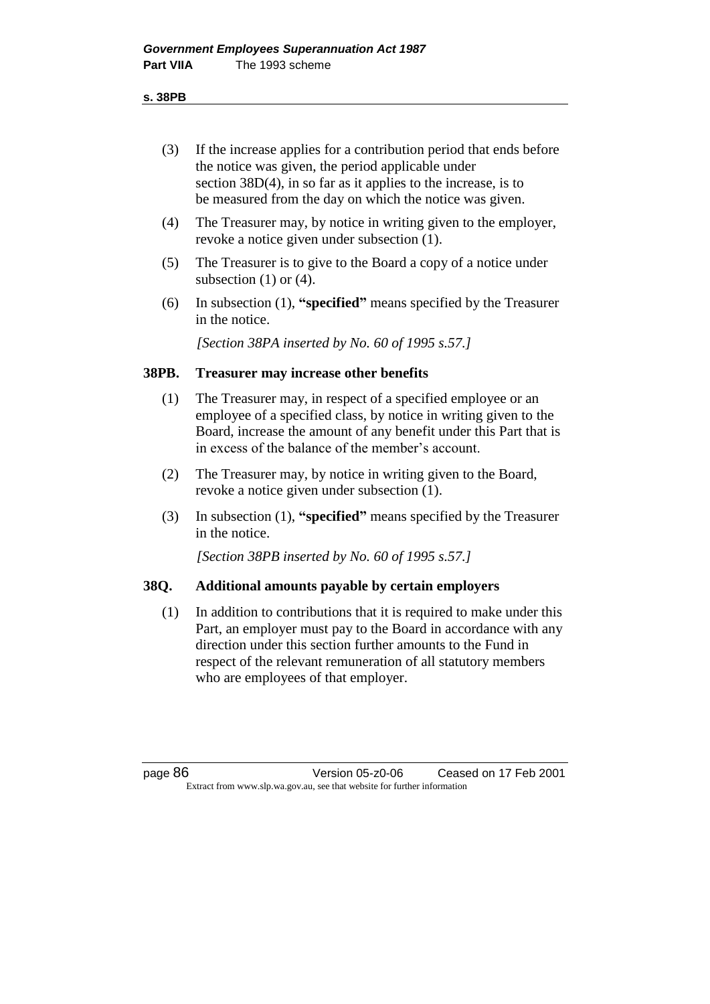#### **s. 38PB**

- (3) If the increase applies for a contribution period that ends before the notice was given, the period applicable under section 38D(4), in so far as it applies to the increase, is to be measured from the day on which the notice was given.
- (4) The Treasurer may, by notice in writing given to the employer, revoke a notice given under subsection (1).
- (5) The Treasurer is to give to the Board a copy of a notice under subsection  $(1)$  or  $(4)$ .
- (6) In subsection (1), **"specified"** means specified by the Treasurer in the notice.

*[Section 38PA inserted by No. 60 of 1995 s.57.]* 

# **38PB. Treasurer may increase other benefits**

- (1) The Treasurer may, in respect of a specified employee or an employee of a specified class, by notice in writing given to the Board, increase the amount of any benefit under this Part that is in excess of the balance of the member's account.
- (2) The Treasurer may, by notice in writing given to the Board, revoke a notice given under subsection (1).
- (3) In subsection (1), **"specified"** means specified by the Treasurer in the notice.

*[Section 38PB inserted by No. 60 of 1995 s.57.]* 

# **38Q. Additional amounts payable by certain employers**

(1) In addition to contributions that it is required to make under this Part, an employer must pay to the Board in accordance with any direction under this section further amounts to the Fund in respect of the relevant remuneration of all statutory members who are employees of that employer.

page 86 Version 05-z0-06 Ceased on 17 Feb 2001 Extract from www.slp.wa.gov.au, see that website for further information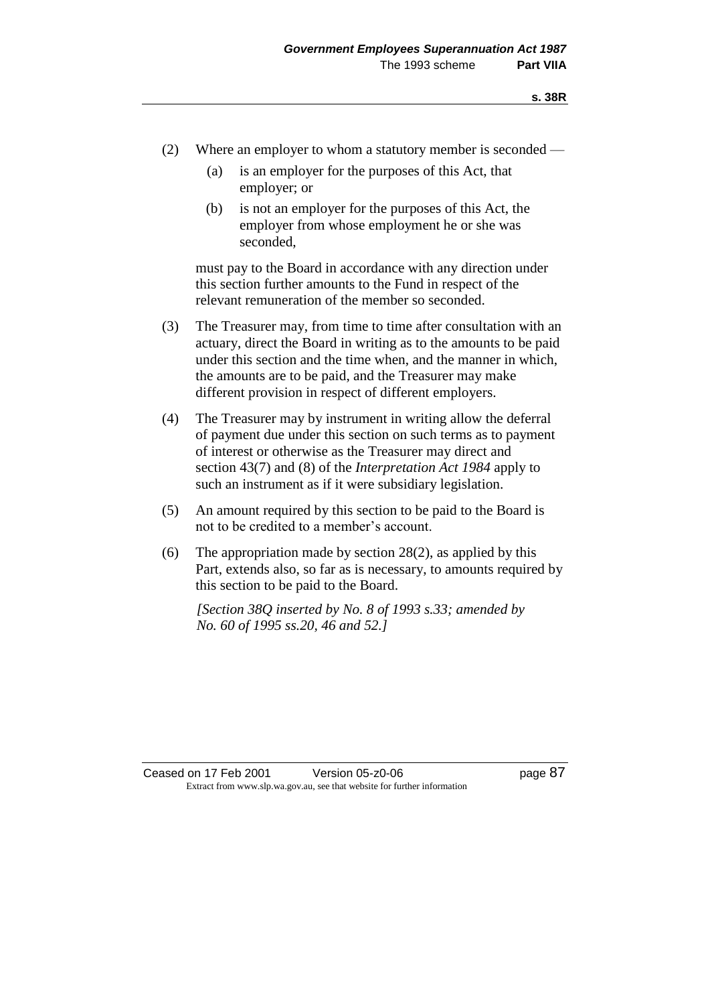- (2) Where an employer to whom a statutory member is seconded
	- (a) is an employer for the purposes of this Act, that employer; or
	- (b) is not an employer for the purposes of this Act, the employer from whose employment he or she was seconded,

must pay to the Board in accordance with any direction under this section further amounts to the Fund in respect of the relevant remuneration of the member so seconded.

- (3) The Treasurer may, from time to time after consultation with an actuary, direct the Board in writing as to the amounts to be paid under this section and the time when, and the manner in which, the amounts are to be paid, and the Treasurer may make different provision in respect of different employers.
- (4) The Treasurer may by instrument in writing allow the deferral of payment due under this section on such terms as to payment of interest or otherwise as the Treasurer may direct and section 43(7) and (8) of the *Interpretation Act 1984* apply to such an instrument as if it were subsidiary legislation.
- (5) An amount required by this section to be paid to the Board is not to be credited to a member's account.
- (6) The appropriation made by section  $28(2)$ , as applied by this Part, extends also, so far as is necessary, to amounts required by this section to be paid to the Board.

*[Section 38Q inserted by No. 8 of 1993 s.33; amended by No. 60 of 1995 ss.20, 46 and 52.]*

Ceased on 17 Feb 2001 Version 05-z0-06 Page 87 Extract from www.slp.wa.gov.au, see that website for further information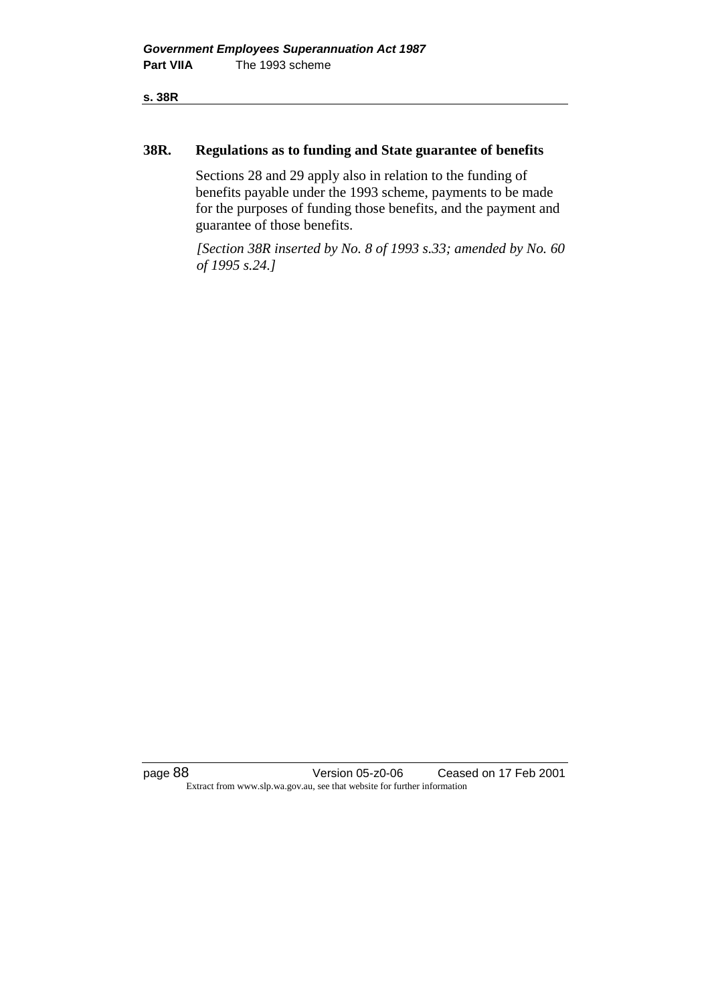**s. 38R**

### **38R. Regulations as to funding and State guarantee of benefits**

Sections 28 and 29 apply also in relation to the funding of benefits payable under the 1993 scheme, payments to be made for the purposes of funding those benefits, and the payment and guarantee of those benefits.

*[Section 38R inserted by No. 8 of 1993 s.33; amended by No. 60 of 1995 s.24.]*

page 88 Version 05-z0-06 Ceased on 17 Feb 2001 Extract from www.slp.wa.gov.au, see that website for further information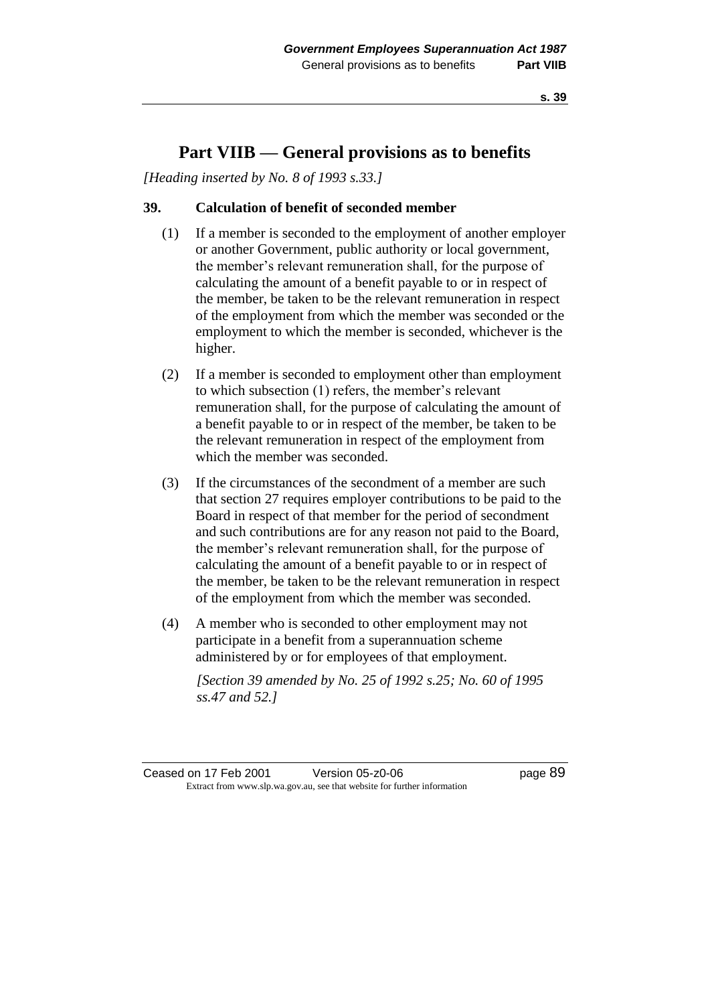# **Part VIIB — General provisions as to benefits**

*[Heading inserted by No. 8 of 1993 s.33.]* 

# **39. Calculation of benefit of seconded member**

- (1) If a member is seconded to the employment of another employer or another Government, public authority or local government, the member's relevant remuneration shall, for the purpose of calculating the amount of a benefit payable to or in respect of the member, be taken to be the relevant remuneration in respect of the employment from which the member was seconded or the employment to which the member is seconded, whichever is the higher.
- (2) If a member is seconded to employment other than employment to which subsection (1) refers, the member's relevant remuneration shall, for the purpose of calculating the amount of a benefit payable to or in respect of the member, be taken to be the relevant remuneration in respect of the employment from which the member was seconded.
- (3) If the circumstances of the secondment of a member are such that section 27 requires employer contributions to be paid to the Board in respect of that member for the period of secondment and such contributions are for any reason not paid to the Board, the member's relevant remuneration shall, for the purpose of calculating the amount of a benefit payable to or in respect of the member, be taken to be the relevant remuneration in respect of the employment from which the member was seconded.
- (4) A member who is seconded to other employment may not participate in a benefit from a superannuation scheme administered by or for employees of that employment.

*[Section 39 amended by No. 25 of 1992 s.25; No. 60 of 1995 ss.47 and 52.]* 

Ceased on 17 Feb 2001 Version 05-z0-06 Page 89 Extract from www.slp.wa.gov.au, see that website for further information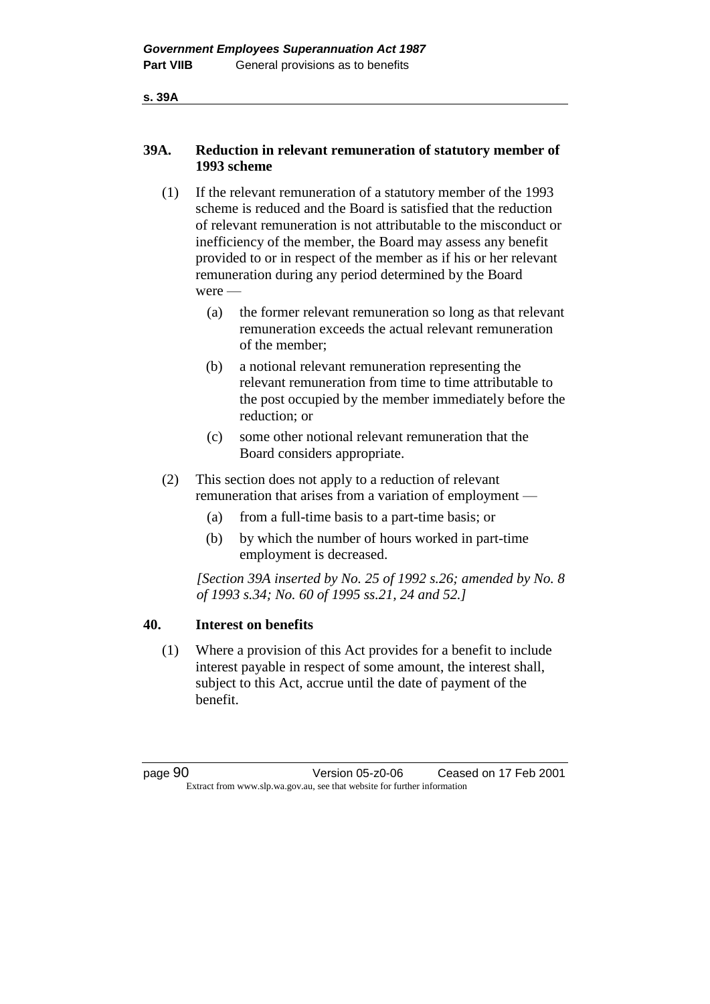**s. 39A**

# **39A. Reduction in relevant remuneration of statutory member of 1993 scheme**

- (1) If the relevant remuneration of a statutory member of the 1993 scheme is reduced and the Board is satisfied that the reduction of relevant remuneration is not attributable to the misconduct or inefficiency of the member, the Board may assess any benefit provided to or in respect of the member as if his or her relevant remuneration during any period determined by the Board were —
	- (a) the former relevant remuneration so long as that relevant remuneration exceeds the actual relevant remuneration of the member;
	- (b) a notional relevant remuneration representing the relevant remuneration from time to time attributable to the post occupied by the member immediately before the reduction; or
	- (c) some other notional relevant remuneration that the Board considers appropriate.
- (2) This section does not apply to a reduction of relevant remuneration that arises from a variation of employment —
	- (a) from a full-time basis to a part-time basis; or
	- (b) by which the number of hours worked in part-time employment is decreased.

*[Section 39A inserted by No. 25 of 1992 s.26; amended by No. 8 of 1993 s.34; No. 60 of 1995 ss.21, 24 and 52.]* 

### **40. Interest on benefits**

(1) Where a provision of this Act provides for a benefit to include interest payable in respect of some amount, the interest shall, subject to this Act, accrue until the date of payment of the benefit.

page 90 Version 05-z0-06 Ceased on 17 Feb 2001 Extract from www.slp.wa.gov.au, see that website for further information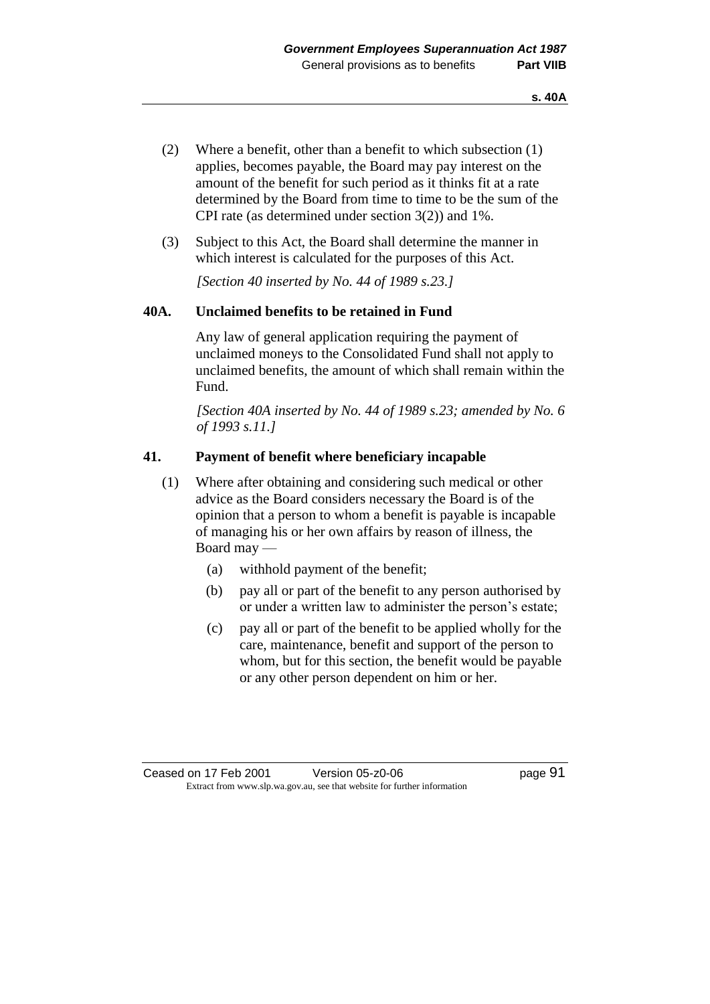- (2) Where a benefit, other than a benefit to which subsection (1) applies, becomes payable, the Board may pay interest on the amount of the benefit for such period as it thinks fit at a rate determined by the Board from time to time to be the sum of the CPI rate (as determined under section 3(2)) and 1%.
- (3) Subject to this Act, the Board shall determine the manner in which interest is calculated for the purposes of this Act.

*[Section 40 inserted by No. 44 of 1989 s.23.]* 

### **40A. Unclaimed benefits to be retained in Fund**

Any law of general application requiring the payment of unclaimed moneys to the Consolidated Fund shall not apply to unclaimed benefits, the amount of which shall remain within the Fund.

*[Section 40A inserted by No. 44 of 1989 s.23; amended by No. 6 of 1993 s.11.]* 

### **41. Payment of benefit where beneficiary incapable**

- (1) Where after obtaining and considering such medical or other advice as the Board considers necessary the Board is of the opinion that a person to whom a benefit is payable is incapable of managing his or her own affairs by reason of illness, the Board may —
	- (a) withhold payment of the benefit;
	- (b) pay all or part of the benefit to any person authorised by or under a written law to administer the person's estate;
	- (c) pay all or part of the benefit to be applied wholly for the care, maintenance, benefit and support of the person to whom, but for this section, the benefit would be payable or any other person dependent on him or her.

Ceased on 17 Feb 2001 Version 05-z0-06 Page 91 Extract from www.slp.wa.gov.au, see that website for further information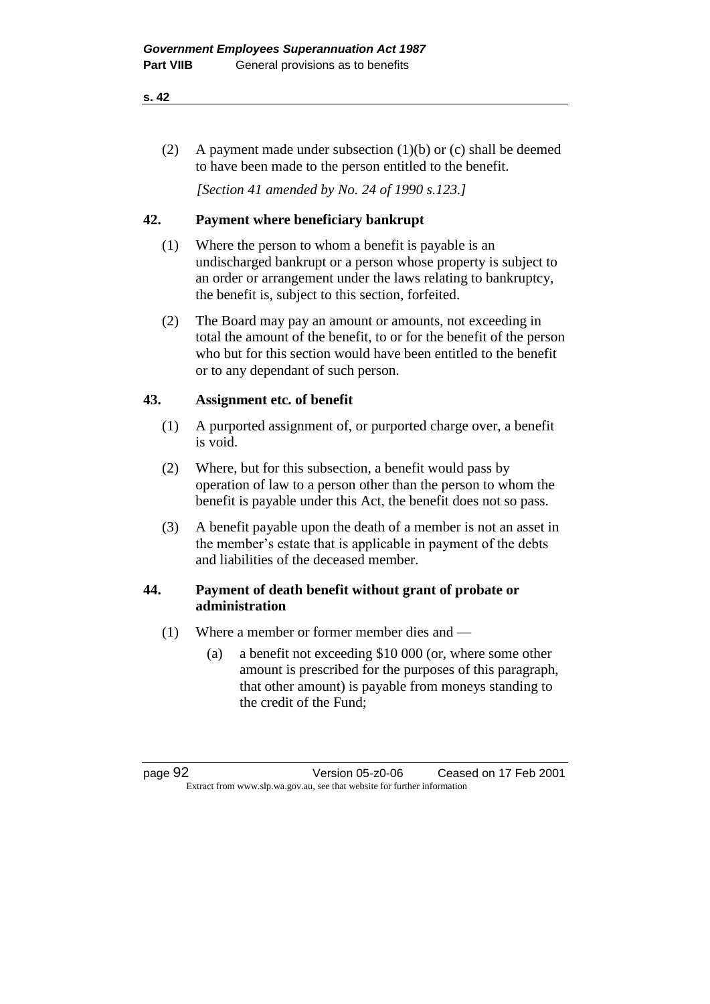#### **s. 42**

(2) A payment made under subsection (1)(b) or (c) shall be deemed to have been made to the person entitled to the benefit.

*[Section 41 amended by No. 24 of 1990 s.123.]* 

# **42. Payment where beneficiary bankrupt**

- (1) Where the person to whom a benefit is payable is an undischarged bankrupt or a person whose property is subject to an order or arrangement under the laws relating to bankruptcy, the benefit is, subject to this section, forfeited.
- (2) The Board may pay an amount or amounts, not exceeding in total the amount of the benefit, to or for the benefit of the person who but for this section would have been entitled to the benefit or to any dependant of such person.

# **43. Assignment etc. of benefit**

- (1) A purported assignment of, or purported charge over, a benefit is void.
- (2) Where, but for this subsection, a benefit would pass by operation of law to a person other than the person to whom the benefit is payable under this Act, the benefit does not so pass.
- (3) A benefit payable upon the death of a member is not an asset in the member's estate that is applicable in payment of the debts and liabilities of the deceased member.

# **44. Payment of death benefit without grant of probate or administration**

- (1) Where a member or former member dies and
	- (a) a benefit not exceeding \$10 000 (or, where some other amount is prescribed for the purposes of this paragraph, that other amount) is payable from moneys standing to the credit of the Fund;

page 92 Version 05-z0-06 Ceased on 17 Feb 2001 Extract from www.slp.wa.gov.au, see that website for further information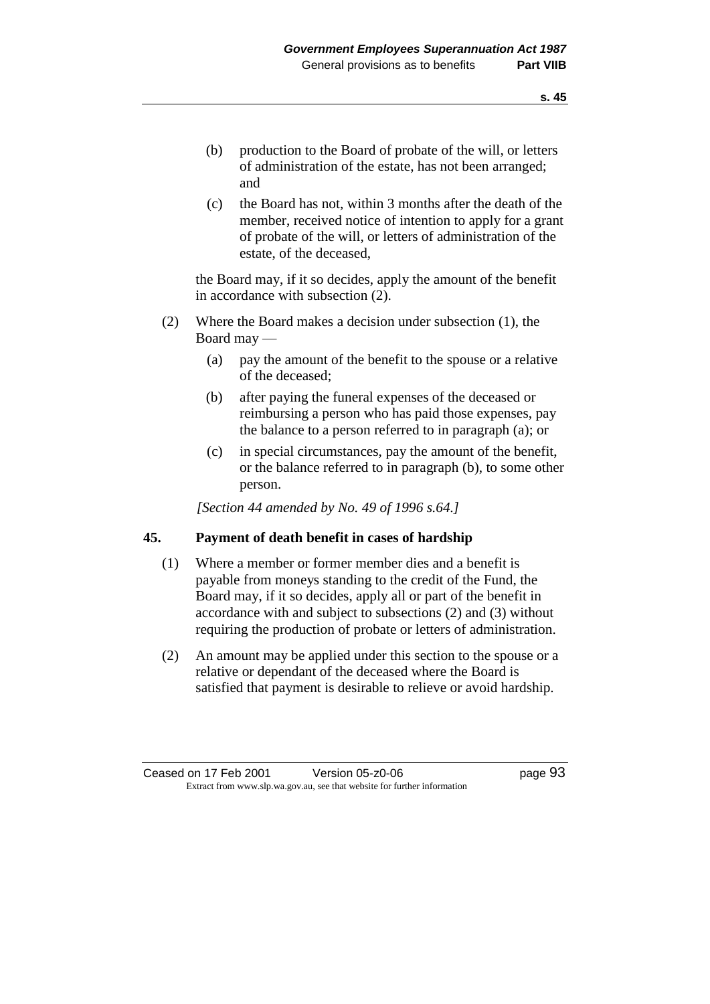(c) the Board has not, within 3 months after the death of the member, received notice of intention to apply for a grant of probate of the will, or letters of administration of the estate, of the deceased,

the Board may, if it so decides, apply the amount of the benefit in accordance with subsection (2).

- (2) Where the Board makes a decision under subsection (1), the Board may —
	- (a) pay the amount of the benefit to the spouse or a relative of the deceased;
	- (b) after paying the funeral expenses of the deceased or reimbursing a person who has paid those expenses, pay the balance to a person referred to in paragraph (a); or
	- (c) in special circumstances, pay the amount of the benefit, or the balance referred to in paragraph (b), to some other person.

*[Section 44 amended by No. 49 of 1996 s.64.]* 

# **45. Payment of death benefit in cases of hardship**

- (1) Where a member or former member dies and a benefit is payable from moneys standing to the credit of the Fund, the Board may, if it so decides, apply all or part of the benefit in accordance with and subject to subsections (2) and (3) without requiring the production of probate or letters of administration.
- (2) An amount may be applied under this section to the spouse or a relative or dependant of the deceased where the Board is satisfied that payment is desirable to relieve or avoid hardship.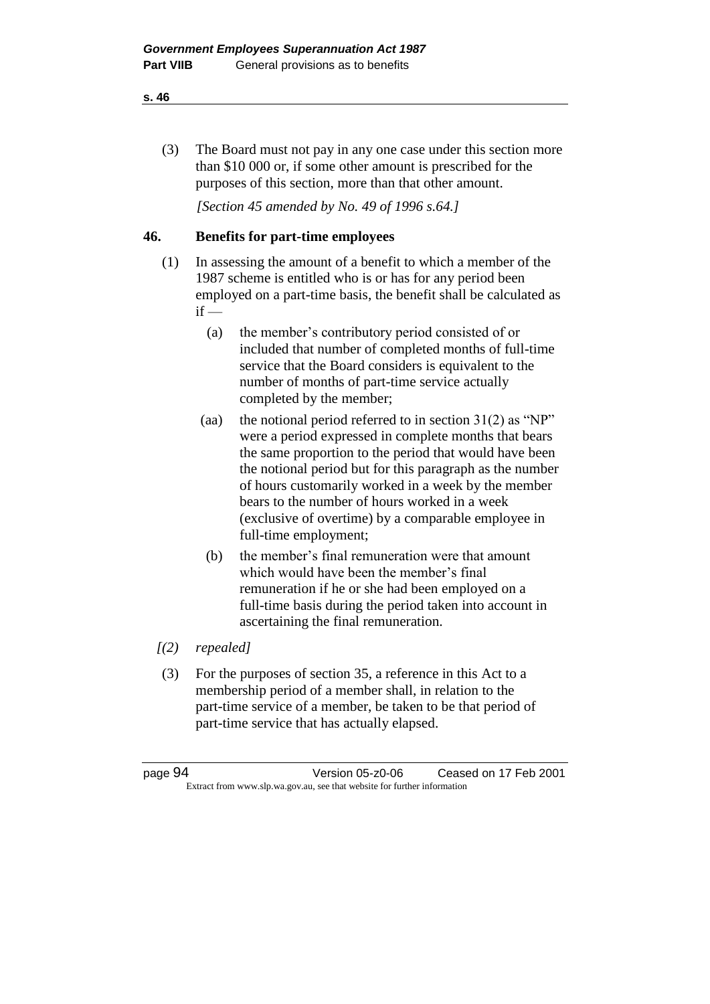(3) The Board must not pay in any one case under this section more than \$10 000 or, if some other amount is prescribed for the purposes of this section, more than that other amount.

*[Section 45 amended by No. 49 of 1996 s.64.]* 

# **46. Benefits for part-time employees**

- (1) In assessing the amount of a benefit to which a member of the 1987 scheme is entitled who is or has for any period been employed on a part-time basis, the benefit shall be calculated as  $if -$ 
	- (a) the member's contributory period consisted of or included that number of completed months of full-time service that the Board considers is equivalent to the number of months of part-time service actually completed by the member;
	- (aa) the notional period referred to in section  $31(2)$  as "NP" were a period expressed in complete months that bears the same proportion to the period that would have been the notional period but for this paragraph as the number of hours customarily worked in a week by the member bears to the number of hours worked in a week (exclusive of overtime) by a comparable employee in full-time employment;
	- (b) the member's final remuneration were that amount which would have been the member's final remuneration if he or she had been employed on a full-time basis during the period taken into account in ascertaining the final remuneration.
- *[(2) repealed]*
- (3) For the purposes of section 35, a reference in this Act to a membership period of a member shall, in relation to the part-time service of a member, be taken to be that period of part-time service that has actually elapsed.

| page 94                                                                  | Version 05-z0-06 | Ceased on 17 Feb 2001 |
|--------------------------------------------------------------------------|------------------|-----------------------|
| Extract from www.slp.wa.gov.au, see that website for further information |                  |                       |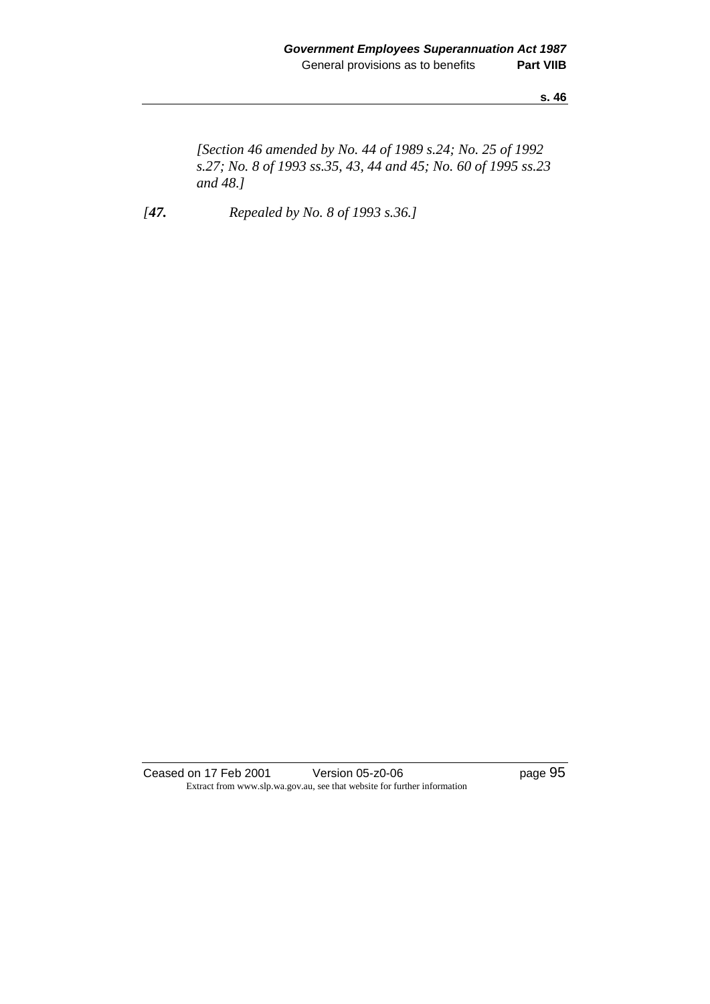**s. 46**

*[Section 46 amended by No. 44 of 1989 s.24; No. 25 of 1992 s.27; No. 8 of 1993 ss.35, 43, 44 and 45; No. 60 of 1995 ss.23 and 48.]* 

*[47. Repealed by No. 8 of 1993 s.36.]* 

Ceased on 17 Feb 2001 Version 05-z0-06 Page 95 Extract from www.slp.wa.gov.au, see that website for further information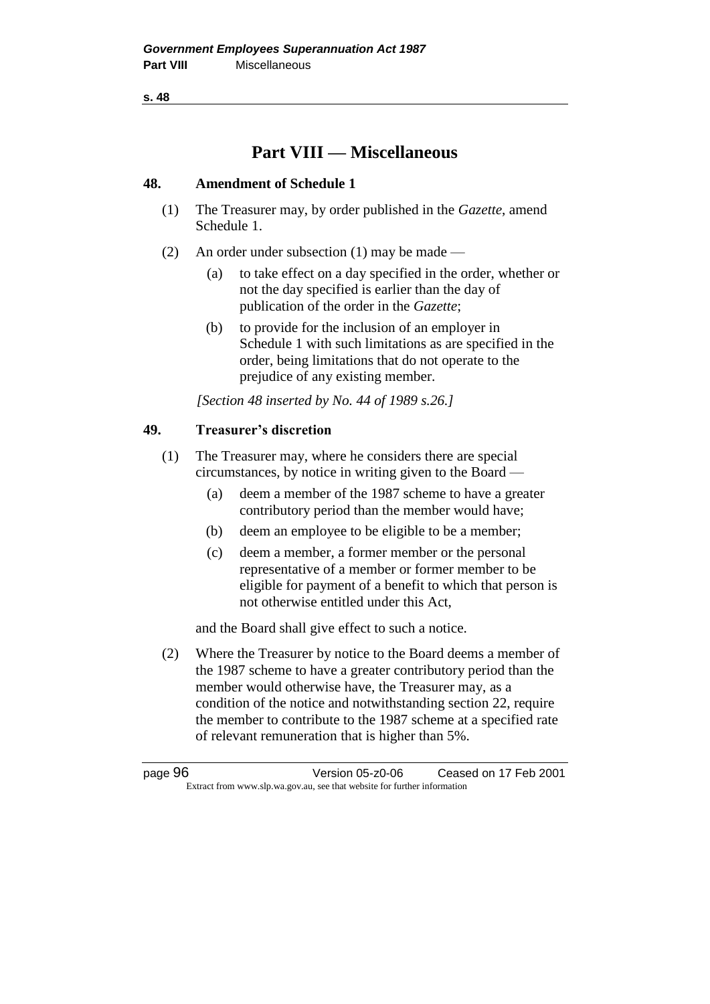**s. 48**

# **Part VIII — Miscellaneous**

# **48. Amendment of Schedule 1**

- (1) The Treasurer may, by order published in the *Gazette*, amend Schedule 1.
- (2) An order under subsection (1) may be made
	- (a) to take effect on a day specified in the order, whether or not the day specified is earlier than the day of publication of the order in the *Gazette*;
	- (b) to provide for the inclusion of an employer in Schedule 1 with such limitations as are specified in the order, being limitations that do not operate to the prejudice of any existing member.

*[Section 48 inserted by No. 44 of 1989 s.26.]* 

# **49. Treasurer's discretion**

(1) The Treasurer may, where he considers there are special circumstances, by notice in writing given to the Board —

- (a) deem a member of the 1987 scheme to have a greater contributory period than the member would have;
- (b) deem an employee to be eligible to be a member;
- (c) deem a member, a former member or the personal representative of a member or former member to be eligible for payment of a benefit to which that person is not otherwise entitled under this Act,

and the Board shall give effect to such a notice.

(2) Where the Treasurer by notice to the Board deems a member of the 1987 scheme to have a greater contributory period than the member would otherwise have, the Treasurer may, as a condition of the notice and notwithstanding section 22, require the member to contribute to the 1987 scheme at a specified rate of relevant remuneration that is higher than 5%.

page 96 Version 05-z0-06 Ceased on 17 Feb 2001 Extract from www.slp.wa.gov.au, see that website for further information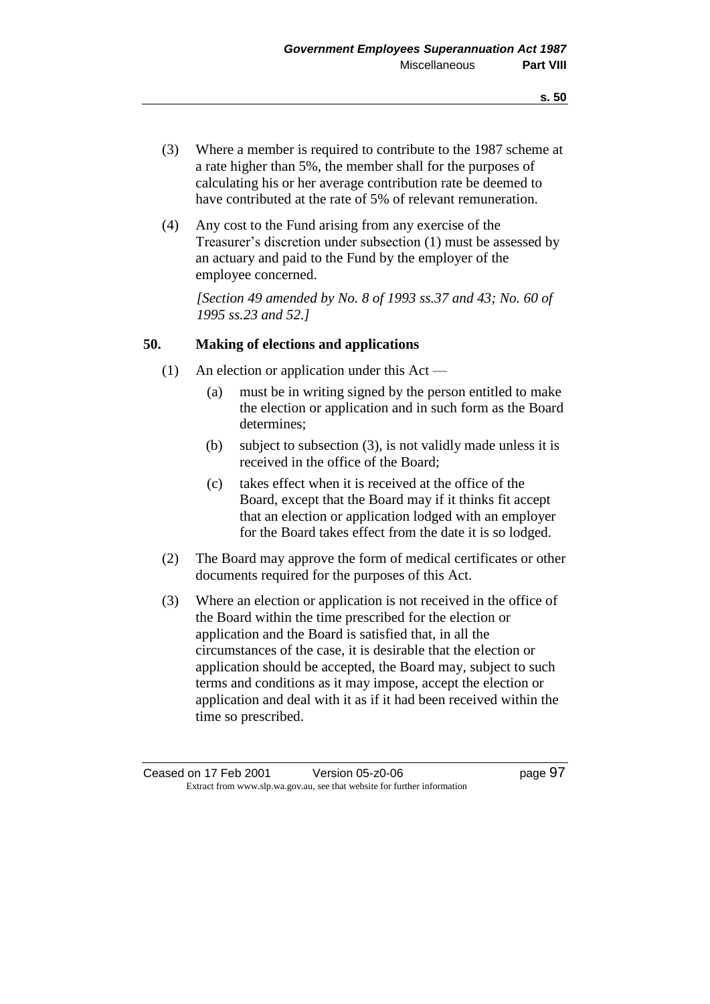- (3) Where a member is required to contribute to the 1987 scheme at a rate higher than 5%, the member shall for the purposes of calculating his or her average contribution rate be deemed to have contributed at the rate of 5% of relevant remuneration.
- (4) Any cost to the Fund arising from any exercise of the Treasurer's discretion under subsection (1) must be assessed by an actuary and paid to the Fund by the employer of the employee concerned.

*[Section 49 amended by No. 8 of 1993 ss.37 and 43; No. 60 of 1995 ss.23 and 52.]* 

### **50. Making of elections and applications**

- (1) An election or application under this Act
	- (a) must be in writing signed by the person entitled to make the election or application and in such form as the Board determines;
	- (b) subject to subsection (3), is not validly made unless it is received in the office of the Board;
	- (c) takes effect when it is received at the office of the Board, except that the Board may if it thinks fit accept that an election or application lodged with an employer for the Board takes effect from the date it is so lodged.
- (2) The Board may approve the form of medical certificates or other documents required for the purposes of this Act.
- (3) Where an election or application is not received in the office of the Board within the time prescribed for the election or application and the Board is satisfied that, in all the circumstances of the case, it is desirable that the election or application should be accepted, the Board may, subject to such terms and conditions as it may impose, accept the election or application and deal with it as if it had been received within the time so prescribed.

Ceased on 17 Feb 2001 Version 05-z0-06 Page 97 Extract from www.slp.wa.gov.au, see that website for further information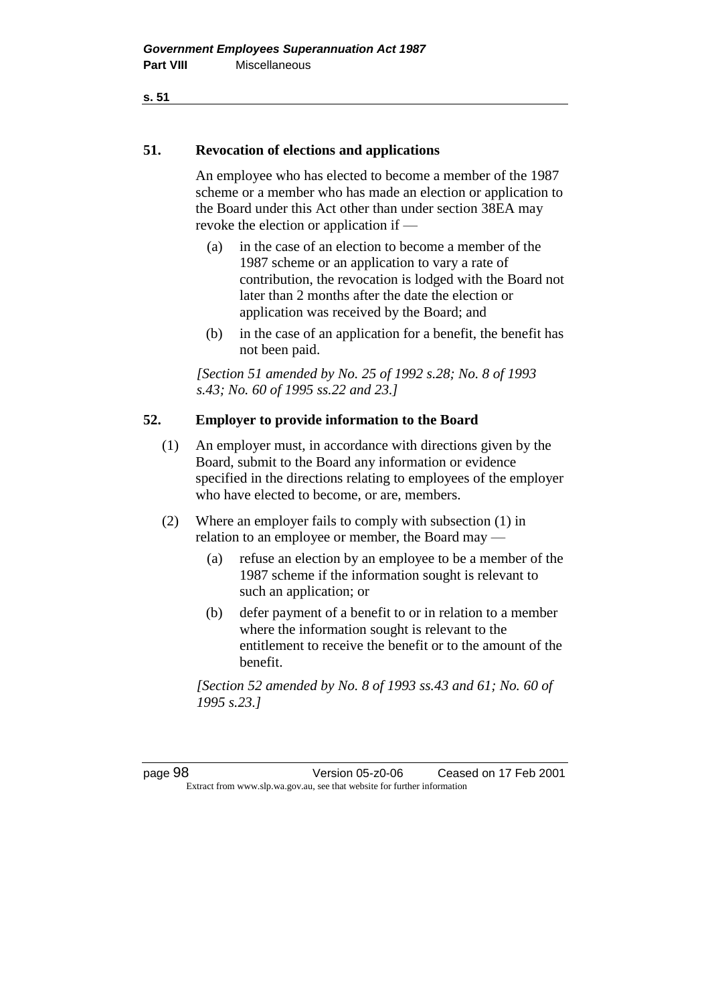**51. Revocation of elections and applications** 

An employee who has elected to become a member of the 1987 scheme or a member who has made an election or application to the Board under this Act other than under section 38EA may revoke the election or application if -

- (a) in the case of an election to become a member of the 1987 scheme or an application to vary a rate of contribution, the revocation is lodged with the Board not later than 2 months after the date the election or application was received by the Board; and
- (b) in the case of an application for a benefit, the benefit has not been paid.

*[Section 51 amended by No. 25 of 1992 s.28; No. 8 of 1993 s.43; No. 60 of 1995 ss.22 and 23.]* 

# **52. Employer to provide information to the Board**

- (1) An employer must, in accordance with directions given by the Board, submit to the Board any information or evidence specified in the directions relating to employees of the employer who have elected to become, or are, members.
- (2) Where an employer fails to comply with subsection (1) in relation to an employee or member, the Board may —
	- (a) refuse an election by an employee to be a member of the 1987 scheme if the information sought is relevant to such an application; or
	- (b) defer payment of a benefit to or in relation to a member where the information sought is relevant to the entitlement to receive the benefit or to the amount of the benefit.

*[Section 52 amended by No. 8 of 1993 ss.43 and 61; No. 60 of 1995 s.23.]* 

page 98 Version 05-z0-06 Ceased on 17 Feb 2001 Extract from www.slp.wa.gov.au, see that website for further information

**s. 51**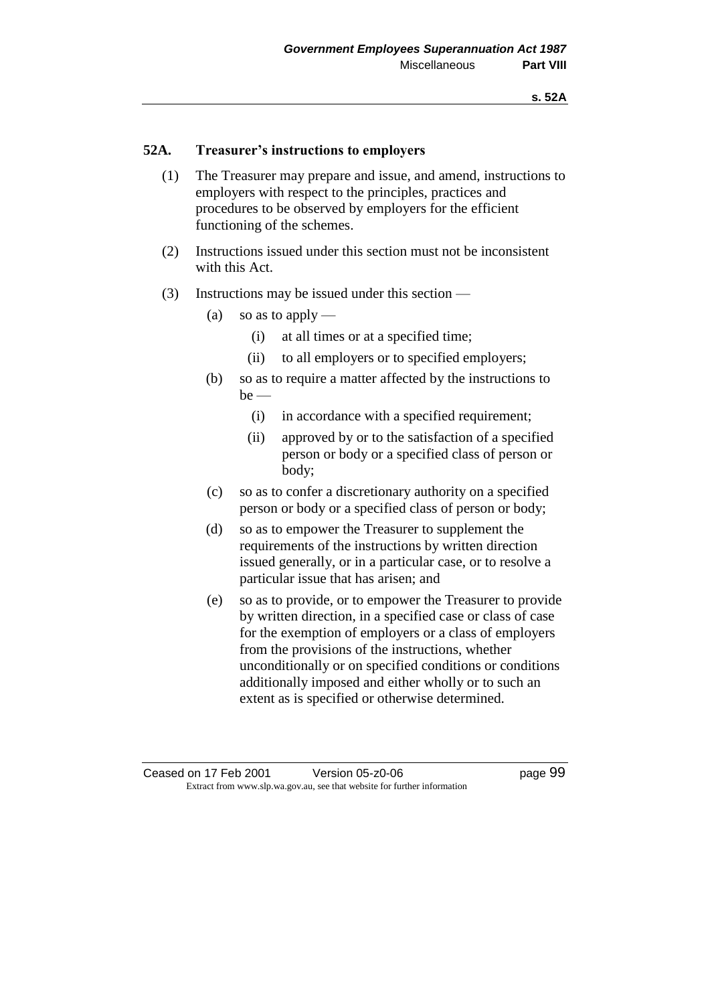# **52A. Treasurer's instructions to employers**

- (1) The Treasurer may prepare and issue, and amend, instructions to employers with respect to the principles, practices and procedures to be observed by employers for the efficient functioning of the schemes.
- (2) Instructions issued under this section must not be inconsistent with this Act.
- (3) Instructions may be issued under this section
	- (a) so as to apply
		- (i) at all times or at a specified time;
		- (ii) to all employers or to specified employers;
	- (b) so as to require a matter affected by the instructions to  $be$  —
		- (i) in accordance with a specified requirement;
		- (ii) approved by or to the satisfaction of a specified person or body or a specified class of person or body;
	- (c) so as to confer a discretionary authority on a specified person or body or a specified class of person or body;
	- (d) so as to empower the Treasurer to supplement the requirements of the instructions by written direction issued generally, or in a particular case, or to resolve a particular issue that has arisen; and
	- (e) so as to provide, or to empower the Treasurer to provide by written direction, in a specified case or class of case for the exemption of employers or a class of employers from the provisions of the instructions, whether unconditionally or on specified conditions or conditions additionally imposed and either wholly or to such an extent as is specified or otherwise determined.

Ceased on 17 Feb 2001 Version 05-z0-06 Page 99 Extract from www.slp.wa.gov.au, see that website for further information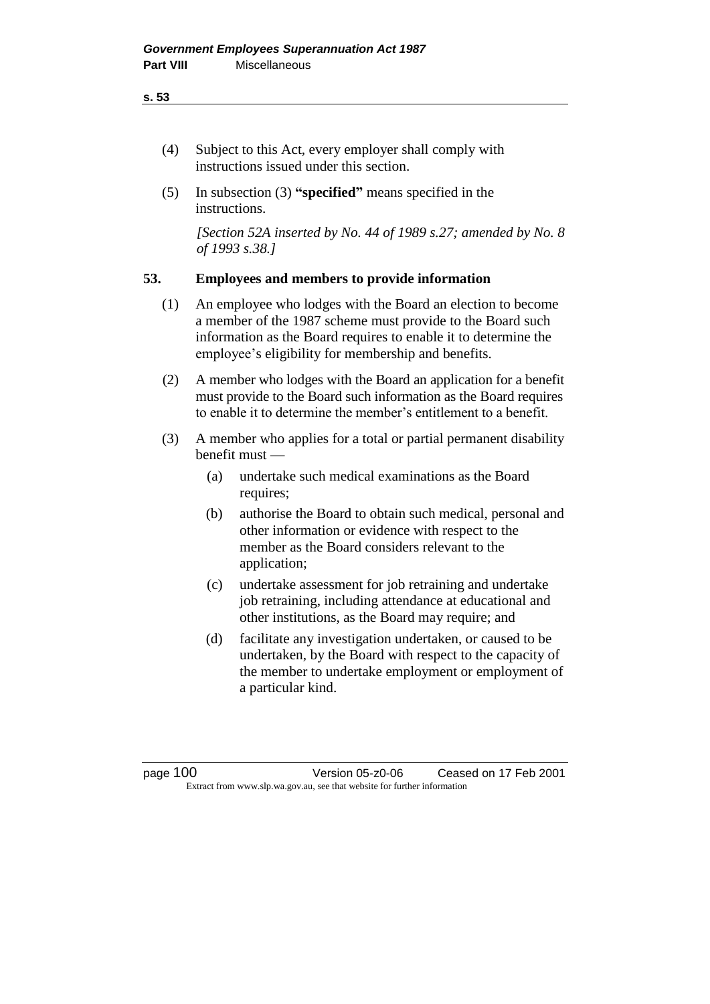#### **s. 53**

- (4) Subject to this Act, every employer shall comply with instructions issued under this section.
- (5) In subsection (3) **"specified"** means specified in the instructions.

*[Section 52A inserted by No. 44 of 1989 s.27; amended by No. 8 of 1993 s.38.]* 

### **53. Employees and members to provide information**

- (1) An employee who lodges with the Board an election to become a member of the 1987 scheme must provide to the Board such information as the Board requires to enable it to determine the employee's eligibility for membership and benefits.
- (2) A member who lodges with the Board an application for a benefit must provide to the Board such information as the Board requires to enable it to determine the member's entitlement to a benefit.
- (3) A member who applies for a total or partial permanent disability benefit must —
	- (a) undertake such medical examinations as the Board requires;
	- (b) authorise the Board to obtain such medical, personal and other information or evidence with respect to the member as the Board considers relevant to the application;
	- (c) undertake assessment for job retraining and undertake job retraining, including attendance at educational and other institutions, as the Board may require; and
	- (d) facilitate any investigation undertaken, or caused to be undertaken, by the Board with respect to the capacity of the member to undertake employment or employment of a particular kind.

page 100 Version 05-z0-06 Ceased on 17 Feb 2001 Extract from www.slp.wa.gov.au, see that website for further information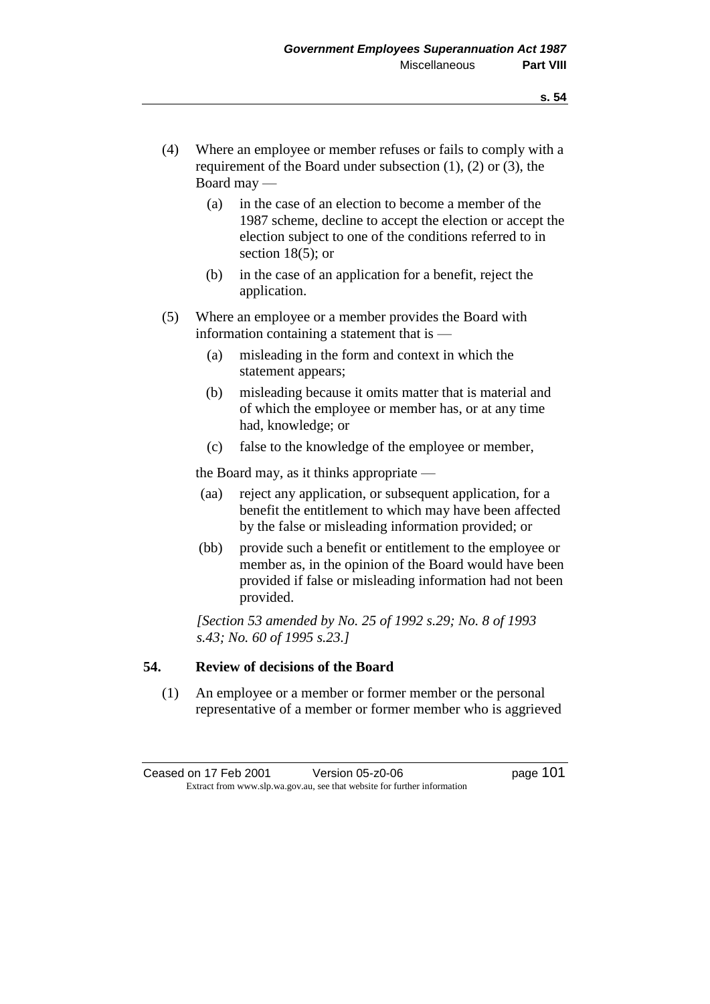- (4) Where an employee or member refuses or fails to comply with a requirement of the Board under subsection (1), (2) or (3), the Board may —
	- (a) in the case of an election to become a member of the 1987 scheme, decline to accept the election or accept the election subject to one of the conditions referred to in section 18(5); or
	- (b) in the case of an application for a benefit, reject the application.
- (5) Where an employee or a member provides the Board with information containing a statement that is —
	- (a) misleading in the form and context in which the statement appears;
	- (b) misleading because it omits matter that is material and of which the employee or member has, or at any time had, knowledge; or
	- (c) false to the knowledge of the employee or member,

the Board may, as it thinks appropriate —

- (aa) reject any application, or subsequent application, for a benefit the entitlement to which may have been affected by the false or misleading information provided; or
- (bb) provide such a benefit or entitlement to the employee or member as, in the opinion of the Board would have been provided if false or misleading information had not been provided.

*[Section 53 amended by No. 25 of 1992 s.29; No. 8 of 1993 s.43; No. 60 of 1995 s.23.]* 

# **54. Review of decisions of the Board**

(1) An employee or a member or former member or the personal representative of a member or former member who is aggrieved

Ceased on 17 Feb 2001 Version 05-z0-06 Page 101 Extract from www.slp.wa.gov.au, see that website for further information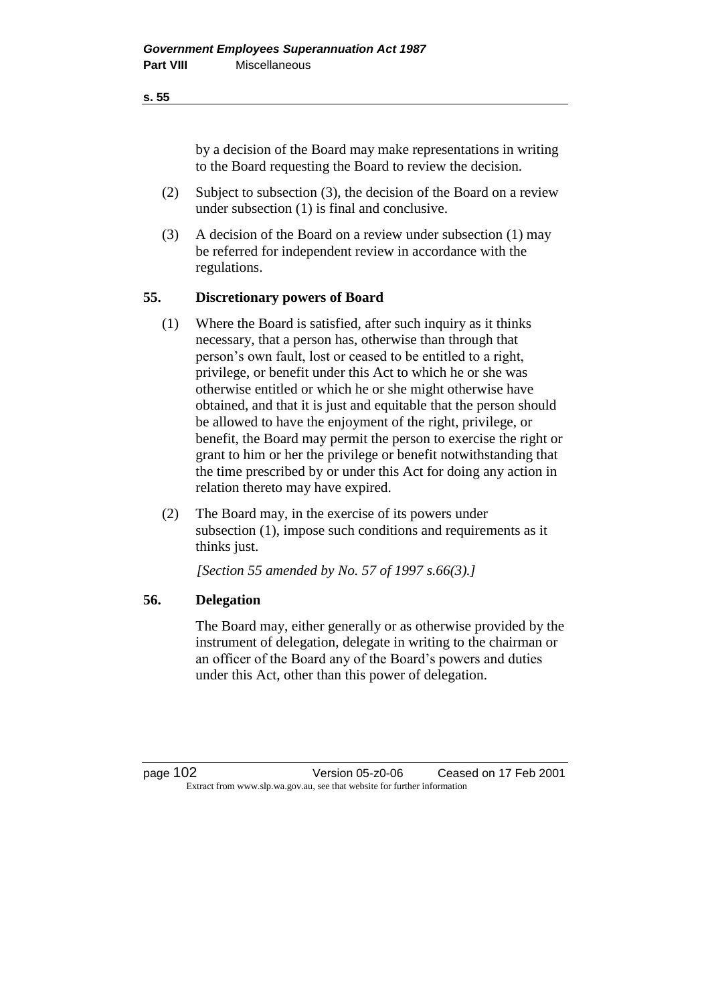### **s. 55**

by a decision of the Board may make representations in writing to the Board requesting the Board to review the decision.

- (2) Subject to subsection (3), the decision of the Board on a review under subsection (1) is final and conclusive.
- (3) A decision of the Board on a review under subsection (1) may be referred for independent review in accordance with the regulations.

## **55. Discretionary powers of Board**

- (1) Where the Board is satisfied, after such inquiry as it thinks necessary, that a person has, otherwise than through that person's own fault, lost or ceased to be entitled to a right, privilege, or benefit under this Act to which he or she was otherwise entitled or which he or she might otherwise have obtained, and that it is just and equitable that the person should be allowed to have the enjoyment of the right, privilege, or benefit, the Board may permit the person to exercise the right or grant to him or her the privilege or benefit notwithstanding that the time prescribed by or under this Act for doing any action in relation thereto may have expired.
- (2) The Board may, in the exercise of its powers under subsection (1), impose such conditions and requirements as it thinks just.

*[Section 55 amended by No. 57 of 1997 s.66(3).]*

# **56. Delegation**

The Board may, either generally or as otherwise provided by the instrument of delegation, delegate in writing to the chairman or an officer of the Board any of the Board's powers and duties under this Act, other than this power of delegation.

page 102 Version 05-z0-06 Ceased on 17 Feb 2001 Extract from www.slp.wa.gov.au, see that website for further information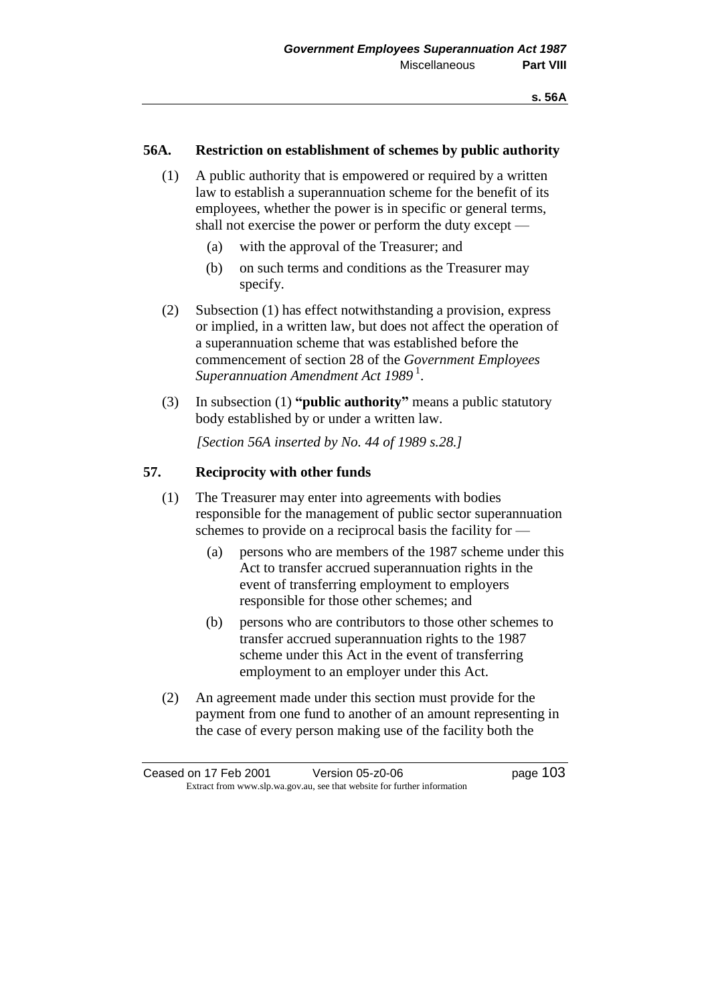# **56A. Restriction on establishment of schemes by public authority**

- (1) A public authority that is empowered or required by a written law to establish a superannuation scheme for the benefit of its employees, whether the power is in specific or general terms, shall not exercise the power or perform the duty except —
	- (a) with the approval of the Treasurer; and
	- (b) on such terms and conditions as the Treasurer may specify.
- (2) Subsection (1) has effect notwithstanding a provision, express or implied, in a written law, but does not affect the operation of a superannuation scheme that was established before the commencement of section 28 of the *Government Employees Superannuation Amendment Act 1989* <sup>1</sup> .
- (3) In subsection (1) **"public authority"** means a public statutory body established by or under a written law.

*[Section 56A inserted by No. 44 of 1989 s.28.]* 

## **57. Reciprocity with other funds**

- (1) The Treasurer may enter into agreements with bodies responsible for the management of public sector superannuation schemes to provide on a reciprocal basis the facility for —
	- (a) persons who are members of the 1987 scheme under this Act to transfer accrued superannuation rights in the event of transferring employment to employers responsible for those other schemes; and
	- (b) persons who are contributors to those other schemes to transfer accrued superannuation rights to the 1987 scheme under this Act in the event of transferring employment to an employer under this Act.
- (2) An agreement made under this section must provide for the payment from one fund to another of an amount representing in the case of every person making use of the facility both the

Ceased on 17 Feb 2001 Version 05-z0-06 Page 103 Extract from www.slp.wa.gov.au, see that website for further information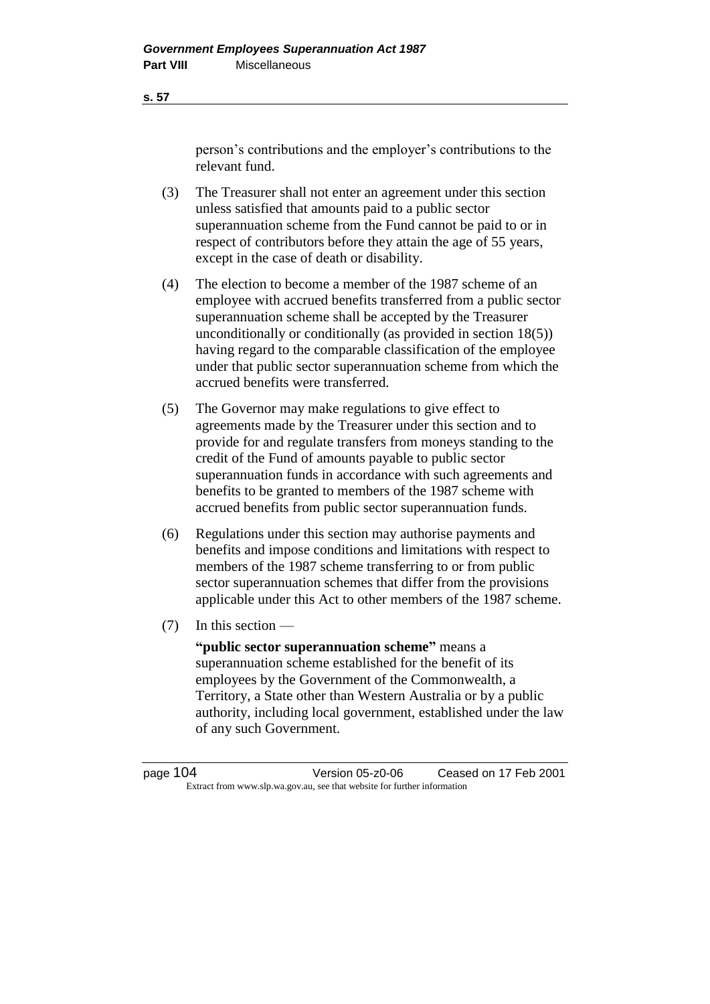person's contributions and the employer's contributions to the relevant fund.

- (3) The Treasurer shall not enter an agreement under this section unless satisfied that amounts paid to a public sector superannuation scheme from the Fund cannot be paid to or in respect of contributors before they attain the age of 55 years, except in the case of death or disability.
- (4) The election to become a member of the 1987 scheme of an employee with accrued benefits transferred from a public sector superannuation scheme shall be accepted by the Treasurer unconditionally or conditionally (as provided in section 18(5)) having regard to the comparable classification of the employee under that public sector superannuation scheme from which the accrued benefits were transferred.
- (5) The Governor may make regulations to give effect to agreements made by the Treasurer under this section and to provide for and regulate transfers from moneys standing to the credit of the Fund of amounts payable to public sector superannuation funds in accordance with such agreements and benefits to be granted to members of the 1987 scheme with accrued benefits from public sector superannuation funds.
- (6) Regulations under this section may authorise payments and benefits and impose conditions and limitations with respect to members of the 1987 scheme transferring to or from public sector superannuation schemes that differ from the provisions applicable under this Act to other members of the 1987 scheme.
- (7) In this section —

**"public sector superannuation scheme"** means a superannuation scheme established for the benefit of its employees by the Government of the Commonwealth, a Territory, a State other than Western Australia or by a public authority, including local government, established under the law of any such Government.

page 104 Version 05-z0-06 Ceased on 17 Feb 2001 Extract from www.slp.wa.gov.au, see that website for further information

**s. 57**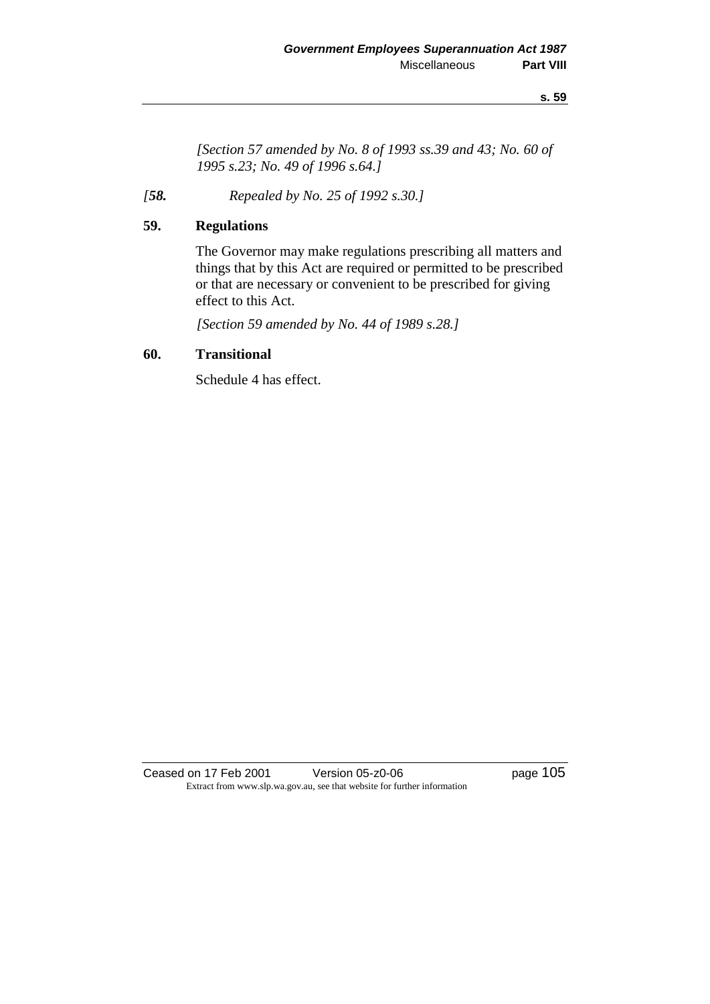**s. 59**

*[Section 57 amended by No. 8 of 1993 ss.39 and 43; No. 60 of 1995 s.23; No. 49 of 1996 s.64.]* 

*[58. Repealed by No. 25 of 1992 s.30.]* 

# **59. Regulations**

The Governor may make regulations prescribing all matters and things that by this Act are required or permitted to be prescribed or that are necessary or convenient to be prescribed for giving effect to this Act.

*[Section 59 amended by No. 44 of 1989 s.28.]* 

# **60. Transitional**

Schedule 4 has effect.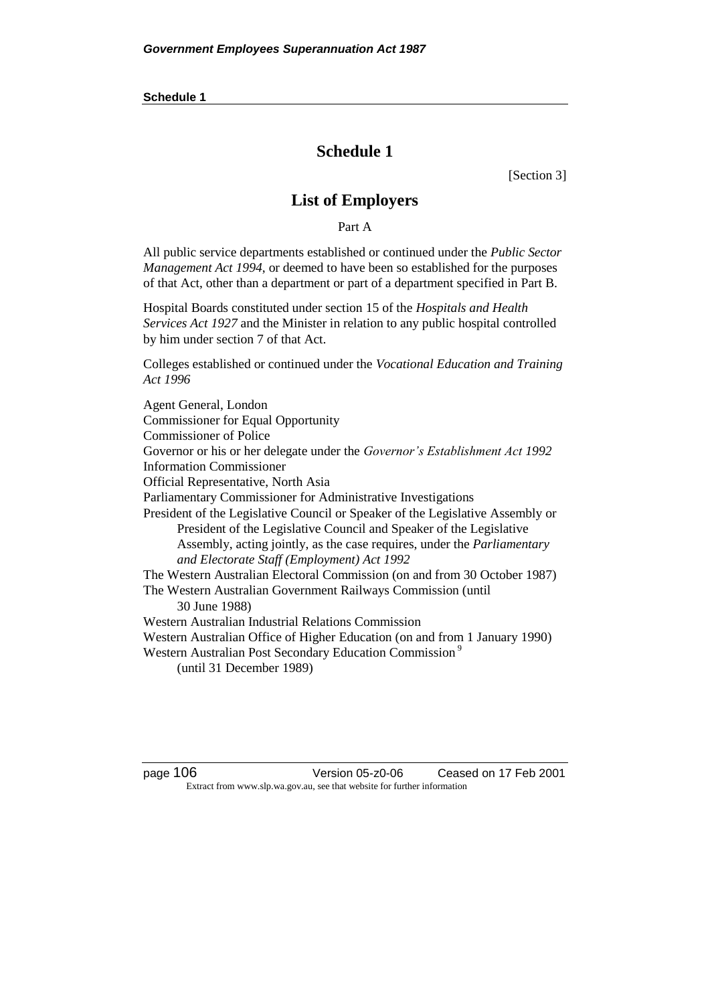# **Schedule 1**

[Section 3]

# **List of Employers**

Part A

All public service departments established or continued under the *Public Sector Management Act 1994*, or deemed to have been so established for the purposes of that Act, other than a department or part of a department specified in Part B.

Hospital Boards constituted under section 15 of the *Hospitals and Health Services Act 1927* and the Minister in relation to any public hospital controlled by him under section 7 of that Act.

Colleges established or continued under the *Vocational Education and Training Act 1996*

Agent General, London Commissioner for Equal Opportunity Commissioner of Police Governor or his or her delegate under the *Governor's Establishment Act 1992* Information Commissioner Official Representative, North Asia Parliamentary Commissioner for Administrative Investigations President of the Legislative Council or Speaker of the Legislative Assembly or President of the Legislative Council and Speaker of the Legislative Assembly, acting jointly, as the case requires, under the *Parliamentary and Electorate Staff (Employment) Act 1992* The Western Australian Electoral Commission (on and from 30 October 1987) The Western Australian Government Railways Commission (until 30 June 1988) Western Australian Industrial Relations Commission Western Australian Office of Higher Education (on and from 1 January 1990) Western Australian Post Secondary Education Commission<sup>9</sup> (until 31 December 1989)

page 106 Version 05-z0-06 Ceased on 17 Feb 2001 Extract from www.slp.wa.gov.au, see that website for further information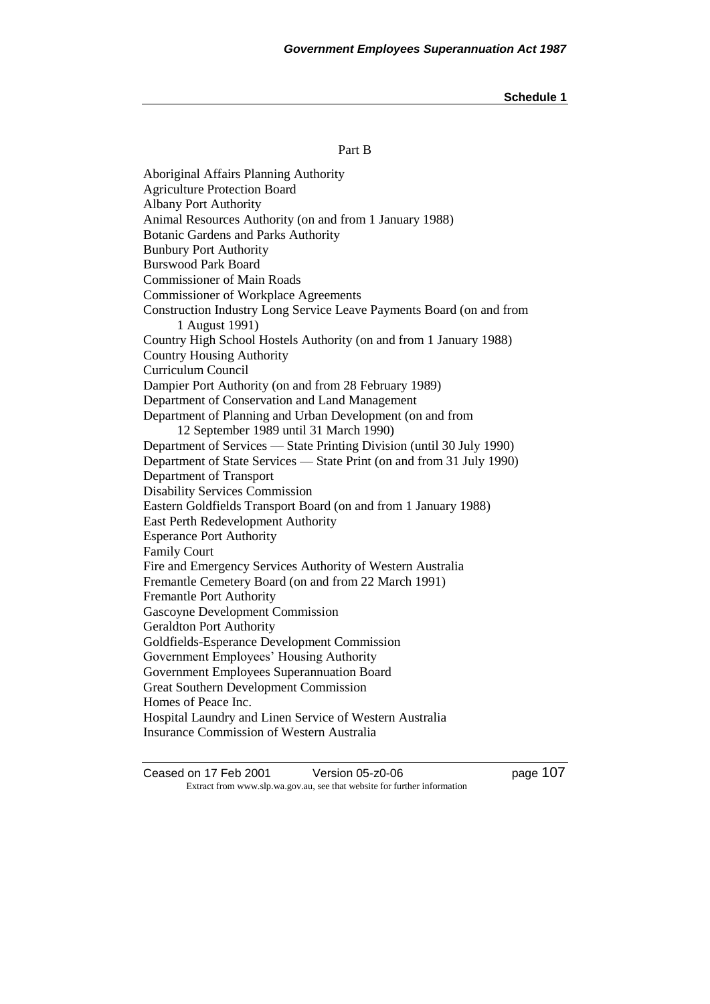#### Part B

Aboriginal Affairs Planning Authority Agriculture Protection Board Albany Port Authority Animal Resources Authority (on and from 1 January 1988) Botanic Gardens and Parks Authority Bunbury Port Authority Burswood Park Board Commissioner of Main Roads Commissioner of Workplace Agreements Construction Industry Long Service Leave Payments Board (on and from 1 August 1991) Country High School Hostels Authority (on and from 1 January 1988) Country Housing Authority Curriculum Council Dampier Port Authority (on and from 28 February 1989) Department of Conservation and Land Management Department of Planning and Urban Development (on and from 12 September 1989 until 31 March 1990) Department of Services — State Printing Division (until 30 July 1990) Department of State Services — State Print (on and from 31 July 1990) Department of Transport Disability Services Commission Eastern Goldfields Transport Board (on and from 1 January 1988) East Perth Redevelopment Authority Esperance Port Authority Family Court Fire and Emergency Services Authority of Western Australia Fremantle Cemetery Board (on and from 22 March 1991) Fremantle Port Authority Gascoyne Development Commission Geraldton Port Authority Goldfields-Esperance Development Commission Government Employees' Housing Authority Government Employees Superannuation Board Great Southern Development Commission Homes of Peace Inc. Hospital Laundry and Linen Service of Western Australia Insurance Commission of Western Australia

Ceased on 17 Feb 2001 Version 05-z0-06 Page 107 Extract from www.slp.wa.gov.au, see that website for further information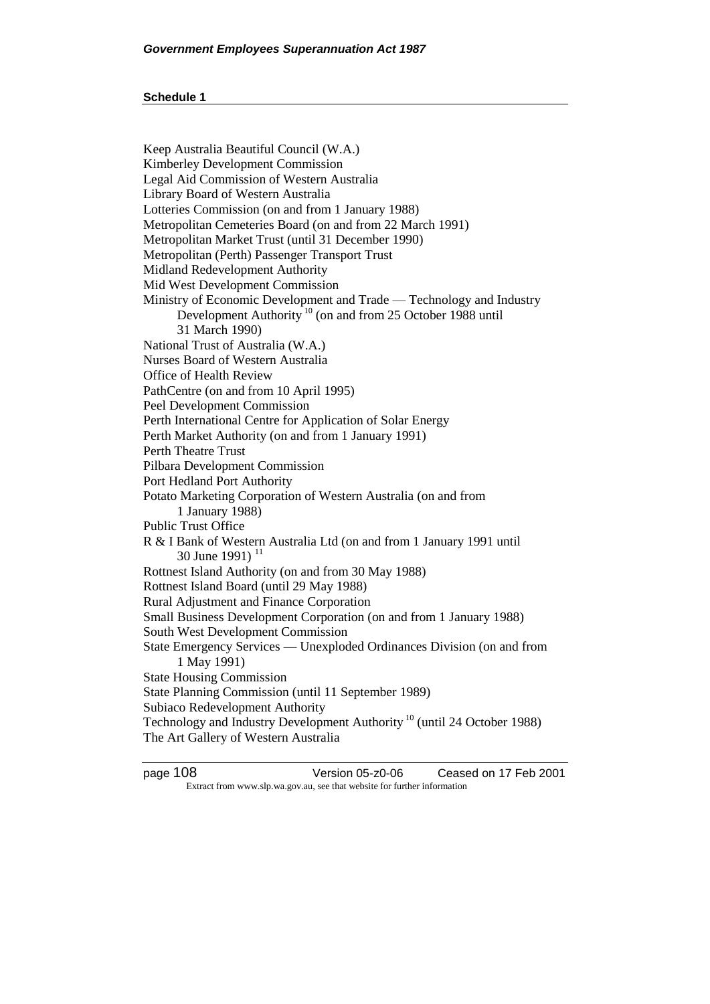Keep Australia Beautiful Council (W.A.) Kimberley Development Commission Legal Aid Commission of Western Australia Library Board of Western Australia Lotteries Commission (on and from 1 January 1988) Metropolitan Cemeteries Board (on and from 22 March 1991) Metropolitan Market Trust (until 31 December 1990) Metropolitan (Perth) Passenger Transport Trust Midland Redevelopment Authority Mid West Development Commission Ministry of Economic Development and Trade — Technology and Industry Development Authority<sup>10</sup> (on and from 25 October 1988 until 31 March 1990) National Trust of Australia (W.A.) Nurses Board of Western Australia Office of Health Review PathCentre (on and from 10 April 1995) Peel Development Commission Perth International Centre for Application of Solar Energy Perth Market Authority (on and from 1 January 1991) Perth Theatre Trust Pilbara Development Commission Port Hedland Port Authority Potato Marketing Corporation of Western Australia (on and from 1 January 1988) Public Trust Office R & I Bank of Western Australia Ltd (on and from 1 January 1991 until 30 June 1991)<sup>11</sup> Rottnest Island Authority (on and from 30 May 1988) Rottnest Island Board (until 29 May 1988) Rural Adjustment and Finance Corporation Small Business Development Corporation (on and from 1 January 1988) South West Development Commission State Emergency Services — Unexploded Ordinances Division (on and from 1 May 1991) State Housing Commission State Planning Commission (until 11 September 1989) Subiaco Redevelopment Authority Technology and Industry Development Authority<sup>10</sup> (until 24 October 1988) The Art Gallery of Western Australia

page 108 Version 05-z0-06 Ceased on 17 Feb 2001 Extract from www.slp.wa.gov.au, see that website for further information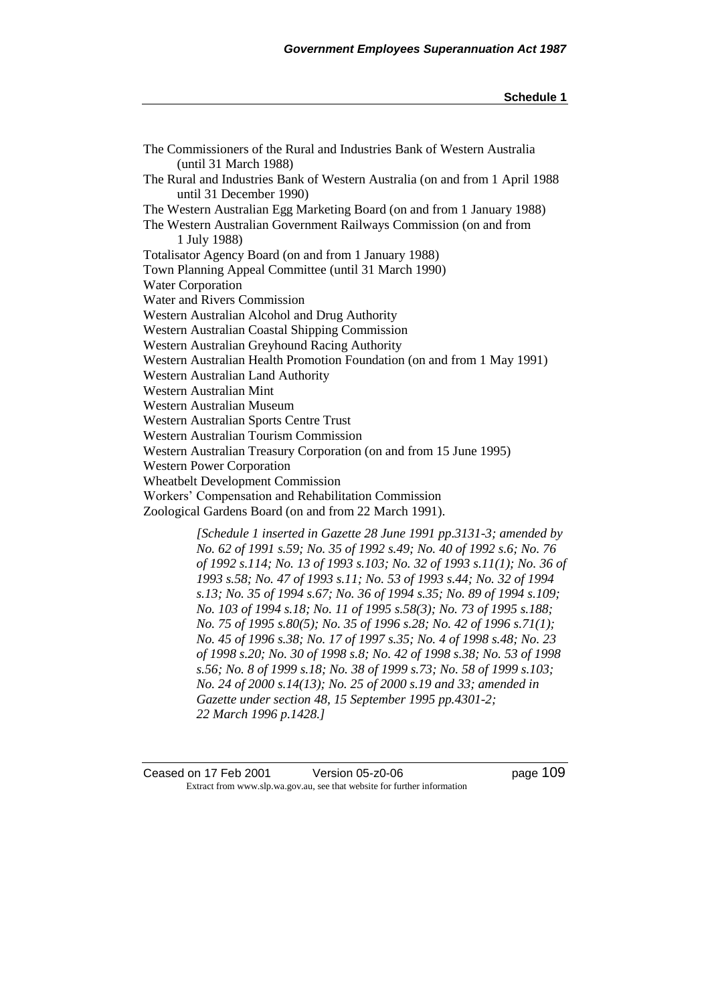*[Schedule 1 inserted in Gazette 28 June 1991 pp.3131-3; amended by No. 62 of 1991 s.59; No. 35 of 1992 s.49; No. 40 of 1992 s.6; No. 76 of 1992 s.114; No. 13 of 1993 s.103; No. 32 of 1993 s.11(1); No. 36 of 1993 s.58; No. 47 of 1993 s.11; No. 53 of 1993 s.44; No. 32 of 1994 s.13; No. 35 of 1994 s.67; No. 36 of 1994 s.35; No. 89 of 1994 s.109; No. 103 of 1994 s.18; No. 11 of 1995 s.58(3); No. 73 of 1995 s.188; No. 75 of 1995 s.80(5); No. 35 of 1996 s.28; No. 42 of 1996 s.71(1); No. 45 of 1996 s.38; No. 17 of 1997 s.35; No. 4 of 1998 s.48; No. 23 of 1998 s.20; No. 30 of 1998 s.8; No. 42 of 1998 s.38; No. 53 of 1998 s.56; No. 8 of 1999 s.18; No. 38 of 1999 s.73; No. 58 of 1999 s.103; No. 24 of 2000 s.14(13); No. 25 of 2000 s.19 and 33; amended in Gazette under section 48, 15 September 1995 pp.4301-2; 22 March 1996 p.1428.]*

Ceased on 17 Feb 2001 Version 05-z0-06 page 109 Extract from www.slp.wa.gov.au, see that website for further information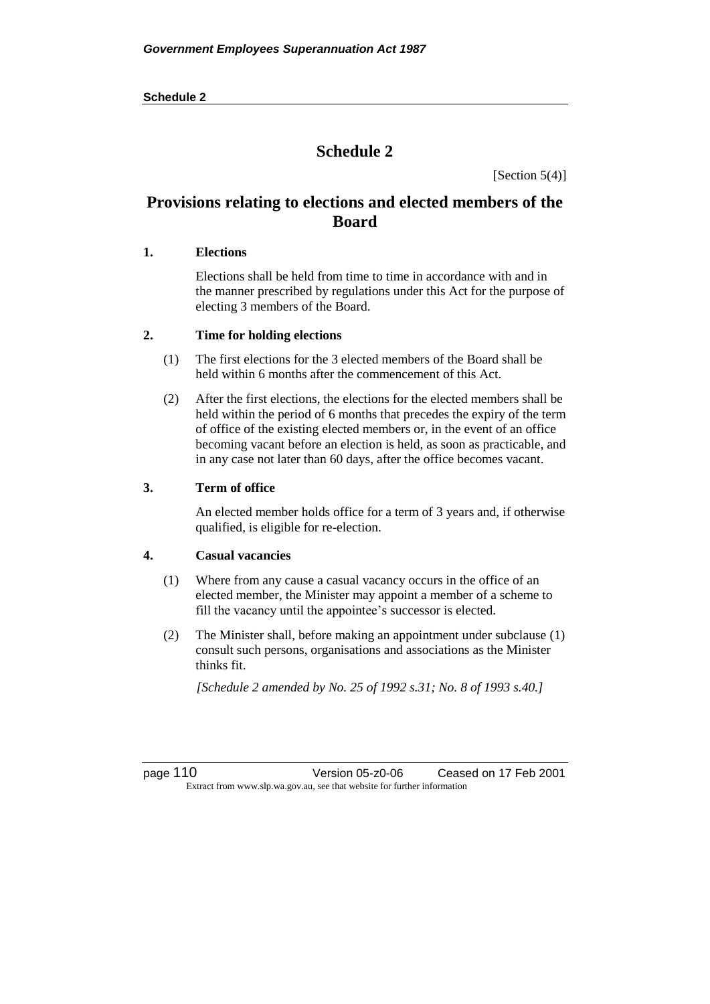[Section  $5(4)$ ]

# **Provisions relating to elections and elected members of the Board**

## **1. Elections**

Elections shall be held from time to time in accordance with and in the manner prescribed by regulations under this Act for the purpose of electing 3 members of the Board.

## **2. Time for holding elections**

- (1) The first elections for the 3 elected members of the Board shall be held within 6 months after the commencement of this Act.
- (2) After the first elections, the elections for the elected members shall be held within the period of 6 months that precedes the expiry of the term of office of the existing elected members or, in the event of an office becoming vacant before an election is held, as soon as practicable, and in any case not later than 60 days, after the office becomes vacant.

## **3. Term of office**

An elected member holds office for a term of 3 years and, if otherwise qualified, is eligible for re-election.

## **4. Casual vacancies**

- (1) Where from any cause a casual vacancy occurs in the office of an elected member, the Minister may appoint a member of a scheme to fill the vacancy until the appointee's successor is elected.
- (2) The Minister shall, before making an appointment under subclause (1) consult such persons, organisations and associations as the Minister thinks fit.

*[Schedule 2 amended by No. 25 of 1992 s.31; No. 8 of 1993 s.40.]* 

page 110 Version 05-z0-06 Ceased on 17 Feb 2001 Extract from www.slp.wa.gov.au, see that website for further information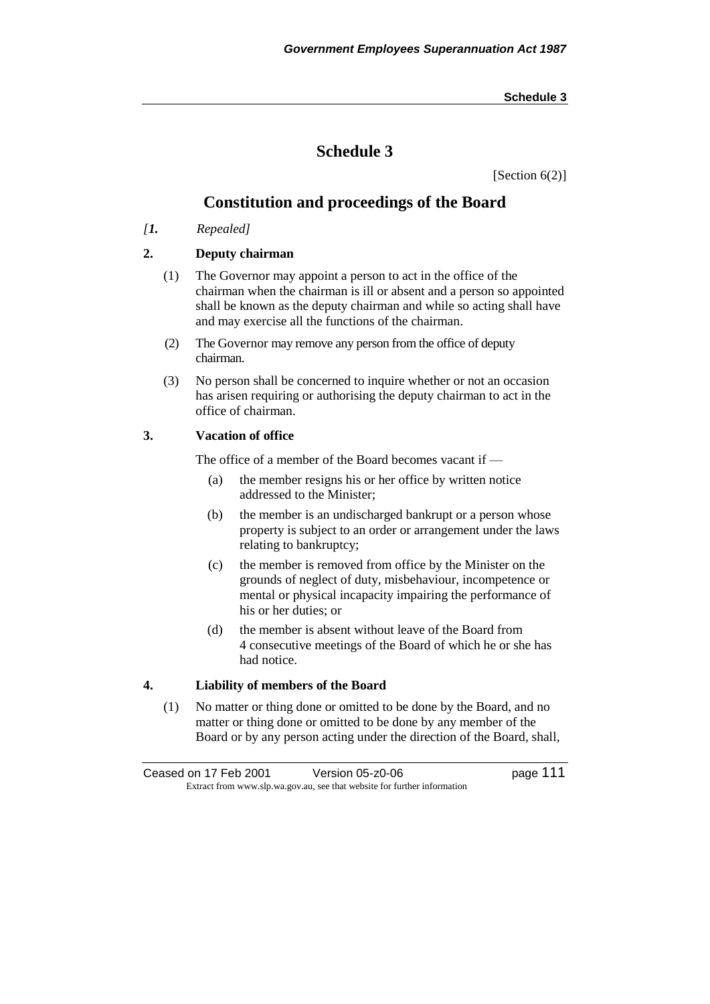# **Schedule 3**

[Section 6(2)]

# **Constitution and proceedings of the Board**

*[1. Repealed]*

# **2. Deputy chairman**

- (1) The Governor may appoint a person to act in the office of the chairman when the chairman is ill or absent and a person so appointed shall be known as the deputy chairman and while so acting shall have and may exercise all the functions of the chairman.
- (2) The Governor may remove any person from the office of deputy chairman.
- (3) No person shall be concerned to inquire whether or not an occasion has arisen requiring or authorising the deputy chairman to act in the office of chairman.

## **3. Vacation of office**

The office of a member of the Board becomes vacant if —

- (a) the member resigns his or her office by written notice addressed to the Minister;
- (b) the member is an undischarged bankrupt or a person whose property is subject to an order or arrangement under the laws relating to bankruptcy;
- (c) the member is removed from office by the Minister on the grounds of neglect of duty, misbehaviour, incompetence or mental or physical incapacity impairing the performance of his or her duties; or
- (d) the member is absent without leave of the Board from 4 consecutive meetings of the Board of which he or she has had notice.

## **4. Liability of members of the Board**

(1) No matter or thing done or omitted to be done by the Board, and no matter or thing done or omitted to be done by any member of the Board or by any person acting under the direction of the Board, shall,

Ceased on 17 Feb 2001 Version 05-z0-06 Page 111 Extract from www.slp.wa.gov.au, see that website for further information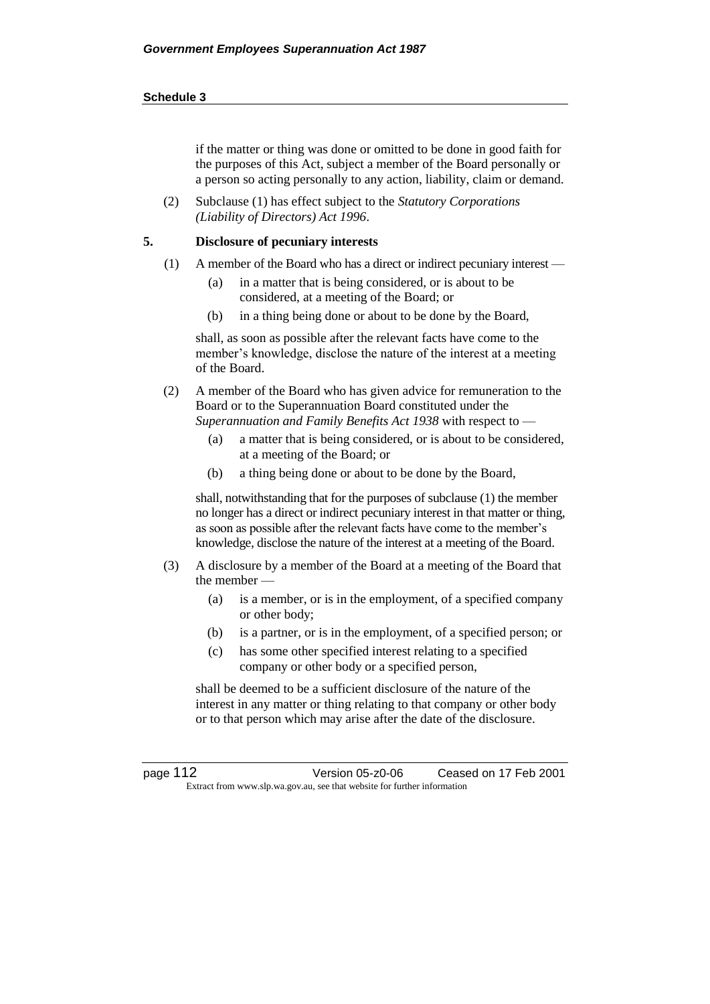if the matter or thing was done or omitted to be done in good faith for the purposes of this Act, subject a member of the Board personally or a person so acting personally to any action, liability, claim or demand.

(2) Subclause (1) has effect subject to the *Statutory Corporations (Liability of Directors) Act 1996*.

### **5. Disclosure of pecuniary interests**

- (1) A member of the Board who has a direct or indirect pecuniary interest
	- (a) in a matter that is being considered, or is about to be considered, at a meeting of the Board; or
	- (b) in a thing being done or about to be done by the Board,

shall, as soon as possible after the relevant facts have come to the member's knowledge, disclose the nature of the interest at a meeting of the Board.

- (2) A member of the Board who has given advice for remuneration to the Board or to the Superannuation Board constituted under the *Superannuation and Family Benefits Act 1938* with respect to —
	- (a) a matter that is being considered, or is about to be considered, at a meeting of the Board; or
	- (b) a thing being done or about to be done by the Board,

shall, notwithstanding that for the purposes of subclause (1) the member no longer has a direct or indirect pecuniary interest in that matter or thing, as soon as possible after the relevant facts have come to the member's knowledge, disclose the nature of the interest at a meeting of the Board.

- (3) A disclosure by a member of the Board at a meeting of the Board that the member —
	- (a) is a member, or is in the employment, of a specified company or other body;
	- (b) is a partner, or is in the employment, of a specified person; or
	- (c) has some other specified interest relating to a specified company or other body or a specified person,

shall be deemed to be a sufficient disclosure of the nature of the interest in any matter or thing relating to that company or other body or to that person which may arise after the date of the disclosure.

page 112 Version 05-z0-06 Ceased on 17 Feb 2001 Extract from www.slp.wa.gov.au, see that website for further information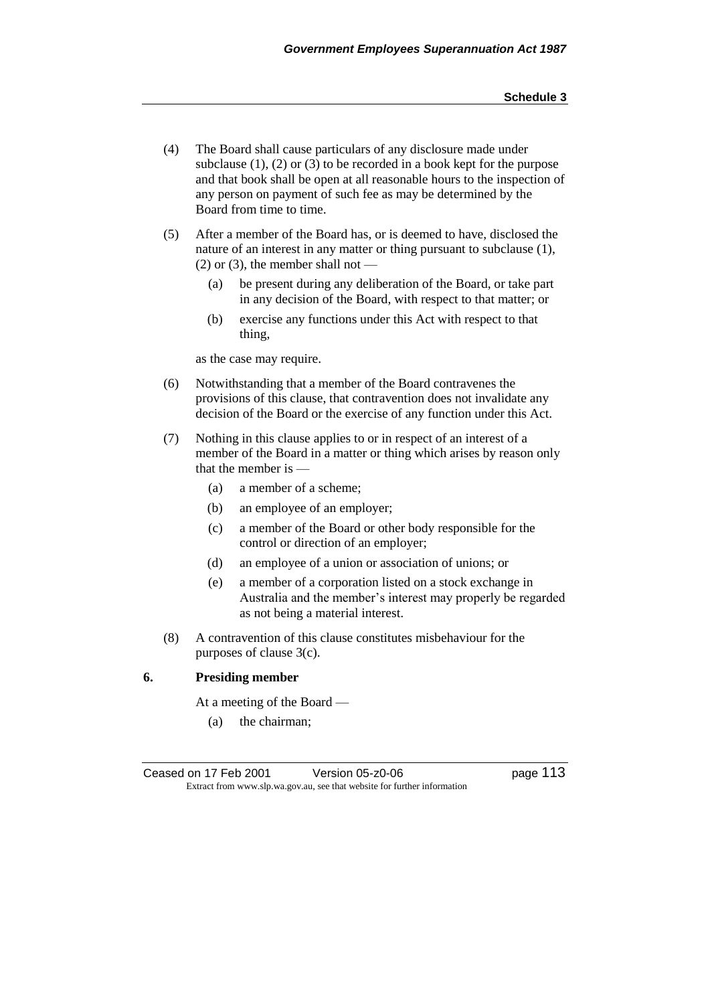- (4) The Board shall cause particulars of any disclosure made under subclause  $(1)$ ,  $(2)$  or  $(3)$  to be recorded in a book kept for the purpose and that book shall be open at all reasonable hours to the inspection of any person on payment of such fee as may be determined by the Board from time to time.
- (5) After a member of the Board has, or is deemed to have, disclosed the nature of an interest in any matter or thing pursuant to subclause (1),  $(2)$  or  $(3)$ , the member shall not -
	- (a) be present during any deliberation of the Board, or take part in any decision of the Board, with respect to that matter; or
	- (b) exercise any functions under this Act with respect to that thing,

as the case may require.

- (6) Notwithstanding that a member of the Board contravenes the provisions of this clause, that contravention does not invalidate any decision of the Board or the exercise of any function under this Act.
- (7) Nothing in this clause applies to or in respect of an interest of a member of the Board in a matter or thing which arises by reason only that the member is —
	- (a) a member of a scheme;
	- (b) an employee of an employer;
	- (c) a member of the Board or other body responsible for the control or direction of an employer;
	- (d) an employee of a union or association of unions; or
	- (e) a member of a corporation listed on a stock exchange in Australia and the member's interest may properly be regarded as not being a material interest.
- (8) A contravention of this clause constitutes misbehaviour for the purposes of clause 3(c).

### **6. Presiding member**

At a meeting of the Board —

(a) the chairman;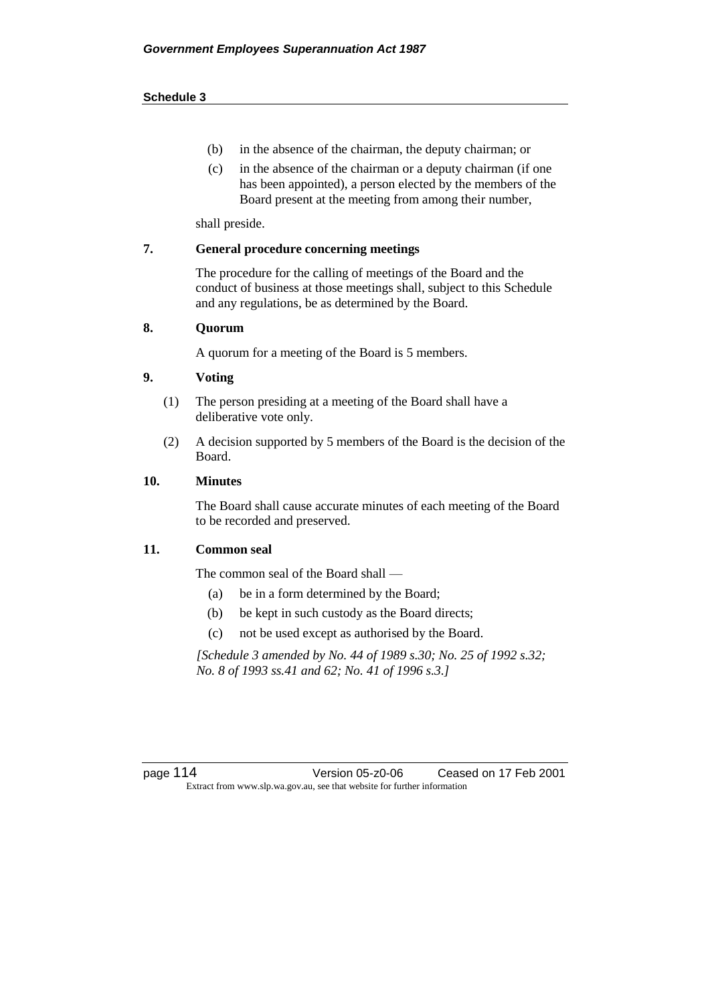- (b) in the absence of the chairman, the deputy chairman; or
- (c) in the absence of the chairman or a deputy chairman (if one has been appointed), a person elected by the members of the Board present at the meeting from among their number,

shall preside.

## **7. General procedure concerning meetings**

The procedure for the calling of meetings of the Board and the conduct of business at those meetings shall, subject to this Schedule and any regulations, be as determined by the Board.

### **8. Quorum**

A quorum for a meeting of the Board is 5 members.

## **9. Voting**

- (1) The person presiding at a meeting of the Board shall have a deliberative vote only.
- (2) A decision supported by 5 members of the Board is the decision of the Board.

### **10. Minutes**

The Board shall cause accurate minutes of each meeting of the Board to be recorded and preserved.

### **11. Common seal**

The common seal of the Board shall —

- (a) be in a form determined by the Board;
- (b) be kept in such custody as the Board directs;
- (c) not be used except as authorised by the Board.

*[Schedule 3 amended by No. 44 of 1989 s.30; No. 25 of 1992 s.32; No. 8 of 1993 ss.41 and 62; No. 41 of 1996 s.3.]* 

page 114 Version 05-z0-06 Ceased on 17 Feb 2001 Extract from www.slp.wa.gov.au, see that website for further information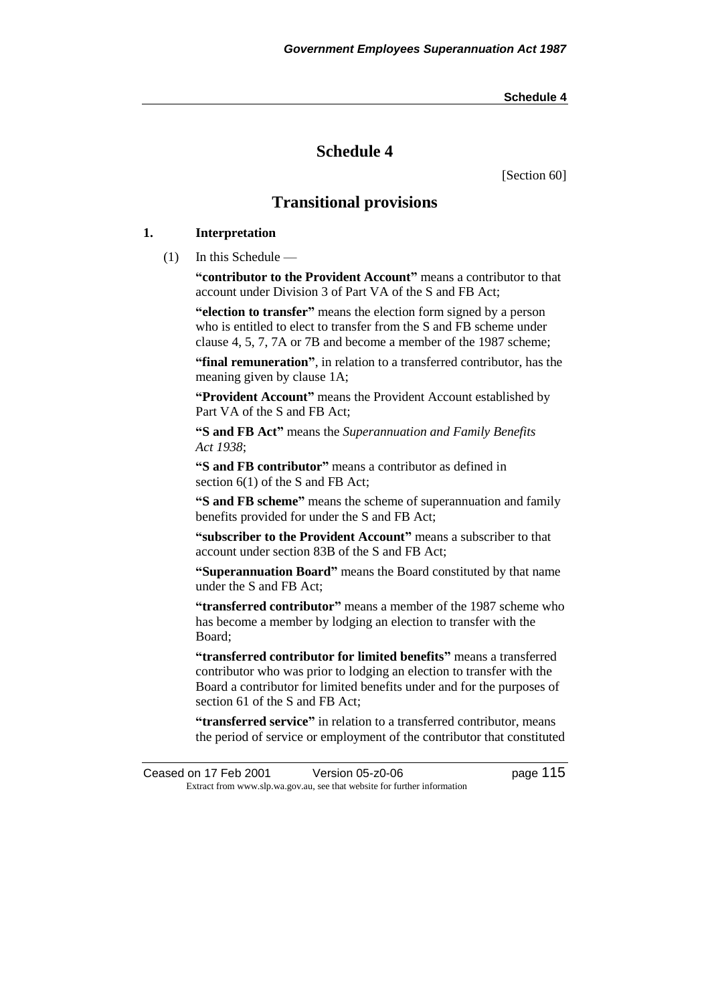# **Schedule 4**

[Section 60]

# **Transitional provisions**

## **1. Interpretation**

(1) In this Schedule —

**"contributor to the Provident Account"** means a contributor to that account under Division 3 of Part VA of the S and FB Act;

**"election to transfer"** means the election form signed by a person who is entitled to elect to transfer from the S and FB scheme under clause 4, 5, 7, 7A or 7B and become a member of the 1987 scheme;

**"final remuneration"**, in relation to a transferred contributor, has the meaning given by clause 1A;

**"Provident Account"** means the Provident Account established by Part VA of the S and FB Act;

**"S and FB Act"** means the *Superannuation and Family Benefits Act 1938*;

**"S and FB contributor"** means a contributor as defined in section 6(1) of the S and FB Act;

**"S and FB scheme"** means the scheme of superannuation and family benefits provided for under the S and FB Act;

**"subscriber to the Provident Account"** means a subscriber to that account under section 83B of the S and FB Act;

**"Superannuation Board"** means the Board constituted by that name under the S and FB Act;

**"transferred contributor"** means a member of the 1987 scheme who has become a member by lodging an election to transfer with the Board;

**"transferred contributor for limited benefits"** means a transferred contributor who was prior to lodging an election to transfer with the Board a contributor for limited benefits under and for the purposes of section 61 of the S and FB Act;

**"transferred service"** in relation to a transferred contributor, means the period of service or employment of the contributor that constituted

Ceased on 17 Feb 2001 Version 05-z0-06 Page 115 Extract from www.slp.wa.gov.au, see that website for further information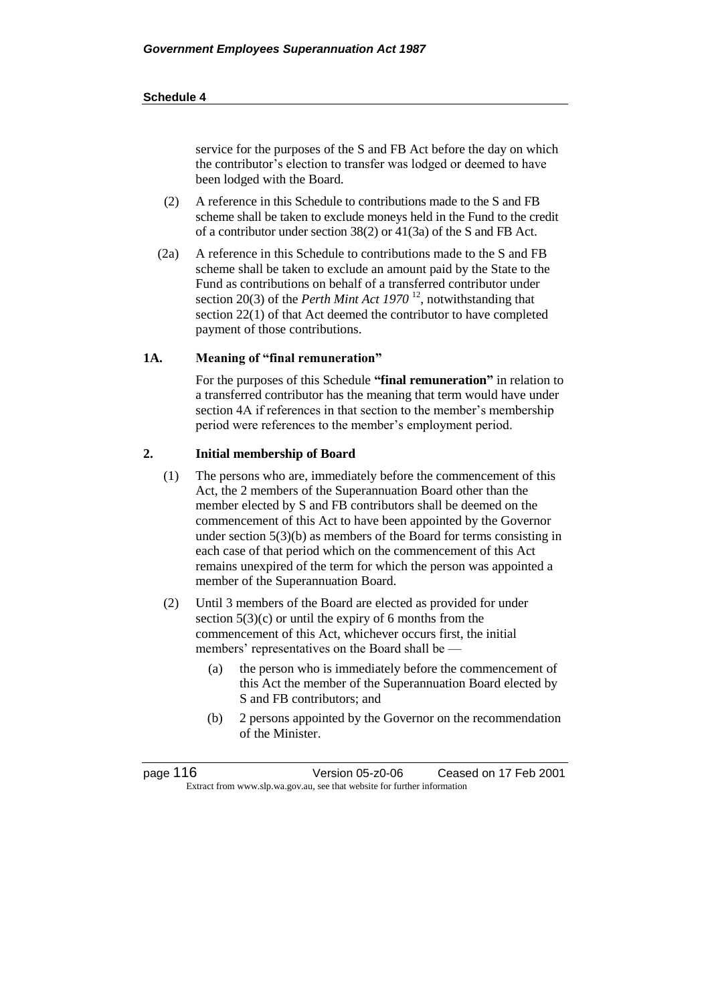service for the purposes of the S and FB Act before the day on which the contributor's election to transfer was lodged or deemed to have been lodged with the Board.

- (2) A reference in this Schedule to contributions made to the S and FB scheme shall be taken to exclude moneys held in the Fund to the credit of a contributor under section 38(2) or 41(3a) of the S and FB Act.
- (2a) A reference in this Schedule to contributions made to the S and FB scheme shall be taken to exclude an amount paid by the State to the Fund as contributions on behalf of a transferred contributor under section 20(3) of the *Perth Mint Act 1970* <sup>12</sup>, notwithstanding that section 22(1) of that Act deemed the contributor to have completed payment of those contributions.

### **1A. Meaning of "final remuneration"**

For the purposes of this Schedule **"final remuneration"** in relation to a transferred contributor has the meaning that term would have under section 4A if references in that section to the member's membership period were references to the member's employment period.

### **2. Initial membership of Board**

- (1) The persons who are, immediately before the commencement of this Act, the 2 members of the Superannuation Board other than the member elected by S and FB contributors shall be deemed on the commencement of this Act to have been appointed by the Governor under section 5(3)(b) as members of the Board for terms consisting in each case of that period which on the commencement of this Act remains unexpired of the term for which the person was appointed a member of the Superannuation Board.
- (2) Until 3 members of the Board are elected as provided for under section  $5(3)(c)$  or until the expiry of 6 months from the commencement of this Act, whichever occurs first, the initial members' representatives on the Board shall be —
	- (a) the person who is immediately before the commencement of this Act the member of the Superannuation Board elected by S and FB contributors; and
	- (b) 2 persons appointed by the Governor on the recommendation of the Minister.

| page 116 | Version 05-z0-06                                                         | Ceased on 17 Feb 2001 |
|----------|--------------------------------------------------------------------------|-----------------------|
|          | Extract from www.slp.wa.gov.au, see that website for further information |                       |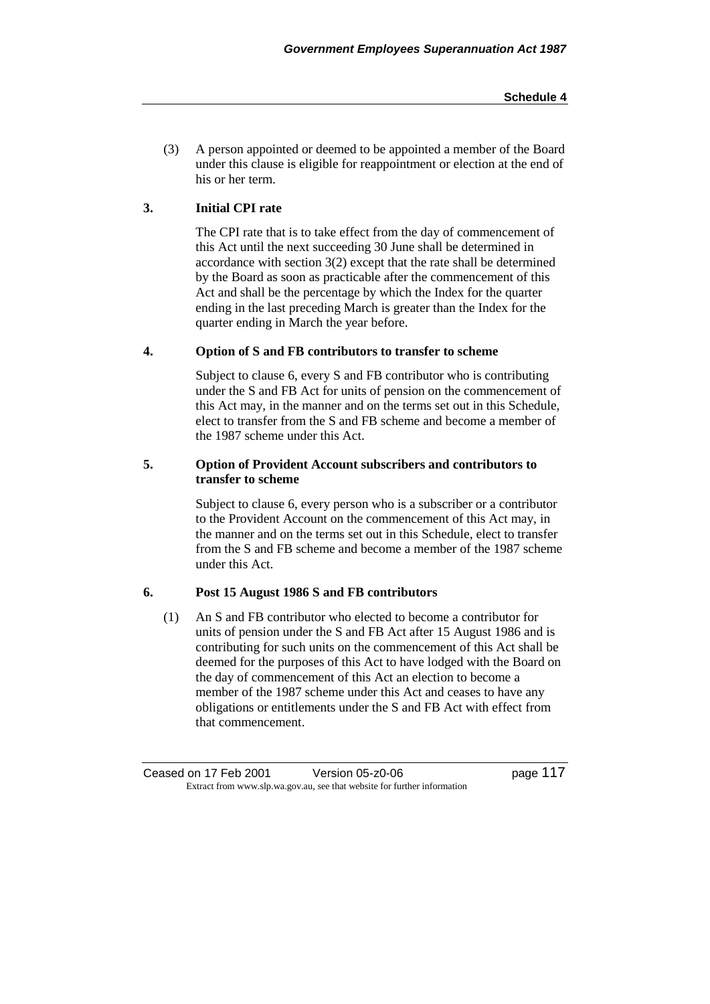(3) A person appointed or deemed to be appointed a member of the Board under this clause is eligible for reappointment or election at the end of his or her term.

# **3. Initial CPI rate**

The CPI rate that is to take effect from the day of commencement of this Act until the next succeeding 30 June shall be determined in accordance with section 3(2) except that the rate shall be determined by the Board as soon as practicable after the commencement of this Act and shall be the percentage by which the Index for the quarter ending in the last preceding March is greater than the Index for the quarter ending in March the year before.

## **4. Option of S and FB contributors to transfer to scheme**

Subject to clause 6, every S and FB contributor who is contributing under the S and FB Act for units of pension on the commencement of this Act may, in the manner and on the terms set out in this Schedule, elect to transfer from the S and FB scheme and become a member of the 1987 scheme under this Act.

## **5. Option of Provident Account subscribers and contributors to transfer to scheme**

Subject to clause 6, every person who is a subscriber or a contributor to the Provident Account on the commencement of this Act may, in the manner and on the terms set out in this Schedule, elect to transfer from the S and FB scheme and become a member of the 1987 scheme under this Act.

## **6. Post 15 August 1986 S and FB contributors**

(1) An S and FB contributor who elected to become a contributor for units of pension under the S and FB Act after 15 August 1986 and is contributing for such units on the commencement of this Act shall be deemed for the purposes of this Act to have lodged with the Board on the day of commencement of this Act an election to become a member of the 1987 scheme under this Act and ceases to have any obligations or entitlements under the S and FB Act with effect from that commencement.

Ceased on 17 Feb 2001 Version 05-z0-06 Page 117 Extract from www.slp.wa.gov.au, see that website for further information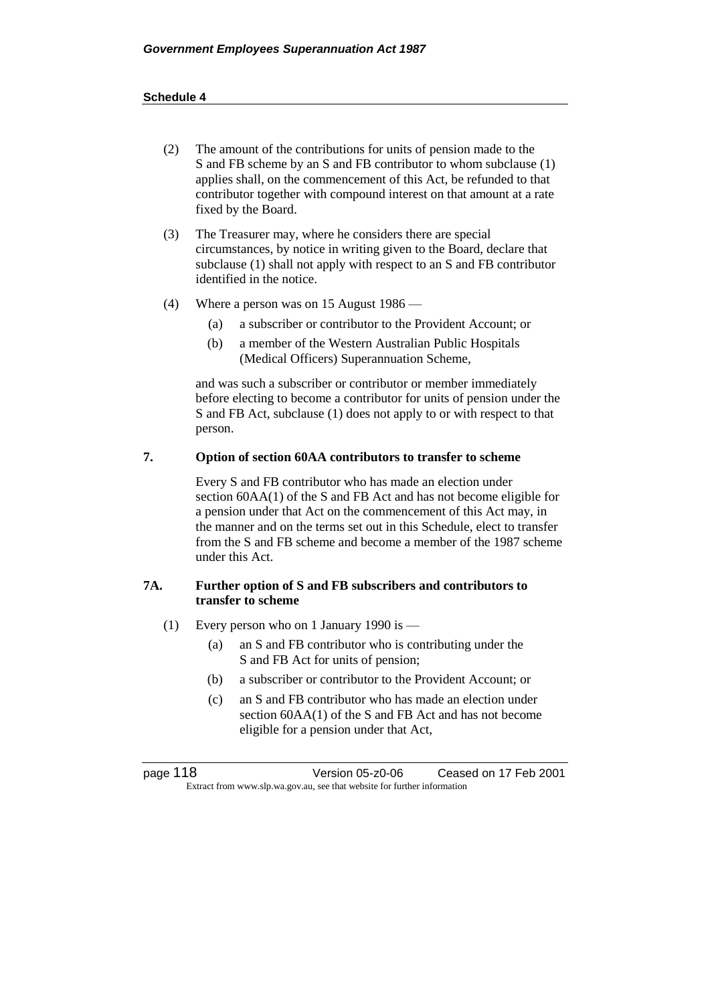- (2) The amount of the contributions for units of pension made to the S and FB scheme by an S and FB contributor to whom subclause (1) applies shall, on the commencement of this Act, be refunded to that contributor together with compound interest on that amount at a rate fixed by the Board.
- (3) The Treasurer may, where he considers there are special circumstances, by notice in writing given to the Board, declare that subclause (1) shall not apply with respect to an S and FB contributor identified in the notice.
- (4) Where a person was on 15 August 1986
	- (a) a subscriber or contributor to the Provident Account; or
	- (b) a member of the Western Australian Public Hospitals (Medical Officers) Superannuation Scheme,

and was such a subscriber or contributor or member immediately before electing to become a contributor for units of pension under the S and FB Act, subclause (1) does not apply to or with respect to that person.

### **7. Option of section 60AA contributors to transfer to scheme**

Every S and FB contributor who has made an election under section 60AA(1) of the S and FB Act and has not become eligible for a pension under that Act on the commencement of this Act may, in the manner and on the terms set out in this Schedule, elect to transfer from the S and FB scheme and become a member of the 1987 scheme under this Act.

## **7A. Further option of S and FB subscribers and contributors to transfer to scheme**

- (1) Every person who on 1 January 1990 is
	- (a) an S and FB contributor who is contributing under the S and FB Act for units of pension;
	- (b) a subscriber or contributor to the Provident Account; or
	- (c) an S and FB contributor who has made an election under section 60AA(1) of the S and FB Act and has not become eligible for a pension under that Act,

page 118 Version 05-z0-06 Ceased on 17 Feb 2001 Extract from www.slp.wa.gov.au, see that website for further information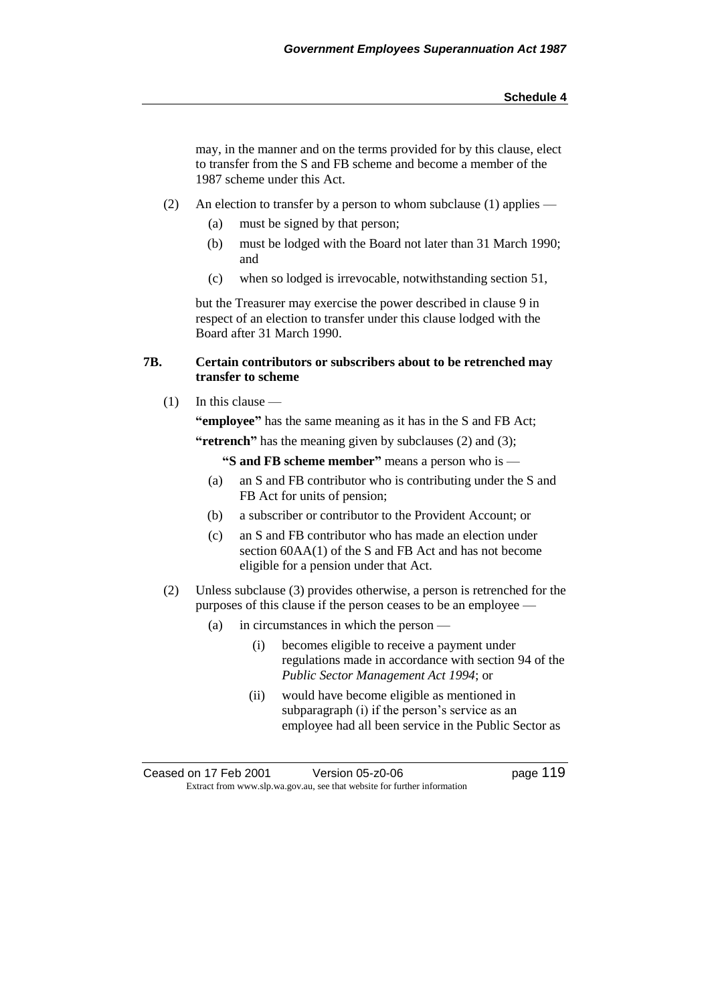may, in the manner and on the terms provided for by this clause, elect to transfer from the S and FB scheme and become a member of the 1987 scheme under this Act.

- (2) An election to transfer by a person to whom subclause (1) applies
	- (a) must be signed by that person;
	- (b) must be lodged with the Board not later than 31 March 1990; and
	- (c) when so lodged is irrevocable, notwithstanding section 51,

but the Treasurer may exercise the power described in clause 9 in respect of an election to transfer under this clause lodged with the Board after 31 March 1990.

## **7B. Certain contributors or subscribers about to be retrenched may transfer to scheme**

 $(1)$  In this clause —

**"employee"** has the same meaning as it has in the S and FB Act;

**"retrench"** has the meaning given by subclauses (2) and (3);

**"S and FB scheme member"** means a person who is —

- (a) an S and FB contributor who is contributing under the S and FB Act for units of pension;
- (b) a subscriber or contributor to the Provident Account; or
- (c) an S and FB contributor who has made an election under section 60AA(1) of the S and FB Act and has not become eligible for a pension under that Act.
- (2) Unless subclause (3) provides otherwise, a person is retrenched for the purposes of this clause if the person ceases to be an employee —
	- (a) in circumstances in which the person
		- (i) becomes eligible to receive a payment under regulations made in accordance with section 94 of the *Public Sector Management Act 1994*; or
		- (ii) would have become eligible as mentioned in subparagraph (i) if the person's service as an employee had all been service in the Public Sector as

Ceased on 17 Feb 2001 Version 05-z0-06 Page 119 Extract from www.slp.wa.gov.au, see that website for further information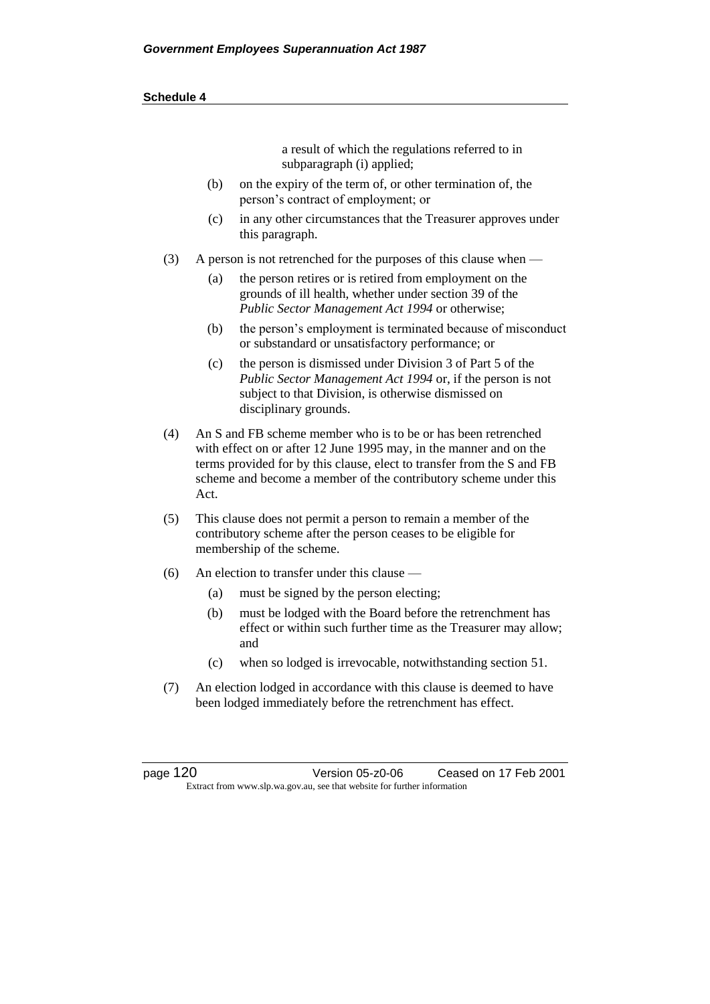a result of which the regulations referred to in subparagraph (i) applied;

- (b) on the expiry of the term of, or other termination of, the person's contract of employment; or
- (c) in any other circumstances that the Treasurer approves under this paragraph.
- (3) A person is not retrenched for the purposes of this clause when
	- (a) the person retires or is retired from employment on the grounds of ill health, whether under section 39 of the *Public Sector Management Act 1994* or otherwise;
	- (b) the person's employment is terminated because of misconduct or substandard or unsatisfactory performance; or
	- (c) the person is dismissed under Division 3 of Part 5 of the *Public Sector Management Act 1994* or, if the person is not subject to that Division, is otherwise dismissed on disciplinary grounds.
- (4) An S and FB scheme member who is to be or has been retrenched with effect on or after 12 June 1995 may, in the manner and on the terms provided for by this clause, elect to transfer from the S and FB scheme and become a member of the contributory scheme under this Act.
- (5) This clause does not permit a person to remain a member of the contributory scheme after the person ceases to be eligible for membership of the scheme.
- (6) An election to transfer under this clause
	- (a) must be signed by the person electing;
	- (b) must be lodged with the Board before the retrenchment has effect or within such further time as the Treasurer may allow; and
	- (c) when so lodged is irrevocable, notwithstanding section 51.
- (7) An election lodged in accordance with this clause is deemed to have been lodged immediately before the retrenchment has effect.

page 120 Version 05-z0-06 Ceased on 17 Feb 2001 Extract from www.slp.wa.gov.au, see that website for further information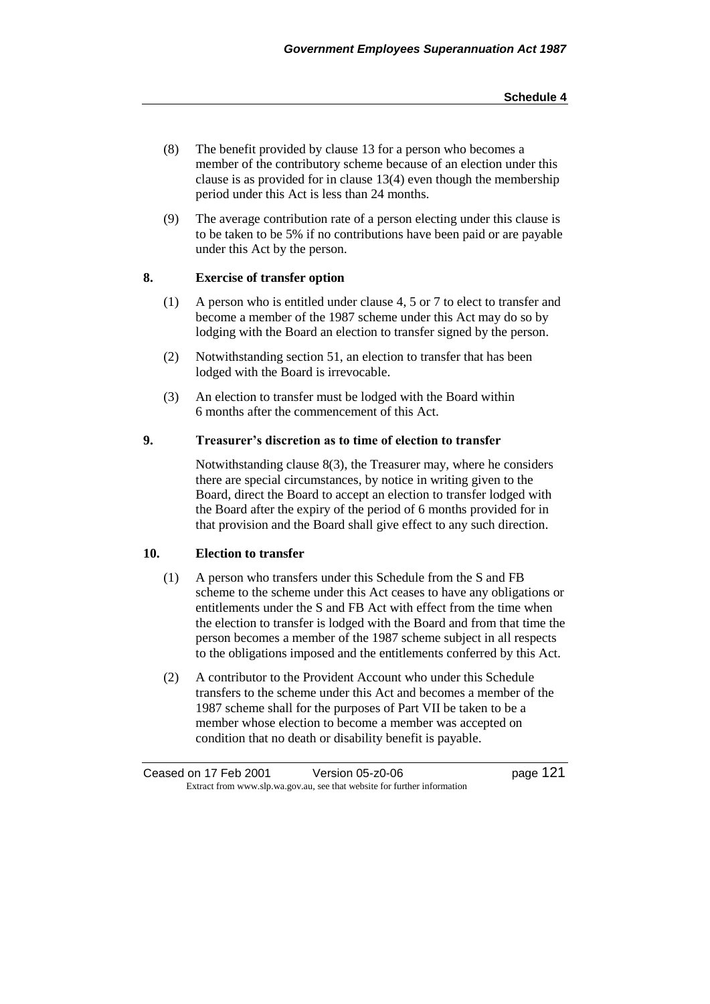- (8) The benefit provided by clause 13 for a person who becomes a member of the contributory scheme because of an election under this clause is as provided for in clause 13(4) even though the membership period under this Act is less than 24 months.
- (9) The average contribution rate of a person electing under this clause is to be taken to be 5% if no contributions have been paid or are payable under this Act by the person.

## **8. Exercise of transfer option**

- (1) A person who is entitled under clause 4, 5 or 7 to elect to transfer and become a member of the 1987 scheme under this Act may do so by lodging with the Board an election to transfer signed by the person.
- (2) Notwithstanding section 51, an election to transfer that has been lodged with the Board is irrevocable.
- (3) An election to transfer must be lodged with the Board within 6 months after the commencement of this Act.

## **9. Treasurer's discretion as to time of election to transfer**

Notwithstanding clause 8(3), the Treasurer may, where he considers there are special circumstances, by notice in writing given to the Board, direct the Board to accept an election to transfer lodged with the Board after the expiry of the period of 6 months provided for in that provision and the Board shall give effect to any such direction.

## **10. Election to transfer**

- (1) A person who transfers under this Schedule from the S and FB scheme to the scheme under this Act ceases to have any obligations or entitlements under the S and FB Act with effect from the time when the election to transfer is lodged with the Board and from that time the person becomes a member of the 1987 scheme subject in all respects to the obligations imposed and the entitlements conferred by this Act.
- (2) A contributor to the Provident Account who under this Schedule transfers to the scheme under this Act and becomes a member of the 1987 scheme shall for the purposes of Part VII be taken to be a member whose election to become a member was accepted on condition that no death or disability benefit is payable.

Ceased on 17 Feb 2001 Version 05-z0-06 page 121 Extract from www.slp.wa.gov.au, see that website for further information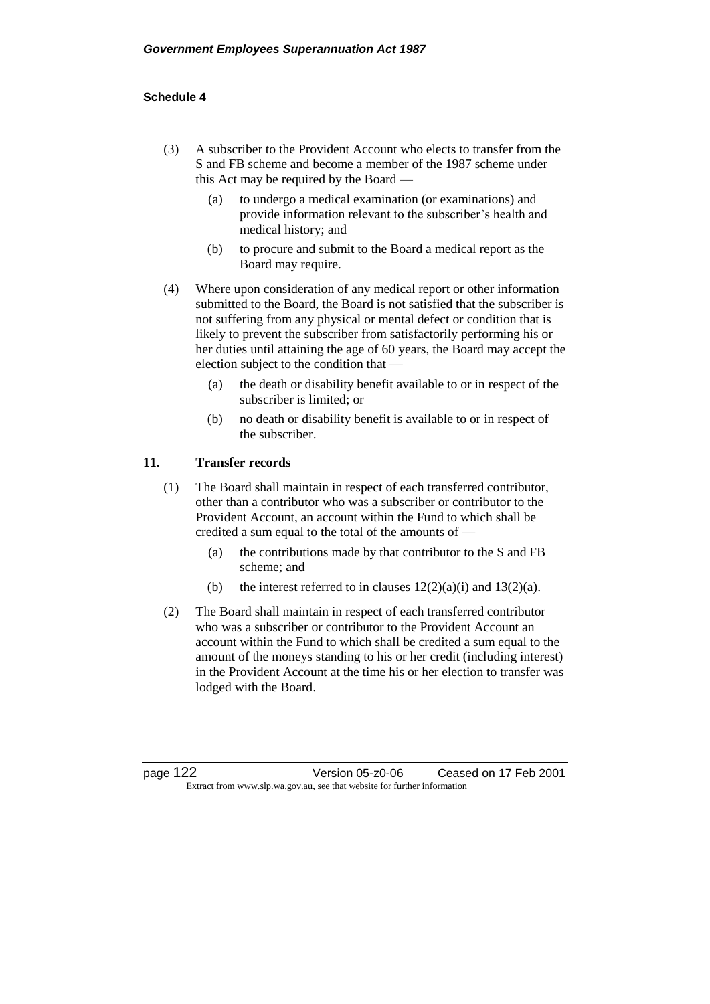- (3) A subscriber to the Provident Account who elects to transfer from the S and FB scheme and become a member of the 1987 scheme under this Act may be required by the Board —
	- (a) to undergo a medical examination (or examinations) and provide information relevant to the subscriber's health and medical history; and
	- (b) to procure and submit to the Board a medical report as the Board may require.
- (4) Where upon consideration of any medical report or other information submitted to the Board, the Board is not satisfied that the subscriber is not suffering from any physical or mental defect or condition that is likely to prevent the subscriber from satisfactorily performing his or her duties until attaining the age of 60 years, the Board may accept the election subject to the condition that —
	- (a) the death or disability benefit available to or in respect of the subscriber is limited; or
	- (b) no death or disability benefit is available to or in respect of the subscriber.

## **11. Transfer records**

- (1) The Board shall maintain in respect of each transferred contributor, other than a contributor who was a subscriber or contributor to the Provident Account, an account within the Fund to which shall be credited a sum equal to the total of the amounts of —
	- (a) the contributions made by that contributor to the S and FB scheme; and
	- (b) the interest referred to in clauses  $12(2)(a)(i)$  and  $13(2)(a)$ .
- (2) The Board shall maintain in respect of each transferred contributor who was a subscriber or contributor to the Provident Account an account within the Fund to which shall be credited a sum equal to the amount of the moneys standing to his or her credit (including interest) in the Provident Account at the time his or her election to transfer was lodged with the Board.

page 122 Version 05-z0-06 Ceased on 17 Feb 2001 Extract from www.slp.wa.gov.au, see that website for further information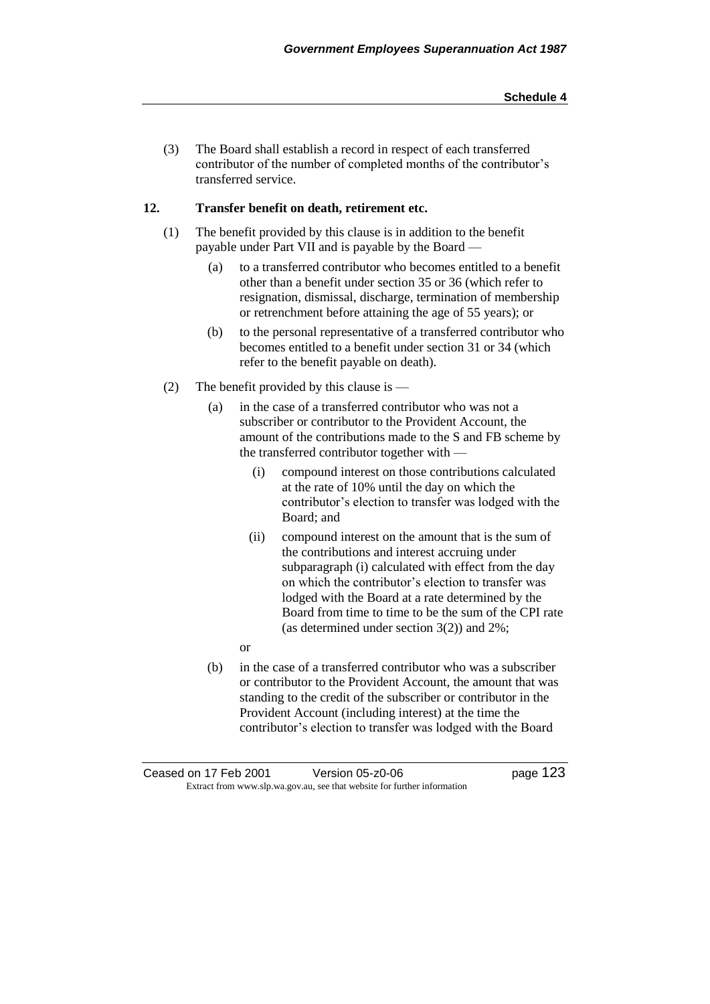(3) The Board shall establish a record in respect of each transferred contributor of the number of completed months of the contributor's transferred service.

## **12. Transfer benefit on death, retirement etc.**

- (1) The benefit provided by this clause is in addition to the benefit payable under Part VII and is payable by the Board —
	- (a) to a transferred contributor who becomes entitled to a benefit other than a benefit under section 35 or 36 (which refer to resignation, dismissal, discharge, termination of membership or retrenchment before attaining the age of 55 years); or
	- (b) to the personal representative of a transferred contributor who becomes entitled to a benefit under section 31 or 34 (which refer to the benefit payable on death).
- (2) The benefit provided by this clause is
	- (a) in the case of a transferred contributor who was not a subscriber or contributor to the Provident Account, the amount of the contributions made to the S and FB scheme by the transferred contributor together with —
		- (i) compound interest on those contributions calculated at the rate of 10% until the day on which the contributor's election to transfer was lodged with the Board; and
		- (ii) compound interest on the amount that is the sum of the contributions and interest accruing under subparagraph (i) calculated with effect from the day on which the contributor's election to transfer was lodged with the Board at a rate determined by the Board from time to time to be the sum of the CPI rate (as determined under section 3(2)) and 2%;
		- or
	- (b) in the case of a transferred contributor who was a subscriber or contributor to the Provident Account, the amount that was standing to the credit of the subscriber or contributor in the Provident Account (including interest) at the time the contributor's election to transfer was lodged with the Board

Ceased on 17 Feb 2001 Version 05-z0-06 Page 123 Extract from www.slp.wa.gov.au, see that website for further information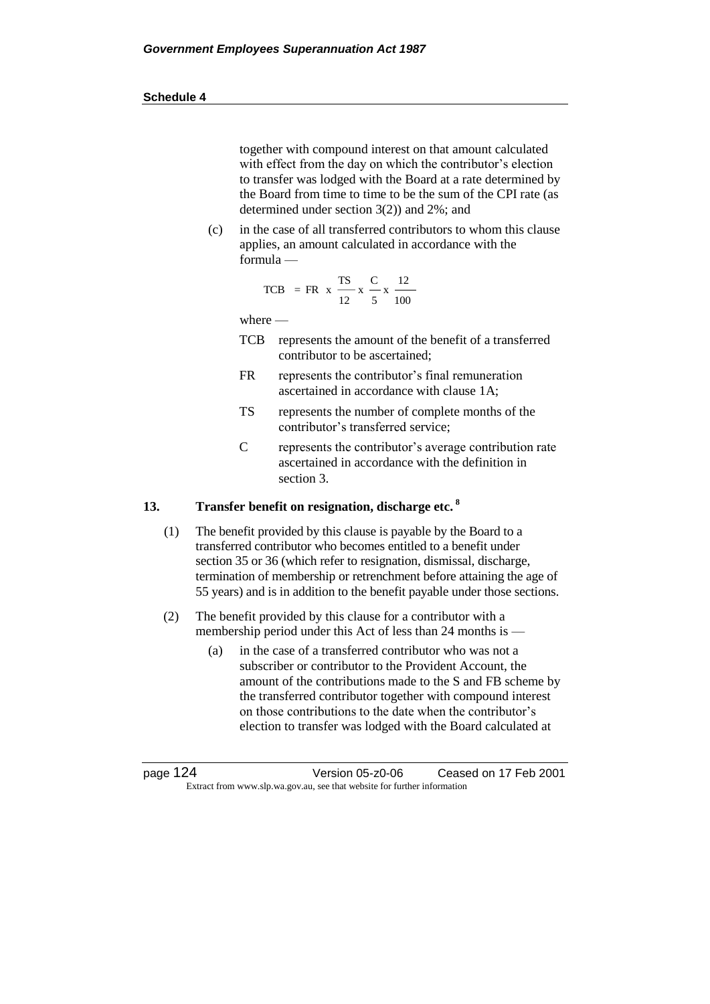together with compound interest on that amount calculated with effect from the day on which the contributor's election to transfer was lodged with the Board at a rate determined by the Board from time to time to be the sum of the CPI rate (as determined under section 3(2)) and 2%; and

(c) in the case of all transferred contributors to whom this clause applies, an amount calculated in accordance with the formula —

TCB = FR x 
$$
\frac{TS}{12}
$$
 x  $\frac{C}{5}$  x  $\frac{12}{100}$ 

where —

- TCB represents the amount of the benefit of a transferred contributor to be ascertained;
- FR represents the contributor's final remuneration ascertained in accordance with clause 1A;
- TS represents the number of complete months of the contributor's transferred service;
- C represents the contributor's average contribution rate ascertained in accordance with the definition in section 3.

## **13. Transfer benefit on resignation, discharge etc. <sup>8</sup>**

- (1) The benefit provided by this clause is payable by the Board to a transferred contributor who becomes entitled to a benefit under section 35 or 36 (which refer to resignation, dismissal, discharge, termination of membership or retrenchment before attaining the age of 55 years) and is in addition to the benefit payable under those sections.
- (2) The benefit provided by this clause for a contributor with a membership period under this Act of less than 24 months is —
	- (a) in the case of a transferred contributor who was not a subscriber or contributor to the Provident Account, the amount of the contributions made to the S and FB scheme by the transferred contributor together with compound interest on those contributions to the date when the contributor's election to transfer was lodged with the Board calculated at

page 124 Version 05-z0-06 Ceased on 17 Feb 2001 Extract from www.slp.wa.gov.au, see that website for further information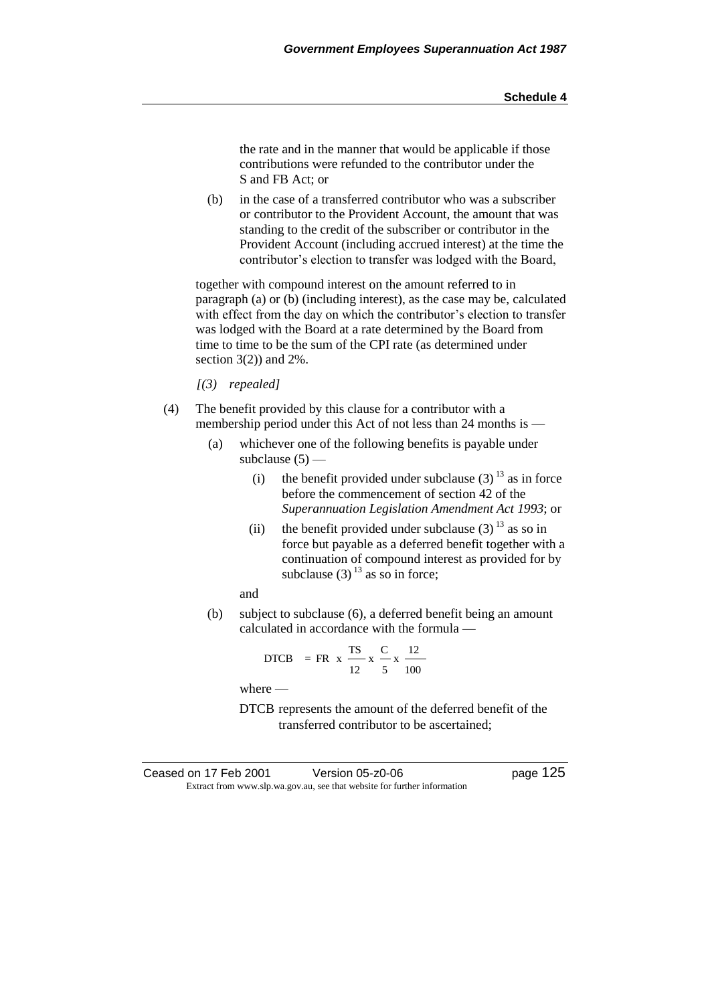the rate and in the manner that would be applicable if those contributions were refunded to the contributor under the S and FB Act; or

(b) in the case of a transferred contributor who was a subscriber or contributor to the Provident Account, the amount that was standing to the credit of the subscriber or contributor in the Provident Account (including accrued interest) at the time the contributor's election to transfer was lodged with the Board,

together with compound interest on the amount referred to in paragraph (a) or (b) (including interest), as the case may be, calculated with effect from the day on which the contributor's election to transfer was lodged with the Board at a rate determined by the Board from time to time to be the sum of the CPI rate (as determined under section  $3(2)$ ) and  $2\%$ .

*[(3) repealed]*

- (4) The benefit provided by this clause for a contributor with a membership period under this Act of not less than 24 months is —
	- (a) whichever one of the following benefits is payable under subclause  $(5)$  —
		- (i) the benefit provided under subclause  $(3)^{13}$  as in force before the commencement of section 42 of the *Superannuation Legislation Amendment Act 1993*; or
		- (ii) the benefit provided under subclause  $(3)^{13}$  as so in force but payable as a deferred benefit together with a continuation of compound interest as provided for by subclause (3)  $^{13}$  as so in force;

and

(b) subject to subclause (6), a deferred benefit being an amount calculated in accordance with the formula —

DTCB = FR x 
$$
\frac{TS}{12}
$$
 x  $\frac{C}{5}$  x  $\frac{12}{100}$ 

where —

DTCB represents the amount of the deferred benefit of the transferred contributor to be ascertained;

| Ceased on 17 Feb 2001 | Version 05-z0-06                                                         | page 125 |
|-----------------------|--------------------------------------------------------------------------|----------|
|                       | Extract from www.slp.wa.gov.au, see that website for further information |          |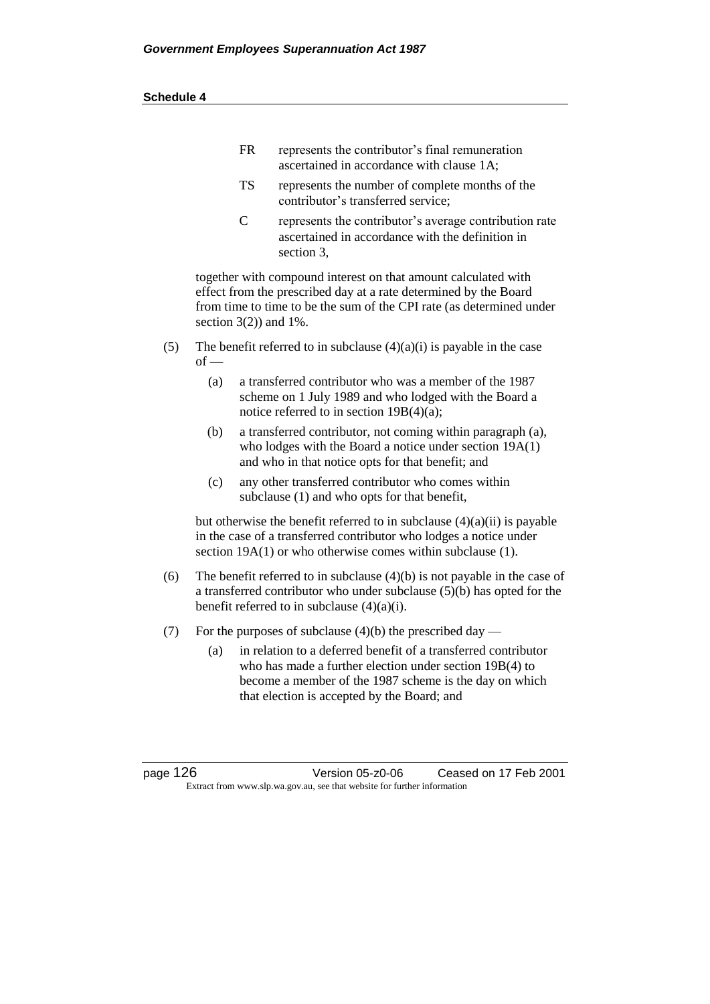| FR | represents the contributor's final remuneration |
|----|-------------------------------------------------|
|    | ascertained in accordance with clause 1A;       |

- TS represents the number of complete months of the contributor's transferred service;
- C represents the contributor's average contribution rate ascertained in accordance with the definition in section 3,

together with compound interest on that amount calculated with effect from the prescribed day at a rate determined by the Board from time to time to be the sum of the CPI rate (as determined under section  $3(2)$  and  $1\%$ .

- (5) The benefit referred to in subclause  $(4)(a)(i)$  is payable in the case  $of$  —
	- (a) a transferred contributor who was a member of the 1987 scheme on 1 July 1989 and who lodged with the Board a notice referred to in section 19B(4)(a);
	- (b) a transferred contributor, not coming within paragraph (a), who lodges with the Board a notice under section 19A(1) and who in that notice opts for that benefit; and
	- (c) any other transferred contributor who comes within subclause (1) and who opts for that benefit,

but otherwise the benefit referred to in subclause  $(4)(a)(ii)$  is payable in the case of a transferred contributor who lodges a notice under section 19A(1) or who otherwise comes within subclause (1).

- (6) The benefit referred to in subclause  $(4)(b)$  is not payable in the case of a transferred contributor who under subclause (5)(b) has opted for the benefit referred to in subclause  $(4)(a)(i)$ .
- (7) For the purposes of subclause  $(4)(b)$  the prescribed day
	- (a) in relation to a deferred benefit of a transferred contributor who has made a further election under section 19B(4) to become a member of the 1987 scheme is the day on which that election is accepted by the Board; and

page 126 Version 05-z0-06 Ceased on 17 Feb 2001 Extract from www.slp.wa.gov.au, see that website for further information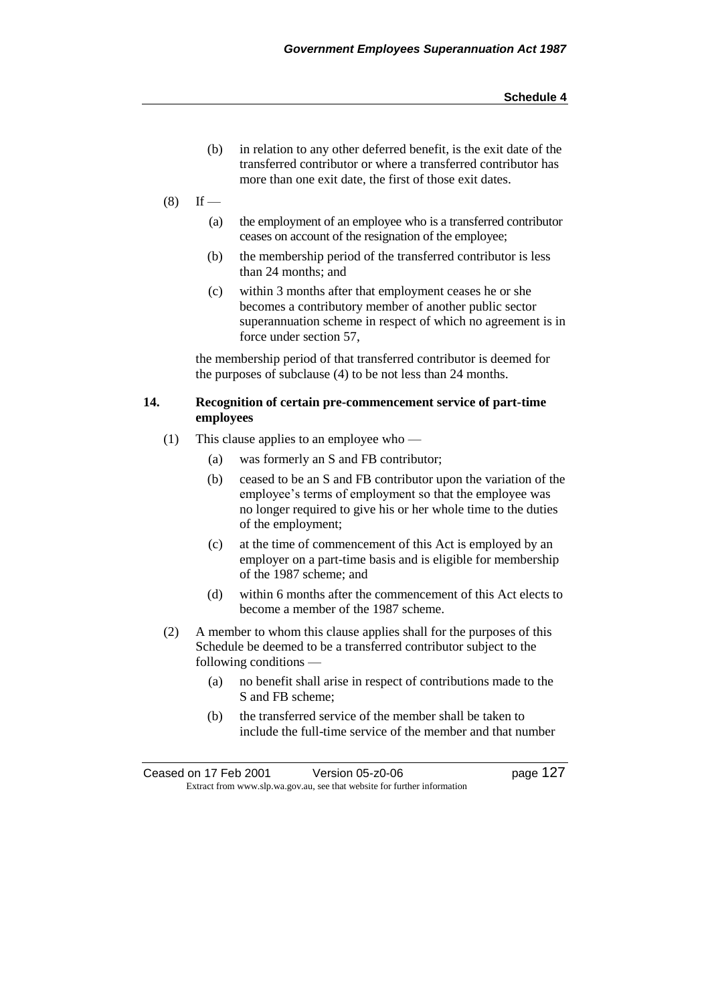- (b) in relation to any other deferred benefit, is the exit date of the transferred contributor or where a transferred contributor has more than one exit date, the first of those exit dates.
- $(8)$  If
	- (a) the employment of an employee who is a transferred contributor ceases on account of the resignation of the employee;
	- (b) the membership period of the transferred contributor is less than 24 months; and
	- (c) within 3 months after that employment ceases he or she becomes a contributory member of another public sector superannuation scheme in respect of which no agreement is in force under section 57,

the membership period of that transferred contributor is deemed for the purposes of subclause (4) to be not less than 24 months.

### **14. Recognition of certain pre-commencement service of part-time employees**

- (1) This clause applies to an employee who
	- (a) was formerly an S and FB contributor;
	- (b) ceased to be an S and FB contributor upon the variation of the employee's terms of employment so that the employee was no longer required to give his or her whole time to the duties of the employment;
	- (c) at the time of commencement of this Act is employed by an employer on a part-time basis and is eligible for membership of the 1987 scheme; and
	- (d) within 6 months after the commencement of this Act elects to become a member of the 1987 scheme.
- (2) A member to whom this clause applies shall for the purposes of this Schedule be deemed to be a transferred contributor subject to the following conditions —
	- (a) no benefit shall arise in respect of contributions made to the S and FB scheme;
	- (b) the transferred service of the member shall be taken to include the full-time service of the member and that number

Ceased on 17 Feb 2001 Version 05-z0-06 Page 127 Extract from www.slp.wa.gov.au, see that website for further information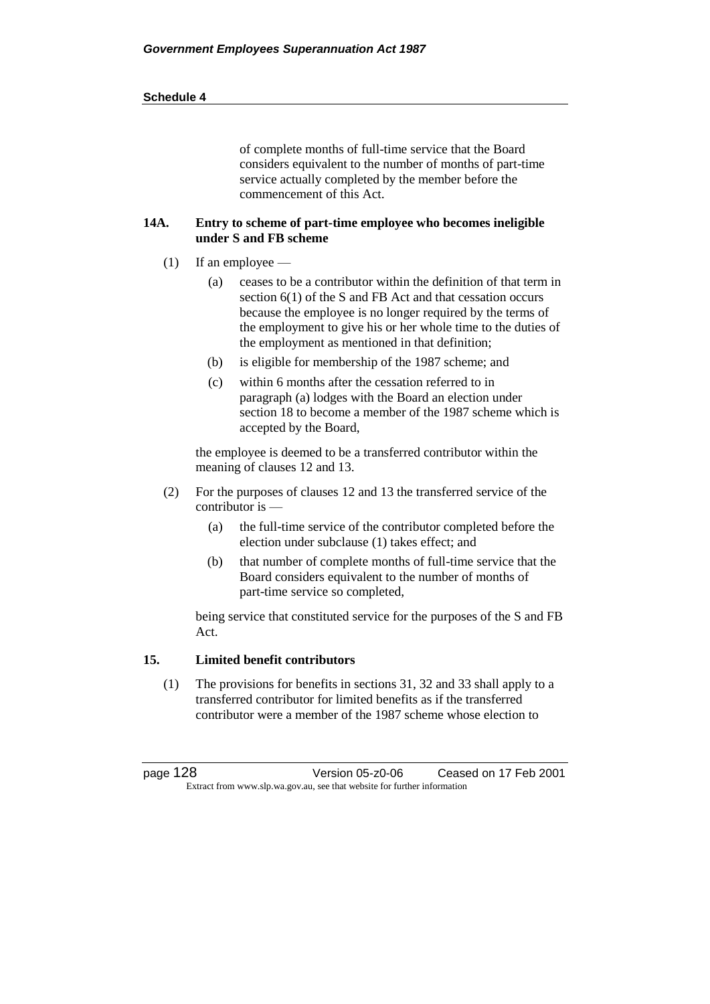| <b>Schedule 4</b> |
|-------------------|
|-------------------|

of complete months of full-time service that the Board considers equivalent to the number of months of part-time service actually completed by the member before the commencement of this Act.

### **14A. Entry to scheme of part-time employee who becomes ineligible under S and FB scheme**

- (1) If an employee
	- (a) ceases to be a contributor within the definition of that term in section 6(1) of the S and FB Act and that cessation occurs because the employee is no longer required by the terms of the employment to give his or her whole time to the duties of the employment as mentioned in that definition;
	- (b) is eligible for membership of the 1987 scheme; and
	- (c) within 6 months after the cessation referred to in paragraph (a) lodges with the Board an election under section 18 to become a member of the 1987 scheme which is accepted by the Board,

the employee is deemed to be a transferred contributor within the meaning of clauses 12 and 13.

- (2) For the purposes of clauses 12 and 13 the transferred service of the contributor is —
	- (a) the full-time service of the contributor completed before the election under subclause (1) takes effect; and
	- (b) that number of complete months of full-time service that the Board considers equivalent to the number of months of part-time service so completed,

being service that constituted service for the purposes of the S and FB Act.

### **15. Limited benefit contributors**

(1) The provisions for benefits in sections 31, 32 and 33 shall apply to a transferred contributor for limited benefits as if the transferred contributor were a member of the 1987 scheme whose election to

page 128 Version 05-z0-06 Ceased on 17 Feb 2001 Extract from www.slp.wa.gov.au, see that website for further information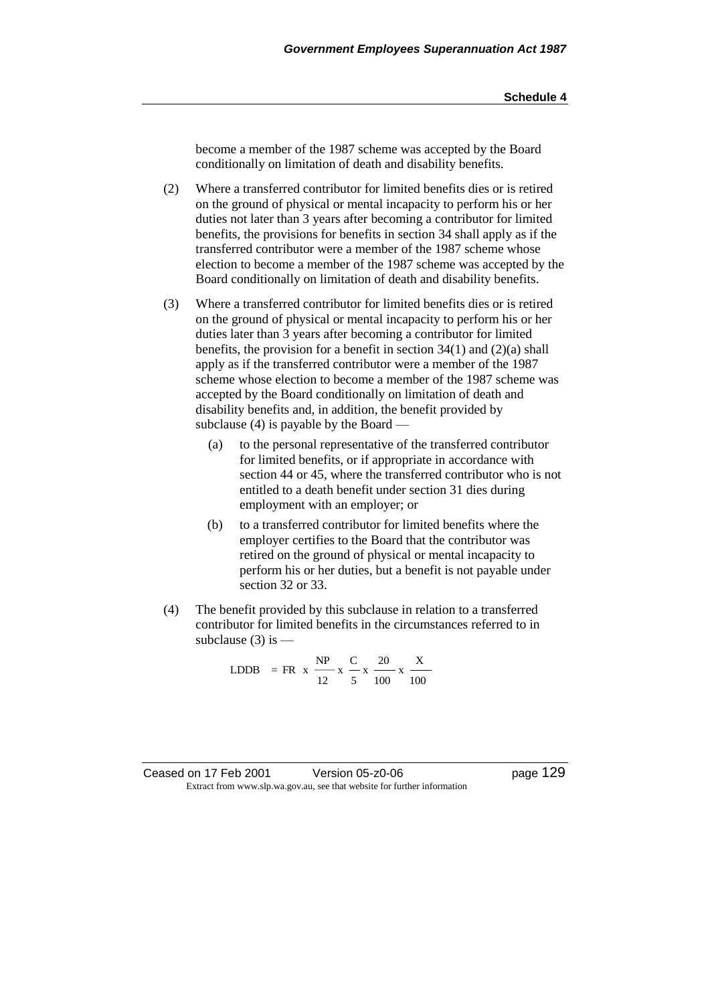become a member of the 1987 scheme was accepted by the Board conditionally on limitation of death and disability benefits.

(2) Where a transferred contributor for limited benefits dies or is retired on the ground of physical or mental incapacity to perform his or her duties not later than 3 years after becoming a contributor for limited benefits, the provisions for benefits in section 34 shall apply as if the transferred contributor were a member of the 1987 scheme whose election to become a member of the 1987 scheme was accepted by the Board conditionally on limitation of death and disability benefits.

- (3) Where a transferred contributor for limited benefits dies or is retired on the ground of physical or mental incapacity to perform his or her duties later than 3 years after becoming a contributor for limited benefits, the provision for a benefit in section  $34(1)$  and  $(2)(a)$  shall apply as if the transferred contributor were a member of the 1987 scheme whose election to become a member of the 1987 scheme was accepted by the Board conditionally on limitation of death and disability benefits and, in addition, the benefit provided by subclause (4) is payable by the Board —
	- (a) to the personal representative of the transferred contributor for limited benefits, or if appropriate in accordance with section 44 or 45, where the transferred contributor who is not entitled to a death benefit under section 31 dies during employment with an employer; or
	- (b) to a transferred contributor for limited benefits where the employer certifies to the Board that the contributor was retired on the ground of physical or mental incapacity to perform his or her duties, but a benefit is not payable under section 32 or 33.
- (4) The benefit provided by this subclause in relation to a transferred contributor for limited benefits in the circumstances referred to in subclause  $(3)$  is  $-$

100  $\cdot$  x  $\frac{X}{\ }$ 100  $\cdot$  x  $\frac{20}{ }$ 5  $\cdot$  x  $\frac{C}{A}$ 12  $LDDB = FR \times \frac{NP}{A}$ 

Ceased on 17 Feb 2001 Version 05-z0-06 Page 129 Extract from www.slp.wa.gov.au, see that website for further information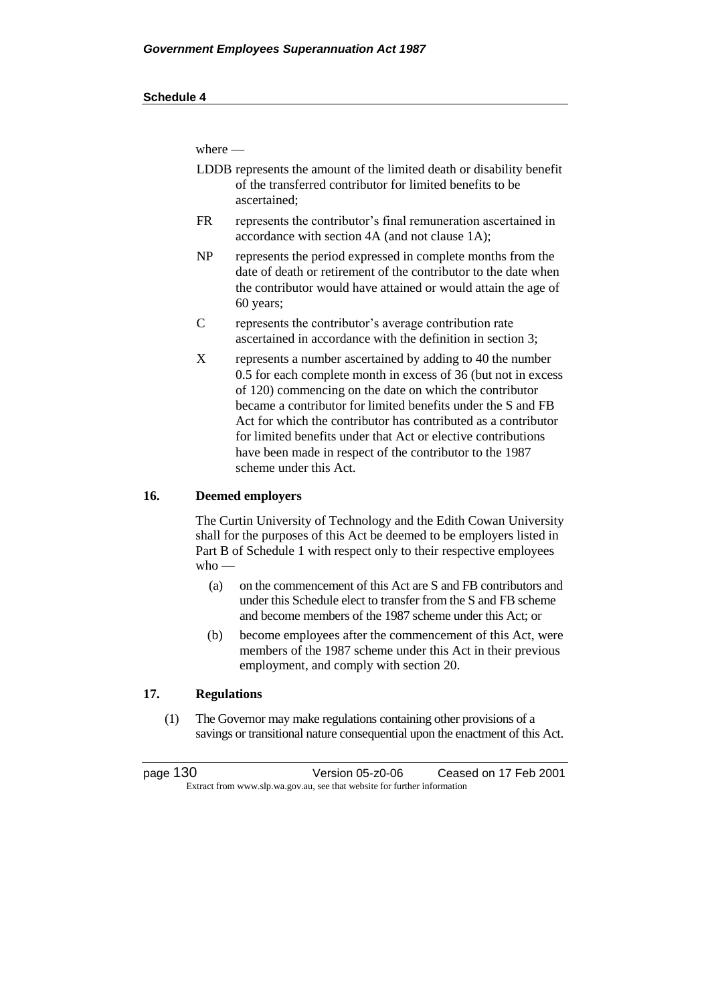where —

- LDDB represents the amount of the limited death or disability benefit of the transferred contributor for limited benefits to be ascertained;
- FR represents the contributor's final remuneration ascertained in accordance with section 4A (and not clause 1A);
- NP represents the period expressed in complete months from the date of death or retirement of the contributor to the date when the contributor would have attained or would attain the age of 60 years;
- C represents the contributor's average contribution rate ascertained in accordance with the definition in section 3;
- X represents a number ascertained by adding to 40 the number 0.5 for each complete month in excess of 36 (but not in excess of 120) commencing on the date on which the contributor became a contributor for limited benefits under the S and FB Act for which the contributor has contributed as a contributor for limited benefits under that Act or elective contributions have been made in respect of the contributor to the 1987 scheme under this Act.

### **16. Deemed employers**

The Curtin University of Technology and the Edith Cowan University shall for the purposes of this Act be deemed to be employers listed in Part B of Schedule 1 with respect only to their respective employees who —

- (a) on the commencement of this Act are S and FB contributors and under this Schedule elect to transfer from the S and FB scheme and become members of the 1987 scheme under this Act; or
- (b) become employees after the commencement of this Act, were members of the 1987 scheme under this Act in their previous employment, and comply with section 20.

### **17. Regulations**

(1) The Governor may make regulations containing other provisions of a savings or transitional nature consequential upon the enactment of this Act.

page 130 Version 05-z0-06 Ceased on 17 Feb 2001 Extract from www.slp.wa.gov.au, see that website for further information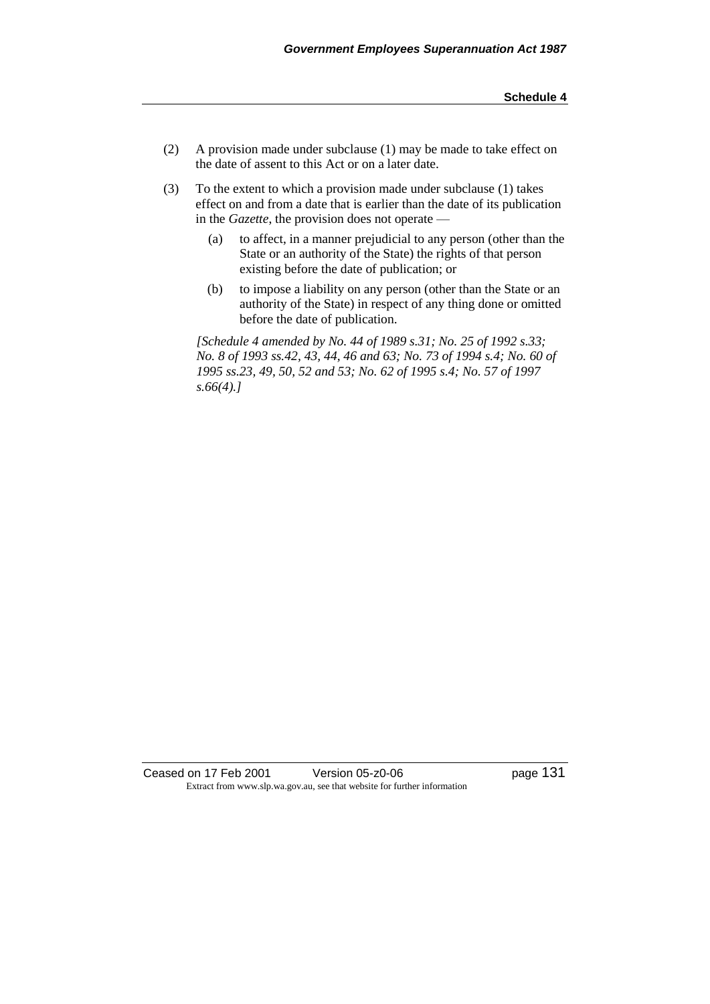- (2) A provision made under subclause (1) may be made to take effect on the date of assent to this Act or on a later date.
- (3) To the extent to which a provision made under subclause (1) takes effect on and from a date that is earlier than the date of its publication in the *Gazette*, the provision does not operate —
	- (a) to affect, in a manner prejudicial to any person (other than the State or an authority of the State) the rights of that person existing before the date of publication; or
	- (b) to impose a liability on any person (other than the State or an authority of the State) in respect of any thing done or omitted before the date of publication.

*[Schedule 4 amended by No. 44 of 1989 s.31; No. 25 of 1992 s.33; No. 8 of 1993 ss.42, 43, 44, 46 and 63; No. 73 of 1994 s.4; No. 60 of 1995 ss.23, 49, 50, 52 and 53; No. 62 of 1995 s.4; No. 57 of 1997 s.66(4).]* 

Ceased on 17 Feb 2001 Version 05-z0-06 Page 131 Extract from www.slp.wa.gov.au, see that website for further information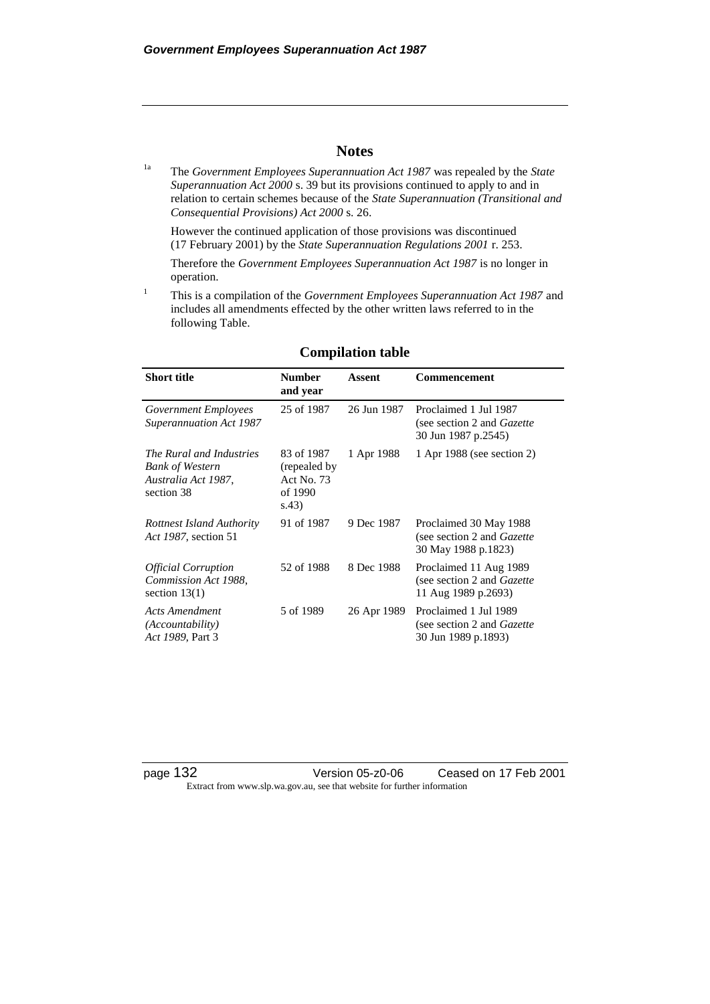## **Notes**

1a The *Government Employees Superannuation Act 1987* was repealed by the *State Superannuation Act 2000* s. 39 but its provisions continued to apply to and in relation to certain schemes because of the *State Superannuation (Transitional and Consequential Provisions) Act 2000* s. 26.

However the continued application of those provisions was discontinued (17 February 2001) by the *State Superannuation Regulations 2001* r. 253.

Therefore the *Government Employees Superannuation Act 1987* is no longer in operation.

<sup>1</sup> This is a compilation of the *Government Employees Superannuation Act 1987* and includes all amendments effected by the other written laws referred to in the following Table.

| <b>Short title</b>                                                                      | <b>Number</b><br>and year                                     | <b>Assent</b> | Commencement                                                                         |
|-----------------------------------------------------------------------------------------|---------------------------------------------------------------|---------------|--------------------------------------------------------------------------------------|
| Government Employees<br><b>Superannuation Act 1987</b>                                  | 25 of 1987                                                    | 26 Jun 1987   | Proclaimed 1 Jul 1987<br>(see section 2 and <i>Gazette</i> )<br>30 Jun 1987 p.2545)  |
| The Rural and Industries<br><b>Bank of Western</b><br>Australia Act 1987,<br>section 38 | 83 of 1987<br>(repealed by)<br>Act No. 73<br>of 1990<br>s.43) | 1 Apr 1988    | 1 Apr 1988 (see section 2)                                                           |
| Rottnest Island Authority<br>Act 1987, section 51                                       | 91 of 1987                                                    | 9 Dec 1987    | Proclaimed 30 May 1988<br>(see section 2 and <i>Gazette</i> )<br>30 May 1988 p.1823) |
| <b>Official Corruption</b><br>Commission Act 1988,<br>section $13(1)$                   | 52 of 1988                                                    | 8 Dec 1988    | Proclaimed 11 Aug 1989<br>(see section 2 and <i>Gazette</i> )<br>11 Aug 1989 p.2693) |
| Acts Amendment<br><i>(Accountability)</i><br>Act 1989, Part 3                           | 5 of 1989                                                     | 26 Apr 1989   | Proclaimed 1 Jul 1989<br>(see section 2 and <i>Gazette</i> )<br>30 Jun 1989 p.1893)  |

### **Compilation table**

page 132 Version 05-z0-06 Ceased on 17 Feb 2001 Extract from www.slp.wa.gov.au, see that website for further information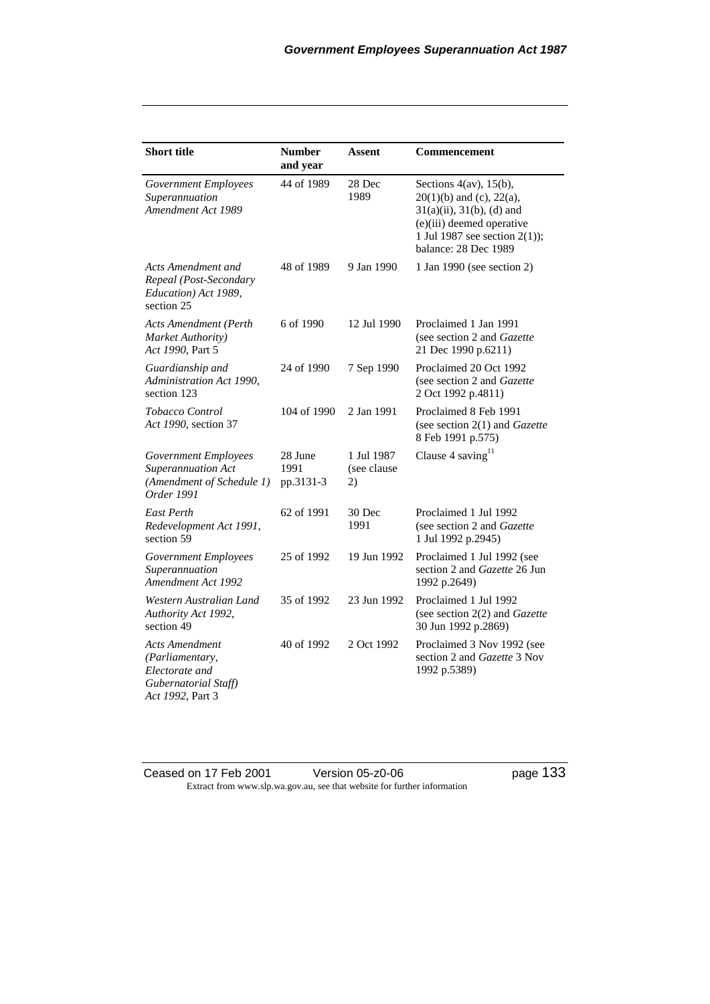| <b>Short title</b>                                                                                     | <b>Number</b><br>and year    | Assent                          | Commencement                                                                                                                                                                             |
|--------------------------------------------------------------------------------------------------------|------------------------------|---------------------------------|------------------------------------------------------------------------------------------------------------------------------------------------------------------------------------------|
| Government Employees<br>Superannuation<br>Amendment Act 1989                                           | 44 of 1989                   | 28 Dec<br>1989                  | Sections $4(av)$ , $15(b)$ ,<br>$20(1)(b)$ and (c), $22(a)$ ,<br>$31(a)(ii)$ , $31(b)$ , (d) and<br>(e)(iii) deemed operative<br>1 Jul 1987 see section $2(1)$ ;<br>balance: 28 Dec 1989 |
| Acts Amendment and<br>Repeal (Post-Secondary<br>Education) Act 1989,<br>section 25                     | 48 of 1989                   | 9 Jan 1990                      | 1 Jan 1990 (see section 2)                                                                                                                                                               |
| Acts Amendment (Perth<br>Market Authority)<br>Act 1990, Part 5                                         | 6 of 1990                    | 12 Jul 1990                     | Proclaimed 1 Jan 1991<br>(see section 2 and Gazette<br>21 Dec 1990 p.6211)                                                                                                               |
| Guardianship and<br>Administration Act 1990,<br>section 123                                            | 24 of 1990                   | 7 Sep 1990                      | Proclaimed 20 Oct 1992<br>(see section 2 and Gazette<br>2 Oct 1992 p.4811)                                                                                                               |
| Tobacco Control<br>Act 1990, section 37                                                                | 104 of 1990                  | 2 Jan 1991                      | Proclaimed 8 Feb 1991<br>(see section $2(1)$ and <i>Gazette</i><br>8 Feb 1991 p.575)                                                                                                     |
| Government Employees<br>Superannuation Act<br>(Amendment of Schedule 1)<br><i>Order</i> 1991           | 28 June<br>1991<br>pp.3131-3 | 1 Jul 1987<br>(see clause<br>2) | Clause 4 saving $11$                                                                                                                                                                     |
| <b>East Perth</b><br>Redevelopment Act 1991,<br>section 59                                             | 62 of 1991                   | 30 Dec<br>1991                  | Proclaimed 1 Jul 1992<br>(see section 2 and Gazette<br>1 Jul 1992 p.2945)                                                                                                                |
| <b>Government Employees</b><br>Superannuation<br>Amendment Act 1992                                    | 25 of 1992                   | 19 Jun 1992                     | Proclaimed 1 Jul 1992 (see<br>section 2 and Gazette 26 Jun<br>1992 p.2649)                                                                                                               |
| Western Australian Land<br>Authority Act 1992,<br>section 49                                           | 35 of 1992                   | 23 Jun 1992                     | Proclaimed 1 Jul 1992<br>(see section 2(2) and Gazette<br>30 Jun 1992 p.2869)                                                                                                            |
| <b>Acts Amendment</b><br>(Parliamentary,<br>Electorate and<br>Gubernatorial Staff)<br>Act 1992, Part 3 | 40 of 1992                   | 2 Oct 1992                      | Proclaimed 3 Nov 1992 (see<br>section 2 and Gazette 3 Nov<br>1992 p.5389)                                                                                                                |

Ceased on 17 Feb 2001 Version 05-z0-06 Page 133 Extract from www.slp.wa.gov.au, see that website for further information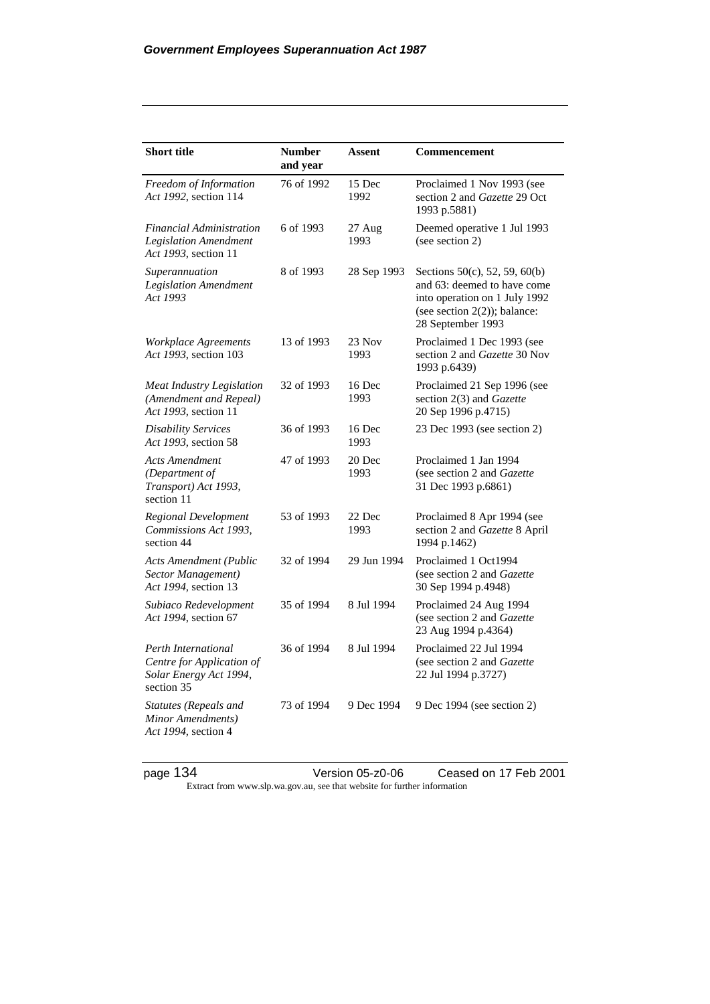| <b>Short title</b>                                                                       | <b>Number</b><br>and year | Assent         | Commencement                                                                                                                                          |
|------------------------------------------------------------------------------------------|---------------------------|----------------|-------------------------------------------------------------------------------------------------------------------------------------------------------|
| Freedom of Information<br>Act 1992, section 114                                          | 76 of 1992                | 15 Dec<br>1992 | Proclaimed 1 Nov 1993 (see<br>section 2 and Gazette 29 Oct<br>1993 p.5881)                                                                            |
| <b>Financial Administration</b><br><b>Legislation Amendment</b><br>Act 1993, section 11  | 6 of 1993                 | 27 Aug<br>1993 | Deemed operative 1 Jul 1993<br>(see section 2)                                                                                                        |
| Superannuation<br><b>Legislation Amendment</b><br>Act 1993                               | 8 of 1993                 | 28 Sep 1993    | Sections 50(c), 52, 59, 60(b)<br>and 63: deemed to have come<br>into operation on 1 July 1992<br>(see section $2(2)$ ); balance:<br>28 September 1993 |
| Workplace Agreements<br>Act 1993, section 103                                            | 13 of 1993                | 23 Nov<br>1993 | Proclaimed 1 Dec 1993 (see<br>section 2 and Gazette 30 Nov<br>1993 p.6439)                                                                            |
| Meat Industry Legislation<br>(Amendment and Repeal)<br>Act 1993, section 11              | 32 of 1993                | 16 Dec<br>1993 | Proclaimed 21 Sep 1996 (see<br>section 2(3) and Gazette<br>20 Sep 1996 p.4715)                                                                        |
| <b>Disability Services</b><br>Act 1993, section 58                                       | 36 of 1993                | 16 Dec<br>1993 | 23 Dec 1993 (see section 2)                                                                                                                           |
| <b>Acts Amendment</b><br>(Department of<br>Transport) Act 1993,<br>section 11            | 47 of 1993                | 20 Dec<br>1993 | Proclaimed 1 Jan 1994<br>(see section 2 and Gazette<br>31 Dec 1993 p.6861)                                                                            |
| Regional Development<br>Commissions Act 1993,<br>section 44                              | 53 of 1993                | 22 Dec<br>1993 | Proclaimed 8 Apr 1994 (see<br>section 2 and Gazette 8 April<br>1994 p.1462)                                                                           |
| <b>Acts Amendment (Public</b><br>Sector Management)<br>Act 1994, section 13              | 32 of 1994                | 29 Jun 1994    | Proclaimed 1 Oct1994<br>(see section 2 and Gazette<br>30 Sep 1994 p.4948)                                                                             |
| Subiaco Redevelopment<br>Act 1994, section 67                                            | 35 of 1994                | 8 Jul 1994     | Proclaimed 24 Aug 1994<br>(see section 2 and Gazette<br>23 Aug 1994 p.4364)                                                                           |
| Perth International<br>Centre for Application of<br>Solar Energy Act 1994,<br>section 35 | 36 of 1994                | 8 Jul 1994     | Proclaimed 22 Jul 1994<br>(see section 2 and Gazette<br>22 Jul 1994 p.3727)                                                                           |
| <b>Statutes (Repeals and</b><br>Minor Amendments)<br>Act 1994, section 4                 | 73 of 1994                | 9 Dec 1994     | 9 Dec 1994 (see section 2)                                                                                                                            |

page 134 Version 05-z0-06 Ceased on 17 Feb 2001 Extract from www.slp.wa.gov.au, see that website for further information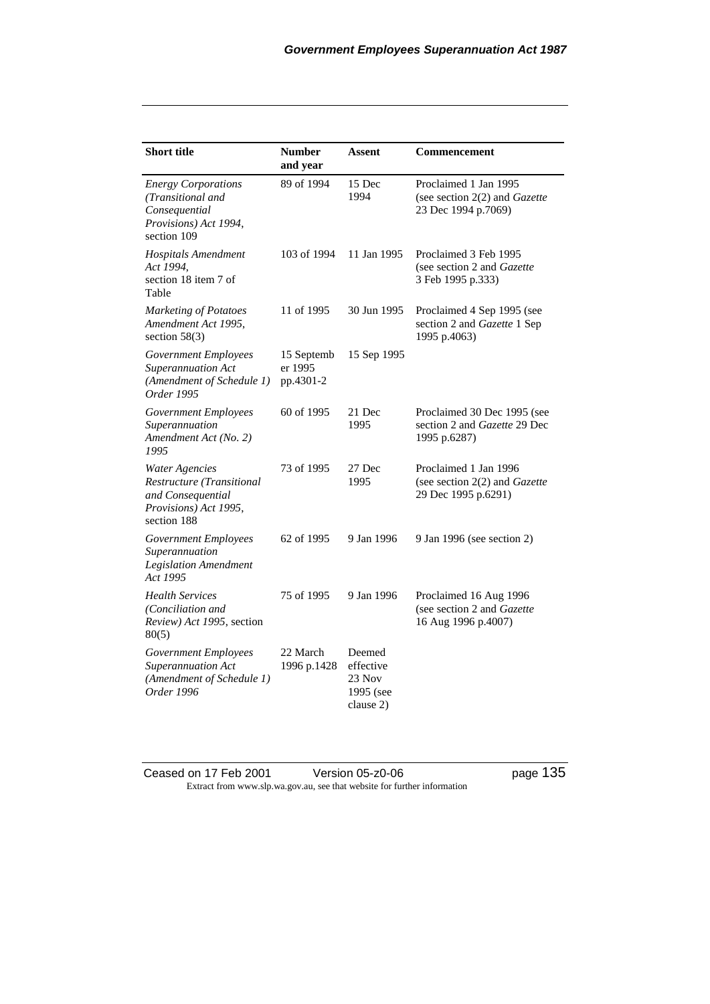| <b>Short title</b>                                                                                              | <b>Number</b><br>and year          | <b>Assent</b>                                           | Commencement                                                                       |
|-----------------------------------------------------------------------------------------------------------------|------------------------------------|---------------------------------------------------------|------------------------------------------------------------------------------------|
| <b>Energy Corporations</b><br>(Transitional and<br>Consequential<br>Provisions) Act 1994,<br>section 109        | 89 of 1994                         | 15 Dec<br>1994                                          | Proclaimed 1 Jan 1995<br>(see section 2(2) and Gazette<br>23 Dec 1994 p.7069)      |
| <b>Hospitals Amendment</b><br>Act 1994,<br>section 18 item 7 of<br>Table                                        | 103 of 1994                        | 11 Jan 1995                                             | Proclaimed 3 Feb 1995<br>(see section 2 and Gazette<br>3 Feb 1995 p.333)           |
| <b>Marketing of Potatoes</b><br>Amendment Act 1995,<br>section $58(3)$                                          | 11 of 1995                         | 30 Jun 1995                                             | Proclaimed 4 Sep 1995 (see<br>section 2 and Gazette 1 Sep<br>1995 p.4063)          |
| <b>Government Employees</b><br>Superannuation Act<br>(Amendment of Schedule 1)<br>Order 1995                    | 15 Septemb<br>er 1995<br>pp.4301-2 | 15 Sep 1995                                             |                                                                                    |
| Government Employees<br>Superannuation<br>Amendment Act (No. 2)<br>1995                                         | 60 of 1995                         | 21 Dec<br>1995                                          | Proclaimed 30 Dec 1995 (see<br>section 2 and <i>Gazette</i> 29 Dec<br>1995 p.6287) |
| <b>Water Agencies</b><br>Restructure (Transitional<br>and Consequential<br>Provisions) Act 1995,<br>section 188 | 73 of 1995                         | 27 Dec<br>1995                                          | Proclaimed 1 Jan 1996<br>(see section $2(2)$ and Gazette<br>29 Dec 1995 p.6291)    |
| Government Employees<br>Superannuation<br><b>Legislation Amendment</b><br>Act 1995                              | 62 of 1995                         | 9 Jan 1996                                              | 9 Jan 1996 (see section 2)                                                         |
| <b>Health Services</b><br>(Conciliation and<br>Review) Act 1995, section<br>80(5)                               | 75 of 1995                         | 9 Jan 1996                                              | Proclaimed 16 Aug 1996<br>(see section 2 and Gazette<br>16 Aug 1996 p.4007)        |
| <b>Government Employees</b><br>Superannuation Act<br>(Amendment of Schedule 1)<br>Order 1996                    | 22 March<br>1996 p.1428            | Deemed<br>effective<br>23 Nov<br>1995 (see<br>clause 2) |                                                                                    |

Ceased on 17 Feb 2001 Version 05-z0-06 Page 135 Extract from www.slp.wa.gov.au, see that website for further information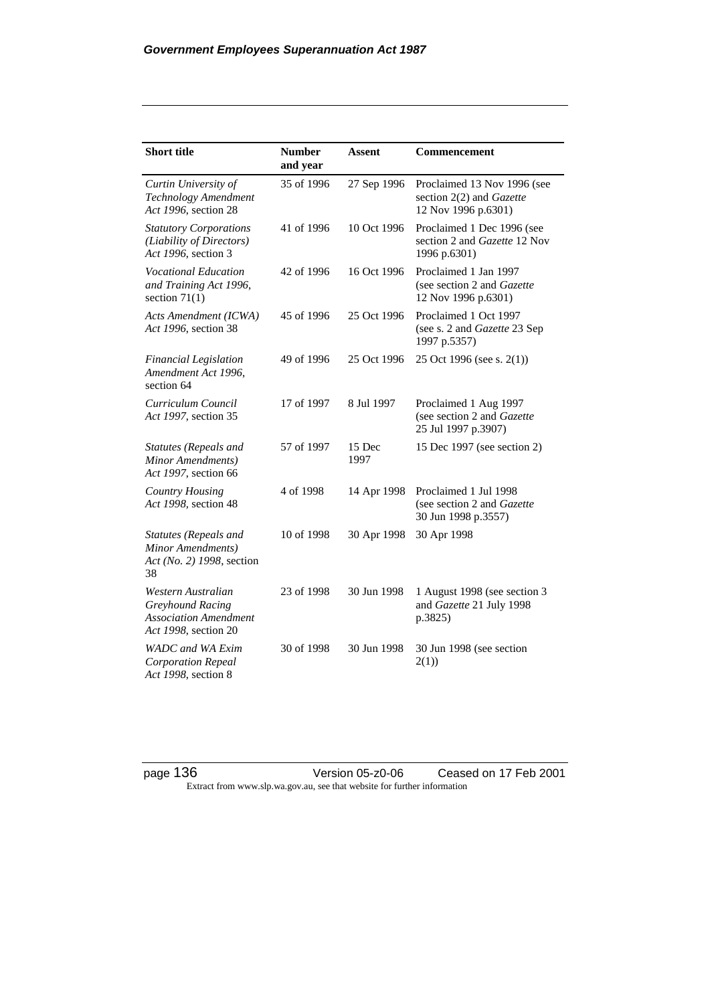| <b>Short title</b>                                                                             | <b>Number</b><br>and year | <b>Assent</b>  | <b>Commencement</b>                                                               |
|------------------------------------------------------------------------------------------------|---------------------------|----------------|-----------------------------------------------------------------------------------|
| Curtin University of<br>Technology Amendment<br>Act 1996, section 28                           | 35 of 1996                | 27 Sep 1996    | Proclaimed 13 Nov 1996 (see<br>section 2(2) and Gazette<br>12 Nov 1996 p.6301)    |
| <b>Statutory Corporations</b><br>(Liability of Directors)<br>Act 1996, section 3               | 41 of 1996                | 10 Oct 1996    | Proclaimed 1 Dec 1996 (see<br>section 2 and <i>Gazette</i> 12 Nov<br>1996 p.6301) |
| <b>Vocational Education</b><br>and Training Act 1996,<br>section $71(1)$                       | 42 of 1996                | 16 Oct 1996    | Proclaimed 1 Jan 1997<br>(see section 2 and Gazette<br>12 Nov 1996 p.6301)        |
| Acts Amendment (ICWA)<br>Act 1996, section 38                                                  | 45 of 1996                | 25 Oct 1996    | Proclaimed 1 Oct 1997<br>(see s. 2 and Gazette 23 Sep<br>1997 p.5357)             |
| <b>Financial Legislation</b><br>Amendment Act 1996,<br>section 64                              | 49 of 1996                | 25 Oct 1996    | 25 Oct 1996 (see s. 2(1))                                                         |
| Curriculum Council<br>Act 1997, section 35                                                     | 17 of 1997                | 8 Jul 1997     | Proclaimed 1 Aug 1997<br>(see section 2 and Gazette<br>25 Jul 1997 p.3907)        |
| Statutes (Repeals and<br>Minor Amendments)<br>Act 1997, section 66                             | 57 of 1997                | 15 Dec<br>1997 | 15 Dec 1997 (see section 2)                                                       |
| Country Housing<br>Act 1998, section 48                                                        | 4 of 1998                 | 14 Apr 1998    | Proclaimed 1 Jul 1998<br>(see section 2 and Gazette<br>30 Jun 1998 p.3557)        |
| Statutes (Repeals and<br>Minor Amendments)<br>Act (No. 2) 1998, section<br>38                  | 10 of 1998                | 30 Apr 1998    | 30 Apr 1998                                                                       |
| Western Australian<br>Greyhound Racing<br><b>Association Amendment</b><br>Act 1998, section 20 | 23 of 1998                | 30 Jun 1998    | 1 August 1998 (see section 3<br>and Gazette 21 July 1998<br>p.3825)               |
| <b>WADC</b> and WA Exim<br><b>Corporation Repeal</b><br>Act 1998, section 8                    | 30 of 1998                | 30 Jun 1998    | 30 Jun 1998 (see section<br>2(1)                                                  |

page 136 Version 05-z0-06 Ceased on 17 Feb 2001 Extract from www.slp.wa.gov.au, see that website for further information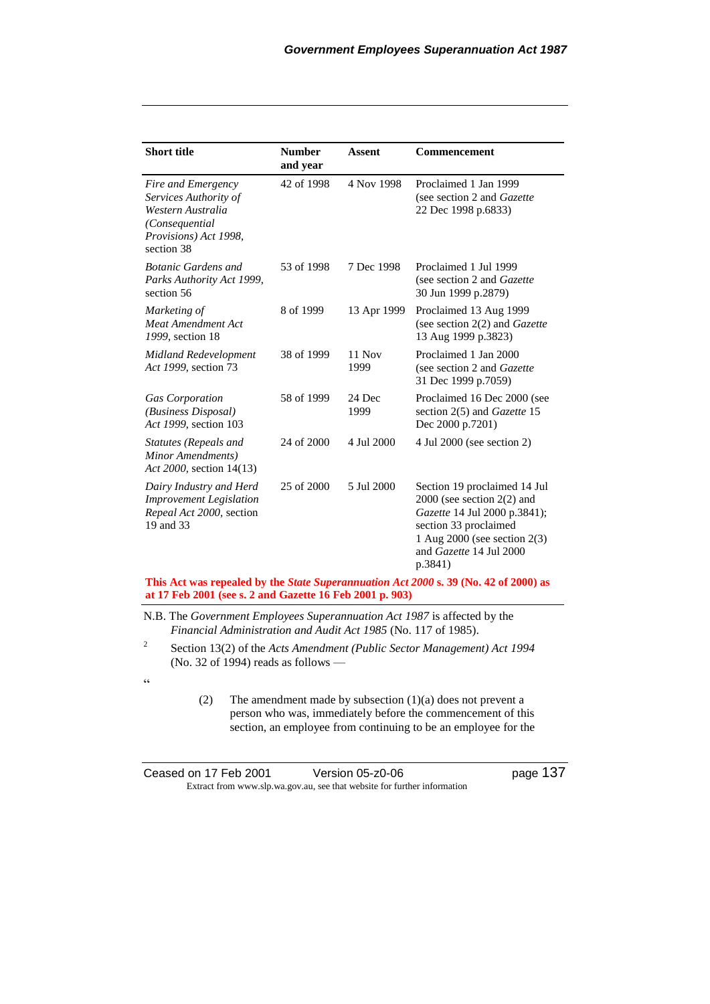| <b>Short title</b>                                                                                                         | <b>Number</b><br>and year | <b>Assent</b>    | <b>Commencement</b>                                                                                                                                                                           |
|----------------------------------------------------------------------------------------------------------------------------|---------------------------|------------------|-----------------------------------------------------------------------------------------------------------------------------------------------------------------------------------------------|
| Fire and Emergency<br>Services Authority of<br>Western Australia<br>(Consequential)<br>Provisions) Act 1998,<br>section 38 | 42 of 1998                | 4 Nov 1998       | Proclaimed 1 Jan 1999<br>(see section 2 and Gazette<br>22 Dec 1998 p.6833)                                                                                                                    |
| <b>Botanic Gardens and</b><br>Parks Authority Act 1999,<br>section 56                                                      | 53 of 1998                | 7 Dec 1998       | Proclaimed 1 Jul 1999<br>(see section 2 and <i>Gazette</i> )<br>30 Jun 1999 p.2879)                                                                                                           |
| Marketing of<br><b>Meat Amendment Act</b><br>1999, section 18                                                              | 8 of 1999                 | 13 Apr 1999      | Proclaimed 13 Aug 1999<br>(see section $2(2)$ and <i>Gazette</i><br>13 Aug 1999 p.3823)                                                                                                       |
| <b>Midland Redevelopment</b><br>Act 1999, section 73                                                                       | 38 of 1999                | $11$ Nov<br>1999 | Proclaimed 1 Jan 2000<br>(see section 2 and Gazette<br>31 Dec 1999 p.7059)                                                                                                                    |
| <b>Gas Corporation</b><br>(Business Disposal)<br>Act 1999, section 103                                                     | 58 of 1999                | 24 Dec<br>1999   | Proclaimed 16 Dec 2000 (see<br>section 2(5) and <i>Gazette</i> 15<br>Dec 2000 p.7201)                                                                                                         |
| Statutes (Repeals and<br>Minor Amendments)<br>Act 2000, section 14(13)                                                     | 24 of 2000                | 4 Jul 2000       | 4 Jul 2000 (see section 2)                                                                                                                                                                    |
| Dairy Industry and Herd<br><b>Improvement Legislation</b><br>Repeal Act 2000, section<br>19 and 33                         | 25 of 2000                | 5 Jul 2000       | Section 19 proclaimed 14 Jul<br>$2000$ (see section $2(2)$ and<br>Gazette 14 Jul 2000 p.3841);<br>section 33 proclaimed<br>1 Aug 2000 (see section 2(3)<br>and Gazette 14 Jul 2000<br>p.3841) |

#### **This Act was repealed by the** *State Superannuation Act 2000* **s. 39 (No. 42 of 2000) as at 17 Feb 2001 (see s. 2 and Gazette 16 Feb 2001 p. 903)**

N.B. The *Government Employees Superannuation Act 1987* is affected by the *Financial Administration and Audit Act 1985* (No. 117 of 1985).

2 Section 13(2) of the *Acts Amendment (Public Sector Management) Act 1994* (No. 32 of 1994) reads as follows —

 $\epsilon$ 

(2) The amendment made by subsection (1)(a) does not prevent a person who was, immediately before the commencement of this section, an employee from continuing to be an employee for the

| Ceased on 17 Feb 2001 | Version 05-z0-06                                                         | page 137 |
|-----------------------|--------------------------------------------------------------------------|----------|
|                       | Extract from www.slp.wa.gov.au, see that website for further information |          |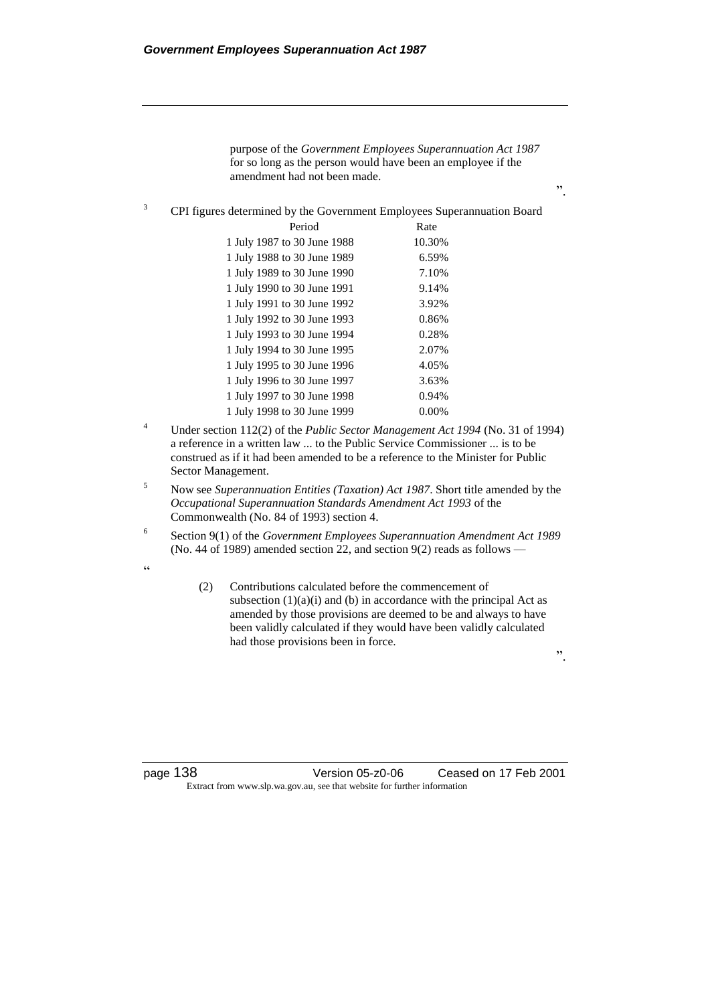|   | for so long as the person would have been an employee if the<br>amendment had not been made. | purpose of the Government Employees Superannuation Act 1987<br>,, |
|---|----------------------------------------------------------------------------------------------|-------------------------------------------------------------------|
| 3 | CPI figures determined by the Government Employees Superannuation Board                      |                                                                   |
|   | Period                                                                                       | Rate                                                              |
|   | 1 July 1987 to 30 June 1988                                                                  | 10.30%                                                            |
|   | 1 July 1988 to 30 June 1989                                                                  | 6.59%                                                             |
|   | 1 July 1989 to 30 June 1990                                                                  | 7.10%                                                             |
|   | 1 July 1990 to 30 June 1991                                                                  | 9.14%                                                             |
|   | 1 July 1991 to 30 June 1992                                                                  | 3.92%                                                             |
|   | 1 July 1992 to 30 June 1993                                                                  | 0.86%                                                             |
|   | 1 July 1993 to 30 June 1994                                                                  | 0.28%                                                             |
|   | 1 July 1994 to 30 June 1995                                                                  | 2.07%                                                             |
|   | 1 July 1995 to 30 June 1996                                                                  | 4.05%                                                             |
|   | 1 July 1996 to 30 June 1997                                                                  | 3.63%                                                             |
|   | 1 July 1997 to 30 June 1998                                                                  | 0.94%                                                             |
|   | 1 July 1998 to 30 June 1999                                                                  | $0.00\%$                                                          |
|   | Under section $112(2)$ of the <i>Dublic Sector Management Act 1004 (No.</i> 21 of 1004)      |                                                                   |

- <sup>4</sup> Under section 112(2) of the *Public Sector Management Act 1994* (No. 31 of 1994) a reference in a written law ... to the Public Service Commissioner ... is to be construed as if it had been amended to be a reference to the Minister for Public Sector Management.
- <sup>5</sup> Now see *Superannuation Entities (Taxation) Act 1987*. Short title amended by the *Occupational Superannuation Standards Amendment Act 1993* of the Commonwealth (No. 84 of 1993) section 4.
- 6 Section 9(1) of the *Government Employees Superannuation Amendment Act 1989* (No. 44 of 1989) amended section 22, and section 9(2) reads as follows —

 $\alpha$ 

(2) Contributions calculated before the commencement of subsection  $(1)(a)(i)$  and  $(b)$  in accordance with the principal Act as amended by those provisions are deemed to be and always to have been validly calculated if they would have been validly calculated had those provisions been in force.

".

page 138 Version 05-z0-06 Ceased on 17 Feb 2001 Extract from www.slp.wa.gov.au, see that website for further information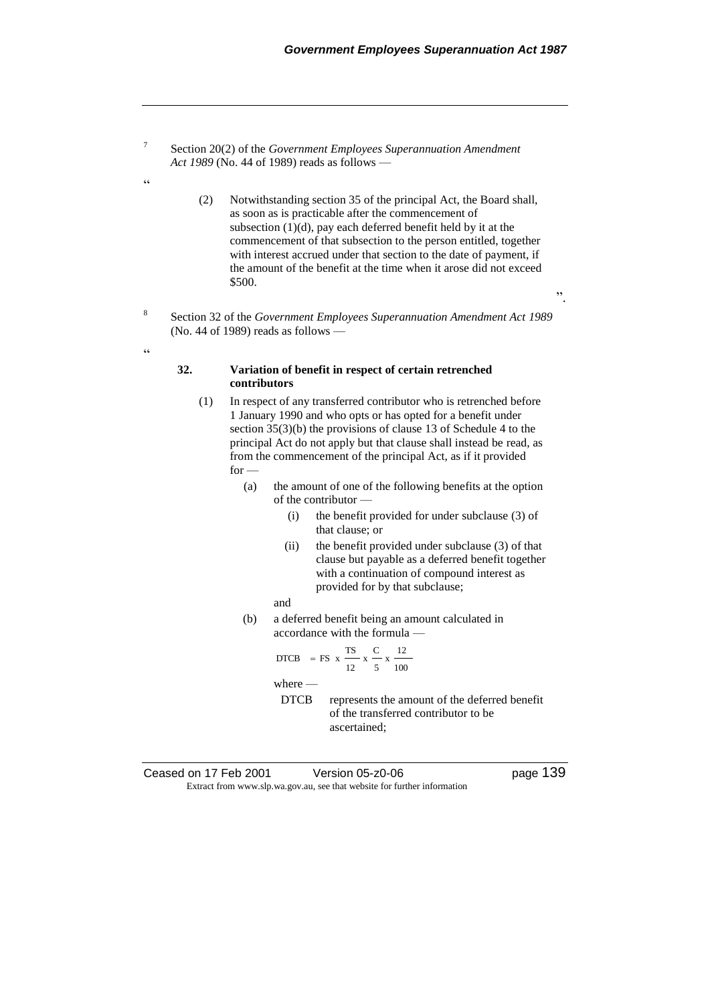Section 20(2) of the *Government Employees Superannuation Amendment Act 1989* (No. 44 of 1989) reads as follows —

7

 $\epsilon$ 

8

 $\alpha$ 

- (2) Notwithstanding section 35 of the principal Act, the Board shall, as soon as is practicable after the commencement of subsection  $(1)(d)$ , pay each deferred benefit held by it at the commencement of that subsection to the person entitled, together with interest accrued under that section to the date of payment, if the amount of the benefit at the time when it arose did not exceed \$500.
- Section 32 of the *Government Employees Superannuation Amendment Act 1989* (No. 44 of 1989) reads as follows —

#### **32. Variation of benefit in respect of certain retrenched contributors**

- (1) In respect of any transferred contributor who is retrenched before 1 January 1990 and who opts or has opted for a benefit under section 35(3)(b) the provisions of clause 13 of Schedule 4 to the principal Act do not apply but that clause shall instead be read, as from the commencement of the principal Act, as if it provided for -
	- (a) the amount of one of the following benefits at the option of the contributor —
		- (i) the benefit provided for under subclause (3) of that clause; or
		- (ii) the benefit provided under subclause (3) of that clause but payable as a deferred benefit together with a continuation of compound interest as provided for by that subclause;
		- and
	- (b) a deferred benefit being an amount calculated in accordance with the formula —

DTCB = FS x 
$$
\frac{TS}{12}
$$
 x  $\frac{C}{5}$  x  $\frac{12}{100}$ 

where —

DTCB represents the amount of the deferred benefit of the transferred contributor to be ascertained;

| Ceased on 17 Feb 2001 | Version 05-z0-06                                                         |
|-----------------------|--------------------------------------------------------------------------|
|                       | Extract from www.slp.wa.gov.au, see that website for further information |

".

page 139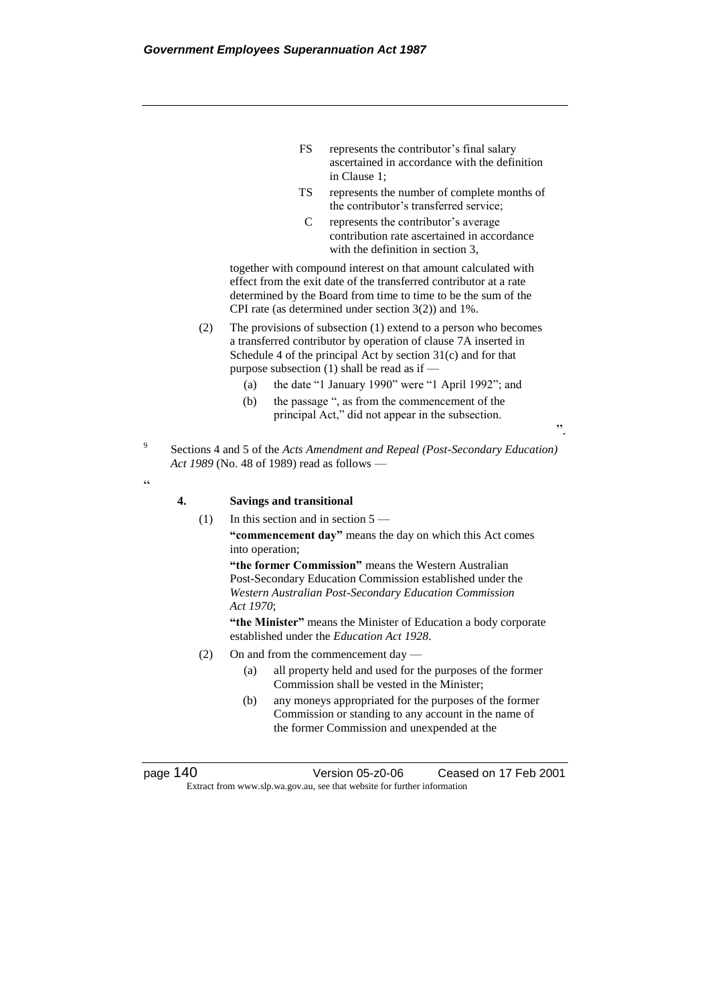- FS represents the contributor's final salary ascertained in accordance with the definition in Clause 1;
- TS represents the number of complete months of the contributor's transferred service;
- C represents the contributor's average contribution rate ascertained in accordance with the definition in section 3.

".

together with compound interest on that amount calculated with effect from the exit date of the transferred contributor at a rate determined by the Board from time to time to be the sum of the CPI rate (as determined under section 3(2)) and 1%.

- (2) The provisions of subsection (1) extend to a person who becomes a transferred contributor by operation of clause 7A inserted in Schedule 4 of the principal Act by section 31(c) and for that purpose subsection (1) shall be read as if —
	- (a) the date "1 January 1990" were "1 April 1992"; and
	- (b) the passage ", as from the commencement of the principal Act," did not appear in the subsection.
- 9 Sections 4 and 5 of the *Acts Amendment and Repeal (Post-Secondary Education) Act 1989* (No. 48 of 1989) read as follows —
- $\epsilon$

#### **4. Savings and transitional**

(1) In this section and in section 5 —

**"commencement day"** means the day on which this Act comes into operation;

**"the former Commission"** means the Western Australian Post-Secondary Education Commission established under the *Western Australian Post-Secondary Education Commission Act 1970*;

**"the Minister"** means the Minister of Education a body corporate established under the *Education Act 1928*.

- (2) On and from the commencement day
	- (a) all property held and used for the purposes of the former Commission shall be vested in the Minister;
	- (b) any moneys appropriated for the purposes of the former Commission or standing to any account in the name of the former Commission and unexpended at the

page 140 Version 05-z0-06 Ceased on 17 Feb 2001 Extract from www.slp.wa.gov.au, see that website for further information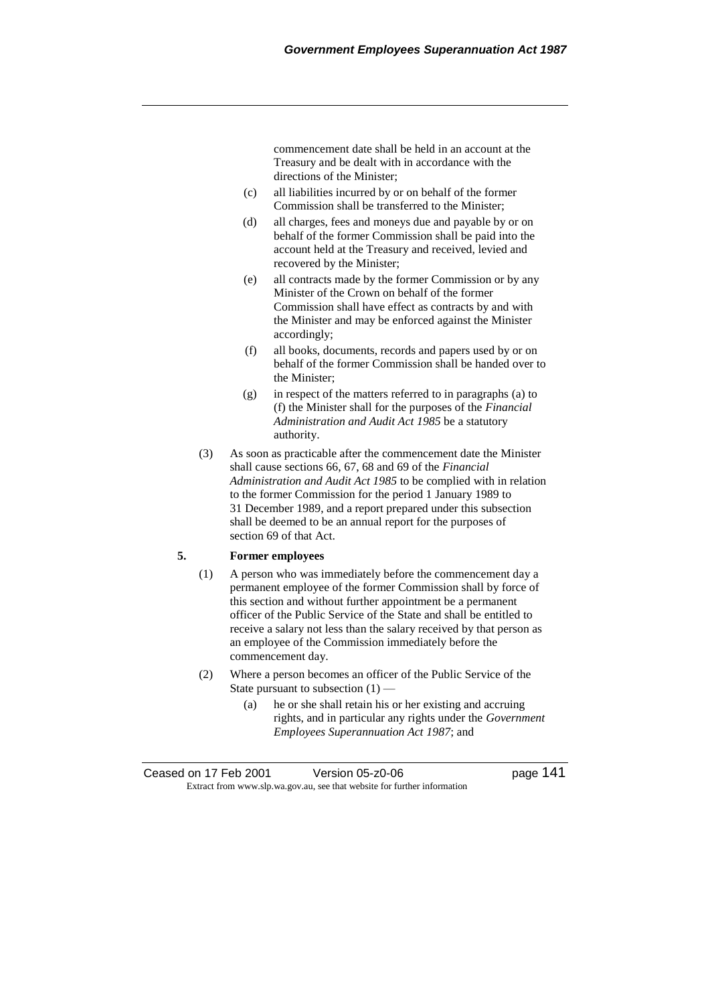commencement date shall be held in an account at the Treasury and be dealt with in accordance with the directions of the Minister;

- (c) all liabilities incurred by or on behalf of the former Commission shall be transferred to the Minister;
- (d) all charges, fees and moneys due and payable by or on behalf of the former Commission shall be paid into the account held at the Treasury and received, levied and recovered by the Minister;
- (e) all contracts made by the former Commission or by any Minister of the Crown on behalf of the former Commission shall have effect as contracts by and with the Minister and may be enforced against the Minister accordingly;
- (f) all books, documents, records and papers used by or on behalf of the former Commission shall be handed over to the Minister;
- (g) in respect of the matters referred to in paragraphs (a) to (f) the Minister shall for the purposes of the *Financial Administration and Audit Act 1985* be a statutory authority.
- (3) As soon as practicable after the commencement date the Minister shall cause sections 66, 67, 68 and 69 of the *Financial Administration and Audit Act 1985* to be complied with in relation to the former Commission for the period 1 January 1989 to 31 December 1989, and a report prepared under this subsection shall be deemed to be an annual report for the purposes of section 69 of that Act.

## **5. Former employees**

- (1) A person who was immediately before the commencement day a permanent employee of the former Commission shall by force of this section and without further appointment be a permanent officer of the Public Service of the State and shall be entitled to receive a salary not less than the salary received by that person as an employee of the Commission immediately before the commencement day.
- (2) Where a person becomes an officer of the Public Service of the State pursuant to subsection  $(1)$  —
	- (a) he or she shall retain his or her existing and accruing rights, and in particular any rights under the *Government Employees Superannuation Act 1987*; and

Ceased on 17 Feb 2001 Version 05-z0-06 page 141 Extract from www.slp.wa.gov.au, see that website for further information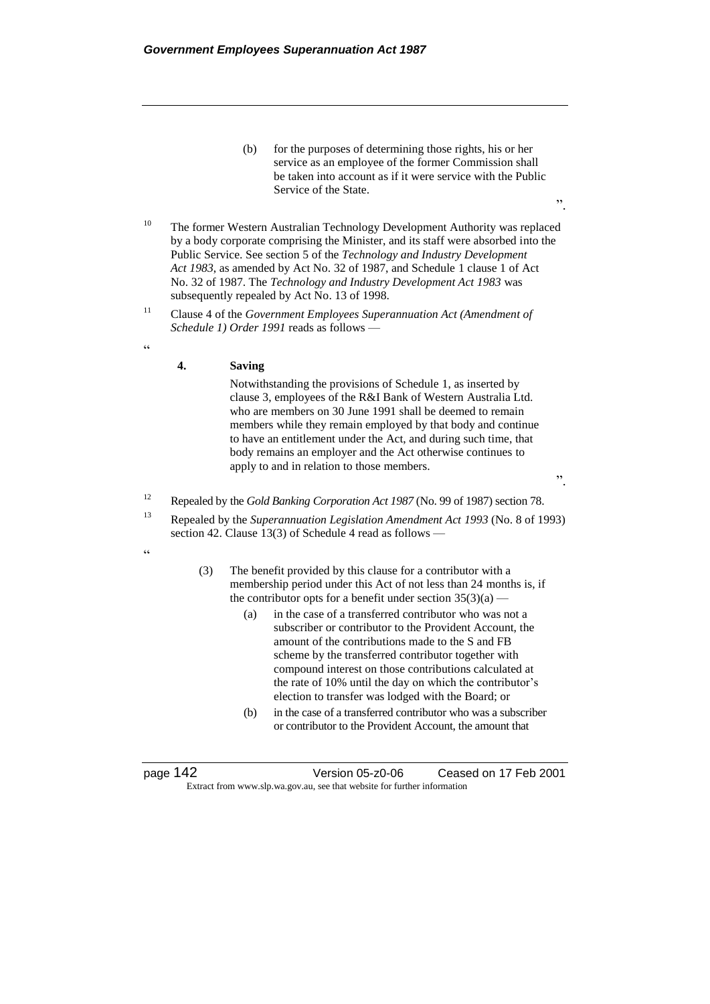- (b) for the purposes of determining those rights, his or her service as an employee of the former Commission shall be taken into account as if it were service with the Public Service of the State.
- <sup>10</sup> The former Western Australian Technology Development Authority was replaced by a body corporate comprising the Minister, and its staff were absorbed into the Public Service. See section 5 of the *Technology and Industry Development Act 1983*, as amended by Act No. 32 of 1987, and Schedule 1 clause 1 of Act No. 32 of 1987. The *Technology and Industry Development Act 1983* was subsequently repealed by Act No. 13 of 1998.
- <sup>11</sup> Clause 4 of the *Government Employees Superannuation Act (Amendment of Schedule 1) Order 1991* reads as follows —
- $\epsilon$

#### **4. Saving**

Notwithstanding the provisions of Schedule 1, as inserted by clause 3, employees of the R&I Bank of Western Australia Ltd. who are members on 30 June 1991 shall be deemed to remain members while they remain employed by that body and continue to have an entitlement under the Act, and during such time, that body remains an employer and the Act otherwise continues to apply to and in relation to those members.

".

<sup>12</sup> Repealed by the *Gold Banking Corporation Act 1987* (No. 99 of 1987) section 78.

- <sup>13</sup> Repealed by the *Superannuation Legislation Amendment Act 1993* (No. 8 of 1993) section 42. Clause 13(3) of Schedule 4 read as follows -
- $\epsilon$
- (3) The benefit provided by this clause for a contributor with a membership period under this Act of not less than 24 months is, if the contributor opts for a benefit under section  $35(3)(a)$  —
	- (a) in the case of a transferred contributor who was not a subscriber or contributor to the Provident Account, the amount of the contributions made to the S and FB scheme by the transferred contributor together with compound interest on those contributions calculated at the rate of 10% until the day on which the contributor's election to transfer was lodged with the Board; or
	- (b) in the case of a transferred contributor who was a subscriber or contributor to the Provident Account, the amount that

page 142 Version 05-z0-06 Ceased on 17 Feb 2001 Extract from www.slp.wa.gov.au, see that website for further information

".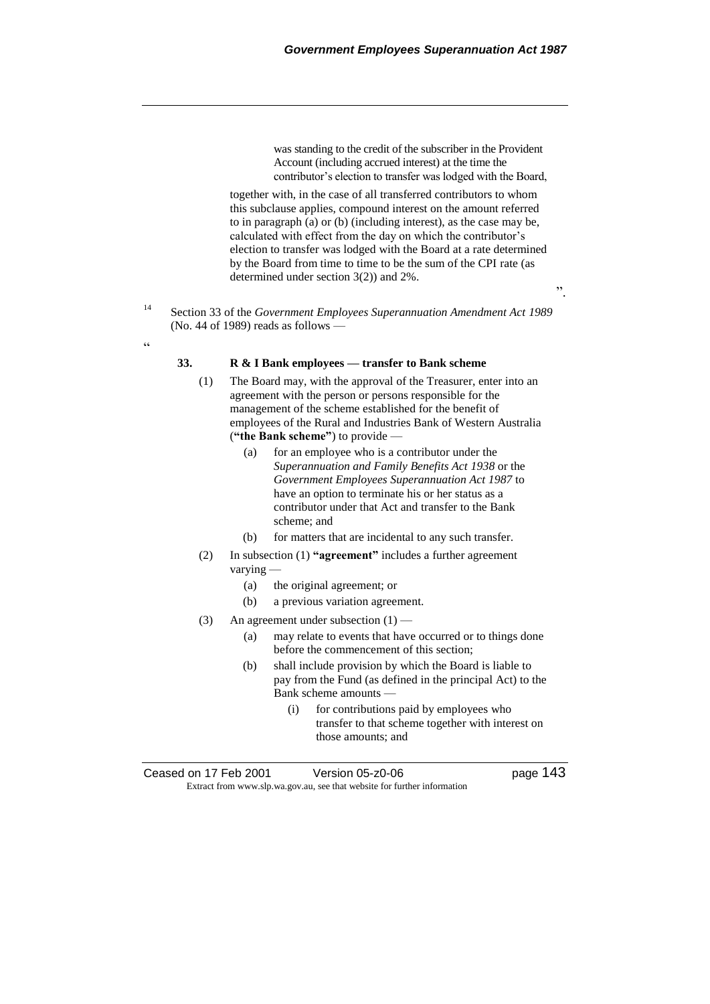was standing to the credit of the subscriber in the Provident Account (including accrued interest) at the time the contributor's election to transfer was lodged with the Board,

together with, in the case of all transferred contributors to whom this subclause applies, compound interest on the amount referred to in paragraph (a) or (b) (including interest), as the case may be, calculated with effect from the day on which the contributor's election to transfer was lodged with the Board at a rate determined by the Board from time to time to be the sum of the CPI rate (as determined under section 3(2)) and 2%.

".

<sup>14</sup> Section 33 of the *Government Employees Superannuation Amendment Act 1989* (No. 44 of 1989) reads as follows —

# $\alpha$

# **33. R & I Bank employees — transfer to Bank scheme**

- (1) The Board may, with the approval of the Treasurer, enter into an agreement with the person or persons responsible for the management of the scheme established for the benefit of employees of the Rural and Industries Bank of Western Australia (**"the Bank scheme"**) to provide —
	- (a) for an employee who is a contributor under the *Superannuation and Family Benefits Act 1938* or the *Government Employees Superannuation Act 1987* to have an option to terminate his or her status as a contributor under that Act and transfer to the Bank scheme; and
	- (b) for matters that are incidental to any such transfer.
- (2) In subsection (1) **"agreement"** includes a further agreement varying —
	- (a) the original agreement; or
	- (b) a previous variation agreement.
- (3) An agreement under subsection  $(1)$ 
	- (a) may relate to events that have occurred or to things done before the commencement of this section;
	- (b) shall include provision by which the Board is liable to pay from the Fund (as defined in the principal Act) to the Bank scheme amounts —
		- (i) for contributions paid by employees who transfer to that scheme together with interest on those amounts; and

Ceased on 17 Feb 2001 Version 05-z0-06 Page 143 Extract from www.slp.wa.gov.au, see that website for further information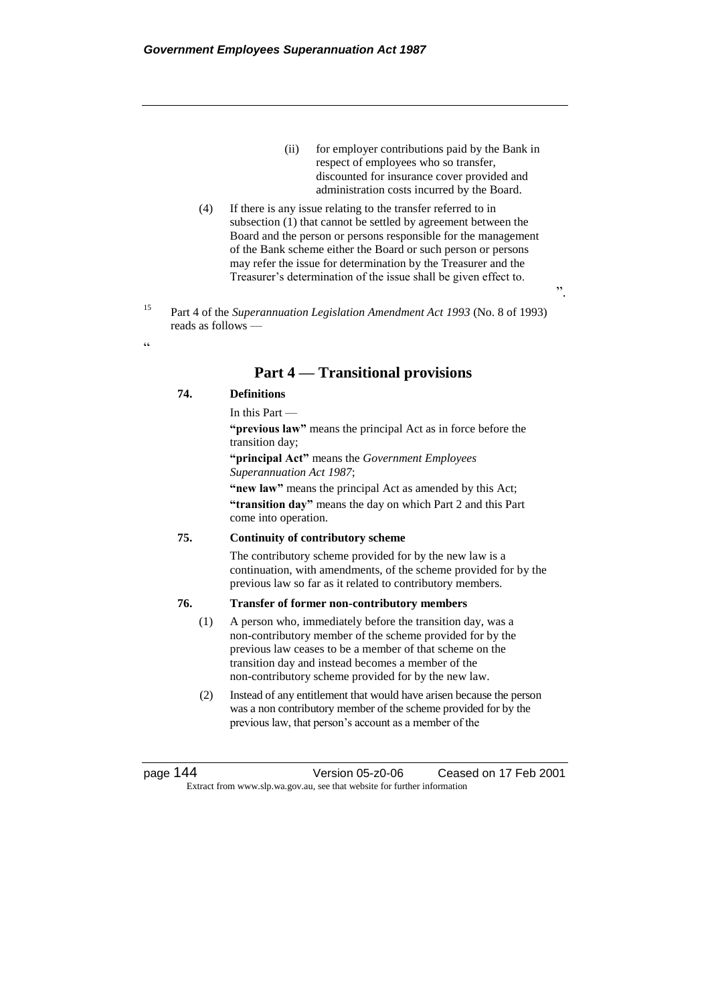- (ii) for employer contributions paid by the Bank in respect of employees who so transfer, discounted for insurance cover provided and administration costs incurred by the Board.
- (4) If there is any issue relating to the transfer referred to in subsection (1) that cannot be settled by agreement between the Board and the person or persons responsible for the management of the Bank scheme either the Board or such person or persons may refer the issue for determination by the Treasurer and the Treasurer's determination of the issue shall be given effect to.
- <sup>15</sup> Part 4 of the *Superannuation Legislation Amendment Act 1993* (No. 8 of 1993) reads as follows —

# **Part 4 — Transitional provisions**

#### **74. Definitions**

.<br>.

In this Part —

**"previous law"** means the principal Act as in force before the transition day;

**"principal Act"** means the *Government Employees Superannuation Act 1987*;

**"new law"** means the principal Act as amended by this Act; **"transition day"** means the day on which Part 2 and this Part come into operation.

#### **75. Continuity of contributory scheme**

The contributory scheme provided for by the new law is a continuation, with amendments, of the scheme provided for by the previous law so far as it related to contributory members.

#### **76. Transfer of former non-contributory members**

- (1) A person who, immediately before the transition day, was a non-contributory member of the scheme provided for by the previous law ceases to be a member of that scheme on the transition day and instead becomes a member of the non-contributory scheme provided for by the new law.
- (2) Instead of any entitlement that would have arisen because the person was a non contributory member of the scheme provided for by the previous law, that person's account as a member of the

page 144 Version 05-z0-06 Ceased on 17 Feb 2001 Extract from www.slp.wa.gov.au, see that website for further information

".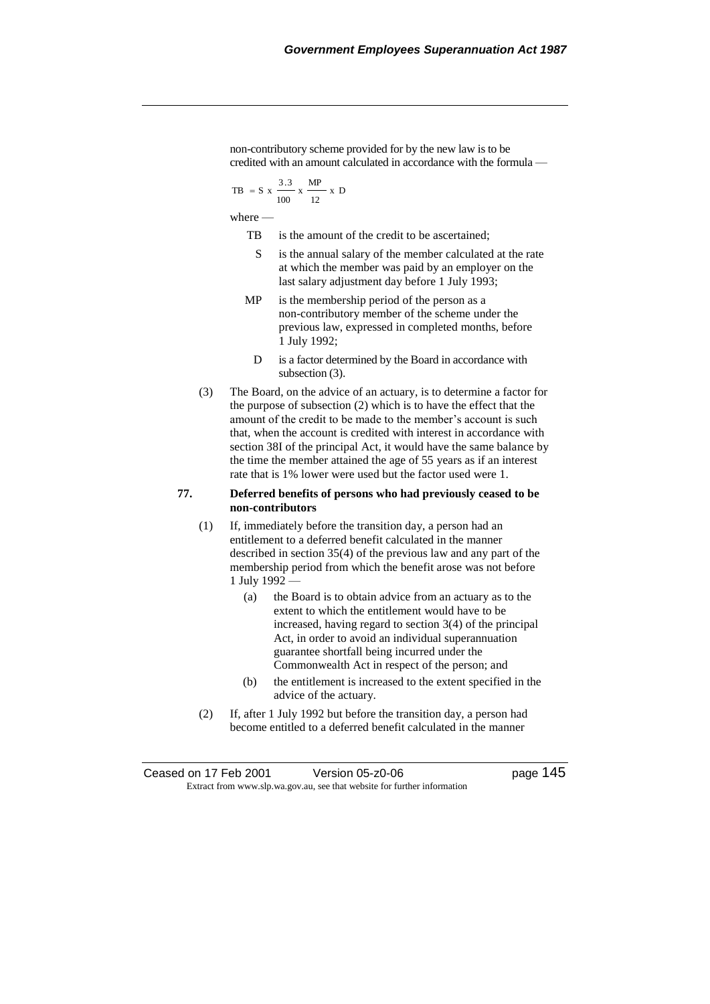non-contributory scheme provided for by the new law is to be credited with an amount calculated in accordance with the formula —

$$
TB = S x \frac{3.3}{100} x \frac{MP}{12} x D
$$

where —

- TB is the amount of the credit to be ascertained;
- S is the annual salary of the member calculated at the rate at which the member was paid by an employer on the last salary adjustment day before 1 July 1993;
- MP is the membership period of the person as a non-contributory member of the scheme under the previous law, expressed in completed months, before 1 July 1992;
	- D is a factor determined by the Board in accordance with subsection (3).
- (3) The Board, on the advice of an actuary, is to determine a factor for the purpose of subsection (2) which is to have the effect that the amount of the credit to be made to the member's account is such that, when the account is credited with interest in accordance with section 38I of the principal Act, it would have the same balance by the time the member attained the age of 55 years as if an interest rate that is 1% lower were used but the factor used were 1.

#### **77. Deferred benefits of persons who had previously ceased to be non-contributors**

- (1) If, immediately before the transition day, a person had an entitlement to a deferred benefit calculated in the manner described in section 35(4) of the previous law and any part of the membership period from which the benefit arose was not before 1 July 1992 —
	- (a) the Board is to obtain advice from an actuary as to the extent to which the entitlement would have to be increased, having regard to section 3(4) of the principal Act, in order to avoid an individual superannuation guarantee shortfall being incurred under the Commonwealth Act in respect of the person; and
	- (b) the entitlement is increased to the extent specified in the advice of the actuary.
- (2) If, after 1 July 1992 but before the transition day, a person had become entitled to a deferred benefit calculated in the manner

| Ceased on 17 Feb 2001 | Version 05-z0-06                                                         | page 145 |
|-----------------------|--------------------------------------------------------------------------|----------|
|                       | Extract from www.slp.wa.gov.au, see that website for further information |          |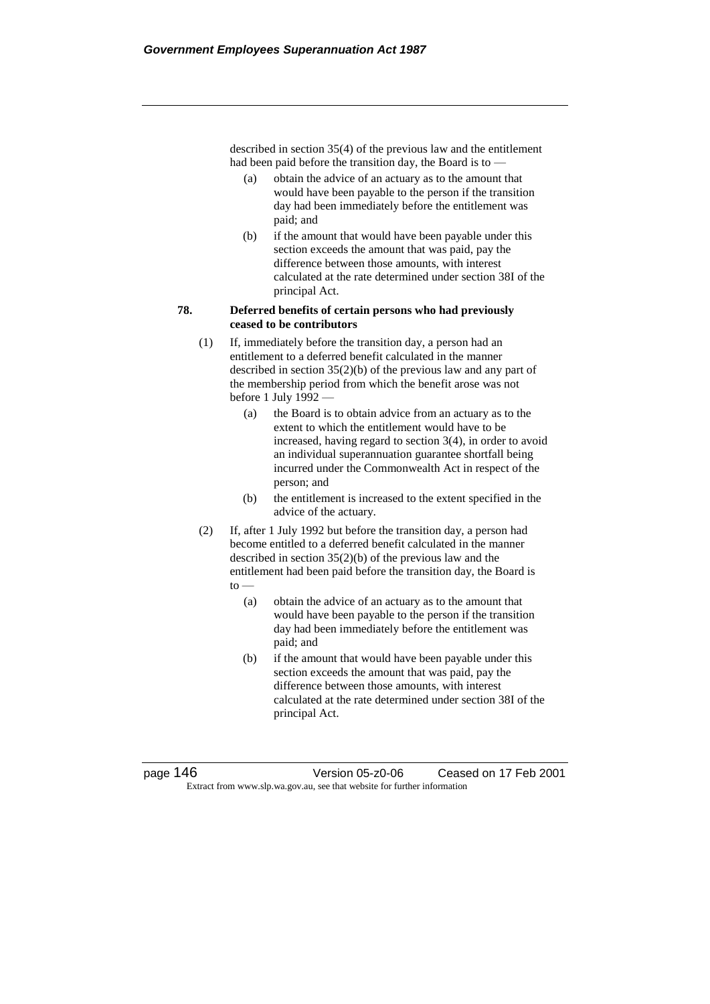described in section 35(4) of the previous law and the entitlement had been paid before the transition day, the Board is to —

- (a) obtain the advice of an actuary as to the amount that would have been payable to the person if the transition day had been immediately before the entitlement was paid; and
- (b) if the amount that would have been payable under this section exceeds the amount that was paid, pay the difference between those amounts, with interest calculated at the rate determined under section 38I of the principal Act.

#### **78. Deferred benefits of certain persons who had previously ceased to be contributors**

- (1) If, immediately before the transition day, a person had an entitlement to a deferred benefit calculated in the manner described in section 35(2)(b) of the previous law and any part of the membership period from which the benefit arose was not before 1 July 1992 —
	- (a) the Board is to obtain advice from an actuary as to the extent to which the entitlement would have to be increased, having regard to section 3(4), in order to avoid an individual superannuation guarantee shortfall being incurred under the Commonwealth Act in respect of the person; and
	- (b) the entitlement is increased to the extent specified in the advice of the actuary.
- (2) If, after 1 July 1992 but before the transition day, a person had become entitled to a deferred benefit calculated in the manner described in section 35(2)(b) of the previous law and the entitlement had been paid before the transition day, the Board is  $\mathsf{to}$  —
	- (a) obtain the advice of an actuary as to the amount that would have been payable to the person if the transition day had been immediately before the entitlement was paid; and
	- (b) if the amount that would have been payable under this section exceeds the amount that was paid, pay the difference between those amounts, with interest calculated at the rate determined under section 38I of the principal Act.

page 146 Version 05-z0-06 Ceased on 17 Feb 2001 Extract from www.slp.wa.gov.au, see that website for further information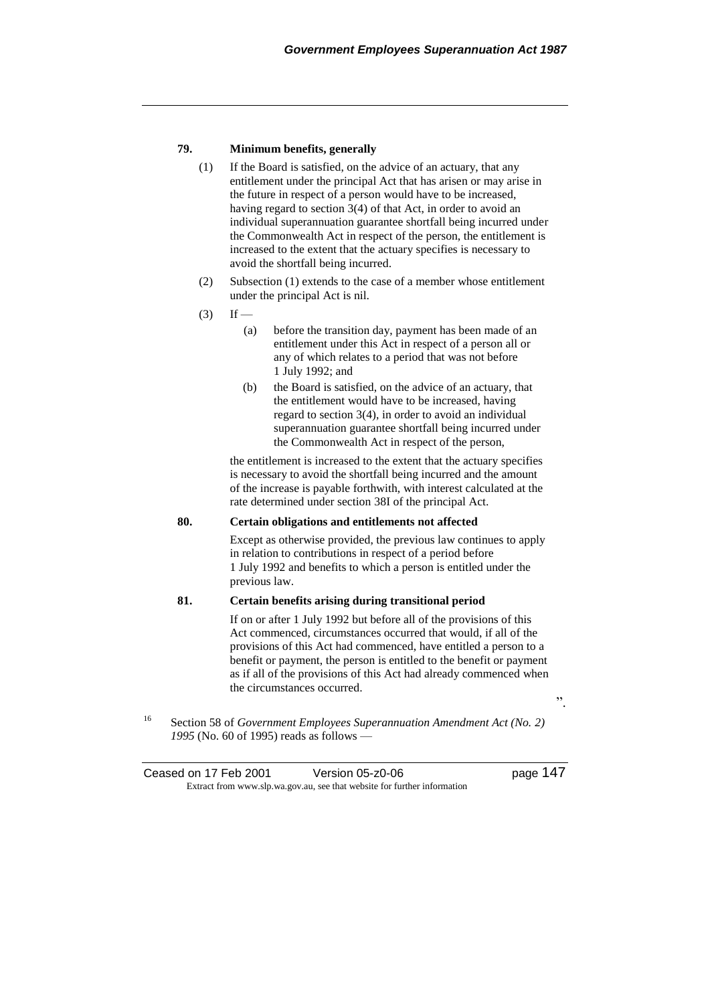## **79. Minimum benefits, generally**

- (1) If the Board is satisfied, on the advice of an actuary, that any entitlement under the principal Act that has arisen or may arise in the future in respect of a person would have to be increased, having regard to section 3(4) of that Act, in order to avoid an individual superannuation guarantee shortfall being incurred under the Commonwealth Act in respect of the person, the entitlement is increased to the extent that the actuary specifies is necessary to avoid the shortfall being incurred.
- (2) Subsection (1) extends to the case of a member whose entitlement under the principal Act is nil.
- $(3)$  If
	- (a) before the transition day, payment has been made of an entitlement under this Act in respect of a person all or any of which relates to a period that was not before 1 July 1992; and
	- (b) the Board is satisfied, on the advice of an actuary, that the entitlement would have to be increased, having regard to section 3(4), in order to avoid an individual superannuation guarantee shortfall being incurred under the Commonwealth Act in respect of the person,

the entitlement is increased to the extent that the actuary specifies is necessary to avoid the shortfall being incurred and the amount of the increase is payable forthwith, with interest calculated at the rate determined under section 38I of the principal Act.

#### **80. Certain obligations and entitlements not affected**

Except as otherwise provided, the previous law continues to apply in relation to contributions in respect of a period before 1 July 1992 and benefits to which a person is entitled under the previous law.

## **81. Certain benefits arising during transitional period**

If on or after 1 July 1992 but before all of the provisions of this Act commenced, circumstances occurred that would, if all of the provisions of this Act had commenced, have entitled a person to a benefit or payment, the person is entitled to the benefit or payment as if all of the provisions of this Act had already commenced when the circumstances occurred.

".

<sup>16</sup> Section 58 of *Government Employees Superannuation Amendment Act (No. 2) 1995* (No. 60 of 1995) reads as follows —

Ceased on 17 Feb 2001 Version 05-z0-06 Page 147 Extract from www.slp.wa.gov.au, see that website for further information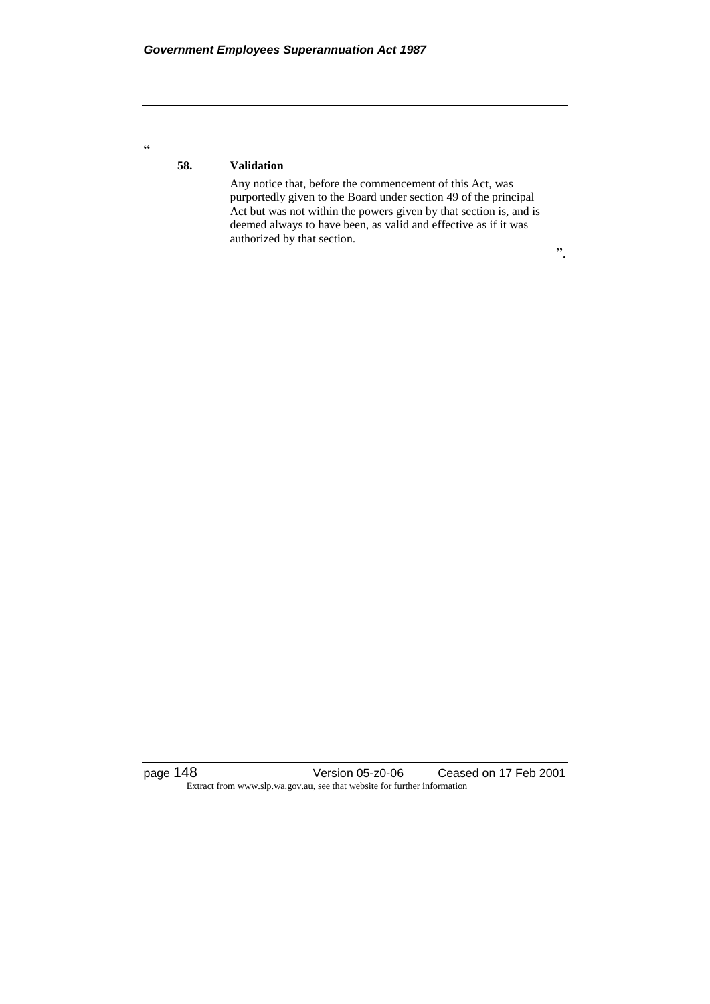**58. Validation**

 $\zeta\,\zeta$ 

Any notice that, before the commencement of this Act, was purportedly given to the Board under section 49 of the principal Act but was not within the powers given by that section is, and is deemed always to have been, as valid and effective as if it was authorized by that section.

".

page 148 Version 05-z0-06 Ceased on 17 Feb 2001 Extract from www.slp.wa.gov.au, see that website for further information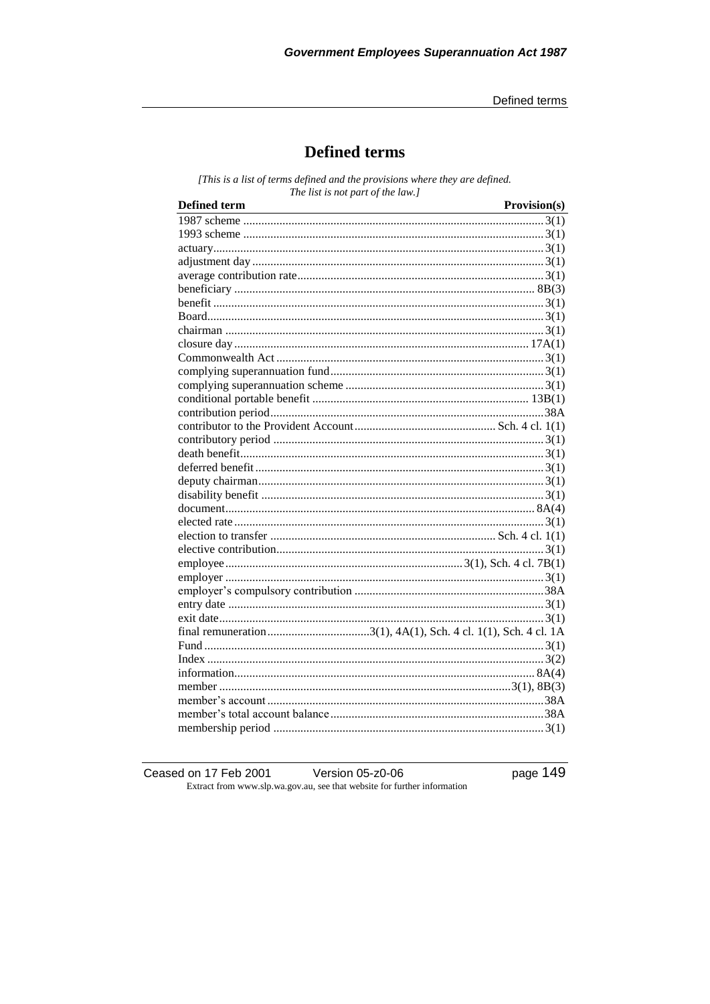# **Defined terms**

[This is a list of terms defined and the provisions where they are defined. The list is not part of the law.]

| <b>Defined term</b> | Provision(s) |
|---------------------|--------------|
|                     |              |
|                     |              |
|                     |              |
|                     |              |
|                     |              |
|                     |              |
|                     |              |
|                     |              |
|                     |              |
|                     |              |
|                     |              |
|                     |              |
|                     |              |
|                     |              |
|                     |              |
|                     |              |
|                     |              |
|                     |              |
|                     |              |
|                     |              |
|                     |              |
|                     |              |
|                     |              |
|                     |              |
|                     |              |
|                     |              |
|                     |              |
|                     |              |
|                     |              |
|                     |              |
|                     |              |
|                     |              |
|                     |              |
|                     |              |
|                     |              |
|                     |              |
|                     |              |
|                     |              |
|                     |              |

Ceased on 17 Feb 2001 Version 05-z0-06 Extract from www.slp.wa.gov.au, see that website for further information page 149